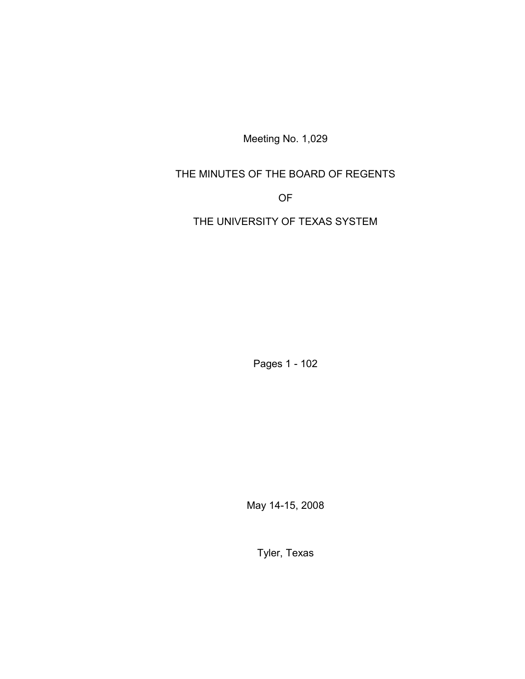Meeting No. 1,029

THE MINUTES OF THE BOARD OF REGENTS

OF

THE UNIVERSITY OF TEXAS SYSTEM

Pages 1 - 102

May 14-15, 2008

Tyler, Texas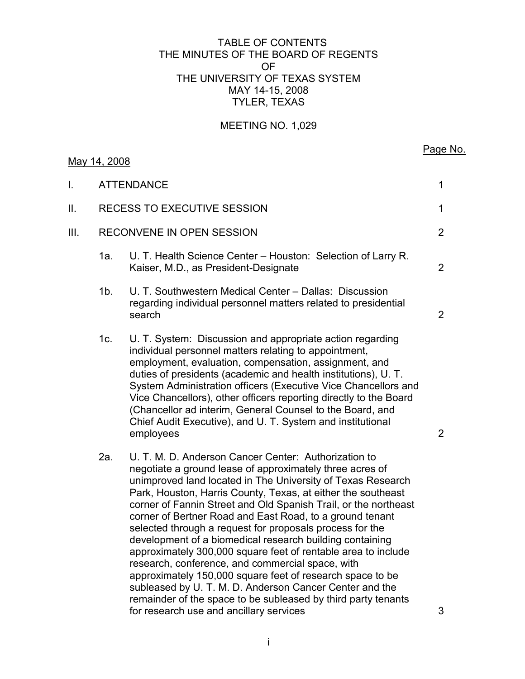### TABLE OF CONTENTS THE MINUTES OF THE BOARD OF REGENTS OF THE UNIVERSITY OF TEXAS SYSTEM MAY 14-15, 2008 TYLER, TEXAS

# MEETING NO. 1,029

|      | May 14, 2008                |                                                                                                                                                                                                                                                                                                                                                                                                                                                                                                                                                                                                                                                                                                                                                                                                                      | Page No.       |
|------|-----------------------------|----------------------------------------------------------------------------------------------------------------------------------------------------------------------------------------------------------------------------------------------------------------------------------------------------------------------------------------------------------------------------------------------------------------------------------------------------------------------------------------------------------------------------------------------------------------------------------------------------------------------------------------------------------------------------------------------------------------------------------------------------------------------------------------------------------------------|----------------|
| I.   |                             | <b>ATTENDANCE</b>                                                                                                                                                                                                                                                                                                                                                                                                                                                                                                                                                                                                                                                                                                                                                                                                    | 1              |
| II.  | RECESS TO EXECUTIVE SESSION |                                                                                                                                                                                                                                                                                                                                                                                                                                                                                                                                                                                                                                                                                                                                                                                                                      |                |
| III. | RECONVENE IN OPEN SESSION   |                                                                                                                                                                                                                                                                                                                                                                                                                                                                                                                                                                                                                                                                                                                                                                                                                      | $\overline{2}$ |
|      | 1a.                         | U. T. Health Science Center - Houston: Selection of Larry R.<br>Kaiser, M.D., as President-Designate                                                                                                                                                                                                                                                                                                                                                                                                                                                                                                                                                                                                                                                                                                                 | $\overline{2}$ |
|      | $1b$ .                      | U. T. Southwestern Medical Center - Dallas: Discussion<br>regarding individual personnel matters related to presidential<br>search                                                                                                                                                                                                                                                                                                                                                                                                                                                                                                                                                                                                                                                                                   | $\overline{2}$ |
|      | 1c.                         | U. T. System: Discussion and appropriate action regarding<br>individual personnel matters relating to appointment,<br>employment, evaluation, compensation, assignment, and<br>duties of presidents (academic and health institutions), U.T.<br>System Administration officers (Executive Vice Chancellors and<br>Vice Chancellors), other officers reporting directly to the Board<br>(Chancellor ad interim, General Counsel to the Board, and<br>Chief Audit Executive), and U. T. System and institutional<br>employees                                                                                                                                                                                                                                                                                          | $\overline{2}$ |
|      | 2a.                         | U. T. M. D. Anderson Cancer Center: Authorization to<br>negotiate a ground lease of approximately three acres of<br>unimproved land located in The University of Texas Research<br>Park, Houston, Harris County, Texas, at either the southeast<br>corner of Fannin Street and Old Spanish Trail, or the northeast<br>corner of Bertner Road and East Road, to a ground tenant<br>selected through a request for proposals process for the<br>development of a biomedical research building containing<br>approximately 300,000 square feet of rentable area to include<br>research, conference, and commercial space, with<br>approximately 150,000 square feet of research space to be<br>subleased by U. T. M. D. Anderson Cancer Center and the<br>remainder of the space to be subleased by third party tenants |                |

for research use and ancillary services 3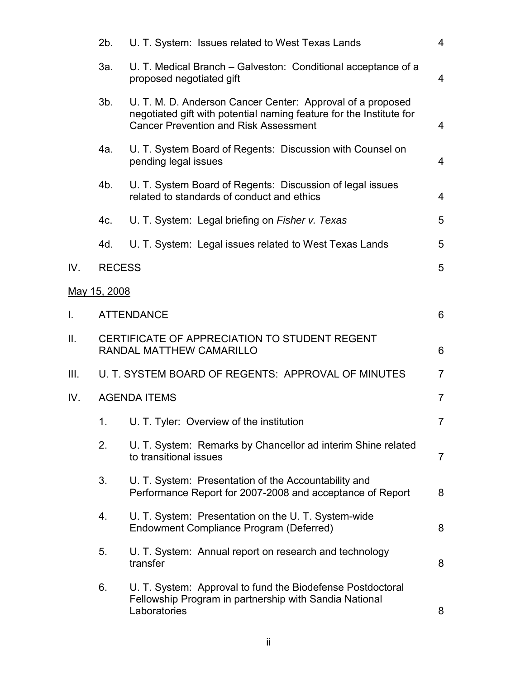|                   | 2b.                                  | U. T. System: Issues related to West Texas Lands                                                                                                                                  | $\overline{4}$ |  |
|-------------------|--------------------------------------|-----------------------------------------------------------------------------------------------------------------------------------------------------------------------------------|----------------|--|
|                   | За.                                  | U. T. Medical Branch – Galveston: Conditional acceptance of a<br>proposed negotiated gift                                                                                         | $\overline{4}$ |  |
|                   | $3b$ .                               | U. T. M. D. Anderson Cancer Center: Approval of a proposed<br>negotiated gift with potential naming feature for the Institute for<br><b>Cancer Prevention and Risk Assessment</b> | $\overline{4}$ |  |
|                   | 4a.                                  | U. T. System Board of Regents: Discussion with Counsel on<br>pending legal issues                                                                                                 | $\overline{4}$ |  |
|                   | 4b.                                  | U. T. System Board of Regents: Discussion of legal issues<br>related to standards of conduct and ethics                                                                           | $\overline{4}$ |  |
|                   | 4c.                                  | U. T. System: Legal briefing on Fisher v. Texas                                                                                                                                   | 5              |  |
|                   | 4d.                                  | U. T. System: Legal issues related to West Texas Lands                                                                                                                            | 5              |  |
| IV.               | <b>RECESS</b>                        |                                                                                                                                                                                   | 5              |  |
|                   | May 15, 2008                         |                                                                                                                                                                                   |                |  |
| $\mathbf{I}$ .    | $6\phantom{1}6$<br><b>ATTENDANCE</b> |                                                                                                                                                                                   |                |  |
| $\prod_{i=1}^{n}$ |                                      | CERTIFICATE OF APPRECIATION TO STUDENT REGENT<br>RANDAL MATTHEW CAMARILLO<br>6                                                                                                    |                |  |
| III.              |                                      | U. T. SYSTEM BOARD OF REGENTS: APPROVAL OF MINUTES                                                                                                                                |                |  |
| IV.               | <b>AGENDA ITEMS</b>                  |                                                                                                                                                                                   |                |  |
|                   |                                      | U. T. Tyler: Overview of the institution                                                                                                                                          | 7              |  |
|                   | 2.                                   | U. T. System: Remarks by Chancellor ad interim Shine related<br>to transitional issues                                                                                            | $\overline{7}$ |  |
|                   | 3.                                   | U. T. System: Presentation of the Accountability and<br>Performance Report for 2007-2008 and acceptance of Report                                                                 | 8              |  |
|                   | 4.                                   | U. T. System: Presentation on the U. T. System-wide<br>Endowment Compliance Program (Deferred)                                                                                    | 8              |  |
|                   | 5.                                   | U. T. System: Annual report on research and technology<br>transfer                                                                                                                | 8              |  |
|                   | 6.                                   | U. T. System: Approval to fund the Biodefense Postdoctoral<br>Fellowship Program in partnership with Sandia National<br>Laboratories                                              | 8              |  |
|                   |                                      |                                                                                                                                                                                   |                |  |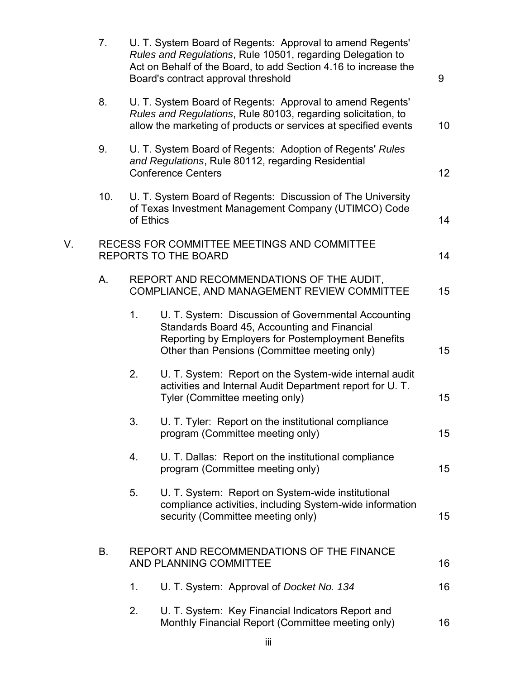|    | 7.        |           | U. T. System Board of Regents: Approval to amend Regents'<br>Rules and Regulations, Rule 10501, regarding Delegation to<br>Act on Behalf of the Board, to add Section 4.16 to increase the<br>Board's contract approval threshold | 9  |
|----|-----------|-----------|-----------------------------------------------------------------------------------------------------------------------------------------------------------------------------------------------------------------------------------|----|
|    | 8.        |           | U. T. System Board of Regents: Approval to amend Regents'<br>Rules and Regulations, Rule 80103, regarding solicitation, to<br>allow the marketing of products or services at specified events                                     | 10 |
|    | 9.        |           | U. T. System Board of Regents: Adoption of Regents' Rules<br>and Regulations, Rule 80112, regarding Residential<br><b>Conference Centers</b>                                                                                      | 12 |
|    | 10.       | of Ethics | U. T. System Board of Regents: Discussion of The University<br>of Texas Investment Management Company (UTIMCO) Code                                                                                                               | 14 |
| V. |           |           | RECESS FOR COMMITTEE MEETINGS AND COMMITTEE<br><b>REPORTS TO THE BOARD</b>                                                                                                                                                        | 14 |
|    | Α.        |           | REPORT AND RECOMMENDATIONS OF THE AUDIT,<br>COMPLIANCE, AND MANAGEMENT REVIEW COMMITTEE                                                                                                                                           | 15 |
|    |           | 1.        | U. T. System: Discussion of Governmental Accounting<br>Standards Board 45, Accounting and Financial<br>Reporting by Employers for Postemployment Benefits<br>Other than Pensions (Committee meeting only)                         | 15 |
|    |           | 2.        | U. T. System: Report on the System-wide internal audit<br>activities and Internal Audit Department report for U.T.<br>Tyler (Committee meeting only)                                                                              | 15 |
|    |           | 3.        | U. T. Tyler: Report on the institutional compliance<br>program (Committee meeting only)                                                                                                                                           | 15 |
|    |           | 4.        | U. T. Dallas: Report on the institutional compliance<br>program (Committee meeting only)                                                                                                                                          | 15 |
|    |           | 5.        | U. T. System: Report on System-wide institutional<br>compliance activities, including System-wide information<br>security (Committee meeting only)                                                                                | 15 |
|    | <b>B.</b> |           | REPORT AND RECOMMENDATIONS OF THE FINANCE<br>AND PLANNING COMMITTEE                                                                                                                                                               | 16 |
|    |           | 1.        | U. T. System: Approval of Docket No. 134                                                                                                                                                                                          | 16 |
|    |           | 2.        | U. T. System: Key Financial Indicators Report and<br>Monthly Financial Report (Committee meeting only)                                                                                                                            | 16 |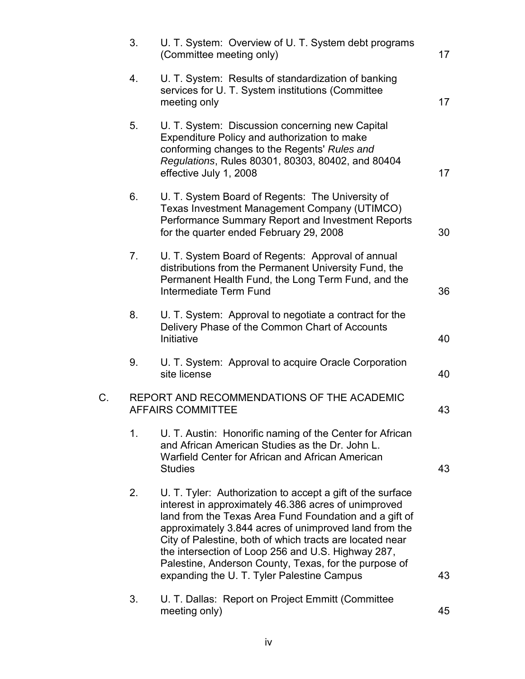|    | 3. | U. T. System: Overview of U. T. System debt programs<br>(Committee meeting only)                                                                                                                                                                                                                                                                                                                                                                               | 17 |
|----|----|----------------------------------------------------------------------------------------------------------------------------------------------------------------------------------------------------------------------------------------------------------------------------------------------------------------------------------------------------------------------------------------------------------------------------------------------------------------|----|
|    | 4. | U. T. System: Results of standardization of banking<br>services for U. T. System institutions (Committee<br>meeting only                                                                                                                                                                                                                                                                                                                                       | 17 |
|    | 5. | U. T. System: Discussion concerning new Capital<br>Expenditure Policy and authorization to make<br>conforming changes to the Regents' Rules and<br>Regulations, Rules 80301, 80303, 80402, and 80404<br>effective July 1, 2008                                                                                                                                                                                                                                 | 17 |
|    | 6. | U. T. System Board of Regents: The University of<br>Texas Investment Management Company (UTIMCO)<br>Performance Summary Report and Investment Reports<br>for the quarter ended February 29, 2008                                                                                                                                                                                                                                                               | 30 |
|    | 7. | U. T. System Board of Regents: Approval of annual<br>distributions from the Permanent University Fund, the<br>Permanent Health Fund, the Long Term Fund, and the<br>Intermediate Term Fund                                                                                                                                                                                                                                                                     | 36 |
|    | 8. | U. T. System: Approval to negotiate a contract for the<br>Delivery Phase of the Common Chart of Accounts<br>Initiative                                                                                                                                                                                                                                                                                                                                         | 40 |
|    | 9. | U. T. System: Approval to acquire Oracle Corporation<br>site license                                                                                                                                                                                                                                                                                                                                                                                           | 40 |
| C. |    | REPORT AND RECOMMENDATIONS OF THE ACADEMIC<br><b>AFFAIRS COMMITTEE</b>                                                                                                                                                                                                                                                                                                                                                                                         | 43 |
|    | 1. | U. T. Austin: Honorific naming of the Center for African<br>and African American Studies as the Dr. John L.<br>Warfield Center for African and African American<br><b>Studies</b>                                                                                                                                                                                                                                                                              | 43 |
|    | 2. | U. T. Tyler: Authorization to accept a gift of the surface<br>interest in approximately 46.386 acres of unimproved<br>land from the Texas Area Fund Foundation and a gift of<br>approximately 3.844 acres of unimproved land from the<br>City of Palestine, both of which tracts are located near<br>the intersection of Loop 256 and U.S. Highway 287,<br>Palestine, Anderson County, Texas, for the purpose of<br>expanding the U. T. Tyler Palestine Campus | 43 |
|    | 3. | U. T. Dallas: Report on Project Emmitt (Committee<br>meeting only)                                                                                                                                                                                                                                                                                                                                                                                             | 45 |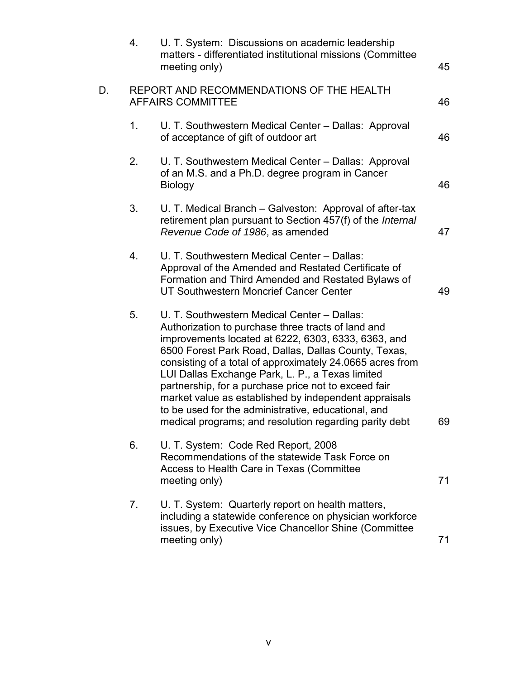|    | 4. | U. T. System: Discussions on academic leadership<br>matters - differentiated institutional missions (Committee<br>meeting only)                                                                                                                                                                                                                                                                                                                                                                                                                                     | 45 |
|----|----|---------------------------------------------------------------------------------------------------------------------------------------------------------------------------------------------------------------------------------------------------------------------------------------------------------------------------------------------------------------------------------------------------------------------------------------------------------------------------------------------------------------------------------------------------------------------|----|
| D. |    | REPORT AND RECOMMENDATIONS OF THE HEALTH<br><b>AFFAIRS COMMITTEE</b>                                                                                                                                                                                                                                                                                                                                                                                                                                                                                                | 46 |
|    | 1. | U. T. Southwestern Medical Center - Dallas: Approval<br>of acceptance of gift of outdoor art                                                                                                                                                                                                                                                                                                                                                                                                                                                                        | 46 |
|    | 2. | U. T. Southwestern Medical Center - Dallas: Approval<br>of an M.S. and a Ph.D. degree program in Cancer<br><b>Biology</b>                                                                                                                                                                                                                                                                                                                                                                                                                                           | 46 |
|    | 3. | U. T. Medical Branch – Galveston: Approval of after-tax<br>retirement plan pursuant to Section 457(f) of the <i>Internal</i><br>Revenue Code of 1986, as amended                                                                                                                                                                                                                                                                                                                                                                                                    | 47 |
|    | 4. | U. T. Southwestern Medical Center - Dallas:<br>Approval of the Amended and Restated Certificate of<br>Formation and Third Amended and Restated Bylaws of<br>UT Southwestern Moncrief Cancer Center                                                                                                                                                                                                                                                                                                                                                                  | 49 |
|    | 5. | U. T. Southwestern Medical Center - Dallas:<br>Authorization to purchase three tracts of land and<br>improvements located at 6222, 6303, 6333, 6363, and<br>6500 Forest Park Road, Dallas, Dallas County, Texas,<br>consisting of a total of approximately 24.0665 acres from<br>LUI Dallas Exchange Park, L. P., a Texas limited<br>partnership, for a purchase price not to exceed fair<br>market value as established by independent appraisals<br>to be used for the administrative, educational, and<br>medical programs; and resolution regarding parity debt | 69 |
|    | 6. | U. T. System: Code Red Report, 2008<br>Recommendations of the statewide Task Force on<br>Access to Health Care in Texas (Committee<br>meeting only)                                                                                                                                                                                                                                                                                                                                                                                                                 | 71 |
|    | 7. | U. T. System: Quarterly report on health matters,<br>including a statewide conference on physician workforce<br>issues, by Executive Vice Chancellor Shine (Committee)<br>meeting only)                                                                                                                                                                                                                                                                                                                                                                             | 71 |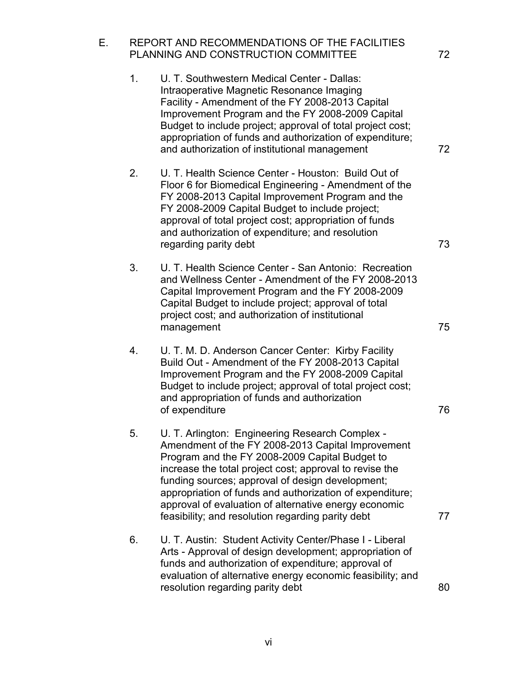E. REPORT AND RECOMMENDATIONS OF THE FACILITIES PLANNING AND CONSTRUCTION COMMITTEE 72 1. U. T. Southwestern Medical Center - Dallas: Intraoperative Magnetic Resonance Imaging Facility - Amendment of the FY 2008-2013 Capital Improvement Program and the FY 2008-2009 Capital Budget to include project; approval of total project cost; appropriation of funds and authorization of expenditure; and authorization of institutional management 72 2. U. T. Health Science Center - Houston: Build Out of Floor 6 for Biomedical Engineering - Amendment of the FY 2008-2013 Capital Improvement Program and the FY 2008-2009 Capital Budget to include project; approval of total project cost; appropriation of funds and authorization of expenditure; and resolution regarding parity debt 73 3. U. T. Health Science Center - San Antonio: Recreation and Wellness Center - Amendment of the FY 2008-2013 Capital Improvement Program and the FY 2008-2009 Capital Budget to include project; approval of total project cost; and authorization of institutional management 75 4. U. T. M. D. Anderson Cancer Center: Kirby Facility Build Out - Amendment of the FY 2008-2013 Capital Improvement Program and the FY 2008-2009 Capital Budget to include project; approval of total project cost; and appropriation of funds and authorization of expenditure 76 5. U. T. Arlington: Engineering Research Complex - Amendment of the FY 2008-2013 Capital Improvement Program and the FY 2008-2009 Capital Budget to increase the total project cost; approval to revise the funding sources; approval of design development; appropriation of funds and authorization of expenditure; approval of evaluation of alternative energy economic feasibility; and resolution regarding parity debt 77 6. U. T. Austin: Student Activity Center/Phase I - Liberal Arts - Approval of design development; appropriation of funds and authorization of expenditure; approval of evaluation of alternative energy economic feasibility; and resolution regarding parity debt 80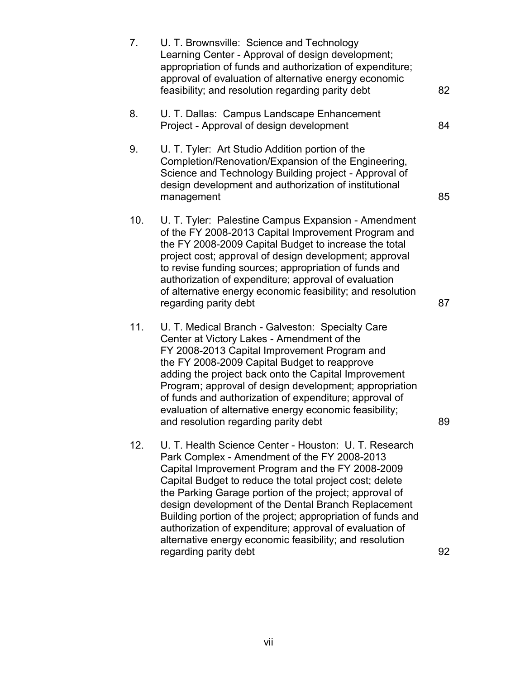| 7.  | U. T. Brownsville: Science and Technology<br>Learning Center - Approval of design development;<br>appropriation of funds and authorization of expenditure;<br>approval of evaluation of alternative energy economic<br>feasibility; and resolution regarding parity debt                                                                                                                                                                                                                                                                            | 82 |
|-----|-----------------------------------------------------------------------------------------------------------------------------------------------------------------------------------------------------------------------------------------------------------------------------------------------------------------------------------------------------------------------------------------------------------------------------------------------------------------------------------------------------------------------------------------------------|----|
| 8.  | U. T. Dallas: Campus Landscape Enhancement<br>Project - Approval of design development                                                                                                                                                                                                                                                                                                                                                                                                                                                              | 84 |
| 9.  | U. T. Tyler: Art Studio Addition portion of the<br>Completion/Renovation/Expansion of the Engineering,<br>Science and Technology Building project - Approval of<br>design development and authorization of institutional<br>management                                                                                                                                                                                                                                                                                                              | 85 |
| 10. | U. T. Tyler: Palestine Campus Expansion - Amendment<br>of the FY 2008-2013 Capital Improvement Program and<br>the FY 2008-2009 Capital Budget to increase the total<br>project cost; approval of design development; approval<br>to revise funding sources; appropriation of funds and<br>authorization of expenditure; approval of evaluation<br>of alternative energy economic feasibility; and resolution<br>regarding parity debt                                                                                                               | 87 |
| 11. | U. T. Medical Branch - Galveston: Specialty Care<br>Center at Victory Lakes - Amendment of the<br>FY 2008-2013 Capital Improvement Program and<br>the FY 2008-2009 Capital Budget to reapprove<br>adding the project back onto the Capital Improvement<br>Program; approval of design development; appropriation<br>of funds and authorization of expenditure; approval of<br>evaluation of alternative energy economic feasibility;<br>and resolution regarding parity debt                                                                        | 89 |
| 12. | U. T. Health Science Center - Houston: U. T. Research<br>Park Complex - Amendment of the FY 2008-2013<br>Capital Improvement Program and the FY 2008-2009<br>Capital Budget to reduce the total project cost; delete<br>the Parking Garage portion of the project; approval of<br>design development of the Dental Branch Replacement<br>Building portion of the project; appropriation of funds and<br>authorization of expenditure; approval of evaluation of<br>alternative energy economic feasibility; and resolution<br>regarding parity debt | 92 |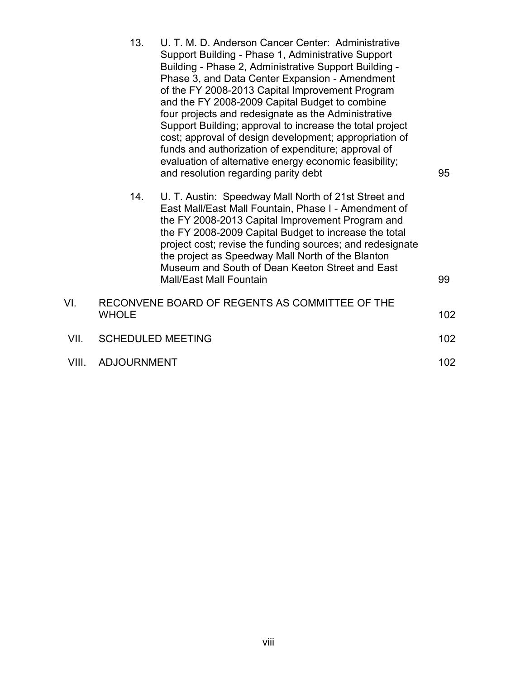|       | 13.                | U. T. M. D. Anderson Cancer Center: Administrative<br>Support Building - Phase 1, Administrative Support<br>Building - Phase 2, Administrative Support Building -<br>Phase 3, and Data Center Expansion - Amendment<br>of the FY 2008-2013 Capital Improvement Program<br>and the FY 2008-2009 Capital Budget to combine<br>four projects and redesignate as the Administrative<br>Support Building; approval to increase the total project<br>cost; approval of design development; appropriation of<br>funds and authorization of expenditure; approval of<br>evaluation of alternative energy economic feasibility;<br>and resolution regarding parity debt | 95  |
|-------|--------------------|----------------------------------------------------------------------------------------------------------------------------------------------------------------------------------------------------------------------------------------------------------------------------------------------------------------------------------------------------------------------------------------------------------------------------------------------------------------------------------------------------------------------------------------------------------------------------------------------------------------------------------------------------------------|-----|
|       | 14.                | U. T. Austin: Speedway Mall North of 21st Street and<br>East Mall/East Mall Fountain, Phase I - Amendment of<br>the FY 2008-2013 Capital Improvement Program and<br>the FY 2008-2009 Capital Budget to increase the total<br>project cost; revise the funding sources; and redesignate<br>the project as Speedway Mall North of the Blanton<br>Museum and South of Dean Keeton Street and East<br><b>Mall/East Mall Fountain</b>                                                                                                                                                                                                                               | 99  |
| VI.   |                    | RECONVENE BOARD OF REGENTS AS COMMITTEE OF THE                                                                                                                                                                                                                                                                                                                                                                                                                                                                                                                                                                                                                 |     |
|       | <b>WHOLE</b>       |                                                                                                                                                                                                                                                                                                                                                                                                                                                                                                                                                                                                                                                                | 102 |
| VII.  |                    | <b>SCHEDULED MEETING</b>                                                                                                                                                                                                                                                                                                                                                                                                                                                                                                                                                                                                                                       | 102 |
| VIII. | <b>ADJOURNMENT</b> |                                                                                                                                                                                                                                                                                                                                                                                                                                                                                                                                                                                                                                                                |     |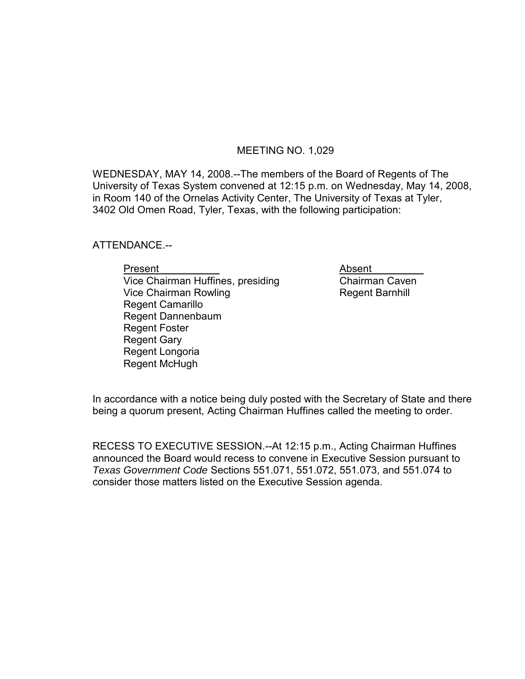### MEETING NO. 1,029

WEDNESDAY, MAY 14, 2008.--The members of the Board of Regents of The University of Texas System convened at 12:15 p.m. on Wednesday, May 14, 2008, in Room 140 of the Ornelas Activity Center, The University of Texas at Tyler, 3402 Old Omen Road, Tyler, Texas, with the following participation:

ATTENDANCE.--

Present Mateuralian Present<br>
Vice Chairman Huffines, presiding Mateus Chairman Caven  $Vice$  Chairman Huffines, presiding Vice Chairman Rowling **Regent Barnhill**  Regent Camarillo Regent Dannenbaum Regent Foster Regent Gary Regent Longoria Regent McHugh

In accordance with a notice being duly posted with the Secretary of State and there being a quorum present, Acting Chairman Huffines called the meeting to order.

RECESS TO EXECUTIVE SESSION.--At 12:15 p.m., Acting Chairman Huffines announced the Board would recess to convene in Executive Session pursuant to *Texas Government Code* Sections 551.071, 551.072, 551.073, and 551.074 to consider those matters listed on the Executive Session agenda.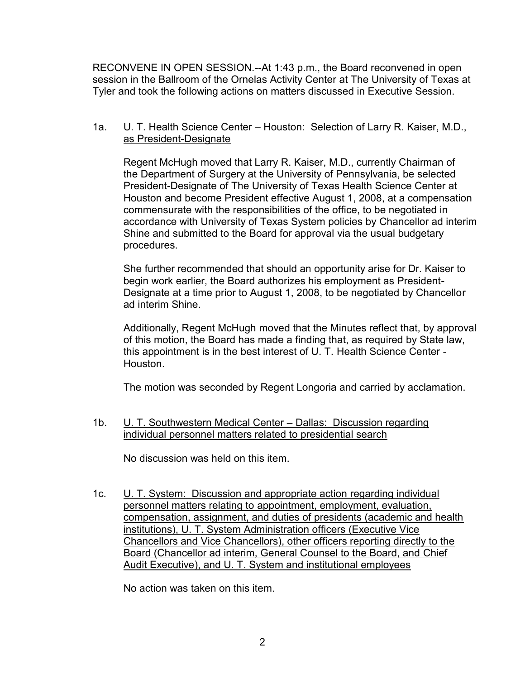RECONVENE IN OPEN SESSION.--At 1:43 p.m., the Board reconvened in open session in the Ballroom of the Ornelas Activity Center at The University of Texas at Tyler and took the following actions on matters discussed in Executive Session.

## 1a. **U. T. Health Science Center – Houston: Selection of Larry R. Kaiser, M.D.,** as President-Designate

Regent McHugh moved that Larry R. Kaiser, M.D., currently Chairman of the Department of Surgery at the University of Pennsylvania, be selected President-Designate of The University of Texas Health Science Center at Houston and become President effective August 1, 2008, at a compensation commensurate with the responsibilities of the office, to be negotiated in accordance with University of Texas System policies by Chancellor ad interim Shine and submitted to the Board for approval via the usual budgetary procedures.

She further recommended that should an opportunity arise for Dr. Kaiser to begin work earlier, the Board authorizes his employment as President-Designate at a time prior to August 1, 2008, to be negotiated by Chancellor ad interim Shine.

Additionally, Regent McHugh moved that the Minutes reflect that, by approval of this motion, the Board has made a finding that, as required by State law, this appointment is in the best interest of U. T. Health Science Center - Houston.

The motion was seconded by Regent Longoria and carried by acclamation.

1b. U. T. Southwestern Medical Center – Dallas: Discussion regarding individual personnel matters related to presidential search

No discussion was held on this item.

1c. U. T. System: Discussion and appropriate action regarding individual personnel matters relating to appointment, employment, evaluation, compensation, assignment, and duties of presidents (academic and health institutions), U. T. System Administration officers (Executive Vice Chancellors and Vice Chancellors), other officers reporting directly to the Board (Chancellor ad interim, General Counsel to the Board, and Chief Audit Executive), and U. T. System and institutional employees

No action was taken on this item.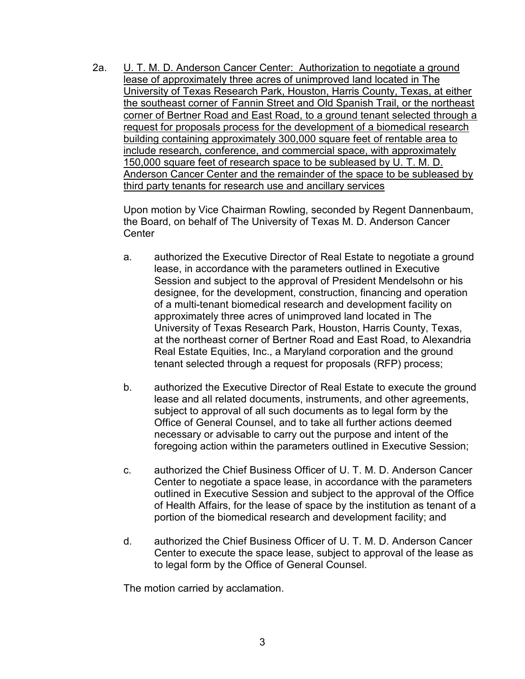2a. U. T. M. D. Anderson Cancer Center: Authorization to negotiate a ground lease of approximately three acres of unimproved land located in The University of Texas Research Park, Houston, Harris County, Texas, at either the southeast corner of Fannin Street and Old Spanish Trail, or the northeast corner of Bertner Road and East Road, to a ground tenant selected through a request for proposals process for the development of a biomedical research building containing approximately 300,000 square feet of rentable area to include research, conference, and commercial space, with approximately 150,000 square feet of research space to be subleased by U. T. M. D. Anderson Cancer Center and the remainder of the space to be subleased by third party tenants for research use and ancillary services

Upon motion by Vice Chairman Rowling, seconded by Regent Dannenbaum, the Board, on behalf of The University of Texas M. D. Anderson Cancer Center

- a. authorized the Executive Director of Real Estate to negotiate a ground lease, in accordance with the parameters outlined in Executive Session and subject to the approval of President Mendelsohn or his designee, for the development, construction, financing and operation of a multi-tenant biomedical research and development facility on approximately three acres of unimproved land located in The University of Texas Research Park, Houston, Harris County, Texas, at the northeast corner of Bertner Road and East Road, to Alexandria Real Estate Equities, Inc., a Maryland corporation and the ground tenant selected through a request for proposals (RFP) process;
- b. authorized the Executive Director of Real Estate to execute the ground lease and all related documents, instruments, and other agreements, subject to approval of all such documents as to legal form by the Office of General Counsel, and to take all further actions deemed necessary or advisable to carry out the purpose and intent of the foregoing action within the parameters outlined in Executive Session;
- c. authorized the Chief Business Officer of U. T. M. D. Anderson Cancer Center to negotiate a space lease, in accordance with the parameters outlined in Executive Session and subject to the approval of the Office of Health Affairs, for the lease of space by the institution as tenant of a portion of the biomedical research and development facility; and
- d. authorized the Chief Business Officer of U. T. M. D. Anderson Cancer Center to execute the space lease, subject to approval of the lease as to legal form by the Office of General Counsel.

The motion carried by acclamation.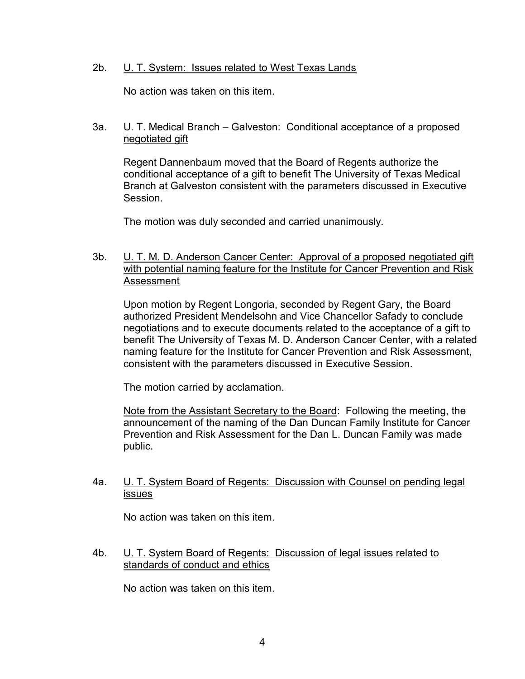## 2b. U. T. System: Issues related to West Texas Lands

No action was taken on this item.

## 3a. U. T. Medical Branch – Galveston: Conditional acceptance of a proposed negotiated gift

Regent Dannenbaum moved that the Board of Regents authorize the conditional acceptance of a gift to benefit The University of Texas Medical Branch at Galveston consistent with the parameters discussed in Executive Session.

The motion was duly seconded and carried unanimously.

## 3b. U. T. M. D. Anderson Cancer Center: Approval of a proposed negotiated gift with potential naming feature for the Institute for Cancer Prevention and Risk Assessment

Upon motion by Regent Longoria, seconded by Regent Gary, the Board authorized President Mendelsohn and Vice Chancellor Safady to conclude negotiations and to execute documents related to the acceptance of a gift to benefit The University of Texas M. D. Anderson Cancer Center, with a related naming feature for the Institute for Cancer Prevention and Risk Assessment, consistent with the parameters discussed in Executive Session.

The motion carried by acclamation.

Note from the Assistant Secretary to the Board: Following the meeting, the announcement of the naming of the Dan Duncan Family Institute for Cancer Prevention and Risk Assessment for the Dan L. Duncan Family was made public.

### 4a. U. T. System Board of Regents: Discussion with Counsel on pending legal issues

No action was taken on this item.

## 4b. U. T. System Board of Regents: Discussion of legal issues related to standards of conduct and ethics

No action was taken on this item.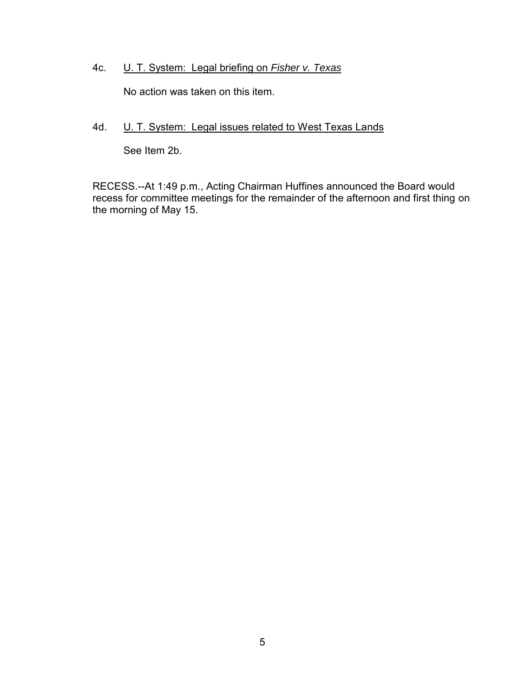## 4c. U. T. System: Legal briefing on *Fisher v. Texas*

No action was taken on this item.

# 4d. **U. T. System: Legal issues related to West Texas Lands**

See Item 2b.

RECESS.--At 1:49 p.m., Acting Chairman Huffines announced the Board would recess for committee meetings for the remainder of the afternoon and first thing on the morning of May 15.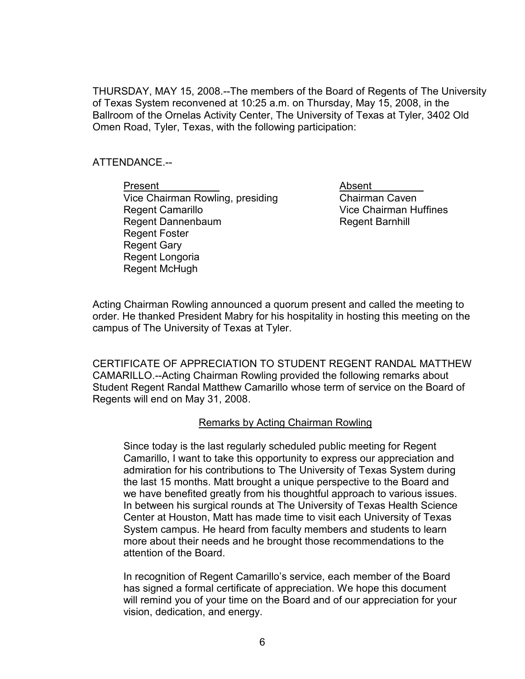THURSDAY, MAY 15, 2008.--The members of the Board of Regents of The University of Texas System reconvened at 10:25 a.m. on Thursday, May 15, 2008, in the Ballroom of the Ornelas Activity Center, The University of Texas at Tyler, 3402 Old Omen Road, Tyler, Texas, with the following participation:

### ATTENDANCE.--

Present **Absent** Vice Chairman Rowling, presiding Chairman Caven Regent Camarillo Vice Chairman Huffines Regent Dannenbaum **Regent Barnhill**  Regent Foster Regent Gary Regent Longoria Regent McHugh

Acting Chairman Rowling announced a quorum present and called the meeting to order. He thanked President Mabry for his hospitality in hosting this meeting on the campus of The University of Texas at Tyler.

CERTIFICATE OF APPRECIATION TO STUDENT REGENT RANDAL MATTHEW CAMARILLO.--Acting Chairman Rowling provided the following remarks about Student Regent Randal Matthew Camarillo whose term of service on the Board of Regents will end on May 31, 2008.

### Remarks by Acting Chairman Rowling

Since today is the last regularly scheduled public meeting for Regent Camarillo, I want to take this opportunity to express our appreciation and admiration for his contributions to The University of Texas System during the last 15 months. Matt brought a unique perspective to the Board and we have benefited greatly from his thoughtful approach to various issues. In between his surgical rounds at The University of Texas Health Science Center at Houston, Matt has made time to visit each University of Texas System campus. He heard from faculty members and students to learn more about their needs and he brought those recommendations to the attention of the Board.

In recognition of Regent Camarillo's service, each member of the Board has signed a formal certificate of appreciation. We hope this document will remind you of your time on the Board and of our appreciation for your vision, dedication, and energy.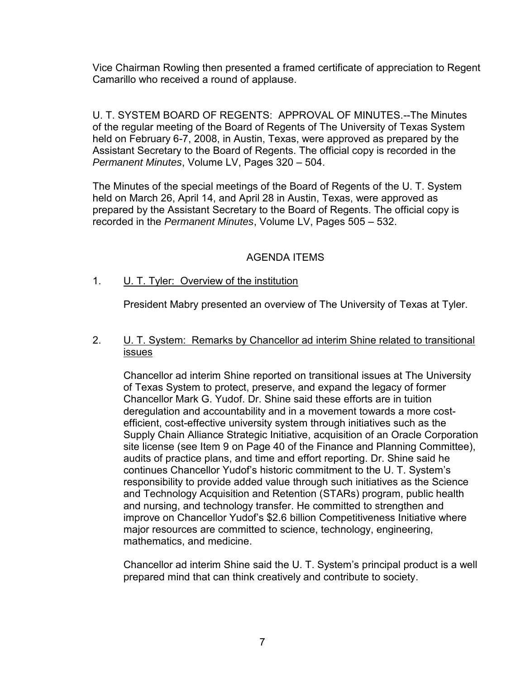Vice Chairman Rowling then presented a framed certificate of appreciation to Regent Camarillo who received a round of applause.

U. T. SYSTEM BOARD OF REGENTS: APPROVAL OF MINUTES.--The Minutes of the regular meeting of the Board of Regents of The University of Texas System held on February 6-7, 2008, in Austin, Texas, were approved as prepared by the Assistant Secretary to the Board of Regents. The official copy is recorded in the *Permanent Minutes*, Volume LV, Pages 320 – 504.

The Minutes of the special meetings of the Board of Regents of the U. T. System held on March 26, April 14, and April 28 in Austin, Texas, were approved as prepared by the Assistant Secretary to the Board of Regents. The official copy is recorded in the *Permanent Minutes*, Volume LV, Pages 505 – 532.

## AGENDA ITEMS

## 1. U. T. Tyler: Overview of the institution

President Mabry presented an overview of The University of Texas at Tyler.

2. U. T. System: Remarks by Chancellor ad interim Shine related to transitional issues

Chancellor ad interim Shine reported on transitional issues at The University of Texas System to protect, preserve, and expand the legacy of former Chancellor Mark G. Yudof. Dr. Shine said these efforts are in tuition deregulation and accountability and in a movement towards a more costefficient, cost-effective university system through initiatives such as the Supply Chain Alliance Strategic Initiative, acquisition of an Oracle Corporation site license (see Item 9 on Page 40 of the Finance and Planning Committee), audits of practice plans, and time and effort reporting. Dr. Shine said he continues Chancellor Yudof's historic commitment to the U. T. System's responsibility to provide added value through such initiatives as the Science and Technology Acquisition and Retention (STARs) program, public health and nursing, and technology transfer. He committed to strengthen and improve on Chancellor Yudof's \$2.6 billion Competitiveness Initiative where major resources are committed to science, technology, engineering, mathematics, and medicine.

Chancellor ad interim Shine said the U. T. System's principal product is a well prepared mind that can think creatively and contribute to society.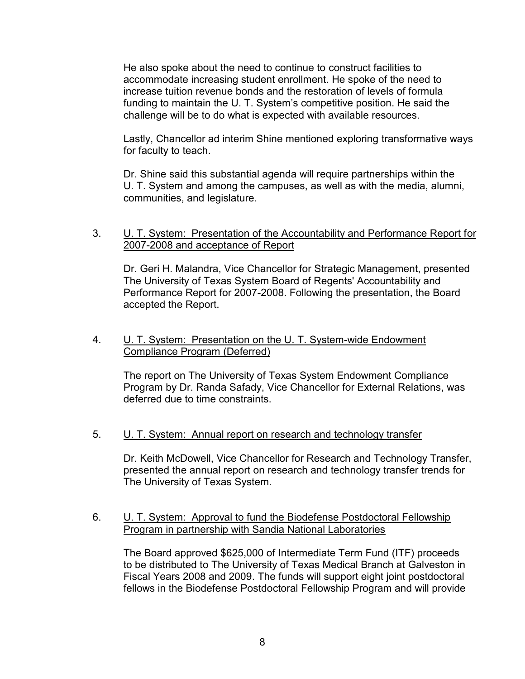He also spoke about the need to continue to construct facilities to accommodate increasing student enrollment. He spoke of the need to increase tuition revenue bonds and the restoration of levels of formula funding to maintain the U. T. System's competitive position. He said the challenge will be to do what is expected with available resources.

Lastly, Chancellor ad interim Shine mentioned exploring transformative ways for faculty to teach.

Dr. Shine said this substantial agenda will require partnerships within the U. T. System and among the campuses, as well as with the media, alumni, communities, and legislature.

### 3. U. T. System: Presentation of the Accountability and Performance Report for 2007-2008 and acceptance of Report

Dr. Geri H. Malandra, Vice Chancellor for Strategic Management, presented The University of Texas System Board of Regents' Accountability and Performance Report for 2007-2008. Following the presentation, the Board accepted the Report.

### 4. U. T. System: Presentation on the U. T. System-wide Endowment Compliance Program (Deferred)

The report on The University of Texas System Endowment Compliance Program by Dr. Randa Safady, Vice Chancellor for External Relations, was deferred due to time constraints.

### 5. U. T. System: Annual report on research and technology transfer

Dr. Keith McDowell, Vice Chancellor for Research and Technology Transfer, presented the annual report on research and technology transfer trends for The University of Texas System.

## 6. U. T. System: Approval to fund the Biodefense Postdoctoral Fellowship Program in partnership with Sandia National Laboratories

The Board approved \$625,000 of Intermediate Term Fund (ITF) proceeds to be distributed to The University of Texas Medical Branch at Galveston in Fiscal Years 2008 and 2009. The funds will support eight joint postdoctoral fellows in the Biodefense Postdoctoral Fellowship Program and will provide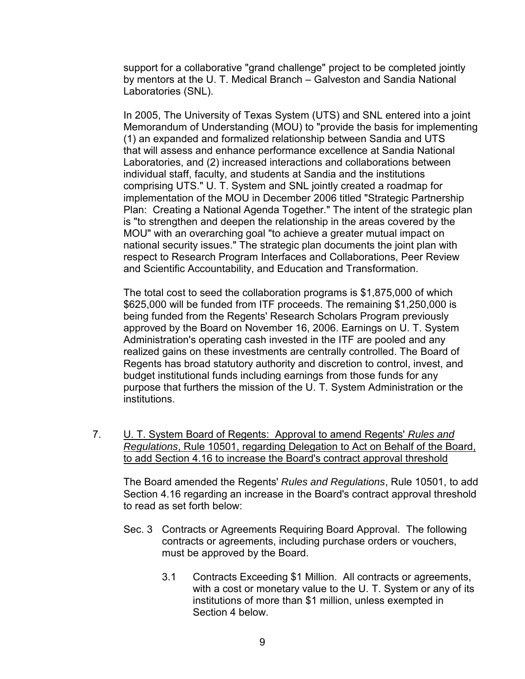support for a collaborative "grand challenge" project to be completed jointly by mentors at the U. T. Medical Branch – Galveston and Sandia National Laboratories (SNL).

In 2005, The University of Texas System (UTS) and SNL entered into a joint Memorandum of Understanding (MOU) to "provide the basis for implementing (1) an expanded and formalized relationship between Sandia and UTS that will assess and enhance performance excellence at Sandia National Laboratories, and (2) increased interactions and collaborations between individual staff, faculty, and students at Sandia and the institutions comprising UTS." U. T. System and SNL jointly created a roadmap for implementation of the MOU in December 2006 titled "Strategic Partnership Plan: Creating a National Agenda Together." The intent of the strategic plan is "to strengthen and deepen the relationship in the areas covered by the MOU" with an overarching goal "to achieve a greater mutual impact on national security issues." The strategic plan documents the joint plan with respect to Research Program Interfaces and Collaborations, Peer Review and Scientific Accountability, and Education and Transformation.

The total cost to seed the collaboration programs is \$1,875,000 of which \$625,000 will be funded from ITF proceeds. The remaining \$1,250,000 is being funded from the Regents' Research Scholars Program previously approved by the Board on November 16, 2006. Earnings on U. T. System Administration's operating cash invested in the ITF are pooled and any realized gains on these investments are centrally controlled. The Board of Regents has broad statutory authority and discretion to control, invest, and budget institutional funds including earnings from those funds for any purpose that furthers the mission of the U. T. System Administration or the institutions.

7. U. T. System Board of Regents: Approval to amend Regents' *Rules and Regulations*, Rule 10501, regarding Delegation to Act on Behalf of the Board, to add Section 4.16 to increase the Board's contract approval threshold

The Board amended the Regents' *Rules and Regulations*, Rule 10501, to add Section 4.16 regarding an increase in the Board's contract approval threshold to read as set forth below:

- Sec. 3 Contracts or Agreements Requiring Board Approval. The following contracts or agreements, including purchase orders or vouchers, must be approved by the Board.
	- 3.1 Contracts Exceeding \$1 Million. All contracts or agreements, with a cost or monetary value to the U. T. System or any of its institutions of more than \$1 million, unless exempted in Section 4 below.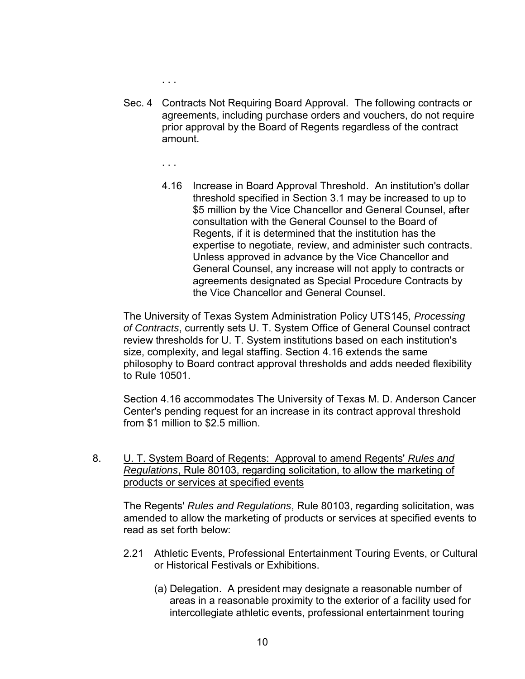. . .

- Sec. 4 Contracts Not Requiring Board Approval. The following contracts or agreements, including purchase orders and vouchers, do not require prior approval by the Board of Regents regardless of the contract amount.
	- . . .
	- 4.16 Increase in Board Approval Threshold. An institution's dollar threshold specified in Section 3.1 may be increased to up to \$5 million by the Vice Chancellor and General Counsel, after consultation with the General Counsel to the Board of Regents, if it is determined that the institution has the expertise to negotiate, review, and administer such contracts. Unless approved in advance by the Vice Chancellor and General Counsel, any increase will not apply to contracts or agreements designated as Special Procedure Contracts by the Vice Chancellor and General Counsel.

The University of Texas System Administration Policy UTS145, *Processing of Contracts*, currently sets U. T. System Office of General Counsel contract review thresholds for U. T. System institutions based on each institution's size, complexity, and legal staffing. Section 4.16 extends the same philosophy to Board contract approval thresholds and adds needed flexibility to Rule 10501.

Section 4.16 accommodates The University of Texas M. D. Anderson Cancer Center's pending request for an increase in its contract approval threshold from \$1 million to \$2.5 million.

8. U. T. System Board of Regents: Approval to amend Regents' *Rules and Regulations*, Rule 80103, regarding solicitation, to allow the marketing of products or services at specified events

The Regents' *Rules and Regulations*, Rule 80103, regarding solicitation, was amended to allow the marketing of products or services at specified events to read as set forth below:

- 2.21 Athletic Events, Professional Entertainment Touring Events, or Cultural or Historical Festivals or Exhibitions.
	- (a) Delegation. A president may designate a reasonable number of areas in a reasonable proximity to the exterior of a facility used for intercollegiate athletic events, professional entertainment touring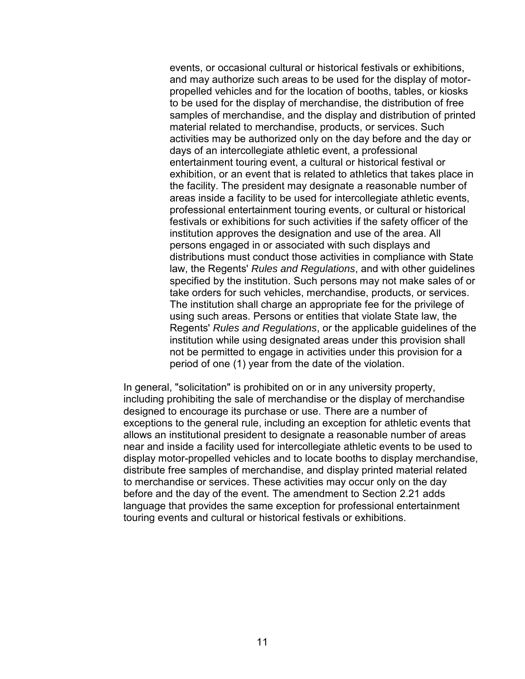events, or occasional cultural or historical festivals or exhibitions, and may authorize such areas to be used for the display of motorpropelled vehicles and for the location of booths, tables, or kiosks to be used for the display of merchandise, the distribution of free samples of merchandise, and the display and distribution of printed material related to merchandise, products, or services. Such activities may be authorized only on the day before and the day or days of an intercollegiate athletic event, a professional entertainment touring event, a cultural or historical festival or exhibition, or an event that is related to athletics that takes place in the facility. The president may designate a reasonable number of areas inside a facility to be used for intercollegiate athletic events, professional entertainment touring events, or cultural or historical festivals or exhibitions for such activities if the safety officer of the institution approves the designation and use of the area. All persons engaged in or associated with such displays and distributions must conduct those activities in compliance with State law, the Regents' *Rules and Regulations*, and with other guidelines specified by the institution. Such persons may not make sales of or take orders for such vehicles, merchandise, products, or services. The institution shall charge an appropriate fee for the privilege of using such areas. Persons or entities that violate State law, the Regents' *Rules and Regulations*, or the applicable guidelines of the institution while using designated areas under this provision shall not be permitted to engage in activities under this provision for a period of one (1) year from the date of the violation.

In general, "solicitation" is prohibited on or in any university property, including prohibiting the sale of merchandise or the display of merchandise designed to encourage its purchase or use. There are a number of exceptions to the general rule, including an exception for athletic events that allows an institutional president to designate a reasonable number of areas near and inside a facility used for intercollegiate athletic events to be used to display motor-propelled vehicles and to locate booths to display merchandise, distribute free samples of merchandise, and display printed material related to merchandise or services. These activities may occur only on the day before and the day of the event. The amendment to Section 2.21 adds language that provides the same exception for professional entertainment touring events and cultural or historical festivals or exhibitions.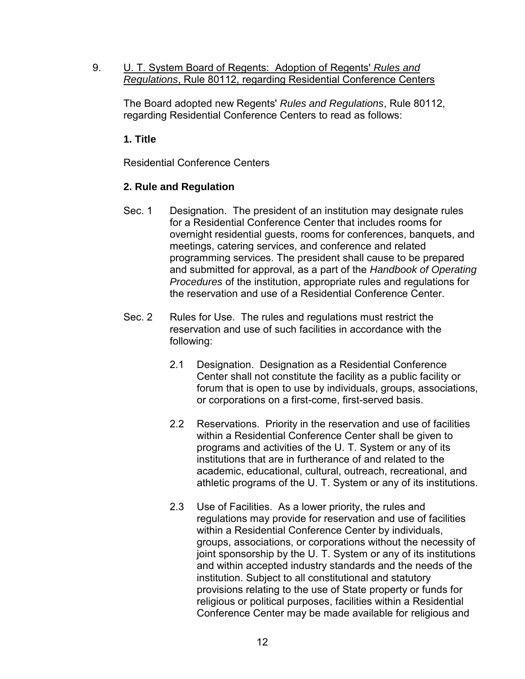9. U. T. System Board of Regents: Adoption of Regents' *Rules and Regulations*, Rule 80112, regarding Residential Conference Centers

The Board adopted new Regents' *Rules and Regulations*, Rule 80112, regarding Residential Conference Centers to read as follows:

# **1. Title**

Residential Conference Centers

# **2. Rule and Regulation**

- Sec. 1 Designation. The president of an institution may designate rules for a Residential Conference Center that includes rooms for overnight residential guests, rooms for conferences, banquets, and meetings, catering services, and conference and related programming services. The president shall cause to be prepared and submitted for approval, as a part of the *Handbook of Operating Procedures* of the institution, appropriate rules and regulations for the reservation and use of a Residential Conference Center.
- Sec. 2 Rules for Use. The rules and regulations must restrict the reservation and use of such facilities in accordance with the following:
	- 2.1 Designation. Designation as a Residential Conference Center shall not constitute the facility as a public facility or forum that is open to use by individuals, groups, associations, or corporations on a first-come, first-served basis.
	- 2.2 Reservations. Priority in the reservation and use of facilities within a Residential Conference Center shall be given to programs and activities of the U. T. System or any of its institutions that are in furtherance of and related to the academic, educational, cultural, outreach, recreational, and athletic programs of the U. T. System or any of its institutions.
	- 2.3 Use of Facilities. As a lower priority, the rules and regulations may provide for reservation and use of facilities within a Residential Conference Center by individuals, groups, associations, or corporations without the necessity of joint sponsorship by the U. T. System or any of its institutions and within accepted industry standards and the needs of the institution. Subject to all constitutional and statutory provisions relating to the use of State property or funds for religious or political purposes, facilities within a Residential Conference Center may be made available for religious and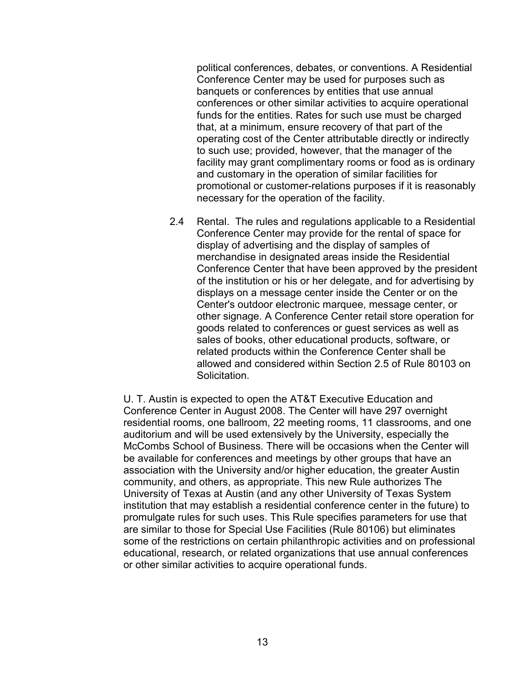political conferences, debates, or conventions. A Residential Conference Center may be used for purposes such as banquets or conferences by entities that use annual conferences or other similar activities to acquire operational funds for the entities. Rates for such use must be charged that, at a minimum, ensure recovery of that part of the operating cost of the Center attributable directly or indirectly to such use; provided, however, that the manager of the facility may grant complimentary rooms or food as is ordinary and customary in the operation of similar facilities for promotional or customer-relations purposes if it is reasonably necessary for the operation of the facility.

2.4 Rental. The rules and regulations applicable to a Residential Conference Center may provide for the rental of space for display of advertising and the display of samples of merchandise in designated areas inside the Residential Conference Center that have been approved by the president of the institution or his or her delegate, and for advertising by displays on a message center inside the Center or on the Center's outdoor electronic marquee, message center, or other signage. A Conference Center retail store operation for goods related to conferences or guest services as well as sales of books, other educational products, software, or related products within the Conference Center shall be allowed and considered within Section 2.5 of Rule 80103 on **Solicitation** 

U. T. Austin is expected to open the AT&T Executive Education and Conference Center in August 2008. The Center will have 297 overnight residential rooms, one ballroom, 22 meeting rooms, 11 classrooms, and one auditorium and will be used extensively by the University, especially the McCombs School of Business. There will be occasions when the Center will be available for conferences and meetings by other groups that have an association with the University and/or higher education, the greater Austin community, and others, as appropriate. This new Rule authorizes The University of Texas at Austin (and any other University of Texas System institution that may establish a residential conference center in the future) to promulgate rules for such uses. This Rule specifies parameters for use that are similar to those for Special Use Facilities (Rule 80106) but eliminates some of the restrictions on certain philanthropic activities and on professional educational, research, or related organizations that use annual conferences or other similar activities to acquire operational funds.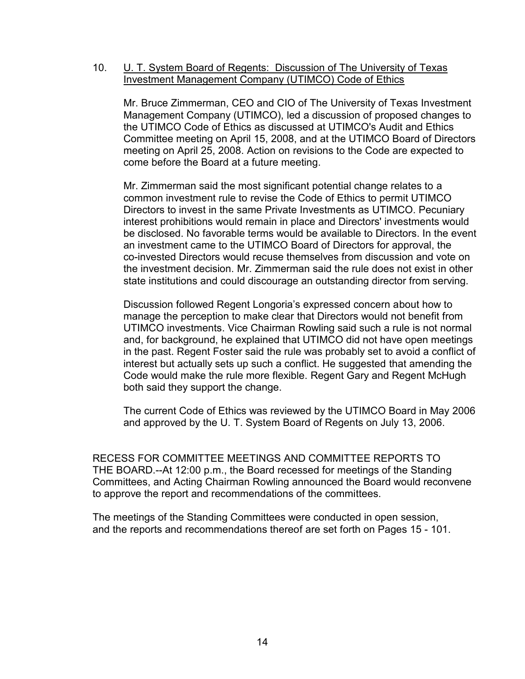#### 10. **U. T. System Board of Regents: Discussion of The University of Texas** Investment Management Company (UTIMCO) Code of Ethics

Mr. Bruce Zimmerman, CEO and CIO of The University of Texas Investment Management Company (UTIMCO), led a discussion of proposed changes to the UTIMCO Code of Ethics as discussed at UTIMCO's Audit and Ethics Committee meeting on April 15, 2008, and at the UTIMCO Board of Directors meeting on April 25, 2008. Action on revisions to the Code are expected to come before the Board at a future meeting.

Mr. Zimmerman said the most significant potential change relates to a common investment rule to revise the Code of Ethics to permit UTIMCO Directors to invest in the same Private Investments as UTIMCO. Pecuniary interest prohibitions would remain in place and Directors' investments would be disclosed. No favorable terms would be available to Directors. In the event an investment came to the UTIMCO Board of Directors for approval, the co-invested Directors would recuse themselves from discussion and vote on the investment decision. Mr. Zimmerman said the rule does not exist in other state institutions and could discourage an outstanding director from serving.

Discussion followed Regent Longoria's expressed concern about how to manage the perception to make clear that Directors would not benefit from UTIMCO investments. Vice Chairman Rowling said such a rule is not normal and, for background, he explained that UTIMCO did not have open meetings in the past. Regent Foster said the rule was probably set to avoid a conflict of interest but actually sets up such a conflict. He suggested that amending the Code would make the rule more flexible. Regent Gary and Regent McHugh both said they support the change.

The current Code of Ethics was reviewed by the UTIMCO Board in May 2006 and approved by the U. T. System Board of Regents on July 13, 2006.

RECESS FOR COMMITTEE MEETINGS AND COMMITTEE REPORTS TO THE BOARD.--At 12:00 p.m., the Board recessed for meetings of the Standing Committees, and Acting Chairman Rowling announced the Board would reconvene to approve the report and recommendations of the committees.

The meetings of the Standing Committees were conducted in open session, and the reports and recommendations thereof are set forth on Pages 15 - 101.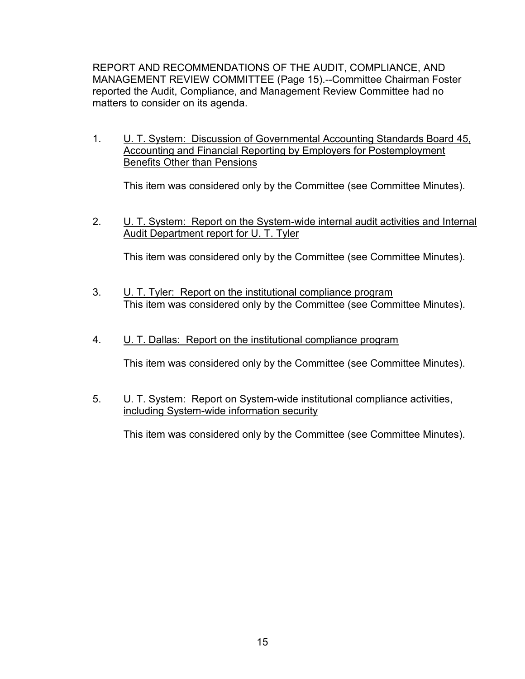REPORT AND RECOMMENDATIONS OF THE AUDIT, COMPLIANCE, AND MANAGEMENT REVIEW COMMITTEE (Page 15).--Committee Chairman Foster reported the Audit, Compliance, and Management Review Committee had no matters to consider on its agenda.

1. U. T. System: Discussion of Governmental Accounting Standards Board 45, Accounting and Financial Reporting by Employers for Postemployment Benefits Other than Pensions

This item was considered only by the Committee (see Committee Minutes).

2. **U. T. System: Report on the System-wide internal audit activities and Internal** Audit Department report for U. T. Tyler

This item was considered only by the Committee (see Committee Minutes).

- 3. U. T. Tyler: Report on the institutional compliance program This item was considered only by the Committee (see Committee Minutes).
- 4. U. T. Dallas: Report on the institutional compliance program

This item was considered only by the Committee (see Committee Minutes).

5. U. T. System: Report on System-wide institutional compliance activities, including System-wide information security

This item was considered only by the Committee (see Committee Minutes).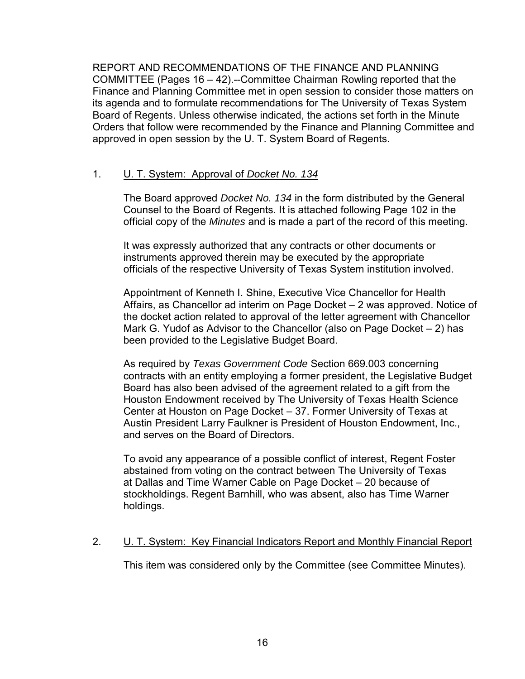REPORT AND RECOMMENDATIONS OF THE FINANCE AND PLANNING COMMITTEE (Pages 16 – 42).--Committee Chairman Rowling reported that the Finance and Planning Committee met in open session to consider those matters on its agenda and to formulate recommendations for The University of Texas System Board of Regents. Unless otherwise indicated, the actions set forth in the Minute Orders that follow were recommended by the Finance and Planning Committee and approved in open session by the U. T. System Board of Regents.

## 1. U. T. System: Approval of *Docket No. 134*

The Board approved *Docket No. 134* in the form distributed by the General Counsel to the Board of Regents. It is attached following Page 102 in the official copy of the *Minutes* and is made a part of the record of this meeting.

It was expressly authorized that any contracts or other documents or instruments approved therein may be executed by the appropriate officials of the respective University of Texas System institution involved.

Appointment of Kenneth I. Shine, Executive Vice Chancellor for Health Affairs, as Chancellor ad interim on Page Docket – 2 was approved. Notice of the docket action related to approval of the letter agreement with Chancellor Mark G. Yudof as Advisor to the Chancellor (also on Page Docket – 2) has been provided to the Legislative Budget Board.

As required by *Texas Government Code* Section 669.003 concerning contracts with an entity employing a former president, the Legislative Budget Board has also been advised of the agreement related to a gift from the Houston Endowment received by The University of Texas Health Science Center at Houston on Page Docket – 37. Former University of Texas at Austin President Larry Faulkner is President of Houston Endowment, Inc., and serves on the Board of Directors.

To avoid any appearance of a possible conflict of interest, Regent Foster abstained from voting on the contract between The University of Texas at Dallas and Time Warner Cable on Page Docket – 20 because of stockholdings. Regent Barnhill, who was absent, also has Time Warner holdings.

### 2. U. T. System: Key Financial Indicators Report and Monthly Financial Report

This item was considered only by the Committee (see Committee Minutes).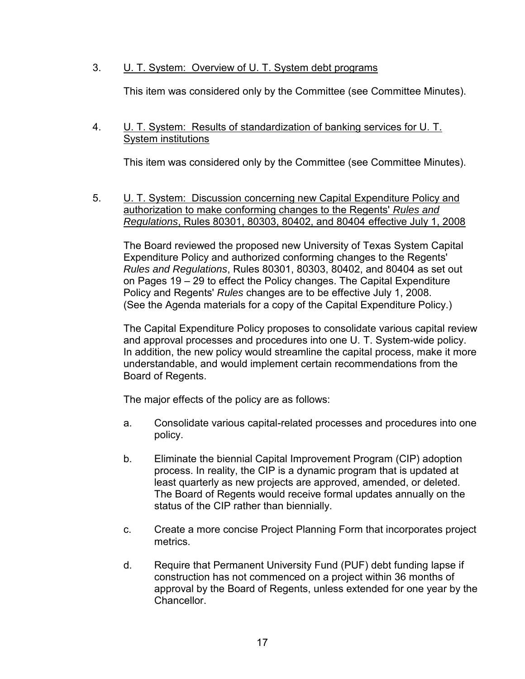# 3. U. T. System: Overview of U. T. System debt programs

This item was considered only by the Committee (see Committee Minutes).

### 4. **U. T. System: Results of standardization of banking services for U. T.** System institutions

This item was considered only by the Committee (see Committee Minutes).

5. U. T. System: Discussion concerning new Capital Expenditure Policy and authorization to make conforming changes to the Regents' *Rules and Regulations*, Rules 80301, 80303, 80402, and 80404 effective July 1, 2008

The Board reviewed the proposed new University of Texas System Capital Expenditure Policy and authorized conforming changes to the Regents' *Rules and Regulations*, Rules 80301, 80303, 80402, and 80404 as set out on Pages 19 – 29 to effect the Policy changes. The Capital Expenditure Policy and Regents' *Rules* changes are to be effective July 1, 2008. (See the Agenda materials for a copy of the Capital Expenditure Policy.)

The Capital Expenditure Policy proposes to consolidate various capital review and approval processes and procedures into one U. T. System-wide policy. In addition, the new policy would streamline the capital process, make it more understandable, and would implement certain recommendations from the Board of Regents.

The major effects of the policy are as follows:

- a. Consolidate various capital-related processes and procedures into one policy.
- b. Eliminate the biennial Capital Improvement Program (CIP) adoption process. In reality, the CIP is a dynamic program that is updated at least quarterly as new projects are approved, amended, or deleted. The Board of Regents would receive formal updates annually on the status of the CIP rather than biennially.
- c. Create a more concise Project Planning Form that incorporates project metrics.
- d. Require that Permanent University Fund (PUF) debt funding lapse if construction has not commenced on a project within 36 months of approval by the Board of Regents, unless extended for one year by the Chancellor.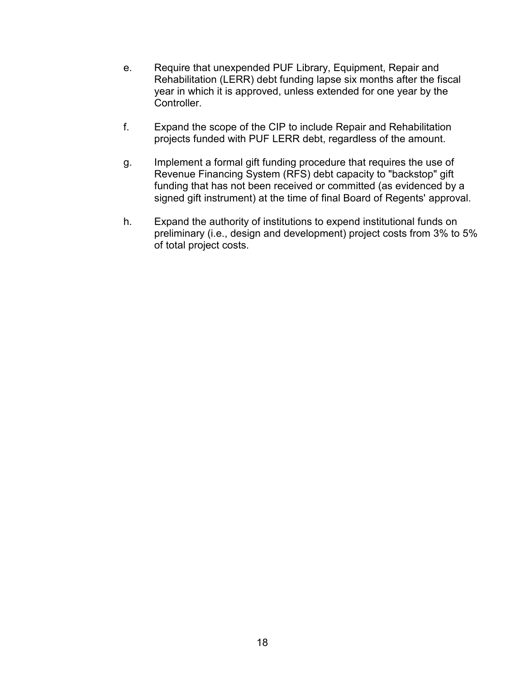- e. Require that unexpended PUF Library, Equipment, Repair and Rehabilitation (LERR) debt funding lapse six months after the fiscal year in which it is approved, unless extended for one year by the Controller.
- f. Expand the scope of the CIP to include Repair and Rehabilitation projects funded with PUF LERR debt, regardless of the amount.
- g. Implement a formal gift funding procedure that requires the use of Revenue Financing System (RFS) debt capacity to "backstop" gift funding that has not been received or committed (as evidenced by a signed gift instrument) at the time of final Board of Regents' approval.
- h. Expand the authority of institutions to expend institutional funds on preliminary (i.e., design and development) project costs from 3% to 5% of total project costs.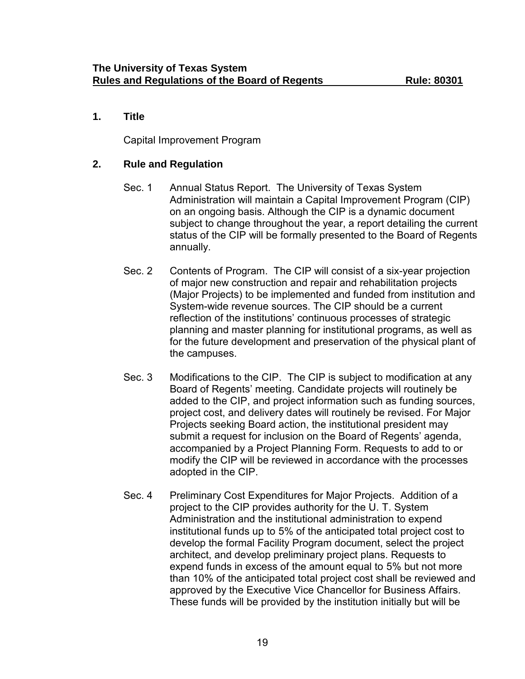# **1. Title**

Capital Improvement Program

## **2. Rule and Regulation**

- Sec. 1 Annual Status Report. The University of Texas System Administration will maintain a Capital Improvement Program (CIP) on an ongoing basis. Although the CIP is a dynamic document subject to change throughout the year, a report detailing the current status of the CIP will be formally presented to the Board of Regents annually.
- Sec. 2 Contents of Program. The CIP will consist of a six-year projection of major new construction and repair and rehabilitation projects (Major Projects) to be implemented and funded from institution and System-wide revenue sources. The CIP should be a current reflection of the institutions' continuous processes of strategic planning and master planning for institutional programs, as well as for the future development and preservation of the physical plant of the campuses.
- Sec. 3 Modifications to the CIP. The CIP is subject to modification at any Board of Regents' meeting. Candidate projects will routinely be added to the CIP, and project information such as funding sources, project cost, and delivery dates will routinely be revised. For Major Projects seeking Board action, the institutional president may submit a request for inclusion on the Board of Regents' agenda, accompanied by a Project Planning Form. Requests to add to or modify the CIP will be reviewed in accordance with the processes adopted in the CIP.
- Sec. 4 Preliminary Cost Expenditures for Major Projects. Addition of a project to the CIP provides authority for the U. T. System Administration and the institutional administration to expend institutional funds up to 5% of the anticipated total project cost to develop the formal Facility Program document, select the project architect, and develop preliminary project plans. Requests to expend funds in excess of the amount equal to 5% but not more than 10% of the anticipated total project cost shall be reviewed and approved by the Executive Vice Chancellor for Business Affairs. These funds will be provided by the institution initially but will be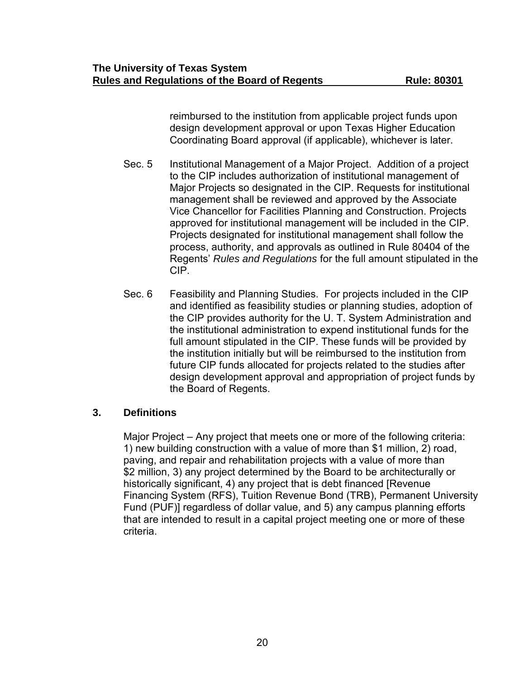reimbursed to the institution from applicable project funds upon design development approval or upon Texas Higher Education Coordinating Board approval (if applicable), whichever is later.

- Sec. 5 Institutional Management of a Major Project. Addition of a project to the CIP includes authorization of institutional management of Major Projects so designated in the CIP. Requests for institutional management shall be reviewed and approved by the Associate Vice Chancellor for Facilities Planning and Construction. Projects approved for institutional management will be included in the CIP. Projects designated for institutional management shall follow the process, authority, and approvals as outlined in Rule 80404 of the Regents' *Rules and Regulations* for the full amount stipulated in the CIP.
- Sec. 6 Feasibility and Planning Studies. For projects included in the CIP and identified as feasibility studies or planning studies, adoption of the CIP provides authority for the U. T. System Administration and the institutional administration to expend institutional funds for the full amount stipulated in the CIP. These funds will be provided by the institution initially but will be reimbursed to the institution from future CIP funds allocated for projects related to the studies after design development approval and appropriation of project funds by the Board of Regents.

### **3. Definitions**

Major Project – Any project that meets one or more of the following criteria: 1) new building construction with a value of more than \$1 million, 2) road, paving, and repair and rehabilitation projects with a value of more than \$2 million, 3) any project determined by the Board to be architecturally or historically significant, 4) any project that is debt financed [Revenue Financing System (RFS), Tuition Revenue Bond (TRB), Permanent University Fund (PUF)] regardless of dollar value, and 5) any campus planning efforts that are intended to result in a capital project meeting one or more of these criteria.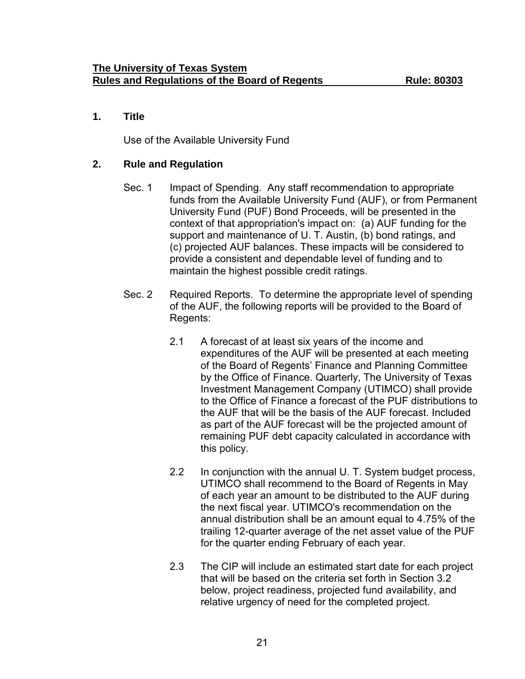# **1. Title**

Use of the Available University Fund

## **2. Rule and Regulation**

- Sec. 1 Impact of Spending. Any staff recommendation to appropriate funds from the Available University Fund (AUF), or from Permanent University Fund (PUF) Bond Proceeds, will be presented in the context of that appropriation's impact on: (a) AUF funding for the support and maintenance of U. T. Austin, (b) bond ratings, and (c) projected AUF balances. These impacts will be considered to provide a consistent and dependable level of funding and to maintain the highest possible credit ratings.
- Sec. 2 Required Reports. To determine the appropriate level of spending of the AUF, the following reports will be provided to the Board of Regents:
	- 2.1 A forecast of at least six years of the income and expenditures of the AUF will be presented at each meeting of the Board of Regents' Finance and Planning Committee by the Office of Finance. Quarterly, The University of Texas Investment Management Company (UTIMCO) shall provide to the Office of Finance a forecast of the PUF distributions to the AUF that will be the basis of the AUF forecast. Included as part of the AUF forecast will be the projected amount of remaining PUF debt capacity calculated in accordance with this policy.
	- 2.2 In conjunction with the annual U. T. System budget process, UTIMCO shall recommend to the Board of Regents in May of each year an amount to be distributed to the AUF during the next fiscal year. UTIMCO's recommendation on the annual distribution shall be an amount equal to 4.75% of the trailing 12-quarter average of the net asset value of the PUF for the quarter ending February of each year.
	- 2.3 The CIP will include an estimated start date for each project that will be based on the criteria set forth in Section 3.2 below, project readiness, projected fund availability, and relative urgency of need for the completed project.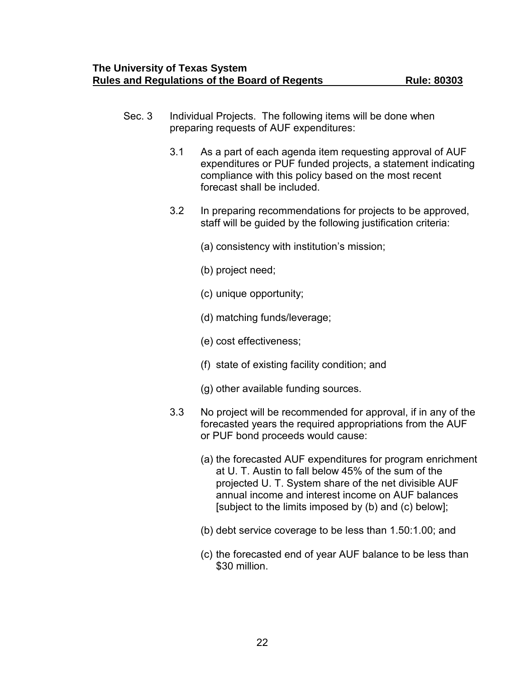- Sec. 3 Individual Projects. The following items will be done when preparing requests of AUF expenditures:
	- 3.1 As a part of each agenda item requesting approval of AUF expenditures or PUF funded projects, a statement indicating compliance with this policy based on the most recent forecast shall be included.
	- 3.2 In preparing recommendations for projects to be approved, staff will be guided by the following justification criteria:
		- (a) consistency with institution's mission;
		- (b) project need;
		- (c) unique opportunity;
		- (d) matching funds/leverage;
		- (e) cost effectiveness;
		- (f) state of existing facility condition; and
		- (g) other available funding sources.
	- 3.3 No project will be recommended for approval, if in any of the forecasted years the required appropriations from the AUF or PUF bond proceeds would cause:
		- (a) the forecasted AUF expenditures for program enrichment at U. T. Austin to fall below 45% of the sum of the projected U. T. System share of the net divisible AUF annual income and interest income on AUF balances [subject to the limits imposed by (b) and (c) below];
		- (b) debt service coverage to be less than 1.50:1.00; and
		- (c) the forecasted end of year AUF balance to be less than \$30 million.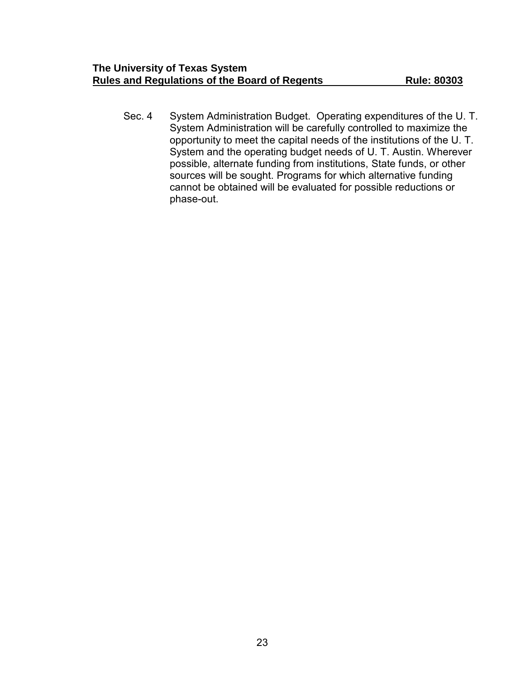Sec. 4 System Administration Budget. Operating expenditures of the U. T. System Administration will be carefully controlled to maximize the opportunity to meet the capital needs of the institutions of the U. T. System and the operating budget needs of U. T. Austin. Wherever possible, alternate funding from institutions, State funds, or other sources will be sought. Programs for which alternative funding cannot be obtained will be evaluated for possible reductions or phase-out.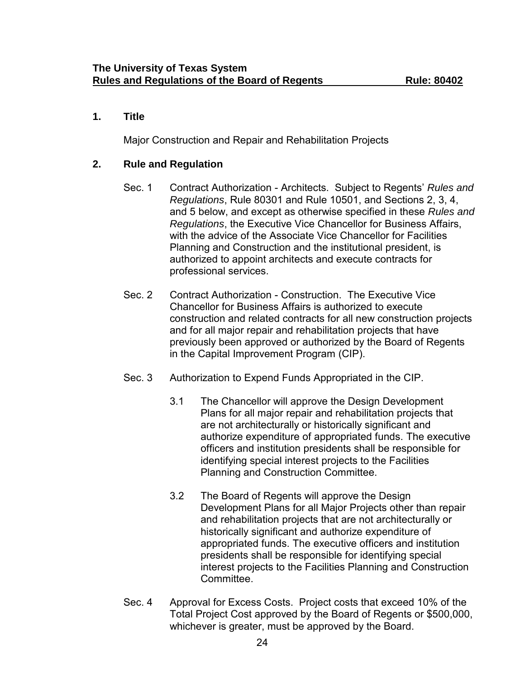# **1. Title**

Major Construction and Repair and Rehabilitation Projects

## **2. Rule and Regulation**

- Sec. 1 Contract Authorization Architects. Subject to Regents' *Rules and Regulations*, Rule 80301 and Rule 10501, and Sections 2, 3, 4, and 5 below, and except as otherwise specified in these *Rules and Regulations*, the Executive Vice Chancellor for Business Affairs, with the advice of the Associate Vice Chancellor for Facilities Planning and Construction and the institutional president, is authorized to appoint architects and execute contracts for professional services.
- Sec. 2 Contract Authorization Construction. The Executive Vice Chancellor for Business Affairs is authorized to execute construction and related contracts for all new construction projects and for all major repair and rehabilitation projects that have previously been approved or authorized by the Board of Regents in the Capital Improvement Program (CIP).
- Sec. 3 Authorization to Expend Funds Appropriated in the CIP.
	- 3.1 The Chancellor will approve the Design Development Plans for all major repair and rehabilitation projects that are not architecturally or historically significant and authorize expenditure of appropriated funds. The executive officers and institution presidents shall be responsible for identifying special interest projects to the Facilities Planning and Construction Committee.
	- 3.2 The Board of Regents will approve the Design Development Plans for all Major Projects other than repair and rehabilitation projects that are not architecturally or historically significant and authorize expenditure of appropriated funds. The executive officers and institution presidents shall be responsible for identifying special interest projects to the Facilities Planning and Construction Committee.
- Sec. 4 Approval for Excess Costs. Project costs that exceed 10% of the Total Project Cost approved by the Board of Regents or \$500,000, whichever is greater, must be approved by the Board.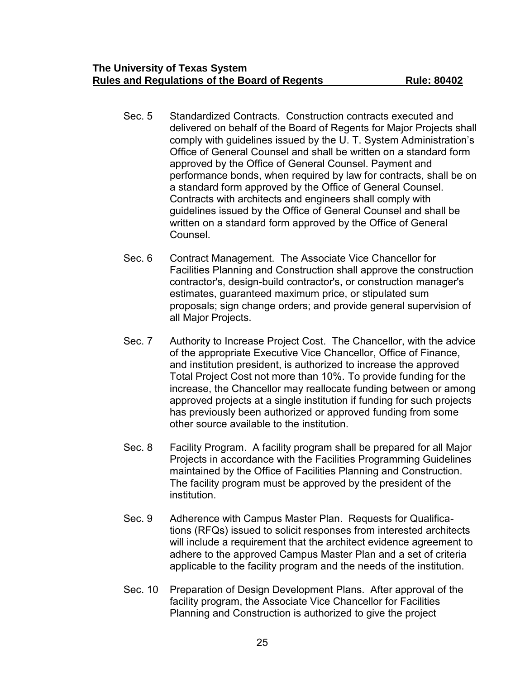- Sec. 5 Standardized Contracts. Construction contracts executed and delivered on behalf of the Board of Regents for Major Projects shall comply with guidelines issued by the U. T. System Administration's Office of General Counsel and shall be written on a standard form approved by the Office of General Counsel. Payment and performance bonds, when required by law for contracts, shall be on a standard form approved by the Office of General Counsel. Contracts with architects and engineers shall comply with guidelines issued by the Office of General Counsel and shall be written on a standard form approved by the Office of General Counsel.
- Sec. 6 Contract Management. The Associate Vice Chancellor for Facilities Planning and Construction shall approve the construction contractor's, design-build contractor's, or construction manager's estimates, guaranteed maximum price, or stipulated sum proposals; sign change orders; and provide general supervision of all Major Projects.
- Sec. 7 Authority to Increase Project Cost. The Chancellor, with the advice of the appropriate Executive Vice Chancellor, Office of Finance, and institution president, is authorized to increase the approved Total Project Cost not more than 10%. To provide funding for the increase, the Chancellor may reallocate funding between or among approved projects at a single institution if funding for such projects has previously been authorized or approved funding from some other source available to the institution.
- Sec. 8 Facility Program. A facility program shall be prepared for all Major Projects in accordance with the Facilities Programming Guidelines maintained by the Office of Facilities Planning and Construction. The facility program must be approved by the president of the institution.
- Sec. 9 Adherence with Campus Master Plan. Requests for Qualifications (RFQs) issued to solicit responses from interested architects will include a requirement that the architect evidence agreement to adhere to the approved Campus Master Plan and a set of criteria applicable to the facility program and the needs of the institution.
- Sec. 10 Preparation of Design Development Plans. After approval of the facility program, the Associate Vice Chancellor for Facilities Planning and Construction is authorized to give the project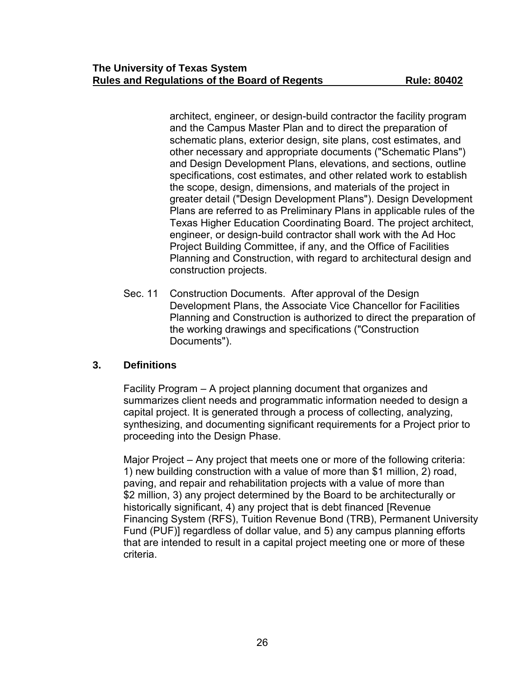architect, engineer, or design-build contractor the facility program and the Campus Master Plan and to direct the preparation of schematic plans, exterior design, site plans, cost estimates, and other necessary and appropriate documents ("Schematic Plans") and Design Development Plans, elevations, and sections, outline specifications, cost estimates, and other related work to establish the scope, design, dimensions, and materials of the project in greater detail ("Design Development Plans"). Design Development Plans are referred to as Preliminary Plans in applicable rules of the Texas Higher Education Coordinating Board. The project architect, engineer, or design-build contractor shall work with the Ad Hoc Project Building Committee, if any, and the Office of Facilities Planning and Construction, with regard to architectural design and construction projects.

Sec. 11 Construction Documents. After approval of the Design Development Plans, the Associate Vice Chancellor for Facilities Planning and Construction is authorized to direct the preparation of the working drawings and specifications ("Construction Documents").

# **3. Definitions**

Facility Program – A project planning document that organizes and summarizes client needs and programmatic information needed to design a capital project. It is generated through a process of collecting, analyzing, synthesizing, and documenting significant requirements for a Project prior to proceeding into the Design Phase.

Major Project – Any project that meets one or more of the following criteria: 1) new building construction with a value of more than \$1 million, 2) road, paving, and repair and rehabilitation projects with a value of more than \$2 million, 3) any project determined by the Board to be architecturally or historically significant, 4) any project that is debt financed [Revenue Financing System (RFS), Tuition Revenue Bond (TRB), Permanent University Fund (PUF)] regardless of dollar value, and 5) any campus planning efforts that are intended to result in a capital project meeting one or more of these criteria.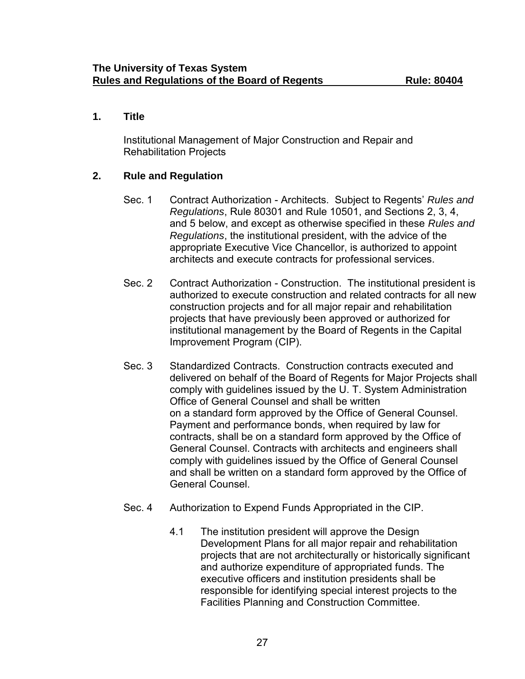# **1. Title**

Institutional Management of Major Construction and Repair and Rehabilitation Projects

# **2. Rule and Regulation**

- Sec. 1 Contract Authorization Architects. Subject to Regents' *Rules and Regulations*, Rule 80301 and Rule 10501, and Sections 2, 3, 4, and 5 below, and except as otherwise specified in these *Rules and Regulations*, the institutional president, with the advice of the appropriate Executive Vice Chancellor, is authorized to appoint architects and execute contracts for professional services.
- Sec. 2 Contract Authorization Construction. The institutional president is authorized to execute construction and related contracts for all new construction projects and for all major repair and rehabilitation projects that have previously been approved or authorized for institutional management by the Board of Regents in the Capital Improvement Program (CIP).
- Sec. 3 Standardized Contracts. Construction contracts executed and delivered on behalf of the Board of Regents for Major Projects shall comply with guidelines issued by the U. T. System Administration Office of General Counsel and shall be written on a standard form approved by the Office of General Counsel. Payment and performance bonds, when required by law for contracts, shall be on a standard form approved by the Office of General Counsel. Contracts with architects and engineers shall comply with guidelines issued by the Office of General Counsel and shall be written on a standard form approved by the Office of General Counsel.
- Sec. 4 Authorization to Expend Funds Appropriated in the CIP.
	- 4.1 The institution president will approve the Design Development Plans for all major repair and rehabilitation projects that are not architecturally or historically significant and authorize expenditure of appropriated funds. The executive officers and institution presidents shall be responsible for identifying special interest projects to the Facilities Planning and Construction Committee.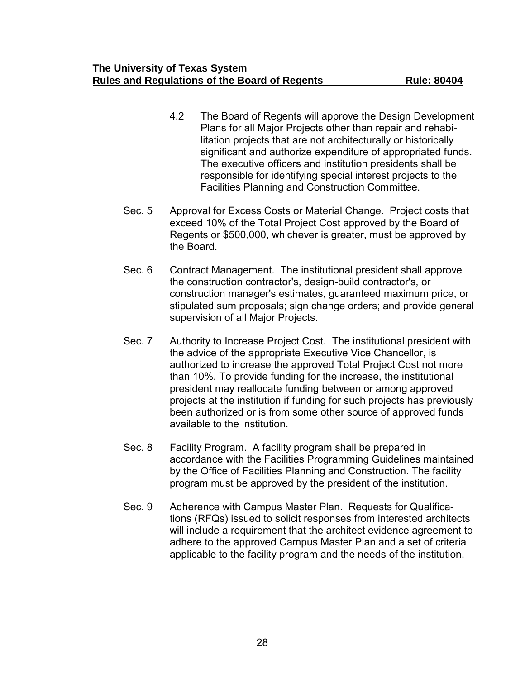- 4.2 The Board of Regents will approve the Design Development Plans for all Major Projects other than repair and rehabilitation projects that are not architecturally or historically significant and authorize expenditure of appropriated funds. The executive officers and institution presidents shall be responsible for identifying special interest projects to the Facilities Planning and Construction Committee.
- Sec. 5 Approval for Excess Costs or Material Change. Project costs that exceed 10% of the Total Project Cost approved by the Board of Regents or \$500,000, whichever is greater, must be approved by the Board.
- Sec. 6 Contract Management. The institutional president shall approve the construction contractor's, design-build contractor's, or construction manager's estimates, guaranteed maximum price, or stipulated sum proposals; sign change orders; and provide general supervision of all Major Projects.
- Sec. 7 Authority to Increase Project Cost. The institutional president with the advice of the appropriate Executive Vice Chancellor, is authorized to increase the approved Total Project Cost not more than 10%. To provide funding for the increase, the institutional president may reallocate funding between or among approved projects at the institution if funding for such projects has previously been authorized or is from some other source of approved funds available to the institution.
- Sec. 8 Facility Program. A facility program shall be prepared in accordance with the Facilities Programming Guidelines maintained by the Office of Facilities Planning and Construction. The facility program must be approved by the president of the institution.
- Sec. 9 Adherence with Campus Master Plan. Requests for Qualifications (RFQs) issued to solicit responses from interested architects will include a requirement that the architect evidence agreement to adhere to the approved Campus Master Plan and a set of criteria applicable to the facility program and the needs of the institution.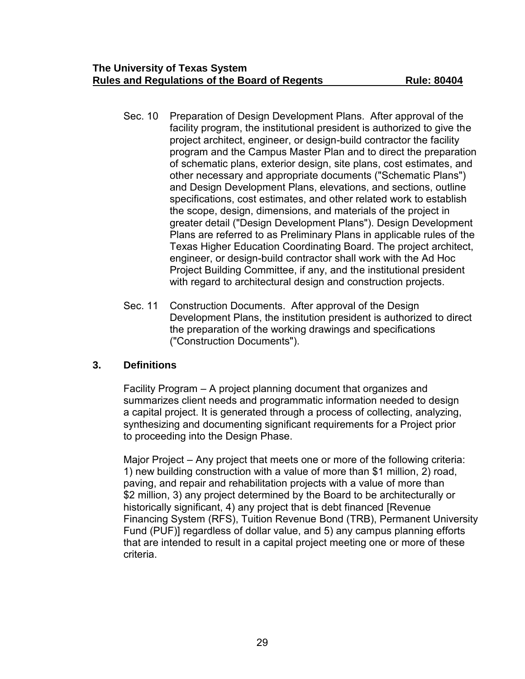- Sec. 10 Preparation of Design Development Plans. After approval of the facility program, the institutional president is authorized to give the project architect, engineer, or design-build contractor the facility program and the Campus Master Plan and to direct the preparation of schematic plans, exterior design, site plans, cost estimates, and other necessary and appropriate documents ("Schematic Plans") and Design Development Plans, elevations, and sections, outline specifications, cost estimates, and other related work to establish the scope, design, dimensions, and materials of the project in greater detail ("Design Development Plans"). Design Development Plans are referred to as Preliminary Plans in applicable rules of the Texas Higher Education Coordinating Board. The project architect, engineer, or design-build contractor shall work with the Ad Hoc Project Building Committee, if any, and the institutional president with regard to architectural design and construction projects.
- Sec. 11 Construction Documents. After approval of the Design Development Plans, the institution president is authorized to direct the preparation of the working drawings and specifications ("Construction Documents").

# **3. Definitions**

Facility Program – A project planning document that organizes and summarizes client needs and programmatic information needed to design a capital project. It is generated through a process of collecting, analyzing, synthesizing and documenting significant requirements for a Project prior to proceeding into the Design Phase.

Major Project – Any project that meets one or more of the following criteria: 1) new building construction with a value of more than \$1 million, 2) road, paving, and repair and rehabilitation projects with a value of more than \$2 million, 3) any project determined by the Board to be architecturally or historically significant, 4) any project that is debt financed [Revenue Financing System (RFS), Tuition Revenue Bond (TRB), Permanent University Fund (PUF)] regardless of dollar value, and 5) any campus planning efforts that are intended to result in a capital project meeting one or more of these criteria.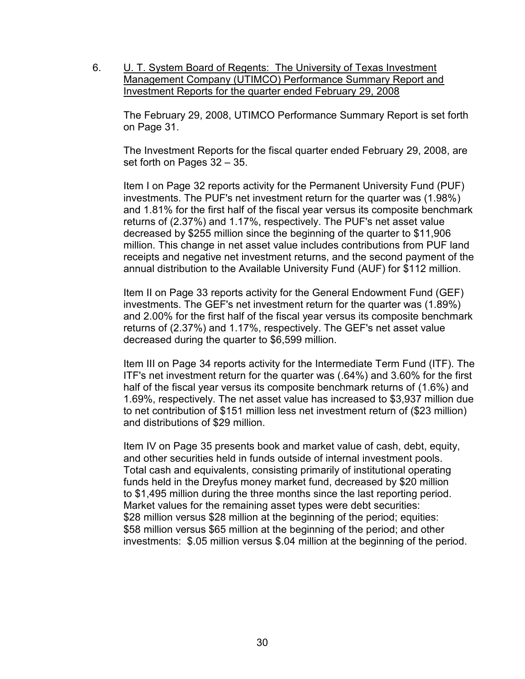6. **U. T. System Board of Regents: The University of Texas Investment** Management Company (UTIMCO) Performance Summary Report and Investment Reports for the quarter ended February 29, 2008

The February 29, 2008, UTIMCO Performance Summary Report is set forth on Page 31.

The Investment Reports for the fiscal quarter ended February 29, 2008, are set forth on Pages 32 – 35.

Item I on Page 32 reports activity for the Permanent University Fund (PUF) investments. The PUF's net investment return for the quarter was (1.98%) and 1.81% for the first half of the fiscal year versus its composite benchmark returns of (2.37%) and 1.17%, respectively. The PUF's net asset value decreased by \$255 million since the beginning of the quarter to \$11,906 million. This change in net asset value includes contributions from PUF land receipts and negative net investment returns, and the second payment of the annual distribution to the Available University Fund (AUF) for \$112 million.

Item II on Page 33 reports activity for the General Endowment Fund (GEF) investments. The GEF's net investment return for the quarter was (1.89%) and 2.00% for the first half of the fiscal year versus its composite benchmark returns of (2.37%) and 1.17%, respectively. The GEF's net asset value decreased during the quarter to \$6,599 million.

Item III on Page 34 reports activity for the Intermediate Term Fund (ITF). The ITF's net investment return for the quarter was (.64%) and 3.60% for the first half of the fiscal year versus its composite benchmark returns of (1.6%) and 1.69%, respectively. The net asset value has increased to \$3,937 million due to net contribution of \$151 million less net investment return of (\$23 million) and distributions of \$29 million.

Item IV on Page 35 presents book and market value of cash, debt, equity, and other securities held in funds outside of internal investment pools. Total cash and equivalents, consisting primarily of institutional operating funds held in the Dreyfus money market fund, decreased by \$20 million to \$1,495 million during the three months since the last reporting period. Market values for the remaining asset types were debt securities: \$28 million versus \$28 million at the beginning of the period; equities: \$58 million versus \$65 million at the beginning of the period; and other investments: \$.05 million versus \$.04 million at the beginning of the period.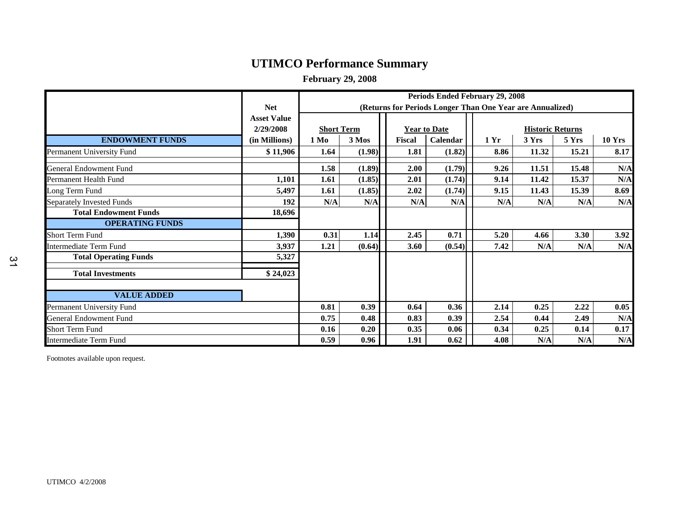# **UTIMCO Performance Summary**

**February 29, 2008**

|                                  |                    | Periods Ended February 29, 2008                           |        |        |                     |      |                         |       |               |
|----------------------------------|--------------------|-----------------------------------------------------------|--------|--------|---------------------|------|-------------------------|-------|---------------|
|                                  | <b>Net</b>         | (Returns for Periods Longer Than One Year are Annualized) |        |        |                     |      |                         |       |               |
|                                  | <b>Asset Value</b> |                                                           |        |        |                     |      |                         |       |               |
|                                  | 2/29/2008          | <b>Short Term</b>                                         |        |        | <b>Year to Date</b> |      | <b>Historic Returns</b> |       |               |
| <b>ENDOWMENT FUNDS</b>           | (in Millions)      | $1\,\mathrm{Mo}$                                          | 3 Mos  | Fiscal | Calendar            | 1 Yr | 3 Yrs                   | 5 Yrs | <b>10 Yrs</b> |
| Permanent University Fund        | \$11,906           | 1.64                                                      | (1.98) | 1.81   | (1.82)              | 8.86 | 11.32                   | 15.21 | 8.17          |
| General Endowment Fund           |                    | 1.58                                                      | (1.89) | 2.00   | (1.79)              | 9.26 | 11.51                   | 15.48 | N/A           |
| Permanent Health Fund            | 1,101              | 1.61                                                      | (1.85) | 2.01   | (1.74)              | 9.14 | 11.42                   | 15.37 | N/A           |
| Long Term Fund                   | 5,497              | 1.61                                                      | (1.85) | 2.02   | (1.74)              | 9.15 | 11.43                   | 15.39 | 8.69          |
| <b>Separately Invested Funds</b> | 192                | N/A                                                       | N/A    | N/A    | N/A                 | N/A  | N/A                     | N/A   | N/A           |
| <b>Total Endowment Funds</b>     | 18,696             |                                                           |        |        |                     |      |                         |       |               |
| <b>OPERATING FUNDS</b>           |                    |                                                           |        |        |                     |      |                         |       |               |
| Short Term Fund                  | 1,390              | 0.31                                                      | 1.14   | 2.45   | 0.71                | 5.20 | 4.66                    | 3.30  | 3.92          |
| <b>Intermediate Term Fund</b>    | 3,937              | 1.21                                                      | (0.64) | 3.60   | (0.54)              | 7.42 | N/A                     | N/A   | N/A           |
| <b>Total Operating Funds</b>     | 5,327              |                                                           |        |        |                     |      |                         |       |               |
| <b>Total Investments</b>         | \$24,023           |                                                           |        |        |                     |      |                         |       |               |
| <b>VALUE ADDED</b>               |                    |                                                           |        |        |                     |      |                         |       |               |
| Permanent University Fund        |                    | 0.81                                                      | 0.39   | 0.64   | 0.36                | 2.14 | 0.25                    | 2.22  | 0.05          |
| <b>General Endowment Fund</b>    |                    | 0.75                                                      | 0.48   | 0.83   | 0.39                | 2.54 | 0.44                    | 2.49  | N/A           |
| <b>Short Term Fund</b>           |                    | 0.16                                                      | 0.20   | 0.35   | 0.06                | 0.34 | 0.25                    | 0.14  | 0.17          |
| Intermediate Term Fund           |                    | 0.59                                                      | 0.96   | 1.91   | 0.62                | 4.08 | N/A                     | N/A   | N/A           |

Footnotes available upon request.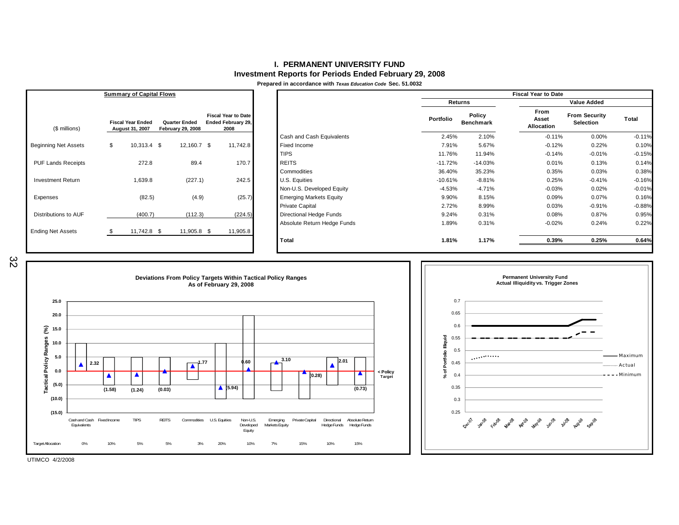#### **I. PERMANENT UNIVERSITY FUNDInvestment Reports for Periods Ended February 29, 2008**

**Prepared in accordance with** *Texas Education Code* **Sec. 51.0032**

|                             | <b>Summary of Capital Flows</b>             |                                                  |                                                          |                                |                |                     | <b>Fiscal Year to Date</b>         |                                   |          |
|-----------------------------|---------------------------------------------|--------------------------------------------------|----------------------------------------------------------|--------------------------------|----------------|---------------------|------------------------------------|-----------------------------------|----------|
|                             |                                             |                                                  |                                                          |                                | <b>Returns</b> |                     |                                    | <b>Value Added</b>                |          |
| (\$ millions)               | <b>Fiscal Year Ended</b><br>August 31, 2007 | <b>Quarter Ended</b><br><b>February 29, 2008</b> | <b>Fiscal Year to Date</b><br>Ended February 29,<br>2008 |                                | Portfolio      | Policy<br>Benchmark | From<br>Asset<br><b>Allocation</b> | <b>From Security</b><br>Selection | Total    |
|                             |                                             |                                                  |                                                          | Cash and Cash Equivalents      | 2.45%          | 2.10%               | $-0.11%$                           | 0.00%                             | $-0.11%$ |
| <b>Beginning Net Assets</b> | \$<br>$10,313.4$ \$                         | 12,160.7 \$                                      | 11,742.8                                                 | Fixed Income                   | 7.91%          | 5.67%               | $-0.12%$                           | 0.22%                             | 0.10%    |
|                             |                                             |                                                  |                                                          | <b>TIPS</b>                    | 11.76%         | 11.94%              | $-0.14%$                           | $-0.01%$                          | $-0.15%$ |
| <b>PUF Lands Receipts</b>   | 272.8                                       | 89.4                                             | 170.7                                                    | <b>REITS</b>                   | $-11.72%$      | $-14.03%$           | 0.01%                              | 0.13%                             | 0.14%    |
|                             |                                             |                                                  |                                                          | Commodities                    | 36.40%         | 35.23%              | 0.35%                              | 0.03%                             | 0.38%    |
| <b>Investment Return</b>    | 1,639.8                                     | (227.1)                                          | 242.5                                                    | U.S. Equities                  | $-10.61%$      | $-8.81%$            | 0.25%                              | $-0.41%$                          | $-0.16%$ |
|                             |                                             |                                                  |                                                          | Non-U.S. Developed Equity      | $-4.53%$       | $-4.71%$            | $-0.03%$                           | 0.02%                             | $-0.01%$ |
| Expenses                    | (82.5)                                      | (4.9)                                            | (25.7)                                                   | <b>Emerging Markets Equity</b> | 9.90%          | 8.15%               | 0.09%                              | 0.07%                             | 0.16%    |
|                             |                                             |                                                  |                                                          | <b>Private Capital</b>         | 2.72%          | 8.99%               | 0.03%                              | $-0.91%$                          | $-0.88%$ |
| Distributions to AUF        | (400.7)                                     | (112.3)                                          | (224.5)                                                  | Directional Hedge Funds        | 9.24%          | 0.31%               | 0.08%                              | 0.87%                             | 0.95%    |
| <b>Ending Net Assets</b>    | 11,742.8 \$                                 | 11,905.8 \$                                      | 11,905.8                                                 | Absolute Return Hedge Funds    | 1.89%          | 0.31%               | $-0.02%$                           | 0.24%                             | 0.22%    |
|                             |                                             |                                                  |                                                          | <b>Total</b>                   | 1.81%          | 1.17%               | 0.39%                              | 0.25%                             | 0.64%    |

32



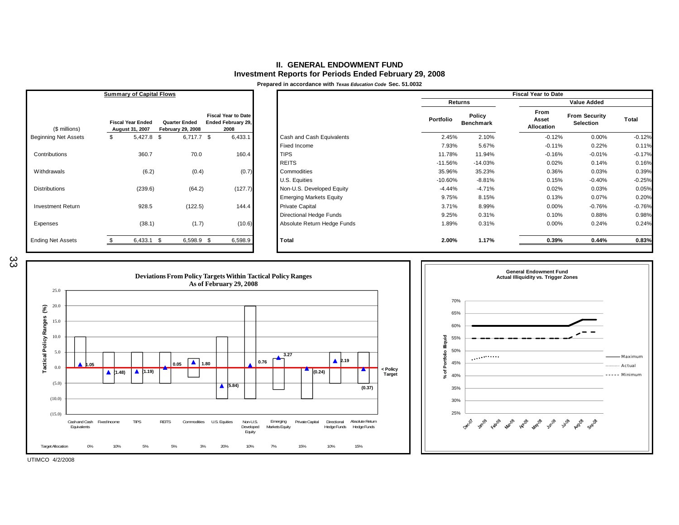#### **II. GENERAL ENDOWMENT FUNDInvestment Reports for Periods Ended February 29, 2008**

**Prepared in accordance with** *Texas Education Code* **Sec. 51.0032**

|                             | <b>Summary of Capital Flows</b>             |                                                  |                                                          |                                |           |                            | <b>Fiscal Year to Date</b>  |                                   |          |
|-----------------------------|---------------------------------------------|--------------------------------------------------|----------------------------------------------------------|--------------------------------|-----------|----------------------------|-----------------------------|-----------------------------------|----------|
|                             |                                             |                                                  |                                                          |                                |           | Returns                    |                             | <b>Value Added</b>                |          |
| (\$ millions)               | <b>Fiscal Year Ended</b><br>August 31, 2007 | <b>Quarter Ended</b><br><b>February 29, 2008</b> | <b>Fiscal Year to Date</b><br>Ended February 29,<br>2008 |                                | Portfolio | Policy<br><b>Benchmark</b> | From<br>Asset<br>Allocation | <b>From Security</b><br>Selection | Total    |
| <b>Beginning Net Assets</b> | $5,427.8$ \$<br>\$                          | $6,717.7$ \$                                     | 6,433.1                                                  | Cash and Cash Equivalents      | 2.45%     | 2.10%                      | $-0.12%$                    | 0.00%                             | $-0.12%$ |
|                             |                                             |                                                  |                                                          | Fixed Income                   | 7.93%     | 5.67%                      | $-0.11%$                    | 0.22%                             | 0.11%    |
| Contributions               | 360.7                                       | 70.0                                             | 160.4                                                    | <b>TIPS</b>                    | 11.78%    | 11.94%                     | $-0.16%$                    | $-0.01%$                          | $-0.17%$ |
|                             |                                             |                                                  |                                                          | <b>REITS</b>                   | $-11.56%$ | $-14.03%$                  | 0.02%                       | 0.14%                             | 0.16%    |
| Withdrawals                 | (6.2)                                       | (0.4)                                            | (0.7)                                                    | Commodities                    | 35.96%    | 35.23%                     | 0.36%                       | 0.03%                             | 0.39%    |
|                             |                                             |                                                  |                                                          | U.S. Equities                  | $-10.60%$ | $-8.81%$                   | 0.15%                       | $-0.40%$                          | $-0.25%$ |
| <b>Distributions</b>        | (239.6)                                     | (64.2)                                           | (127.7)                                                  | Non-U.S. Developed Equity      | $-4.44%$  | $-4.71%$                   | 0.02%                       | 0.03%                             | 0.05%    |
|                             |                                             |                                                  |                                                          | <b>Emerging Markets Equity</b> | 9.75%     | 8.15%                      | 0.13%                       | 0.07%                             | 0.20%    |
| <b>Investment Return</b>    | 928.5                                       | (122.5)                                          | 144.4                                                    | <b>Private Capital</b>         | 3.71%     | 8.99%                      | 0.00%                       | $-0.76%$                          | $-0.76%$ |
|                             |                                             |                                                  |                                                          | <b>Directional Hedge Funds</b> | 9.25%     | 0.31%                      | 0.10%                       | 0.88%                             | 0.98%    |
| Expenses                    | (38.1)                                      | (1.7)                                            | (10.6)                                                   | Absolute Return Hedge Funds    | 1.89%     | 0.31%                      | 0.00%                       | 0.24%                             | 0.24%    |
| <b>Ending Net Assets</b>    | $6,433.1$ \$                                | $6,598.9$ \$                                     | 6,598.9                                                  | Total                          | 2.00%     | 1.17%                      | 0.39%                       | 0.44%                             | 0.83%    |





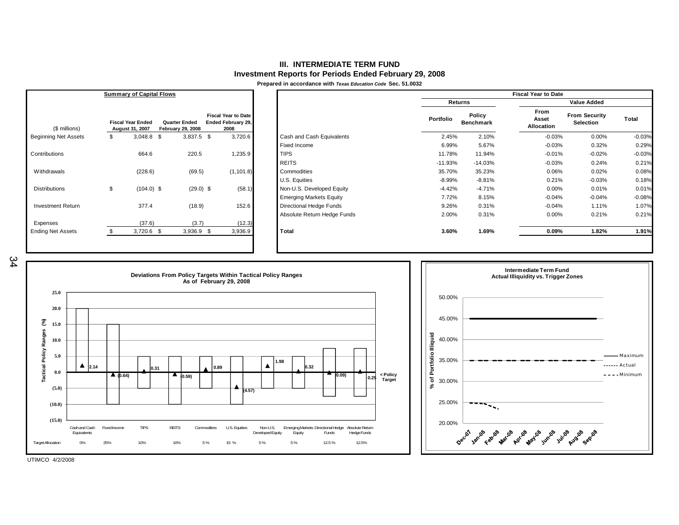#### **III. INTERMEDIATE TERM FUNDInvestment Reports for Periods Ended February 29, 2008**

**Prepared in accordance with** *Texas Education Code* **Sec. 51.0032**

|                             | <b>Summary of Capital Flows</b>             |                                                  |                                                          |                                |           |                            | <b>Fiscal Year to Date</b>  |                                          |          |
|-----------------------------|---------------------------------------------|--------------------------------------------------|----------------------------------------------------------|--------------------------------|-----------|----------------------------|-----------------------------|------------------------------------------|----------|
|                             |                                             |                                                  |                                                          |                                |           | Returns                    |                             | <b>Value Added</b>                       |          |
| (\$ millions)               | <b>Fiscal Year Ended</b><br>August 31, 2007 | <b>Quarter Ended</b><br><b>February 29, 2008</b> | <b>Fiscal Year to Date</b><br>Ended February 29,<br>2008 |                                | Portfolio | Policy<br><b>Benchmark</b> | From<br>Asset<br>Allocation | <b>From Security</b><br><b>Selection</b> | Total    |
| <b>Beginning Net Assets</b> | \$<br>$3,048.8$ \$                          | $3,837.5$ \$                                     | 3,720.6                                                  | Cash and Cash Equivalents      | 2.45%     | 2.10%                      | $-0.03%$                    | 0.00%                                    | $-0.03%$ |
|                             |                                             |                                                  |                                                          | Fixed Income                   | 6.99%     | 5.67%                      | $-0.03%$                    | 0.32%                                    | 0.29%    |
| Contributions               | 664.6                                       | 220.5                                            | 1,235.9                                                  | <b>TIPS</b>                    | 11.78%    | 11.94%                     | $-0.01%$                    | $-0.02%$                                 | $-0.03%$ |
|                             |                                             |                                                  |                                                          | <b>REITS</b>                   | $-11.93%$ | $-14.03%$                  | $-0.03%$                    | 0.24%                                    | 0.21%    |
| Withdrawals                 | (228.6)                                     | (69.5)                                           | (1, 101.8)                                               | Commodities                    | 35.70%    | 35.23%                     | 0.06%                       | 0.02%                                    | 0.08%    |
|                             |                                             |                                                  |                                                          | U.S. Equities                  | $-8.99%$  | $-8.81%$                   | 0.21%                       | $-0.03%$                                 | 0.18%    |
| <b>Distributions</b>        | \$<br>$(104.0)$ \$                          | $(29.0)$ \$                                      | (58.1)                                                   | Non-U.S. Developed Equity      | $-4.42%$  | $-4.71%$                   | 0.00%                       | 0.01%                                    | 0.01%    |
|                             |                                             |                                                  |                                                          | <b>Emerging Markets Equity</b> | 7.72%     | 8.15%                      | $-0.04%$                    | $-0.04%$                                 | $-0.08%$ |
| <b>Investment Return</b>    | 377.4                                       | (18.9)                                           | 152.6                                                    | Directional Hedge Funds        | 9.26%     | 0.31%                      | $-0.04%$                    | 1.11%                                    | 1.07%    |
|                             |                                             |                                                  |                                                          | Absolute Return Hedge Funds    | 2.00%     | 0.31%                      | 0.00%                       | 0.21%                                    | 0.21%    |
| Expenses                    | (37.6)                                      | (3.7)                                            | (12.3)                                                   |                                |           |                            |                             |                                          |          |
| <b>Ending Net Assets</b>    | $3,720.6$ \$                                | $3,936.9$ \$                                     | 3,936.9                                                  | Total                          | 3.60%     | 1.69%                      | 0.09%                       | 1.82%                                    | 1.91%    |





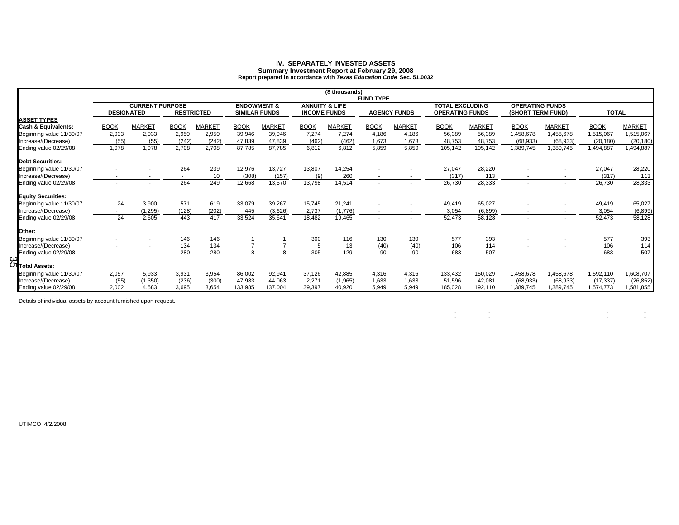# **IV. SEPARATELY INVESTED ASSETS Summary Investment Report at February 29, 2008 Report prepared in accordance with** *Texas Education Code* **Sec. 51.0032**

|                                |                   |                        |             |                   |                                                |               |             | (\$ thousands)                                   | <b>FUND TYPE</b> |                     |                                                  |               |                                             |                          |              |               |
|--------------------------------|-------------------|------------------------|-------------|-------------------|------------------------------------------------|---------------|-------------|--------------------------------------------------|------------------|---------------------|--------------------------------------------------|---------------|---------------------------------------------|--------------------------|--------------|---------------|
|                                | <b>DESIGNATED</b> | <b>CURRENT PURPOSE</b> |             | <b>RESTRICTED</b> | <b>ENDOWMENT &amp;</b><br><b>SIMILAR FUNDS</b> |               |             | <b>ANNUITY &amp; LIFE</b><br><b>INCOME FUNDS</b> |                  | <b>AGENCY FUNDS</b> | <b>TOTAL EXCLUDING</b><br><b>OPERATING FUNDS</b> |               | <b>OPERATING FUNDS</b><br>(SHORT TERM FUND) |                          | <b>TOTAL</b> |               |
| <b>ASSET TYPES</b>             |                   |                        |             |                   |                                                |               |             |                                                  |                  |                     |                                                  |               |                                             |                          |              |               |
| <b>Cash &amp; Equivalents:</b> | <b>BOOK</b>       | <b>MARKET</b>          | <b>BOOK</b> | MARKET            | <b>BOOK</b>                                    | <b>MARKET</b> | <b>BOOK</b> | <b>MARKET</b>                                    | <b>BOOK</b>      | <b>MARKET</b>       | <b>BOOK</b>                                      | <b>MARKET</b> | <b>BOOK</b>                                 | <b>MARKET</b>            | <b>BOOK</b>  | <b>MARKET</b> |
| Beginning value 11/30/07       | 2,033             | 2,033                  | 2,950       | 2,950             | 39,946                                         | 39,946        | 7,274       | 7,274                                            | 4.186            | 4,186               | 56,389                                           | 56,389        | 1,458,678                                   | 1,458,678                | 1,515,067    | 1,515,067     |
| Increase/(Decrease)            | (55)              | (55)                   | (242)       | (242)             | 47,839                                         | 47,839        | (462)       | (462)                                            | 1,673            | 1,673               | 48,753                                           | 48,753        | (68, 933)                                   | (68, 933)                | (20, 180)    | (20, 180)     |
| Ending value 02/29/08          | 1,978             | 1,978                  | 2,708       | 2,708             | 87,785                                         | 87,785        | 6,812       | 6,812                                            | 5,859            | 5,859               | 105,142                                          | 105,142       | 1,389,745                                   | 1,389,745                | 1,494,887    | 494,887       |
| <b>Debt Securities:</b>        |                   |                        |             |                   |                                                |               |             |                                                  |                  |                     |                                                  |               |                                             |                          |              |               |
| Beginning value 11/30/07       |                   |                        | 264         | 239               | 12,976                                         | 13,727        | 13,807      | 14,254                                           |                  |                     | 27,047                                           | 28,220        |                                             |                          | 27,047       | 28,220        |
| Increase/(Decrease)            |                   |                        | $\sim$      | 10                | (308)                                          | (157)         | (9)         | 260                                              |                  |                     | (317)                                            | 113           | $\sim$                                      | $\overline{\phantom{a}}$ | (317)        | 113           |
| Ending value 02/29/08          |                   |                        | 264         | 249               | 12,668                                         | 13,570        | 13,798      | 14,514                                           |                  |                     | 26,730                                           | 28,333        |                                             |                          | 26,730       | 28,333        |
| <b>Equity Securities:</b>      |                   |                        |             |                   |                                                |               |             |                                                  |                  |                     |                                                  |               |                                             |                          |              |               |
| Beginning value 11/30/07       | 24                | 3,900                  | 571         | 619               | 33,079                                         | 39,267        | 15,745      | 21,241                                           |                  |                     | 49,419                                           | 65,027        |                                             |                          | 49,419       | 65,027        |
| Increase/(Decrease)            |                   | (1, 295)               | (128)       | (202)             | 445                                            | (3,626)       | 2,737       | (1,776)                                          |                  |                     | 3,054                                            | (6, 899)      | $\overline{\phantom{a}}$                    | $\overline{\phantom{a}}$ | 3,054        | (6, 899)      |
| Ending value 02/29/08          | 24                | 2,605                  | 443         | 417               | 33,524                                         | 35,641        | 18,482      | 19,465                                           |                  |                     | 52,473                                           | 58,128        |                                             | $\overline{\phantom{a}}$ | 52,473       | 58,128        |
| Other:                         |                   |                        |             |                   |                                                |               |             |                                                  |                  |                     |                                                  |               |                                             |                          |              |               |
| Beginning value 11/30/07       |                   |                        | 146         | 146               |                                                |               | 300         | 116                                              | 130              | 130                 | 577                                              | 393           |                                             |                          | 577          | 393           |
| Increase/(Decrease)            |                   | $\sim$                 | 134         | 134               | $\overline{7}$                                 |               |             | 13                                               | (40)             | (40)                | 106                                              | 114           |                                             | $\overline{\phantom{a}}$ | 106          | 114           |
| Ending value 02/29/08          |                   |                        | 280         | 280               | 8                                              | 8             | 305         | 129                                              | 90               | 90                  | 683                                              | 507           |                                             | $\overline{a}$           | 683          | 507           |
| ယ<br>U Total Assets:           |                   |                        |             |                   |                                                |               |             |                                                  |                  |                     |                                                  |               |                                             |                          |              |               |
| Beginning value 11/30/07       | 2,057             | 5,933                  | 3,931       | 3,954             | 86,002                                         | 92,941        | 37,126      | 42,885                                           | 4.316            | 4,316               | 133,432                                          | 150,029       | 1,458,678                                   | 1,458,678                | 1,592,110    | 1,608,707     |
| Increase/(Decrease)            | (55)              | (1, 350)               | (236)       | (300)             | 47.983                                         | 44.063        | 2.271       | (1, 965)                                         | 1.633            | 1.633               | 51,596                                           | 42,081        | (68, 933)                                   | (68, 933)                | (17, 337)    | (26, 852)     |
| Ending value 02/29/08          | 2.002             | 4.583                  | 3.695       | 3.654             | 133.985                                        | 137.004       | 39.397      | 40.920                                           | 5.949            | 5.949               | 185.028                                          | 192,110       | 1.389.745                                   | 1,389,745                | 1.574.773    | 1,581,855     |

 $\mathcal{L} = \{ \mathcal{L} \in \mathcal{L} \mid \mathcal{L} \in \mathcal{L} \}$  , where  $\mathcal{L} = \{ \mathcal{L} \mid \mathcal{L} \in \mathcal{L} \}$ 

Details of individual assets by account furnished upon request.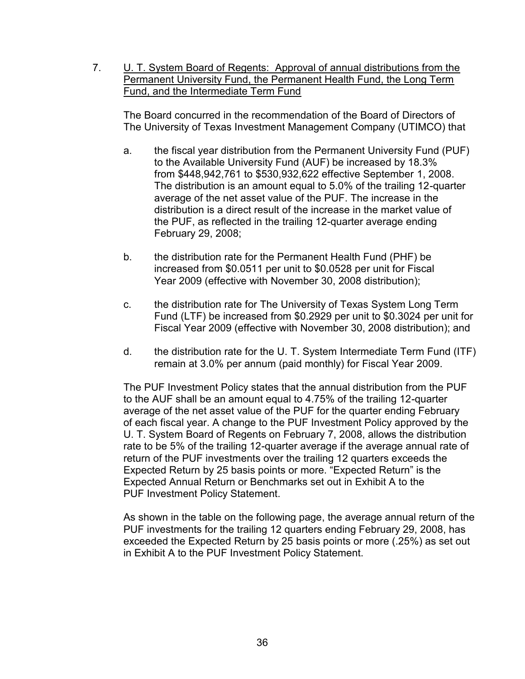7. **U. T. System Board of Regents: Approval of annual distributions from the** Permanent University Fund, the Permanent Health Fund, the Long Term Fund, and the Intermediate Term Fund

The Board concurred in the recommendation of the Board of Directors of The University of Texas Investment Management Company (UTIMCO) that

- a. the fiscal year distribution from the Permanent University Fund (PUF) to the Available University Fund (AUF) be increased by 18.3% from \$448,942,761 to \$530,932,622 effective September 1, 2008. The distribution is an amount equal to 5.0% of the trailing 12-quarter average of the net asset value of the PUF. The increase in the distribution is a direct result of the increase in the market value of the PUF, as reflected in the trailing 12-quarter average ending February 29, 2008;
- b. the distribution rate for the Permanent Health Fund (PHF) be increased from \$0.0511 per unit to \$0.0528 per unit for Fiscal Year 2009 (effective with November 30, 2008 distribution);
- c. the distribution rate for The University of Texas System Long Term Fund (LTF) be increased from \$0.2929 per unit to \$0.3024 per unit for Fiscal Year 2009 (effective with November 30, 2008 distribution); and
- d. the distribution rate for the U. T. System Intermediate Term Fund (ITF) remain at 3.0% per annum (paid monthly) for Fiscal Year 2009.

The PUF Investment Policy states that the annual distribution from the PUF to the AUF shall be an amount equal to 4.75% of the trailing 12-quarter average of the net asset value of the PUF for the quarter ending February of each fiscal year. A change to the PUF Investment Policy approved by the U. T. System Board of Regents on February 7, 2008, allows the distribution rate to be 5% of the trailing 12-quarter average if the average annual rate of return of the PUF investments over the trailing 12 quarters exceeds the Expected Return by 25 basis points or more. "Expected Return" is the Expected Annual Return or Benchmarks set out in Exhibit A to the PUF Investment Policy Statement.

As shown in the table on the following page, the average annual return of the PUF investments for the trailing 12 quarters ending February 29, 2008, has exceeded the Expected Return by 25 basis points or more (.25%) as set out in Exhibit A to the PUF Investment Policy Statement.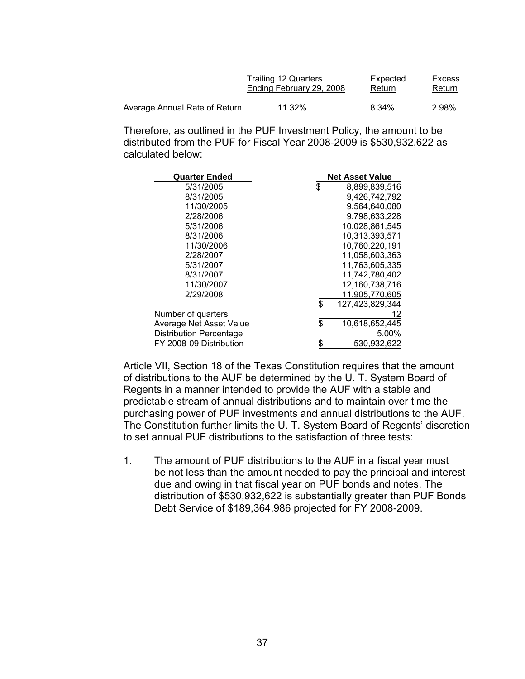|                               | <b>Trailing 12 Quarters</b> | Expected | Excess |
|-------------------------------|-----------------------------|----------|--------|
|                               | Ending February 29, 2008    | Return   | Return |
| Average Annual Rate of Return | 11.32%                      | 8.34%    | 2.98%  |

Therefore, as outlined in the PUF Investment Policy, the amount to be distributed from the PUF for Fiscal Year 2008-2009 is \$530,932,622 as calculated below:

| <b>Quarter Ended</b>           | <b>Net Asset Value</b> |
|--------------------------------|------------------------|
| 5/31/2005                      | \$<br>8,899,839,516    |
| 8/31/2005                      | 9,426,742,792          |
| 11/30/2005                     | 9,564,640,080          |
| 2/28/2006                      | 9,798,633,228          |
| 5/31/2006                      | 10,028,861,545         |
| 8/31/2006                      | 10.313.393.571         |
| 11/30/2006                     | 10,760,220,191         |
| 2/28/2007                      | 11,058,603,363         |
| 5/31/2007                      | 11,763,605,335         |
| 8/31/2007                      | 11,742,780,402         |
| 11/30/2007                     | 12,160,738,716         |
| 2/29/2008                      | 11,905,770,605         |
|                                | \$<br>127,423,829,344  |
| Number of quarters             | 12.                    |
| Average Net Asset Value        | \$<br>10,618,652,445   |
| <b>Distribution Percentage</b> | 5.00%                  |
| FY 2008-09 Distribution        | \$<br>530,932,622      |

Article VII, Section 18 of the Texas Constitution requires that the amount of distributions to the AUF be determined by the U. T. System Board of Regents in a manner intended to provide the AUF with a stable and predictable stream of annual distributions and to maintain over time the purchasing power of PUF investments and annual distributions to the AUF. The Constitution further limits the U. T. System Board of Regents' discretion to set annual PUF distributions to the satisfaction of three tests:

1. The amount of PUF distributions to the AUF in a fiscal year must be not less than the amount needed to pay the principal and interest due and owing in that fiscal year on PUF bonds and notes. The distribution of \$530,932,622 is substantially greater than PUF Bonds Debt Service of \$189,364,986 projected for FY 2008-2009.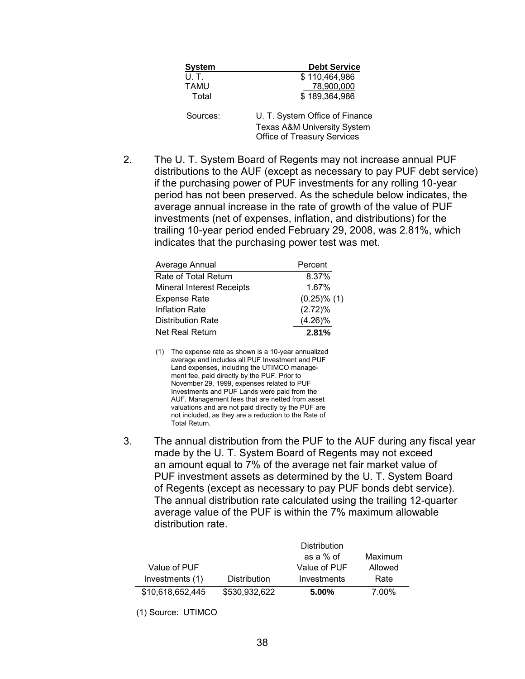| <b>System</b> | <b>Debt Service</b>                                                                                            |
|---------------|----------------------------------------------------------------------------------------------------------------|
| U. T.         | \$110,464,986                                                                                                  |
| TAMU          | 78,900,000                                                                                                     |
| Total         | \$189,364,986                                                                                                  |
| Sources:      | U. T. System Office of Finance<br><b>Texas A&amp;M University System</b><br><b>Office of Treasury Services</b> |

2. The U. T. System Board of Regents may not increase annual PUF distributions to the AUF (except as necessary to pay PUF debt service) if the purchasing power of PUF investments for any rolling 10-year period has not been preserved. As the schedule below indicates, the average annual increase in the rate of growth of the value of PUF investments (net of expenses, inflation, and distributions) for the trailing 10-year period ended February 29, 2008, was 2.81%, which indicates that the purchasing power test was met.

| Average Annual                   | Percent          |
|----------------------------------|------------------|
| Rate of Total Return             | 8.37%            |
| <b>Mineral Interest Receipts</b> | 1.67%            |
| Expense Rate                     | $(0.25)$ % $(1)$ |
| Inflation Rate                   | (2.72)%          |
| Distribution Rate                | $(4.26)\%$       |
| Net Real Return                  | 2.81%            |

- (1) The expense rate as shown is a 10-year annualized average and includes all PUF Investment and PUF Land expenses, including the UTIMCO management fee, paid directly by the PUF. Prior to November 29, 1999, expenses related to PUF Investments and PUF Lands were paid from the AUF. Management fees that are netted from asset valuations and are not paid directly by the PUF are not included, as they are a reduction to the Rate of Total Return.
- 3. The annual distribution from the PUF to the AUF during any fiscal year made by the U. T. System Board of Regents may not exceed an amount equal to 7% of the average net fair market value of PUF investment assets as determined by the U. T. System Board of Regents (except as necessary to pay PUF bonds debt service). The annual distribution rate calculated using the trailing 12-quarter average value of the PUF is within the 7% maximum allowable distribution rate.

|                  |                     | <b>Distribution</b> |         |  |  |
|------------------|---------------------|---------------------|---------|--|--|
|                  |                     | as a % of           | Maximum |  |  |
| Value of PUF     |                     | Value of PUF        | Allowed |  |  |
| Investments (1)  | <b>Distribution</b> | Investments         | Rate    |  |  |
| \$10,618,652,445 | \$530,932,622       | $5.00\%$            | 7.00%   |  |  |

(1) Source: UTIMCO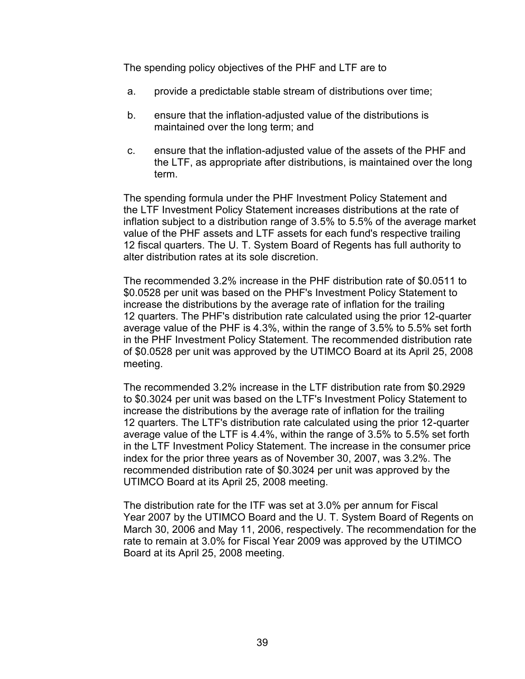The spending policy objectives of the PHF and LTF are to

- a. provide a predictable stable stream of distributions over time;
- b. ensure that the inflation-adjusted value of the distributions is maintained over the long term; and
- c. ensure that the inflation-adjusted value of the assets of the PHF and the LTF, as appropriate after distributions, is maintained over the long term.

The spending formula under the PHF Investment Policy Statement and the LTF Investment Policy Statement increases distributions at the rate of inflation subject to a distribution range of 3.5% to 5.5% of the average market value of the PHF assets and LTF assets for each fund's respective trailing 12 fiscal quarters. The U. T. System Board of Regents has full authority to alter distribution rates at its sole discretion.

The recommended 3.2% increase in the PHF distribution rate of \$0.0511 to \$0.0528 per unit was based on the PHF's Investment Policy Statement to increase the distributions by the average rate of inflation for the trailing 12 quarters. The PHF's distribution rate calculated using the prior 12-quarter average value of the PHF is 4.3%, within the range of 3.5% to 5.5% set forth in the PHF Investment Policy Statement. The recommended distribution rate of \$0.0528 per unit was approved by the UTIMCO Board at its April 25, 2008 meeting.

The recommended 3.2% increase in the LTF distribution rate from \$0.2929 to \$0.3024 per unit was based on the LTF's Investment Policy Statement to increase the distributions by the average rate of inflation for the trailing 12 quarters. The LTF's distribution rate calculated using the prior 12-quarter average value of the LTF is 4.4%, within the range of 3.5% to 5.5% set forth in the LTF Investment Policy Statement. The increase in the consumer price index for the prior three years as of November 30, 2007, was 3.2%. The recommended distribution rate of \$0.3024 per unit was approved by the UTIMCO Board at its April 25, 2008 meeting.

The distribution rate for the ITF was set at 3.0% per annum for Fiscal Year 2007 by the UTIMCO Board and the U. T. System Board of Regents on March 30, 2006 and May 11, 2006, respectively. The recommendation for the rate to remain at 3.0% for Fiscal Year 2009 was approved by the UTIMCO Board at its April 25, 2008 meeting.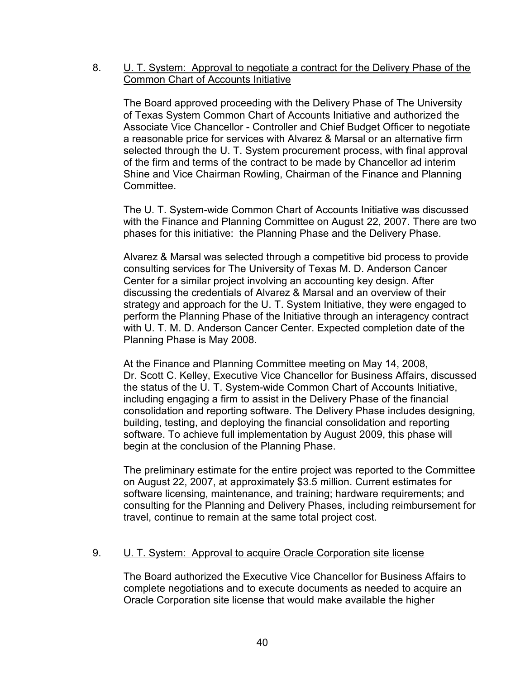# 8. U. T. System: Approval to negotiate a contract for the Delivery Phase of the Common Chart of Accounts Initiative

The Board approved proceeding with the Delivery Phase of The University of Texas System Common Chart of Accounts Initiative and authorized the Associate Vice Chancellor - Controller and Chief Budget Officer to negotiate a reasonable price for services with Alvarez & Marsal or an alternative firm selected through the U. T. System procurement process, with final approval of the firm and terms of the contract to be made by Chancellor ad interim Shine and Vice Chairman Rowling, Chairman of the Finance and Planning Committee.

The U. T. System-wide Common Chart of Accounts Initiative was discussed with the Finance and Planning Committee on August 22, 2007. There are two phases for this initiative: the Planning Phase and the Delivery Phase.

Alvarez & Marsal was selected through a competitive bid process to provide consulting services for The University of Texas M. D. Anderson Cancer Center for a similar project involving an accounting key design. After discussing the credentials of Alvarez & Marsal and an overview of their strategy and approach for the U. T. System Initiative, they were engaged to perform the Planning Phase of the Initiative through an interagency contract with U. T. M. D. Anderson Cancer Center. Expected completion date of the Planning Phase is May 2008.

At the Finance and Planning Committee meeting on May 14, 2008, Dr. Scott C. Kelley, Executive Vice Chancellor for Business Affairs, discussed the status of the U. T. System-wide Common Chart of Accounts Initiative, including engaging a firm to assist in the Delivery Phase of the financial consolidation and reporting software. The Delivery Phase includes designing, building, testing, and deploying the financial consolidation and reporting software. To achieve full implementation by August 2009, this phase will begin at the conclusion of the Planning Phase.

The preliminary estimate for the entire project was reported to the Committee on August 22, 2007, at approximately \$3.5 million. Current estimates for software licensing, maintenance, and training; hardware requirements; and consulting for the Planning and Delivery Phases, including reimbursement for travel, continue to remain at the same total project cost.

# 9. U. T. System: Approval to acquire Oracle Corporation site license

The Board authorized the Executive Vice Chancellor for Business Affairs to complete negotiations and to execute documents as needed to acquire an Oracle Corporation site license that would make available the higher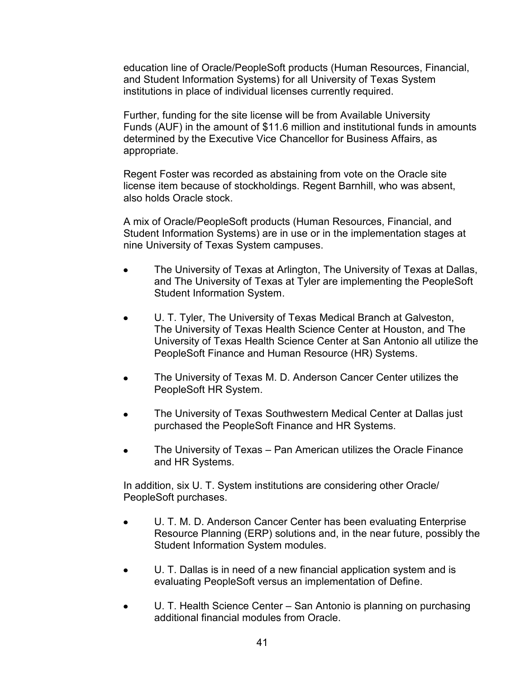education line of Oracle/PeopleSoft products (Human Resources, Financial, and Student Information Systems) for all University of Texas System institutions in place of individual licenses currently required.

Further, funding for the site license will be from Available University Funds (AUF) in the amount of \$11.6 million and institutional funds in amounts determined by the Executive Vice Chancellor for Business Affairs, as appropriate.

Regent Foster was recorded as abstaining from vote on the Oracle site license item because of stockholdings. Regent Barnhill, who was absent, also holds Oracle stock.

A mix of Oracle/PeopleSoft products (Human Resources, Financial, and Student Information Systems) are in use or in the implementation stages at nine University of Texas System campuses.

- The University of Texas at Arlington, The University of Texas at Dallas, and The University of Texas at Tyler are implementing the PeopleSoft Student Information System.
- U. T. Tyler, The University of Texas Medical Branch at Galveston, The University of Texas Health Science Center at Houston, and The University of Texas Health Science Center at San Antonio all utilize the PeopleSoft Finance and Human Resource (HR) Systems.
- The University of Texas M. D. Anderson Cancer Center utilizes the PeopleSoft HR System.
- The University of Texas Southwestern Medical Center at Dallas just purchased the PeopleSoft Finance and HR Systems.
- The University of Texas Pan American utilizes the Oracle Finance and HR Systems.

In addition, six U. T. System institutions are considering other Oracle/ PeopleSoft purchases.

- U. T. M. D. Anderson Cancer Center has been evaluating Enterprise  $\bullet$ Resource Planning (ERP) solutions and, in the near future, possibly the Student Information System modules.
- U. T. Dallas is in need of a new financial application system and is evaluating PeopleSoft versus an implementation of Define.
- U. T. Health Science Center San Antonio is planning on purchasing  $\bullet$ additional financial modules from Oracle.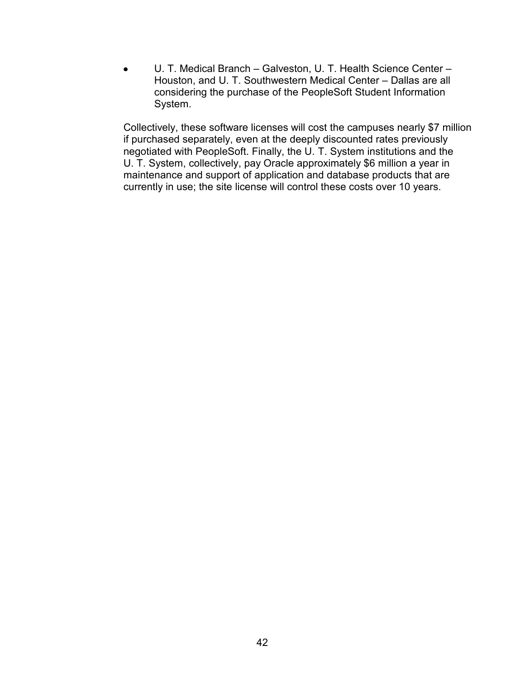U. T. Medical Branch – Galveston, U. T. Health Science Center –  $\bullet$ Houston, and U. T. Southwestern Medical Center – Dallas are all considering the purchase of the PeopleSoft Student Information System.

Collectively, these software licenses will cost the campuses nearly \$7 million if purchased separately, even at the deeply discounted rates previously negotiated with PeopleSoft. Finally, the U. T. System institutions and the U. T. System, collectively, pay Oracle approximately \$6 million a year in maintenance and support of application and database products that are currently in use; the site license will control these costs over 10 years.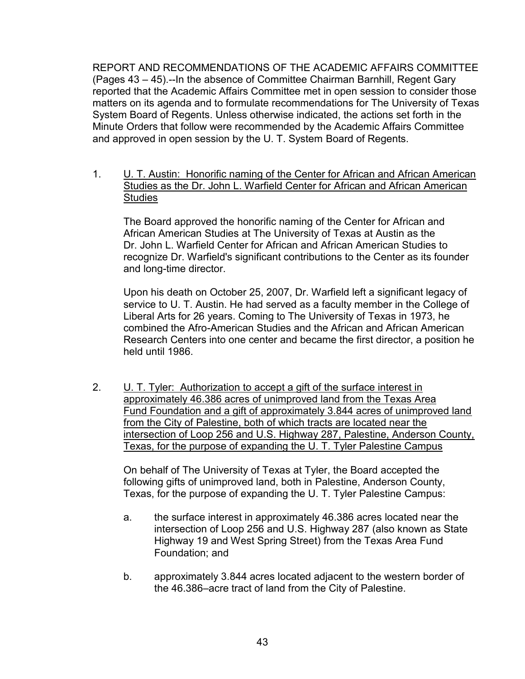REPORT AND RECOMMENDATIONS OF THE ACADEMIC AFFAIRS COMMITTEE (Pages 43 – 45).--In the absence of Committee Chairman Barnhill, Regent Gary reported that the Academic Affairs Committee met in open session to consider those matters on its agenda and to formulate recommendations for The University of Texas System Board of Regents. Unless otherwise indicated, the actions set forth in the Minute Orders that follow were recommended by the Academic Affairs Committee and approved in open session by the U. T. System Board of Regents.

1. U. T. Austin: Honorific naming of the Center for African and African American Studies as the Dr. John L. Warfield Center for African and African American **Studies** 

The Board approved the honorific naming of the Center for African and African American Studies at The University of Texas at Austin as the Dr. John L. Warfield Center for African and African American Studies to recognize Dr. Warfield's significant contributions to the Center as its founder and long-time director.

Upon his death on October 25, 2007, Dr. Warfield left a significant legacy of service to U. T. Austin. He had served as a faculty member in the College of Liberal Arts for 26 years. Coming to The University of Texas in 1973, he combined the Afro-American Studies and the African and African American Research Centers into one center and became the first director, a position he held until 1986.

2. U. T. Tyler: Authorization to accept a gift of the surface interest in approximately 46.386 acres of unimproved land from the Texas Area Fund Foundation and a gift of approximately 3.844 acres of unimproved land from the City of Palestine, both of which tracts are located near the intersection of Loop 256 and U.S. Highway 287, Palestine, Anderson County, Texas, for the purpose of expanding the U. T. Tyler Palestine Campus

On behalf of The University of Texas at Tyler, the Board accepted the following gifts of unimproved land, both in Palestine, Anderson County, Texas, for the purpose of expanding the U. T. Tyler Palestine Campus:

- a. the surface interest in approximately 46.386 acres located near the intersection of Loop 256 and U.S. Highway 287 (also known as State Highway 19 and West Spring Street) from the Texas Area Fund Foundation; and
- b. approximately 3.844 acres located adjacent to the western border of the 46.386–acre tract of land from the City of Palestine.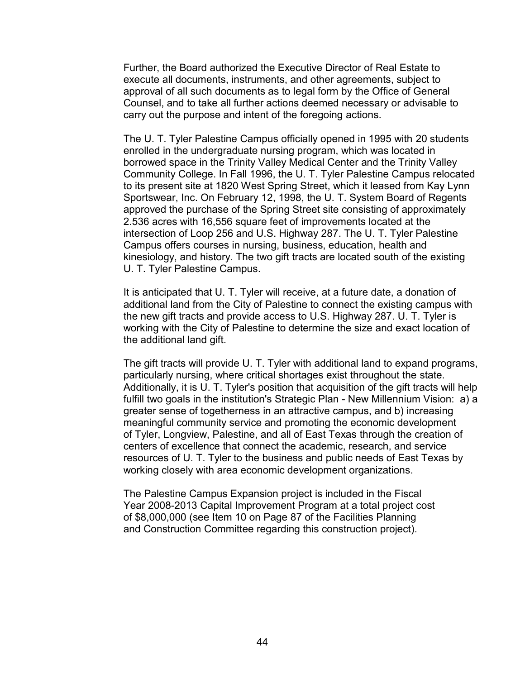Further, the Board authorized the Executive Director of Real Estate to execute all documents, instruments, and other agreements, subject to approval of all such documents as to legal form by the Office of General Counsel, and to take all further actions deemed necessary or advisable to carry out the purpose and intent of the foregoing actions.

The U. T. Tyler Palestine Campus officially opened in 1995 with 20 students enrolled in the undergraduate nursing program, which was located in borrowed space in the Trinity Valley Medical Center and the Trinity Valley Community College. In Fall 1996, the U. T. Tyler Palestine Campus relocated to its present site at 1820 West Spring Street, which it leased from Kay Lynn Sportswear, Inc. On February 12, 1998, the U. T. System Board of Regents approved the purchase of the Spring Street site consisting of approximately 2.536 acres with 16,556 square feet of improvements located at the intersection of Loop 256 and U.S. Highway 287. The U. T. Tyler Palestine Campus offers courses in nursing, business, education, health and kinesiology, and history. The two gift tracts are located south of the existing U. T. Tyler Palestine Campus.

It is anticipated that U. T. Tyler will receive, at a future date, a donation of additional land from the City of Palestine to connect the existing campus with the new gift tracts and provide access to U.S. Highway 287. U. T. Tyler is working with the City of Palestine to determine the size and exact location of the additional land gift.

The gift tracts will provide U. T. Tyler with additional land to expand programs, particularly nursing, where critical shortages exist throughout the state. Additionally, it is U. T. Tyler's position that acquisition of the gift tracts will help fulfill two goals in the institution's Strategic Plan - New Millennium Vision: a) a greater sense of togetherness in an attractive campus, and b) increasing meaningful community service and promoting the economic development of Tyler, Longview, Palestine, and all of East Texas through the creation of centers of excellence that connect the academic, research, and service resources of U. T. Tyler to the business and public needs of East Texas by working closely with area economic development organizations.

The Palestine Campus Expansion project is included in the Fiscal Year 2008-2013 Capital Improvement Program at a total project cost of \$8,000,000 (see Item 10 on Page 87 of the Facilities Planning and Construction Committee regarding this construction project).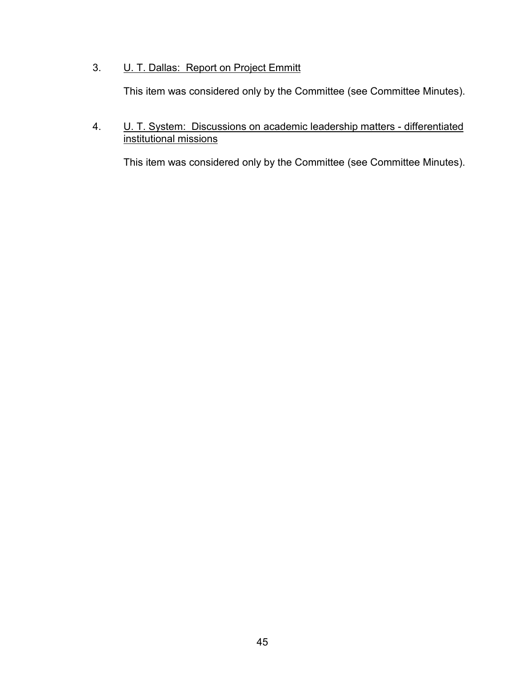# 3. **U. T. Dallas: Report on Project Emmitt**

This item was considered only by the Committee (see Committee Minutes).

4. U. T. System: Discussions on academic leadership matters - differentiated institutional missions

This item was considered only by the Committee (see Committee Minutes).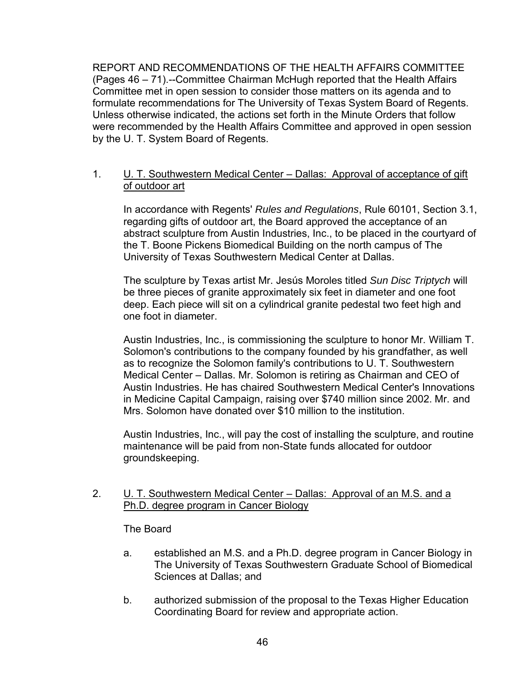REPORT AND RECOMMENDATIONS OF THE HEALTH AFFAIRS COMMITTEE (Pages 46 – 71).--Committee Chairman McHugh reported that the Health Affairs Committee met in open session to consider those matters on its agenda and to formulate recommendations for The University of Texas System Board of Regents. Unless otherwise indicated, the actions set forth in the Minute Orders that follow were recommended by the Health Affairs Committee and approved in open session by the U. T. System Board of Regents.

# 1. U. T. Southwestern Medical Center – Dallas: Approval of acceptance of gift of outdoor art

In accordance with Regents' *Rules and Regulations*, Rule 60101, Section 3.1, regarding gifts of outdoor art, the Board approved the acceptance of an abstract sculpture from Austin Industries, Inc., to be placed in the courtyard of the T. Boone Pickens Biomedical Building on the north campus of The University of Texas Southwestern Medical Center at Dallas.

The sculpture by Texas artist Mr. Jesús Moroles titled *Sun Disc Triptych* will be three pieces of granite approximately six feet in diameter and one foot deep. Each piece will sit on a cylindrical granite pedestal two feet high and one foot in diameter.

Austin Industries, Inc., is commissioning the sculpture to honor Mr. William T. Solomon's contributions to the company founded by his grandfather, as well as to recognize the Solomon family's contributions to U. T. Southwestern Medical Center – Dallas. Mr. Solomon is retiring as Chairman and CEO of Austin Industries. He has chaired Southwestern Medical Center's Innovations in Medicine Capital Campaign, raising over \$740 million since 2002. Mr. and Mrs. Solomon have donated over \$10 million to the institution.

Austin Industries, Inc., will pay the cost of installing the sculpture, and routine maintenance will be paid from non-State funds allocated for outdoor groundskeeping.

# 2. U. T. Southwestern Medical Center – Dallas: Approval of an M.S. and a Ph.D. degree program in Cancer Biology

# The Board

- a. established an M.S. and a Ph.D. degree program in Cancer Biology in The University of Texas Southwestern Graduate School of Biomedical Sciences at Dallas; and
- b. authorized submission of the proposal to the Texas Higher Education Coordinating Board for review and appropriate action.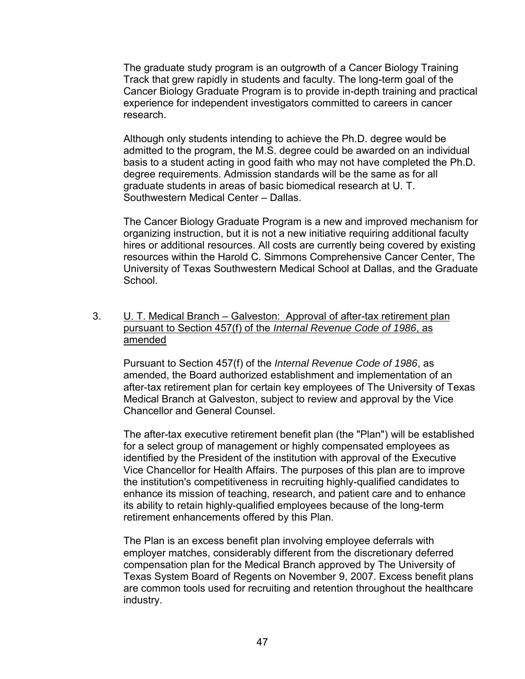The graduate study program is an outgrowth of a Cancer Biology Training Track that grew rapidly in students and faculty. The long-term goal of the Cancer Biology Graduate Program is to provide in-depth training and practical experience for independent investigators committed to careers in cancer research.

Although only students intending to achieve the Ph.D. degree would be admitted to the program, the M.S. degree could be awarded on an individual basis to a student acting in good faith who may not have completed the Ph.D. degree requirements. Admission standards will be the same as for all graduate students in areas of basic biomedical research at U. T. Southwestern Medical Center – Dallas.

The Cancer Biology Graduate Program is a new and improved mechanism for organizing instruction, but it is not a new initiative requiring additional faculty hires or additional resources. All costs are currently being covered by existing resources within the Harold C. Simmons Comprehensive Cancer Center, The University of Texas Southwestern Medical School at Dallas, and the Graduate School.

# 3. U. T. Medical Branch – Galveston: Approval of after-tax retirement plan pursuant to Section 457(f) of the *Internal Revenue Code of 1986*, as amended

Pursuant to Section 457(f) of the *Internal Revenue Code of 1986*, as amended, the Board authorized establishment and implementation of an after-tax retirement plan for certain key employees of The University of Texas Medical Branch at Galveston, subject to review and approval by the Vice Chancellor and General Counsel.

The after-tax executive retirement benefit plan (the "Plan") will be established for a select group of management or highly compensated employees as identified by the President of the institution with approval of the Executive Vice Chancellor for Health Affairs. The purposes of this plan are to improve the institution's competitiveness in recruiting highly-qualified candidates to enhance its mission of teaching, research, and patient care and to enhance its ability to retain highly-qualified employees because of the long-term retirement enhancements offered by this Plan.

The Plan is an excess benefit plan involving employee deferrals with employer matches, considerably different from the discretionary deferred compensation plan for the Medical Branch approved by The University of Texas System Board of Regents on November 9, 2007. Excess benefit plans are common tools used for recruiting and retention throughout the healthcare industry.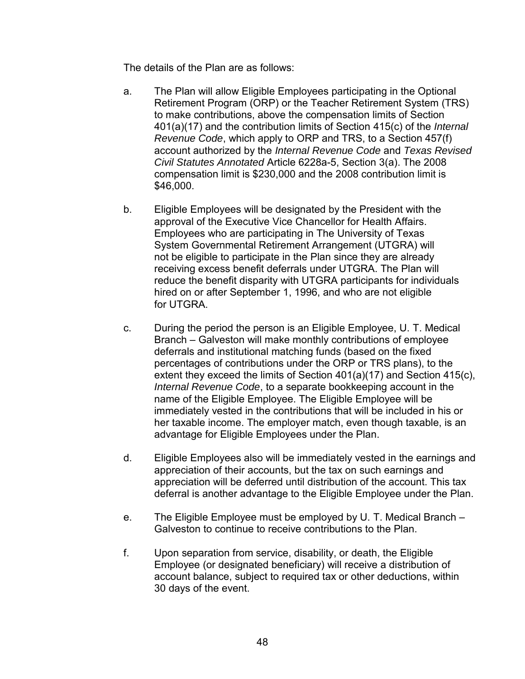The details of the Plan are as follows:

- a. The Plan will allow Eligible Employees participating in the Optional Retirement Program (ORP) or the Teacher Retirement System (TRS) to make contributions, above the compensation limits of Section 401(a)(17) and the contribution limits of Section 415(c) of the *Internal Revenue Code*, which apply to ORP and TRS, to a Section 457(f) account authorized by the *Internal Revenue Code* and *Texas Revised Civil Statutes Annotated* Article 6228a-5, Section 3(a). The 2008 compensation limit is \$230,000 and the 2008 contribution limit is \$46,000.
- b. Eligible Employees will be designated by the President with the approval of the Executive Vice Chancellor for Health Affairs. Employees who are participating in The University of Texas System Governmental Retirement Arrangement (UTGRA) will not be eligible to participate in the Plan since they are already receiving excess benefit deferrals under UTGRA. The Plan will reduce the benefit disparity with UTGRA participants for individuals hired on or after September 1, 1996, and who are not eligible for UTGRA.
- c. During the period the person is an Eligible Employee, U. T. Medical Branch – Galveston will make monthly contributions of employee deferrals and institutional matching funds (based on the fixed percentages of contributions under the ORP or TRS plans), to the extent they exceed the limits of Section 401(a)(17) and Section 415(c), *Internal Revenue Code*, to a separate bookkeeping account in the name of the Eligible Employee. The Eligible Employee will be immediately vested in the contributions that will be included in his or her taxable income. The employer match, even though taxable, is an advantage for Eligible Employees under the Plan.
- d. Eligible Employees also will be immediately vested in the earnings and appreciation of their accounts, but the tax on such earnings and appreciation will be deferred until distribution of the account. This tax deferral is another advantage to the Eligible Employee under the Plan.
- e. The Eligible Employee must be employed by U. T. Medical Branch Galveston to continue to receive contributions to the Plan.
- f. Upon separation from service, disability, or death, the Eligible Employee (or designated beneficiary) will receive a distribution of account balance, subject to required tax or other deductions, within 30 days of the event.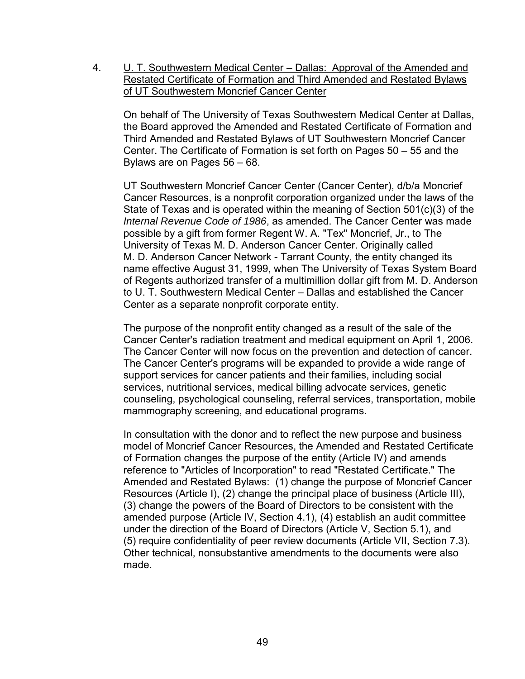4. U. T. Southwestern Medical Center – Dallas: Approval of the Amended and Restated Certificate of Formation and Third Amended and Restated Bylaws of UT Southwestern Moncrief Cancer Center

On behalf of The University of Texas Southwestern Medical Center at Dallas, the Board approved the Amended and Restated Certificate of Formation and Third Amended and Restated Bylaws of UT Southwestern Moncrief Cancer Center. The Certificate of Formation is set forth on Pages 50 – 55 and the Bylaws are on Pages 56 – 68.

UT Southwestern Moncrief Cancer Center (Cancer Center), d/b/a Moncrief Cancer Resources, is a nonprofit corporation organized under the laws of the State of Texas and is operated within the meaning of Section 501(c)(3) of the *Internal Revenue Code of 1986*, as amended. The Cancer Center was made possible by a gift from former Regent W. A. "Tex" Moncrief, Jr., to The University of Texas M. D. Anderson Cancer Center. Originally called M. D. Anderson Cancer Network - Tarrant County, the entity changed its name effective August 31, 1999, when The University of Texas System Board of Regents authorized transfer of a multimillion dollar gift from M. D. Anderson to U. T. Southwestern Medical Center – Dallas and established the Cancer Center as a separate nonprofit corporate entity.

The purpose of the nonprofit entity changed as a result of the sale of the Cancer Center's radiation treatment and medical equipment on April 1, 2006. The Cancer Center will now focus on the prevention and detection of cancer. The Cancer Center's programs will be expanded to provide a wide range of support services for cancer patients and their families, including social services, nutritional services, medical billing advocate services, genetic counseling, psychological counseling, referral services, transportation, mobile mammography screening, and educational programs.

In consultation with the donor and to reflect the new purpose and business model of Moncrief Cancer Resources, the Amended and Restated Certificate of Formation changes the purpose of the entity (Article IV) and amends reference to "Articles of Incorporation" to read "Restated Certificate." The Amended and Restated Bylaws: (1) change the purpose of Moncrief Cancer Resources (Article I), (2) change the principal place of business (Article III), (3) change the powers of the Board of Directors to be consistent with the amended purpose (Article IV, Section 4.1), (4) establish an audit committee under the direction of the Board of Directors (Article V, Section 5.1), and (5) require confidentiality of peer review documents (Article VII, Section 7.3). Other technical, nonsubstantive amendments to the documents were also made.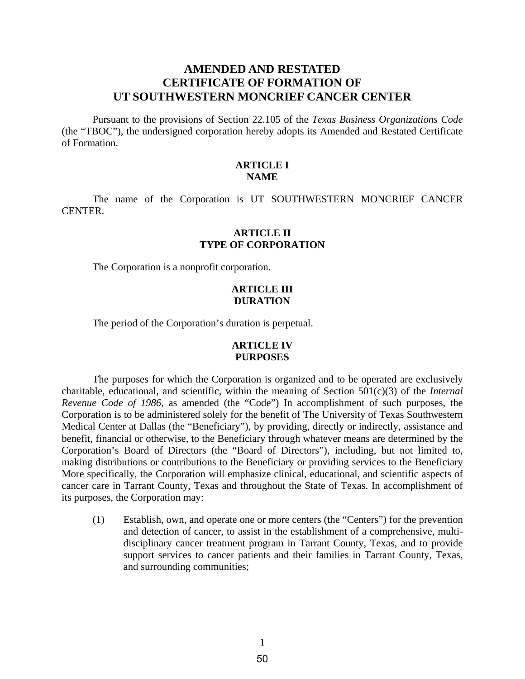# **AMENDED AND RESTATED CERTIFICATE OF FORMATION OF UT SOUTHWESTERN MONCRIEF CANCER CENTER**

Pursuant to the provisions of Section 22.105 of the *Texas Business Organizations Code* (the "TBOC"), the undersigned corporation hereby adopts its Amended and Restated Certificate of Formation.

# **ARTICLE I NAME**

The name of the Corporation is UT SOUTHWESTERN MONCRIEF CANCER CENTER.

#### **ARTICLE II TYPE OF CORPORATION**

The Corporation is a nonprofit corporation.

#### **ARTICLE III DURATION**

The period of the Corporation's duration is perpetual.

# **ARTICLE IV PURPOSES**

The purposes for which the Corporation is organized and to be operated are exclusively charitable, educational, and scientific, within the meaning of Section 501(c)(3) of the *Internal Revenue Code of 1986*, as amended (the "Code") In accomplishment of such purposes, the Corporation is to be administered solely for the benefit of The University of Texas Southwestern Medical Center at Dallas (the "Beneficiary"), by providing, directly or indirectly, assistance and benefit, financial or otherwise, to the Beneficiary through whatever means are determined by the Corporation's Board of Directors (the "Board of Directors"), including, but not limited to, making distributions or contributions to the Beneficiary or providing services to the Beneficiary More specifically, the Corporation will emphasize clinical, educational, and scientific aspects of cancer care in Tarrant County, Texas and throughout the State of Texas. In accomplishment of its purposes, the Corporation may:

(1) Establish, own, and operate one or more centers (the "Centers") for the prevention and detection of cancer, to assist in the establishment of a comprehensive, multidisciplinary cancer treatment program in Tarrant County, Texas, and to provide support services to cancer patients and their families in Tarrant County, Texas, and surrounding communities;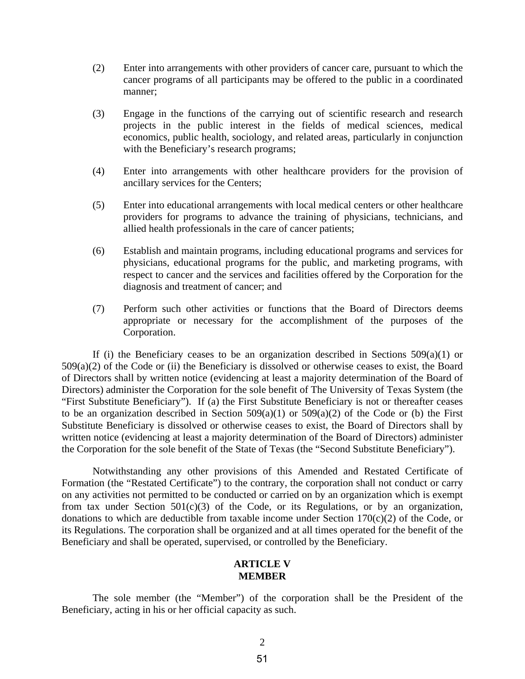- (2) Enter into arrangements with other providers of cancer care, pursuant to which the cancer programs of all participants may be offered to the public in a coordinated manner;
- (3) Engage in the functions of the carrying out of scientific research and research projects in the public interest in the fields of medical sciences, medical economics, public health, sociology, and related areas, particularly in conjunction with the Beneficiary's research programs;
- (4) Enter into arrangements with other healthcare providers for the provision of ancillary services for the Centers;
- (5) Enter into educational arrangements with local medical centers or other healthcare providers for programs to advance the training of physicians, technicians, and allied health professionals in the care of cancer patients;
- (6) Establish and maintain programs, including educational programs and services for physicians, educational programs for the public, and marketing programs, with respect to cancer and the services and facilities offered by the Corporation for the diagnosis and treatment of cancer; and
- (7) Perform such other activities or functions that the Board of Directors deems appropriate or necessary for the accomplishment of the purposes of the Corporation.

If (i) the Beneficiary ceases to be an organization described in Sections  $509(a)(1)$  or  $509(a)(2)$  of the Code or (ii) the Beneficiary is dissolved or otherwise ceases to exist, the Board of Directors shall by written notice (evidencing at least a majority determination of the Board of Directors) administer the Corporation for the sole benefit of The University of Texas System (the "First Substitute Beneficiary"). If (a) the First Substitute Beneficiary is not or thereafter ceases to be an organization described in Section  $509(a)(1)$  or  $509(a)(2)$  of the Code or (b) the First Substitute Beneficiary is dissolved or otherwise ceases to exist, the Board of Directors shall by written notice (evidencing at least a majority determination of the Board of Directors) administer the Corporation for the sole benefit of the State of Texas (the "Second Substitute Beneficiary").

Notwithstanding any other provisions of this Amended and Restated Certificate of Formation (the "Restated Certificate") to the contrary, the corporation shall not conduct or carry on any activities not permitted to be conducted or carried on by an organization which is exempt from tax under Section  $501(c)(3)$  of the Code, or its Regulations, or by an organization, donations to which are deductible from taxable income under Section  $170(c)(2)$  of the Code, or its Regulations. The corporation shall be organized and at all times operated for the benefit of the Beneficiary and shall be operated, supervised, or controlled by the Beneficiary.

#### **ARTICLE V MEMBER**

The sole member (the "Member") of the corporation shall be the President of the Beneficiary, acting in his or her official capacity as such.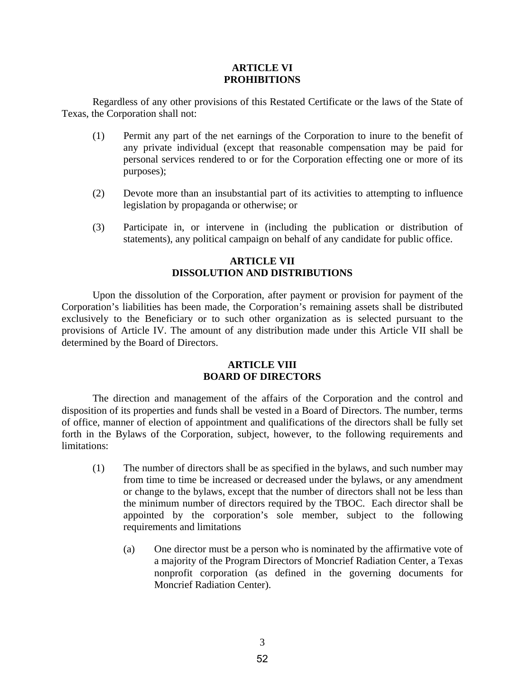#### **ARTICLE VI PROHIBITIONS**

Regardless of any other provisions of this Restated Certificate or the laws of the State of Texas, the Corporation shall not:

- (1) Permit any part of the net earnings of the Corporation to inure to the benefit of any private individual (except that reasonable compensation may be paid for personal services rendered to or for the Corporation effecting one or more of its purposes);
- (2) Devote more than an insubstantial part of its activities to attempting to influence legislation by propaganda or otherwise; or
- (3) Participate in, or intervene in (including the publication or distribution of statements), any political campaign on behalf of any candidate for public office.

# **ARTICLE VII DISSOLUTION AND DISTRIBUTIONS**

Upon the dissolution of the Corporation, after payment or provision for payment of the Corporation's liabilities has been made, the Corporation's remaining assets shall be distributed exclusively to the Beneficiary or to such other organization as is selected pursuant to the provisions of Article IV. The amount of any distribution made under this Article VII shall be determined by the Board of Directors.

### **ARTICLE VIII BOARD OF DIRECTORS**

The direction and management of the affairs of the Corporation and the control and disposition of its properties and funds shall be vested in a Board of Directors. The number, terms of office, manner of election of appointment and qualifications of the directors shall be fully set forth in the Bylaws of the Corporation, subject, however, to the following requirements and limitations:

- (1) The number of directors shall be as specified in the bylaws, and such number may from time to time be increased or decreased under the bylaws, or any amendment or change to the bylaws, except that the number of directors shall not be less than the minimum number of directors required by the TBOC. Each director shall be appointed by the corporation's sole member, subject to the following requirements and limitations
	- (a) One director must be a person who is nominated by the affirmative vote of a majority of the Program Directors of Moncrief Radiation Center, a Texas nonprofit corporation (as defined in the governing documents for Moncrief Radiation Center).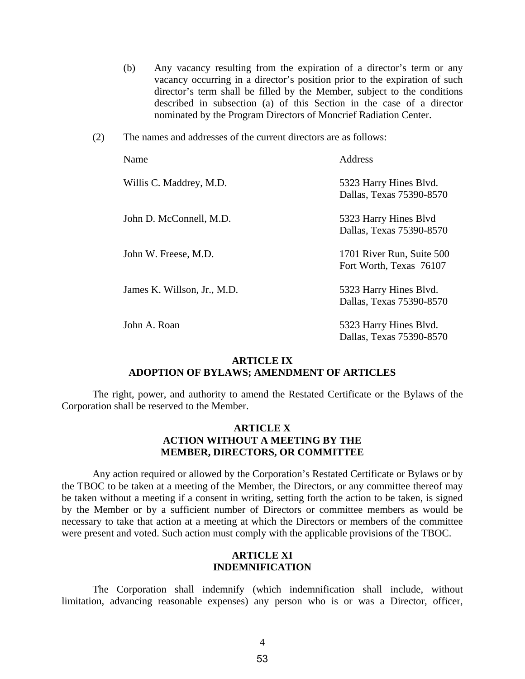- (b) Any vacancy resulting from the expiration of a director's term or any vacancy occurring in a director's position prior to the expiration of such director's term shall be filled by the Member, subject to the conditions described in subsection (a) of this Section in the case of a director nominated by the Program Directors of Moncrief Radiation Center.
- (2) The names and addresses of the current directors are as follows:

| Name |                             | Address                                              |
|------|-----------------------------|------------------------------------------------------|
|      | Willis C. Maddrey, M.D.     | 5323 Harry Hines Blvd.<br>Dallas, Texas 75390-8570   |
|      | John D. McConnell, M.D.     | 5323 Harry Hines Blvd<br>Dallas, Texas 75390-8570    |
|      | John W. Freese, M.D.        | 1701 River Run, Suite 500<br>Fort Worth, Texas 76107 |
|      | James K. Willson, Jr., M.D. | 5323 Harry Hines Blvd.<br>Dallas, Texas 75390-8570   |
|      | John A. Roan                | 5323 Harry Hines Blvd.<br>Dallas, Texas 75390-8570   |

#### **ARTICLE IX ADOPTION OF BYLAWS; AMENDMENT OF ARTICLES**

The right, power, and authority to amend the Restated Certificate or the Bylaws of the Corporation shall be reserved to the Member.

# **ARTICLE X ACTION WITHOUT A MEETING BY THE MEMBER, DIRECTORS, OR COMMITTEE**

Any action required or allowed by the Corporation's Restated Certificate or Bylaws or by the TBOC to be taken at a meeting of the Member, the Directors, or any committee thereof may be taken without a meeting if a consent in writing, setting forth the action to be taken, is signed by the Member or by a sufficient number of Directors or committee members as would be necessary to take that action at a meeting at which the Directors or members of the committee were present and voted. Such action must comply with the applicable provisions of the TBOC.

# **ARTICLE XI INDEMNIFICATION**

The Corporation shall indemnify (which indemnification shall include, without limitation, advancing reasonable expenses) any person who is or was a Director, officer,

53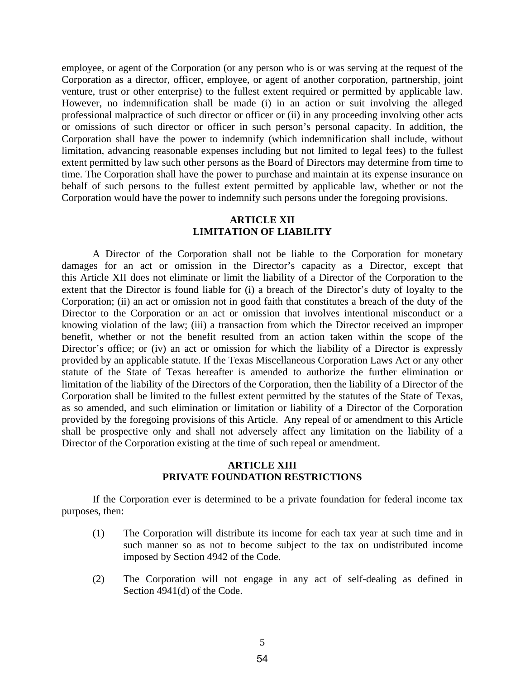employee, or agent of the Corporation (or any person who is or was serving at the request of the Corporation as a director, officer, employee, or agent of another corporation, partnership, joint venture, trust or other enterprise) to the fullest extent required or permitted by applicable law. However, no indemnification shall be made (i) in an action or suit involving the alleged professional malpractice of such director or officer or (ii) in any proceeding involving other acts or omissions of such director or officer in such person's personal capacity. In addition, the Corporation shall have the power to indemnify (which indemnification shall include, without limitation, advancing reasonable expenses including but not limited to legal fees) to the fullest extent permitted by law such other persons as the Board of Directors may determine from time to time. The Corporation shall have the power to purchase and maintain at its expense insurance on behalf of such persons to the fullest extent permitted by applicable law, whether or not the Corporation would have the power to indemnify such persons under the foregoing provisions.

#### **ARTICLE XII LIMITATION OF LIABILITY**

A Director of the Corporation shall not be liable to the Corporation for monetary damages for an act or omission in the Director's capacity as a Director, except that this Article XII does not eliminate or limit the liability of a Director of the Corporation to the extent that the Director is found liable for (i) a breach of the Director's duty of loyalty to the Corporation; (ii) an act or omission not in good faith that constitutes a breach of the duty of the Director to the Corporation or an act or omission that involves intentional misconduct or a knowing violation of the law; (iii) a transaction from which the Director received an improper benefit, whether or not the benefit resulted from an action taken within the scope of the Director's office; or (iv) an act or omission for which the liability of a Director is expressly provided by an applicable statute. If the Texas Miscellaneous Corporation Laws Act or any other statute of the State of Texas hereafter is amended to authorize the further elimination or limitation of the liability of the Directors of the Corporation, then the liability of a Director of the Corporation shall be limited to the fullest extent permitted by the statutes of the State of Texas, as so amended, and such elimination or limitation or liability of a Director of the Corporation provided by the foregoing provisions of this Article. Any repeal of or amendment to this Article shall be prospective only and shall not adversely affect any limitation on the liability of a Director of the Corporation existing at the time of such repeal or amendment.

# **ARTICLE XIII PRIVATE FOUNDATION RESTRICTIONS**

If the Corporation ever is determined to be a private foundation for federal income tax purposes, then:

- (1) The Corporation will distribute its income for each tax year at such time and in such manner so as not to become subject to the tax on undistributed income imposed by Section 4942 of the Code.
- (2) The Corporation will not engage in any act of self-dealing as defined in Section 4941(d) of the Code.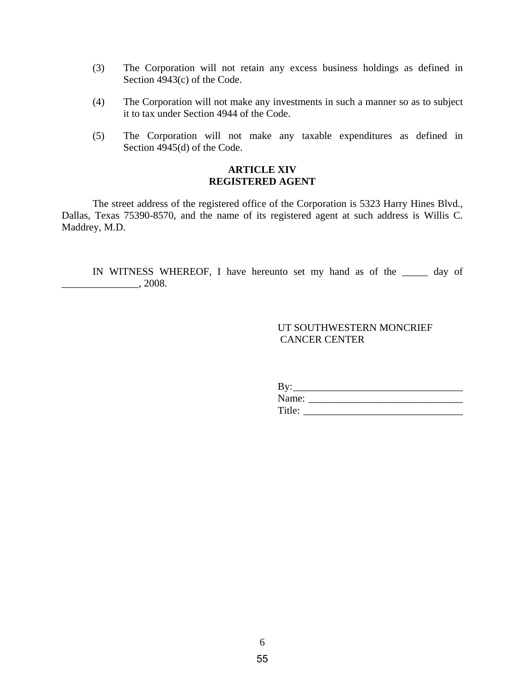- (3) The Corporation will not retain any excess business holdings as defined in Section 4943(c) of the Code.
- (4) The Corporation will not make any investments in such a manner so as to subject it to tax under Section 4944 of the Code.
- (5) The Corporation will not make any taxable expenditures as defined in Section 4945(d) of the Code.

# **ARTICLE XIV REGISTERED AGENT**

The street address of the registered office of the Corporation is 5323 Harry Hines Blvd., Dallas, Texas 75390-8570, and the name of its registered agent at such address is Willis C. Maddrey, M.D.

IN WITNESS WHEREOF, I have hereunto set my hand as of the \_\_\_\_\_ day of \_\_\_\_\_\_\_\_\_\_\_\_\_\_\_, 2008.

# UT SOUTHWESTERN MONCRIEF CANCER CENTER

| D<br>ற |
|--------|
| Name:  |
| Title: |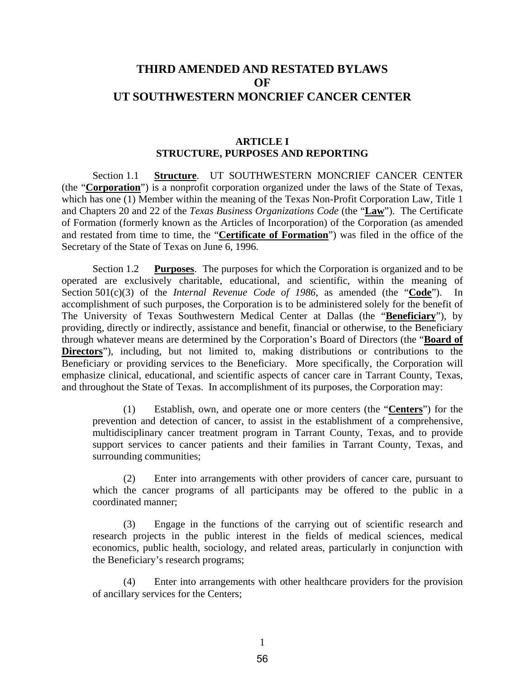# **THIRD AMENDED AND RESTATED BYLAWS OF UT SOUTHWESTERN MONCRIEF CANCER CENTER**

#### **ARTICLE I STRUCTURE, PURPOSES AND REPORTING**

Section 1.1 **Structure**. UT SOUTHWESTERN MONCRIEF CANCER CENTER (the "**Corporation**") is a nonprofit corporation organized under the laws of the State of Texas, which has one (1) Member within the meaning of the Texas Non-Profit Corporation Law, Title 1 and Chapters 20 and 22 of the *Texas Business Organizations Code* (the "**Law**"). The Certificate of Formation (formerly known as the Articles of Incorporation) of the Corporation (as amended and restated from time to time, the "**Certificate of Formation**") was filed in the office of the Secretary of the State of Texas on June 6, 1996.

Section 1.2 **Purposes**. The purposes for which the Corporation is organized and to be operated are exclusively charitable, educational, and scientific, within the meaning of Section 501(c)(3) of the *Internal Revenue Code of 1986*, as amended (the "Code"). In accomplishment of such purposes, the Corporation is to be administered solely for the benefit of The University of Texas Southwestern Medical Center at Dallas (the "**Beneficiary**"), by providing, directly or indirectly, assistance and benefit, financial or otherwise, to the Beneficiary through whatever means are determined by the Corporation's Board of Directors (the "**Board of Directors**"), including, but not limited to, making distributions or contributions to the Beneficiary or providing services to the Beneficiary. More specifically, the Corporation will emphasize clinical, educational, and scientific aspects of cancer care in Tarrant County, Texas, and throughout the State of Texas. In accomplishment of its purposes, the Corporation may:

(1) Establish, own, and operate one or more centers (the "**Centers**") for the prevention and detection of cancer, to assist in the establishment of a comprehensive, multidisciplinary cancer treatment program in Tarrant County, Texas, and to provide support services to cancer patients and their families in Tarrant County, Texas, and surrounding communities;

(2) Enter into arrangements with other providers of cancer care, pursuant to which the cancer programs of all participants may be offered to the public in a coordinated manner;

(3) Engage in the functions of the carrying out of scientific research and research projects in the public interest in the fields of medical sciences, medical economics, public health, sociology, and related areas, particularly in conjunction with the Beneficiary's research programs;

(4) Enter into arrangements with other healthcare providers for the provision of ancillary services for the Centers;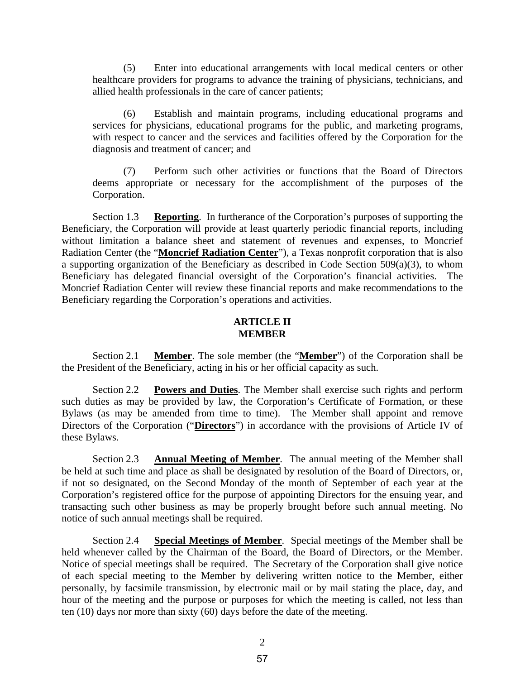(5) Enter into educational arrangements with local medical centers or other healthcare providers for programs to advance the training of physicians, technicians, and allied health professionals in the care of cancer patients;

(6) Establish and maintain programs, including educational programs and services for physicians, educational programs for the public, and marketing programs, with respect to cancer and the services and facilities offered by the Corporation for the diagnosis and treatment of cancer; and

(7) Perform such other activities or functions that the Board of Directors deems appropriate or necessary for the accomplishment of the purposes of the Corporation.

Section 1.3 **Reporting**. In furtherance of the Corporation's purposes of supporting the Beneficiary, the Corporation will provide at least quarterly periodic financial reports, including without limitation a balance sheet and statement of revenues and expenses, to Moncrief Radiation Center (the "**Moncrief Radiation Center**"), a Texas nonprofit corporation that is also a supporting organization of the Beneficiary as described in Code Section 509(a)(3), to whom Beneficiary has delegated financial oversight of the Corporation's financial activities. The Moncrief Radiation Center will review these financial reports and make recommendations to the Beneficiary regarding the Corporation's operations and activities.

#### **ARTICLE II MEMBER**

Section 2.1 **Member**. The sole member (the "**Member**") of the Corporation shall be the President of the Beneficiary, acting in his or her official capacity as such.

Section 2.2 **Powers and Duties**. The Member shall exercise such rights and perform such duties as may be provided by law, the Corporation's Certificate of Formation, or these Bylaws (as may be amended from time to time). The Member shall appoint and remove Directors of the Corporation ("**Directors**") in accordance with the provisions of Article IV of these Bylaws.

Section 2.3 **Annual Meeting of Member**. The annual meeting of the Member shall be held at such time and place as shall be designated by resolution of the Board of Directors, or, if not so designated, on the Second Monday of the month of September of each year at the Corporation's registered office for the purpose of appointing Directors for the ensuing year, and transacting such other business as may be properly brought before such annual meeting. No notice of such annual meetings shall be required.

Section 2.4 **Special Meetings of Member**. Special meetings of the Member shall be held whenever called by the Chairman of the Board, the Board of Directors, or the Member. Notice of special meetings shall be required. The Secretary of the Corporation shall give notice of each special meeting to the Member by delivering written notice to the Member, either personally, by facsimile transmission, by electronic mail or by mail stating the place, day, and hour of the meeting and the purpose or purposes for which the meeting is called, not less than ten (10) days nor more than sixty (60) days before the date of the meeting.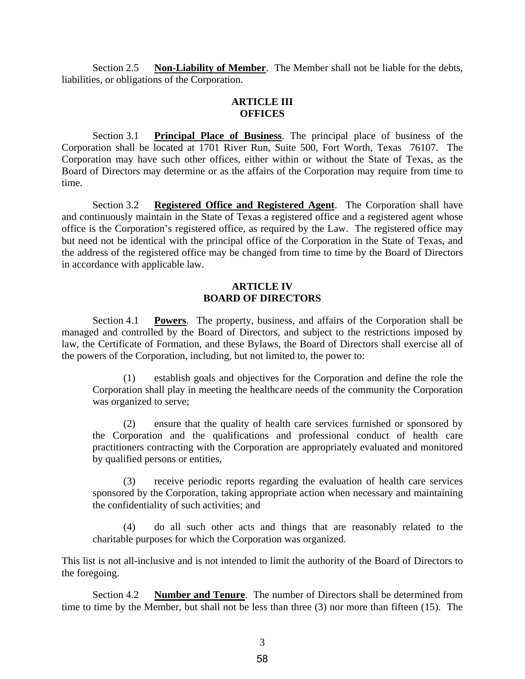Section 2.5 **Non-Liability of Member**. The Member shall not be liable for the debts, liabilities, or obligations of the Corporation.

# **ARTICLE III OFFICES**

Section 3.1 **Principal Place of Business**. The principal place of business of the Corporation shall be located at 1701 River Run, Suite 500, Fort Worth, Texas 76107. The Corporation may have such other offices, either within or without the State of Texas, as the Board of Directors may determine or as the affairs of the Corporation may require from time to time.

Section 3.2 **Registered Office and Registered Agent**. The Corporation shall have and continuously maintain in the State of Texas a registered office and a registered agent whose office is the Corporation's registered office, as required by the Law. The registered office may but need not be identical with the principal office of the Corporation in the State of Texas, and the address of the registered office may be changed from time to time by the Board of Directors in accordance with applicable law.

# **ARTICLE IV BOARD OF DIRECTORS**

Section 4.1 **Powers**. The property, business, and affairs of the Corporation shall be managed and controlled by the Board of Directors, and subject to the restrictions imposed by law, the Certificate of Formation, and these Bylaws, the Board of Directors shall exercise all of the powers of the Corporation, including, but not limited to, the power to:

(1) establish goals and objectives for the Corporation and define the role the Corporation shall play in meeting the healthcare needs of the community the Corporation was organized to serve;

(2) ensure that the quality of health care services furnished or sponsored by the Corporation and the qualifications and professional conduct of health care practitioners contracting with the Corporation are appropriately evaluated and monitored by qualified persons or entities,

(3) receive periodic reports regarding the evaluation of health care services sponsored by the Corporation, taking appropriate action when necessary and maintaining the confidentiality of such activities; and

(4) do all such other acts and things that are reasonably related to the charitable purposes for which the Corporation was organized.

This list is not all-inclusive and is not intended to limit the authority of the Board of Directors to the foregoing.

Section 4.2 **Number and Tenure**. The number of Directors shall be determined from time to time by the Member, but shall not be less than three (3) nor more than fifteen (15). The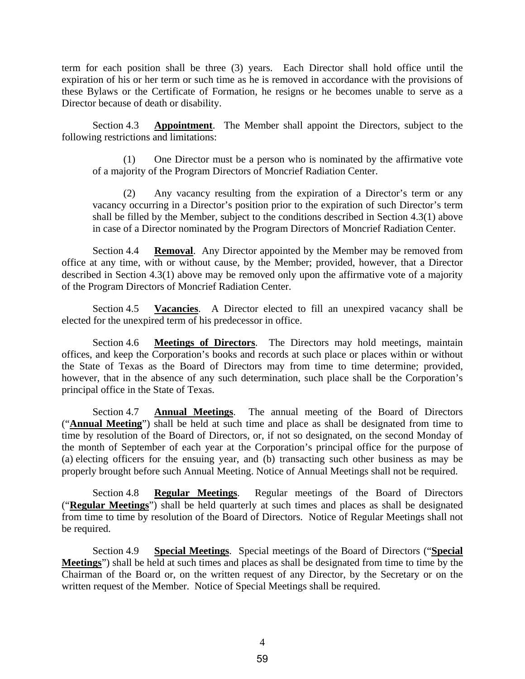term for each position shall be three (3) years. Each Director shall hold office until the expiration of his or her term or such time as he is removed in accordance with the provisions of these Bylaws or the Certificate of Formation, he resigns or he becomes unable to serve as a Director because of death or disability.

Section 4.3 **Appointment**. The Member shall appoint the Directors, subject to the following restrictions and limitations:

(1) One Director must be a person who is nominated by the affirmative vote of a majority of the Program Directors of Moncrief Radiation Center.

(2) Any vacancy resulting from the expiration of a Director's term or any vacancy occurring in a Director's position prior to the expiration of such Director's term shall be filled by the Member, subject to the conditions described in Section 4.3(1) above in case of a Director nominated by the Program Directors of Moncrief Radiation Center.

Section 4.4 **Removal**. Any Director appointed by the Member may be removed from office at any time, with or without cause, by the Member; provided, however, that a Director described in Section 4.3(1) above may be removed only upon the affirmative vote of a majority of the Program Directors of Moncrief Radiation Center.

Section 4.5 **Vacancies**. A Director elected to fill an unexpired vacancy shall be elected for the unexpired term of his predecessor in office.

Section 4.6 **Meetings of Directors**. The Directors may hold meetings, maintain offices, and keep the Corporation's books and records at such place or places within or without the State of Texas as the Board of Directors may from time to time determine; provided, however, that in the absence of any such determination, such place shall be the Corporation's principal office in the State of Texas.

Section 4.7 **Annual Meetings**. The annual meeting of the Board of Directors ("**Annual Meeting**") shall be held at such time and place as shall be designated from time to time by resolution of the Board of Directors, or, if not so designated, on the second Monday of the month of September of each year at the Corporation's principal office for the purpose of (a) electing officers for the ensuing year, and (b) transacting such other business as may be properly brought before such Annual Meeting. Notice of Annual Meetings shall not be required.

Section 4.8 **Regular Meetings**. Regular meetings of the Board of Directors ("**Regular Meetings**") shall be held quarterly at such times and places as shall be designated from time to time by resolution of the Board of Directors. Notice of Regular Meetings shall not be required.

Section 4.9 **Special Meetings**. Special meetings of the Board of Directors ("**Special Meetings**") shall be held at such times and places as shall be designated from time to time by the Chairman of the Board or, on the written request of any Director, by the Secretary or on the written request of the Member. Notice of Special Meetings shall be required.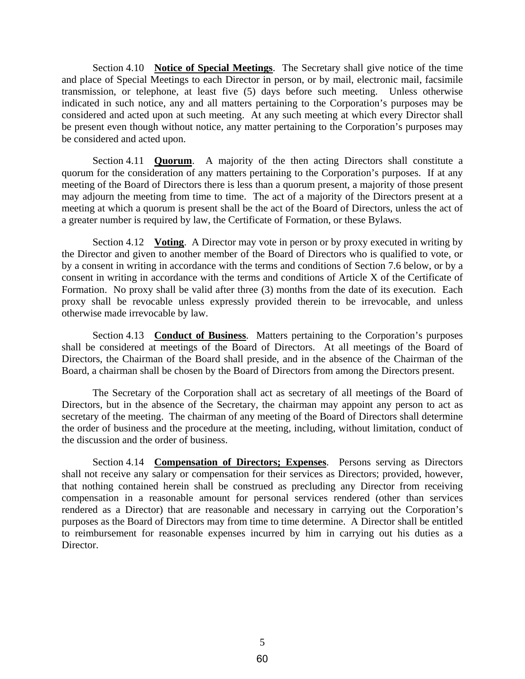Section 4.10 **Notice of Special Meetings**. The Secretary shall give notice of the time and place of Special Meetings to each Director in person, or by mail, electronic mail, facsimile transmission, or telephone, at least five (5) days before such meeting. Unless otherwise indicated in such notice, any and all matters pertaining to the Corporation's purposes may be considered and acted upon at such meeting. At any such meeting at which every Director shall be present even though without notice, any matter pertaining to the Corporation's purposes may be considered and acted upon.

Section 4.11 **Quorum**. A majority of the then acting Directors shall constitute a quorum for the consideration of any matters pertaining to the Corporation's purposes. If at any meeting of the Board of Directors there is less than a quorum present, a majority of those present may adjourn the meeting from time to time. The act of a majority of the Directors present at a meeting at which a quorum is present shall be the act of the Board of Directors, unless the act of a greater number is required by law, the Certificate of Formation, or these Bylaws.

Section 4.12 **Voting**. A Director may vote in person or by proxy executed in writing by the Director and given to another member of the Board of Directors who is qualified to vote, or by a consent in writing in accordance with the terms and conditions of Section 7.6 below, or by a consent in writing in accordance with the terms and conditions of Article X of the Certificate of Formation. No proxy shall be valid after three (3) months from the date of its execution. Each proxy shall be revocable unless expressly provided therein to be irrevocable, and unless otherwise made irrevocable by law.

Section 4.13 **Conduct of Business**. Matters pertaining to the Corporation's purposes shall be considered at meetings of the Board of Directors. At all meetings of the Board of Directors, the Chairman of the Board shall preside, and in the absence of the Chairman of the Board, a chairman shall be chosen by the Board of Directors from among the Directors present.

The Secretary of the Corporation shall act as secretary of all meetings of the Board of Directors, but in the absence of the Secretary, the chairman may appoint any person to act as secretary of the meeting. The chairman of any meeting of the Board of Directors shall determine the order of business and the procedure at the meeting, including, without limitation, conduct of the discussion and the order of business.

Section 4.14 **Compensation of Directors; Expenses**. Persons serving as Directors shall not receive any salary or compensation for their services as Directors; provided, however, that nothing contained herein shall be construed as precluding any Director from receiving compensation in a reasonable amount for personal services rendered (other than services rendered as a Director) that are reasonable and necessary in carrying out the Corporation's purposes as the Board of Directors may from time to time determine. A Director shall be entitled to reimbursement for reasonable expenses incurred by him in carrying out his duties as a Director.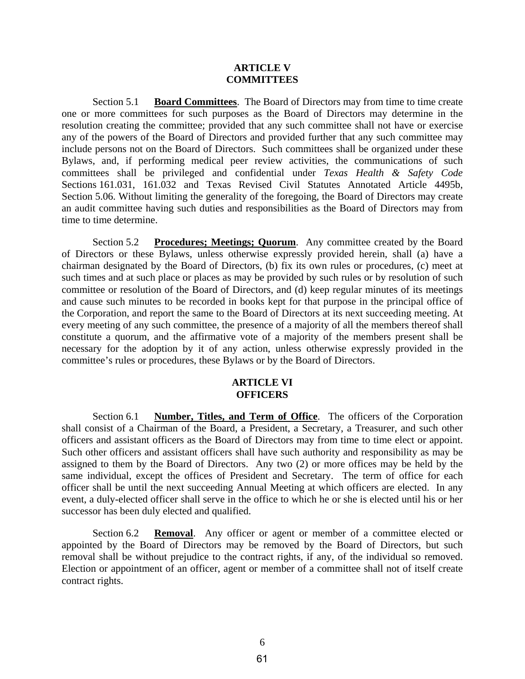#### **ARTICLE V COMMITTEES**

Section 5.1 **Board Committees**. The Board of Directors may from time to time create one or more committees for such purposes as the Board of Directors may determine in the resolution creating the committee; provided that any such committee shall not have or exercise any of the powers of the Board of Directors and provided further that any such committee may include persons not on the Board of Directors. Such committees shall be organized under these Bylaws, and, if performing medical peer review activities, the communications of such committees shall be privileged and confidential under *Texas Health & Safety Code* Sections 161.031, 161.032 and Texas Revised Civil Statutes Annotated Article 4495b, Section 5.06. Without limiting the generality of the foregoing, the Board of Directors may create an audit committee having such duties and responsibilities as the Board of Directors may from time to time determine.

Section 5.2 **Procedures; Meetings; Quorum**. Any committee created by the Board of Directors or these Bylaws, unless otherwise expressly provided herein, shall (a) have a chairman designated by the Board of Directors, (b) fix its own rules or procedures, (c) meet at such times and at such place or places as may be provided by such rules or by resolution of such committee or resolution of the Board of Directors, and (d) keep regular minutes of its meetings and cause such minutes to be recorded in books kept for that purpose in the principal office of the Corporation, and report the same to the Board of Directors at its next succeeding meeting. At every meeting of any such committee, the presence of a majority of all the members thereof shall constitute a quorum, and the affirmative vote of a majority of the members present shall be necessary for the adoption by it of any action, unless otherwise expressly provided in the committee's rules or procedures, these Bylaws or by the Board of Directors.

#### **ARTICLE VI OFFICERS**

Section 6.1 **Number, Titles, and Term of Office**. The officers of the Corporation shall consist of a Chairman of the Board, a President, a Secretary, a Treasurer, and such other officers and assistant officers as the Board of Directors may from time to time elect or appoint. Such other officers and assistant officers shall have such authority and responsibility as may be assigned to them by the Board of Directors. Any two (2) or more offices may be held by the same individual, except the offices of President and Secretary. The term of office for each officer shall be until the next succeeding Annual Meeting at which officers are elected. In any event, a duly-elected officer shall serve in the office to which he or she is elected until his or her successor has been duly elected and qualified.

Section 6.2 **Removal**. Any officer or agent or member of a committee elected or appointed by the Board of Directors may be removed by the Board of Directors, but such removal shall be without prejudice to the contract rights, if any, of the individual so removed. Election or appointment of an officer, agent or member of a committee shall not of itself create contract rights.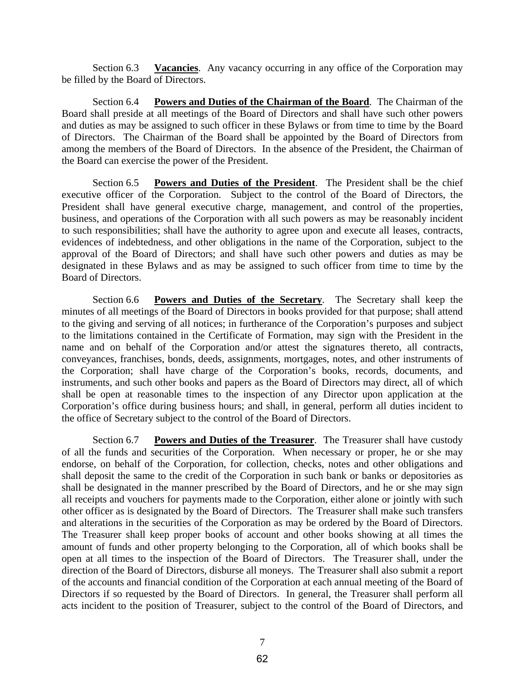Section 6.3 **Vacancies**. Any vacancy occurring in any office of the Corporation may be filled by the Board of Directors.

Section 6.4 **Powers and Duties of the Chairman of the Board**. The Chairman of the Board shall preside at all meetings of the Board of Directors and shall have such other powers and duties as may be assigned to such officer in these Bylaws or from time to time by the Board of Directors. The Chairman of the Board shall be appointed by the Board of Directors from among the members of the Board of Directors. In the absence of the President, the Chairman of the Board can exercise the power of the President.

Section 6.5 **Powers and Duties of the President**. The President shall be the chief executive officer of the Corporation. Subject to the control of the Board of Directors, the President shall have general executive charge, management, and control of the properties, business, and operations of the Corporation with all such powers as may be reasonably incident to such responsibilities; shall have the authority to agree upon and execute all leases, contracts, evidences of indebtedness, and other obligations in the name of the Corporation, subject to the approval of the Board of Directors; and shall have such other powers and duties as may be designated in these Bylaws and as may be assigned to such officer from time to time by the Board of Directors.

Section 6.6 **Powers and Duties of the Secretary**. The Secretary shall keep the minutes of all meetings of the Board of Directors in books provided for that purpose; shall attend to the giving and serving of all notices; in furtherance of the Corporation's purposes and subject to the limitations contained in the Certificate of Formation, may sign with the President in the name and on behalf of the Corporation and/or attest the signatures thereto, all contracts, conveyances, franchises, bonds, deeds, assignments, mortgages, notes, and other instruments of the Corporation; shall have charge of the Corporation's books, records, documents, and instruments, and such other books and papers as the Board of Directors may direct, all of which shall be open at reasonable times to the inspection of any Director upon application at the Corporation's office during business hours; and shall, in general, perform all duties incident to the office of Secretary subject to the control of the Board of Directors.

Section 6.7 **Powers and Duties of the Treasurer**. The Treasurer shall have custody of all the funds and securities of the Corporation. When necessary or proper, he or she may endorse, on behalf of the Corporation, for collection, checks, notes and other obligations and shall deposit the same to the credit of the Corporation in such bank or banks or depositories as shall be designated in the manner prescribed by the Board of Directors, and he or she may sign all receipts and vouchers for payments made to the Corporation, either alone or jointly with such other officer as is designated by the Board of Directors. The Treasurer shall make such transfers and alterations in the securities of the Corporation as may be ordered by the Board of Directors. The Treasurer shall keep proper books of account and other books showing at all times the amount of funds and other property belonging to the Corporation, all of which books shall be open at all times to the inspection of the Board of Directors. The Treasurer shall, under the direction of the Board of Directors, disburse all moneys. The Treasurer shall also submit a report of the accounts and financial condition of the Corporation at each annual meeting of the Board of Directors if so requested by the Board of Directors. In general, the Treasurer shall perform all acts incident to the position of Treasurer, subject to the control of the Board of Directors, and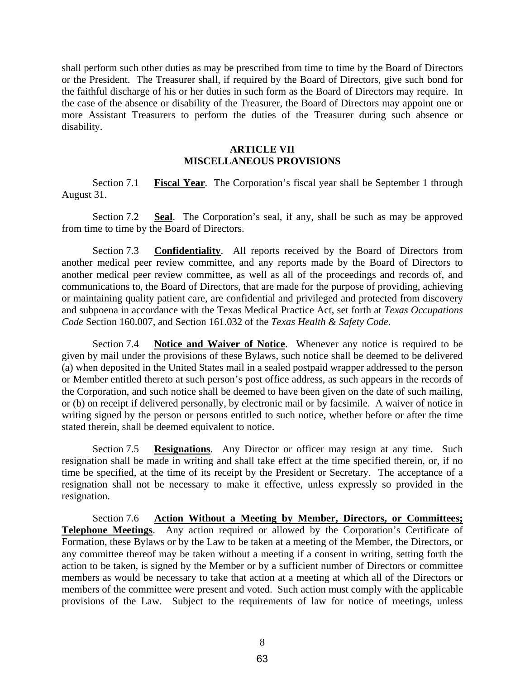shall perform such other duties as may be prescribed from time to time by the Board of Directors or the President. The Treasurer shall, if required by the Board of Directors, give such bond for the faithful discharge of his or her duties in such form as the Board of Directors may require. In the case of the absence or disability of the Treasurer, the Board of Directors may appoint one or more Assistant Treasurers to perform the duties of the Treasurer during such absence or disability.

# **ARTICLE VII MISCELLANEOUS PROVISIONS**

Section 7.1 **Fiscal Year**. The Corporation's fiscal year shall be September 1 through August 31.

Section 7.2 **Seal**. The Corporation's seal, if any, shall be such as may be approved from time to time by the Board of Directors.

Section 7.3 **Confidentiality**. All reports received by the Board of Directors from another medical peer review committee, and any reports made by the Board of Directors to another medical peer review committee, as well as all of the proceedings and records of, and communications to, the Board of Directors, that are made for the purpose of providing, achieving or maintaining quality patient care, are confidential and privileged and protected from discovery and subpoena in accordance with the Texas Medical Practice Act, set forth at *Texas Occupations Code* Section 160.007, and Section 161.032 of the *Texas Health & Safety Code*.

Section 7.4 **Notice and Waiver of Notice**. Whenever any notice is required to be given by mail under the provisions of these Bylaws, such notice shall be deemed to be delivered (a) when deposited in the United States mail in a sealed postpaid wrapper addressed to the person or Member entitled thereto at such person's post office address, as such appears in the records of the Corporation, and such notice shall be deemed to have been given on the date of such mailing, or (b) on receipt if delivered personally, by electronic mail or by facsimile. A waiver of notice in writing signed by the person or persons entitled to such notice, whether before or after the time stated therein, shall be deemed equivalent to notice.

Section 7.5 **Resignations**. Any Director or officer may resign at any time. Such resignation shall be made in writing and shall take effect at the time specified therein, or, if no time be specified, at the time of its receipt by the President or Secretary. The acceptance of a resignation shall not be necessary to make it effective, unless expressly so provided in the resignation.

Section 7.6 **Action Without a Meeting by Member, Directors, or Committees; Telephone Meetings**. Any action required or allowed by the Corporation's Certificate of Formation, these Bylaws or by the Law to be taken at a meeting of the Member, the Directors, or any committee thereof may be taken without a meeting if a consent in writing, setting forth the action to be taken, is signed by the Member or by a sufficient number of Directors or committee members as would be necessary to take that action at a meeting at which all of the Directors or members of the committee were present and voted. Such action must comply with the applicable provisions of the Law. Subject to the requirements of law for notice of meetings, unless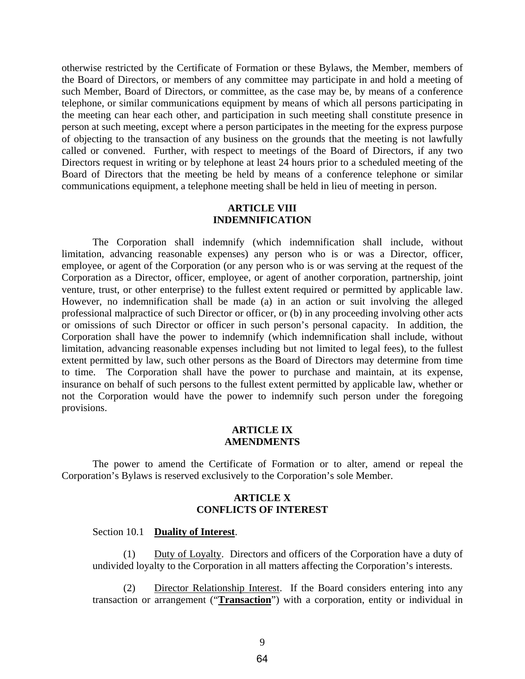otherwise restricted by the Certificate of Formation or these Bylaws, the Member, members of the Board of Directors, or members of any committee may participate in and hold a meeting of such Member, Board of Directors, or committee, as the case may be, by means of a conference telephone, or similar communications equipment by means of which all persons participating in the meeting can hear each other, and participation in such meeting shall constitute presence in person at such meeting, except where a person participates in the meeting for the express purpose of objecting to the transaction of any business on the grounds that the meeting is not lawfully called or convened. Further, with respect to meetings of the Board of Directors, if any two Directors request in writing or by telephone at least 24 hours prior to a scheduled meeting of the Board of Directors that the meeting be held by means of a conference telephone or similar communications equipment, a telephone meeting shall be held in lieu of meeting in person.

#### **ARTICLE VIII INDEMNIFICATION**

The Corporation shall indemnify (which indemnification shall include, without limitation, advancing reasonable expenses) any person who is or was a Director, officer, employee, or agent of the Corporation (or any person who is or was serving at the request of the Corporation as a Director, officer, employee, or agent of another corporation, partnership, joint venture, trust, or other enterprise) to the fullest extent required or permitted by applicable law. However, no indemnification shall be made (a) in an action or suit involving the alleged professional malpractice of such Director or officer, or (b) in any proceeding involving other acts or omissions of such Director or officer in such person's personal capacity. In addition, the Corporation shall have the power to indemnify (which indemnification shall include, without limitation, advancing reasonable expenses including but not limited to legal fees), to the fullest extent permitted by law, such other persons as the Board of Directors may determine from time to time. The Corporation shall have the power to purchase and maintain, at its expense, insurance on behalf of such persons to the fullest extent permitted by applicable law, whether or not the Corporation would have the power to indemnify such person under the foregoing provisions.

#### **ARTICLE IX AMENDMENTS**

The power to amend the Certificate of Formation or to alter, amend or repeal the Corporation's Bylaws is reserved exclusively to the Corporation's sole Member.

#### **ARTICLE X CONFLICTS OF INTEREST**

#### Section 10.1 **Duality of Interest**.

(1) Duty of Loyalty. Directors and officers of the Corporation have a duty of undivided loyalty to the Corporation in all matters affecting the Corporation's interests.

(2) Director Relationship Interest. If the Board considers entering into any transaction or arrangement ("**Transaction**") with a corporation, entity or individual in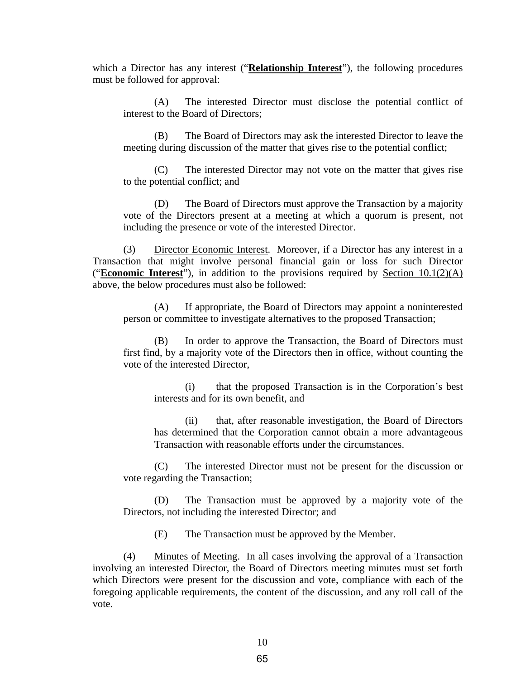which a Director has any interest ("**Relationship Interest**"), the following procedures must be followed for approval:

(A) The interested Director must disclose the potential conflict of interest to the Board of Directors;

(B) The Board of Directors may ask the interested Director to leave the meeting during discussion of the matter that gives rise to the potential conflict;

(C) The interested Director may not vote on the matter that gives rise to the potential conflict; and

(D) The Board of Directors must approve the Transaction by a majority vote of the Directors present at a meeting at which a quorum is present, not including the presence or vote of the interested Director.

(3) Director Economic Interest. Moreover, if a Director has any interest in a Transaction that might involve personal financial gain or loss for such Director ("**Economic Interest**"), in addition to the provisions required by Section 10.1(2)(A) above, the below procedures must also be followed:

(A) If appropriate, the Board of Directors may appoint a noninterested person or committee to investigate alternatives to the proposed Transaction;

In order to approve the Transaction, the Board of Directors must first find, by a majority vote of the Directors then in office, without counting the vote of the interested Director,

(i) that the proposed Transaction is in the Corporation's best interests and for its own benefit, and

(ii) that, after reasonable investigation, the Board of Directors has determined that the Corporation cannot obtain a more advantageous Transaction with reasonable efforts under the circumstances.

(C) The interested Director must not be present for the discussion or vote regarding the Transaction;

(D) The Transaction must be approved by a majority vote of the Directors, not including the interested Director; and

(E) The Transaction must be approved by the Member.

(4) Minutes of Meeting. In all cases involving the approval of a Transaction involving an interested Director, the Board of Directors meeting minutes must set forth which Directors were present for the discussion and vote, compliance with each of the foregoing applicable requirements, the content of the discussion, and any roll call of the vote.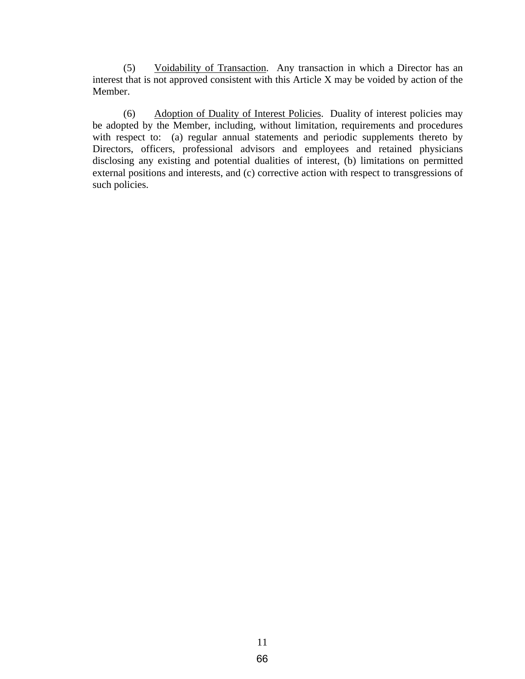(5) Voidability of Transaction. Any transaction in which a Director has an interest that is not approved consistent with this Article X may be voided by action of the Member.

(6) Adoption of Duality of Interest Policies. Duality of interest policies may be adopted by the Member, including, without limitation, requirements and procedures with respect to: (a) regular annual statements and periodic supplements thereto by Directors, officers, professional advisors and employees and retained physicians disclosing any existing and potential dualities of interest, (b) limitations on permitted external positions and interests, and (c) corrective action with respect to transgressions of such policies.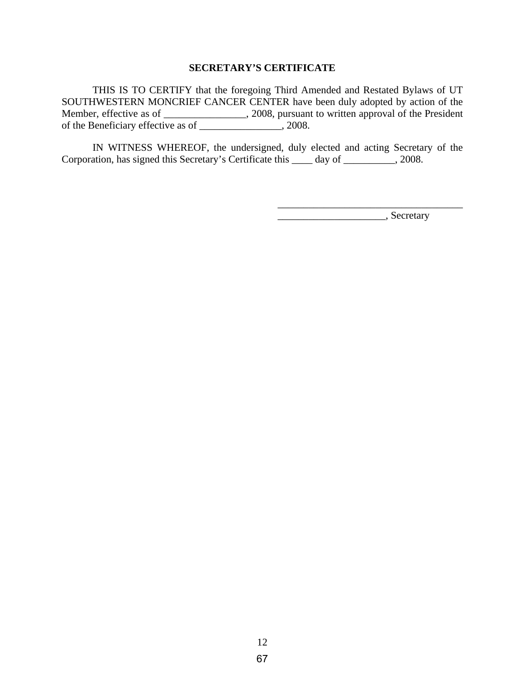#### **SECRETARY'S CERTIFICATE**

THIS IS TO CERTIFY that the foregoing Third Amended and Restated Bylaws of UT SOUTHWESTERN MONCRIEF CANCER CENTER have been duly adopted by action of the Member, effective as of \_\_\_\_\_\_\_\_\_\_\_\_\_\_\_\_, 2008, pursuant to written approval of the President of the Beneficiary effective as of \_\_\_\_\_\_\_\_\_\_\_\_\_\_\_\_, 2008.

IN WITNESS WHEREOF, the undersigned, duly elected and acting Secretary of the Corporation, has signed this Secretary's Certificate this \_\_\_\_ day of \_\_\_\_\_\_\_\_\_\_, 2008.

 $\overline{\phantom{a}}$  , which is a set of the set of the set of the set of the set of the set of the set of the set of the set of the set of the set of the set of the set of the set of the set of the set of the set of the set of th

 $\overline{\phantom{a}}$ , Secretary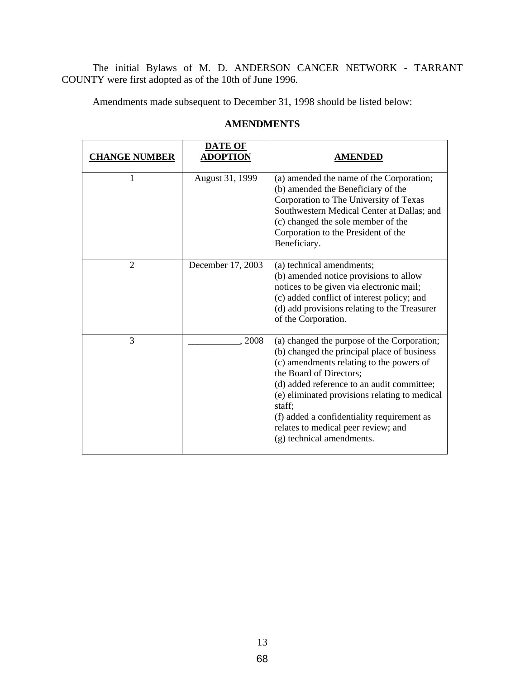The initial Bylaws of M. D. ANDERSON CANCER NETWORK - TARRANT COUNTY were first adopted as of the 10th of June 1996.

Amendments made subsequent to December 31, 1998 should be listed below:

| <b>CHANGE NUMBER</b> | <b>DATE OF</b><br>ADOPTION | <b>AMENDED</b>                                                                                                                                                                                                                                                                                                                                                                               |
|----------------------|----------------------------|----------------------------------------------------------------------------------------------------------------------------------------------------------------------------------------------------------------------------------------------------------------------------------------------------------------------------------------------------------------------------------------------|
| 1                    | August 31, 1999            | (a) amended the name of the Corporation;<br>(b) amended the Beneficiary of the<br>Corporation to The University of Texas<br>Southwestern Medical Center at Dallas; and<br>(c) changed the sole member of the<br>Corporation to the President of the<br>Beneficiary.                                                                                                                          |
| $\overline{2}$       | December 17, 2003          | (a) technical amendments;<br>(b) amended notice provisions to allow<br>notices to be given via electronic mail;<br>(c) added conflict of interest policy; and<br>(d) add provisions relating to the Treasurer<br>of the Corporation.                                                                                                                                                         |
| 3                    | 2008                       | (a) changed the purpose of the Corporation;<br>(b) changed the principal place of business<br>(c) amendments relating to the powers of<br>the Board of Directors;<br>(d) added reference to an audit committee;<br>(e) eliminated provisions relating to medical<br>staff;<br>(f) added a confidentiality requirement as<br>relates to medical peer review; and<br>(g) technical amendments. |

# **AMENDMENTS**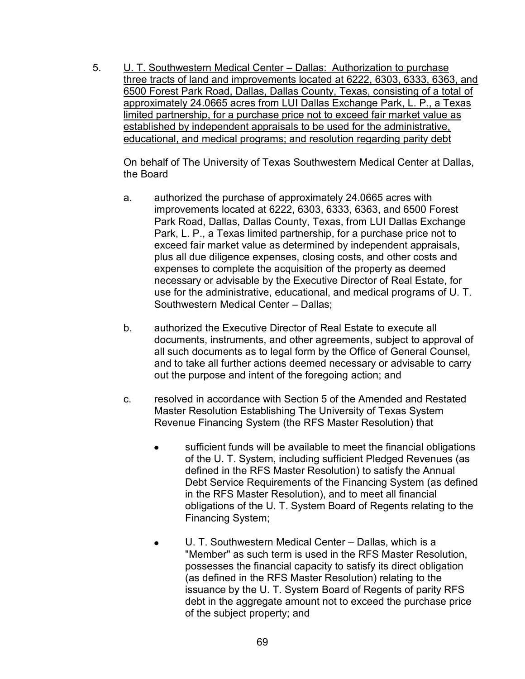5. U. T. Southwestern Medical Center – Dallas: Authorization to purchase three tracts of land and improvements located at 6222, 6303, 6333, 6363, and 6500 Forest Park Road, Dallas, Dallas County, Texas, consisting of a total of approximately 24.0665 acres from LUI Dallas Exchange Park, L. P., a Texas limited partnership, for a purchase price not to exceed fair market value as established by independent appraisals to be used for the administrative, educational, and medical programs; and resolution regarding parity debt

On behalf of The University of Texas Southwestern Medical Center at Dallas, the Board

- a. authorized the purchase of approximately 24.0665 acres with improvements located at 6222, 6303, 6333, 6363, and 6500 Forest Park Road, Dallas, Dallas County, Texas, from LUI Dallas Exchange Park, L. P., a Texas limited partnership, for a purchase price not to exceed fair market value as determined by independent appraisals, plus all due diligence expenses, closing costs, and other costs and expenses to complete the acquisition of the property as deemed necessary or advisable by the Executive Director of Real Estate, for use for the administrative, educational, and medical programs of U. T. Southwestern Medical Center – Dallas;
- b. authorized the Executive Director of Real Estate to execute all documents, instruments, and other agreements, subject to approval of all such documents as to legal form by the Office of General Counsel, and to take all further actions deemed necessary or advisable to carry out the purpose and intent of the foregoing action; and
- c. resolved in accordance with Section 5 of the Amended and Restated Master Resolution Establishing The University of Texas System Revenue Financing System (the RFS Master Resolution) that
	- sufficient funds will be available to meet the financial obligations of the U. T. System, including sufficient Pledged Revenues (as defined in the RFS Master Resolution) to satisfy the Annual Debt Service Requirements of the Financing System (as defined in the RFS Master Resolution), and to meet all financial obligations of the U. T. System Board of Regents relating to the Financing System;
	- U. T. Southwestern Medical Center Dallas, which is a  $\bullet$ "Member" as such term is used in the RFS Master Resolution, possesses the financial capacity to satisfy its direct obligation (as defined in the RFS Master Resolution) relating to the issuance by the U. T. System Board of Regents of parity RFS debt in the aggregate amount not to exceed the purchase price of the subject property; and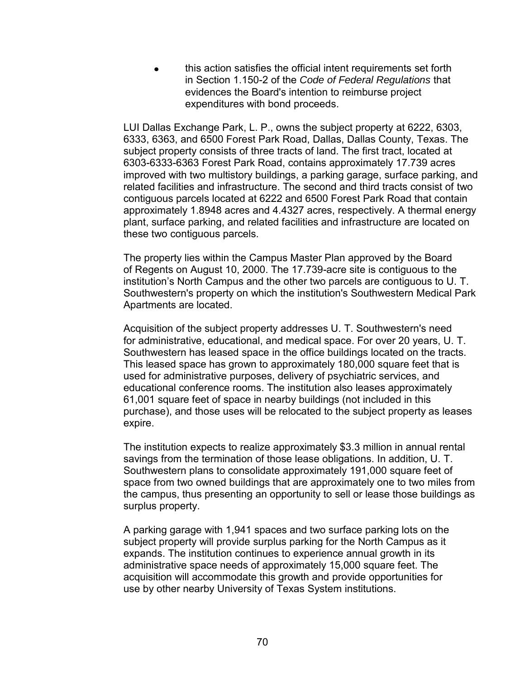this action satisfies the official intent requirements set forth in Section 1.150-2 of the *Code of Federal Regulations* that evidences the Board's intention to reimburse project expenditures with bond proceeds.

LUI Dallas Exchange Park, L. P., owns the subject property at 6222, 6303, 6333, 6363, and 6500 Forest Park Road, Dallas, Dallas County, Texas. The subject property consists of three tracts of land. The first tract, located at 6303-6333-6363 Forest Park Road, contains approximately 17.739 acres improved with two multistory buildings, a parking garage, surface parking, and related facilities and infrastructure. The second and third tracts consist of two contiguous parcels located at 6222 and 6500 Forest Park Road that contain approximately 1.8948 acres and 4.4327 acres, respectively. A thermal energy plant, surface parking, and related facilities and infrastructure are located on these two contiguous parcels.

The property lies within the Campus Master Plan approved by the Board of Regents on August 10, 2000. The 17.739-acre site is contiguous to the institution's North Campus and the other two parcels are contiguous to U. T. Southwestern's property on which the institution's Southwestern Medical Park Apartments are located.

Acquisition of the subject property addresses U. T. Southwestern's need for administrative, educational, and medical space. For over 20 years, U. T. Southwestern has leased space in the office buildings located on the tracts. This leased space has grown to approximately 180,000 square feet that is used for administrative purposes, delivery of psychiatric services, and educational conference rooms. The institution also leases approximately 61,001 square feet of space in nearby buildings (not included in this purchase), and those uses will be relocated to the subject property as leases expire.

The institution expects to realize approximately \$3.3 million in annual rental savings from the termination of those lease obligations. In addition, U. T. Southwestern plans to consolidate approximately 191,000 square feet of space from two owned buildings that are approximately one to two miles from the campus, thus presenting an opportunity to sell or lease those buildings as surplus property.

A parking garage with 1,941 spaces and two surface parking lots on the subject property will provide surplus parking for the North Campus as it expands. The institution continues to experience annual growth in its administrative space needs of approximately 15,000 square feet. The acquisition will accommodate this growth and provide opportunities for use by other nearby University of Texas System institutions.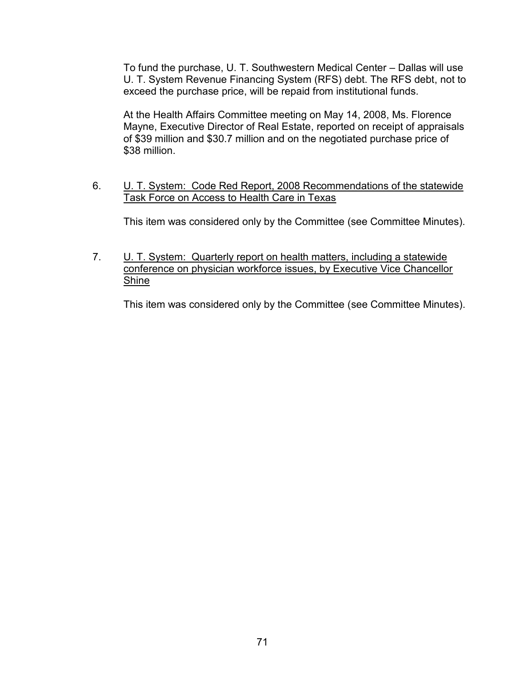To fund the purchase, U. T. Southwestern Medical Center – Dallas will use U. T. System Revenue Financing System (RFS) debt. The RFS debt, not to exceed the purchase price, will be repaid from institutional funds.

At the Health Affairs Committee meeting on May 14, 2008, Ms. Florence Mayne, Executive Director of Real Estate, reported on receipt of appraisals of \$39 million and \$30.7 million and on the negotiated purchase price of \$38 million.

6. U. T. System: Code Red Report, 2008 Recommendations of the statewide Task Force on Access to Health Care in Texas

This item was considered only by the Committee (see Committee Minutes).

7. U. T. System: Quarterly report on health matters, including a statewide conference on physician workforce issues, by Executive Vice Chancellor Shine

This item was considered only by the Committee (see Committee Minutes).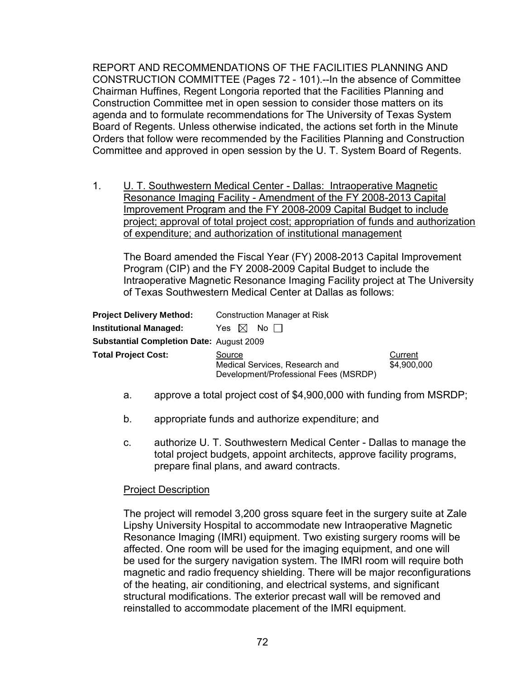REPORT AND RECOMMENDATIONS OF THE FACILITIES PLANNING AND CONSTRUCTION COMMITTEE (Pages 72 - 101).--In the absence of Committee Chairman Huffines, Regent Longoria reported that the Facilities Planning and Construction Committee met in open session to consider those matters on its agenda and to formulate recommendations for The University of Texas System Board of Regents. Unless otherwise indicated, the actions set forth in the Minute Orders that follow were recommended by the Facilities Planning and Construction Committee and approved in open session by the U. T. System Board of Regents.

1. U. T. Southwestern Medical Center - Dallas: Intraoperative Magnetic Resonance Imaging Facility - Amendment of the FY 2008-2013 Capital Improvement Program and the FY 2008-2009 Capital Budget to include project; approval of total project cost; appropriation of funds and authorization of expenditure; and authorization of institutional management

The Board amended the Fiscal Year (FY) 2008-2013 Capital Improvement Program (CIP) and the FY 2008-2009 Capital Budget to include the Intraoperative Magnetic Resonance Imaging Facility project at The University of Texas Southwestern Medical Center at Dallas as follows:

| <b>Project Delivery Method:</b>                 | Construction Manager at Risk                                                      |                        |
|-------------------------------------------------|-----------------------------------------------------------------------------------|------------------------|
| <b>Institutional Managed:</b>                   | No II<br>Yes $\mathbb{M}$                                                         |                        |
| <b>Substantial Completion Date: August 2009</b> |                                                                                   |                        |
| <b>Total Project Cost:</b>                      | Source<br>Medical Services, Research and<br>Development/Professional Fees (MSRDP) | Current<br>\$4,900,000 |

- a. approve a total project cost of \$4,900,000 with funding from MSRDP;
- b. appropriate funds and authorize expenditure; and
- c. authorize U. T. Southwestern Medical Center Dallas to manage the total project budgets, appoint architects, approve facility programs, prepare final plans, and award contracts.

#### Project Description

The project will remodel 3,200 gross square feet in the surgery suite at Zale Lipshy University Hospital to accommodate new Intraoperative Magnetic Resonance Imaging (IMRI) equipment. Two existing surgery rooms will be affected. One room will be used for the imaging equipment, and one will be used for the surgery navigation system. The IMRI room will require both magnetic and radio frequency shielding. There will be major reconfigurations of the heating, air conditioning, and electrical systems, and significant structural modifications. The exterior precast wall will be removed and reinstalled to accommodate placement of the IMRI equipment.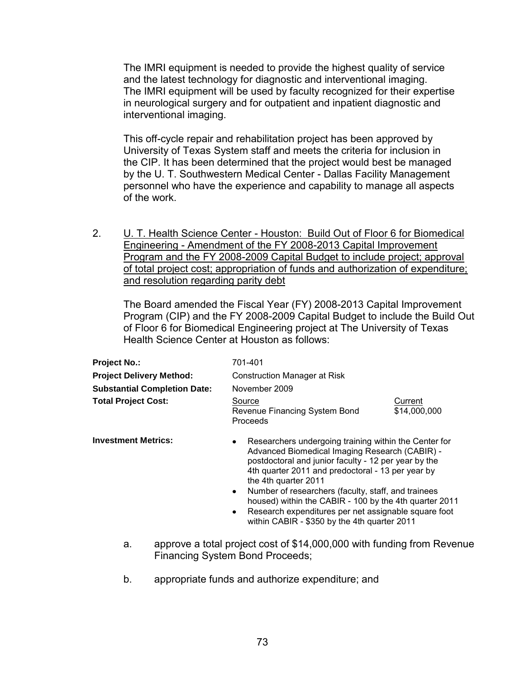The IMRI equipment is needed to provide the highest quality of service and the latest technology for diagnostic and interventional imaging. The IMRI equipment will be used by faculty recognized for their expertise in neurological surgery and for outpatient and inpatient diagnostic and interventional imaging.

This off-cycle repair and rehabilitation project has been approved by University of Texas System staff and meets the criteria for inclusion in the CIP. It has been determined that the project would best be managed by the U. T. Southwestern Medical Center - Dallas Facility Management personnel who have the experience and capability to manage all aspects of the work.

2. U. T. Health Science Center - Houston: Build Out of Floor 6 for Biomedical Engineering - Amendment of the FY 2008-2013 Capital Improvement Program and the FY 2008-2009 Capital Budget to include project; approval of total project cost; appropriation of funds and authorization of expenditure; and resolution regarding parity debt

The Board amended the Fiscal Year (FY) 2008-2013 Capital Improvement Program (CIP) and the FY 2008-2009 Capital Budget to include the Build Out of Floor 6 for Biomedical Engineering project at The University of Texas Health Science Center at Houston as follows:

| <b>Project No.:</b>                 | 701-401                                                                                                                                                                                                                                                                                                                                                                                                                                                                                                      |                         |
|-------------------------------------|--------------------------------------------------------------------------------------------------------------------------------------------------------------------------------------------------------------------------------------------------------------------------------------------------------------------------------------------------------------------------------------------------------------------------------------------------------------------------------------------------------------|-------------------------|
| <b>Project Delivery Method:</b>     | <b>Construction Manager at Risk</b>                                                                                                                                                                                                                                                                                                                                                                                                                                                                          |                         |
| <b>Substantial Completion Date:</b> | November 2009                                                                                                                                                                                                                                                                                                                                                                                                                                                                                                |                         |
| <b>Total Project Cost:</b>          | Source<br>Revenue Financing System Bond<br>Proceeds                                                                                                                                                                                                                                                                                                                                                                                                                                                          | Current<br>\$14,000,000 |
| <b>Investment Metrics:</b>          | Researchers undergoing training within the Center for<br>$\bullet$<br>Advanced Biomedical Imaging Research (CABIR) -<br>postdoctoral and junior faculty - 12 per year by the<br>4th quarter 2011 and predoctoral - 13 per year by<br>the 4th quarter 2011<br>Number of researchers (faculty, staff, and trainees<br>$\bullet$<br>housed) within the CABIR - 100 by the 4th quarter 2011<br>Research expenditures per net assignable square foot<br>$\bullet$<br>within CABIR - \$350 by the 4th quarter 2011 |                         |

- a. approve a total project cost of \$14,000,000 with funding from Revenue Financing System Bond Proceeds;
- b. appropriate funds and authorize expenditure; and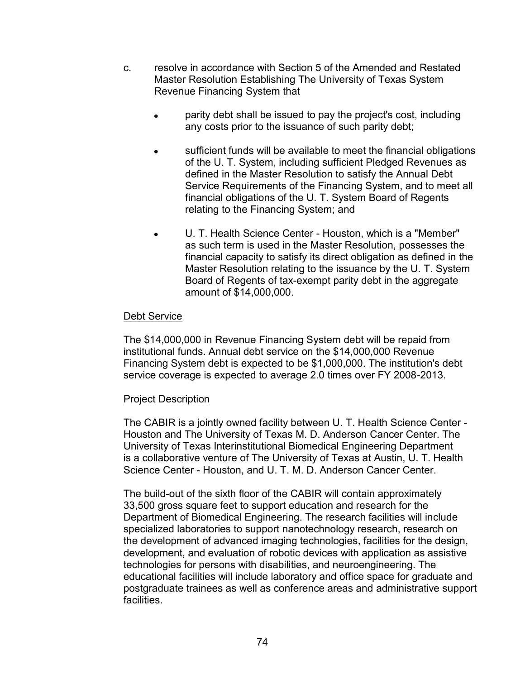- c. resolve in accordance with Section 5 of the Amended and Restated Master Resolution Establishing The University of Texas System Revenue Financing System that
	- parity debt shall be issued to pay the project's cost, including any costs prior to the issuance of such parity debt;
	- sufficient funds will be available to meet the financial obligations of the U. T. System, including sufficient Pledged Revenues as defined in the Master Resolution to satisfy the Annual Debt Service Requirements of the Financing System, and to meet all financial obligations of the U. T. System Board of Regents relating to the Financing System; and
	- U. T. Health Science Center Houston, which is a "Member" as such term is used in the Master Resolution, possesses the financial capacity to satisfy its direct obligation as defined in the Master Resolution relating to the issuance by the U. T. System Board of Regents of tax-exempt parity debt in the aggregate amount of \$14,000,000.

The \$14,000,000 in Revenue Financing System debt will be repaid from institutional funds. Annual debt service on the \$14,000,000 Revenue Financing System debt is expected to be \$1,000,000. The institution's debt service coverage is expected to average 2.0 times over FY 2008-2013.

# Project Description

The CABIR is a jointly owned facility between U. T. Health Science Center - Houston and The University of Texas M. D. Anderson Cancer Center. The University of Texas Interinstitutional Biomedical Engineering Department is a collaborative venture of The University of Texas at Austin, U. T. Health Science Center - Houston, and U. T. M. D. Anderson Cancer Center.

The build-out of the sixth floor of the CABIR will contain approximately 33,500 gross square feet to support education and research for the Department of Biomedical Engineering. The research facilities will include specialized laboratories to support nanotechnology research, research on the development of advanced imaging technologies, facilities for the design, development, and evaluation of robotic devices with application as assistive technologies for persons with disabilities, and neuroengineering. The educational facilities will include laboratory and office space for graduate and postgraduate trainees as well as conference areas and administrative support facilities.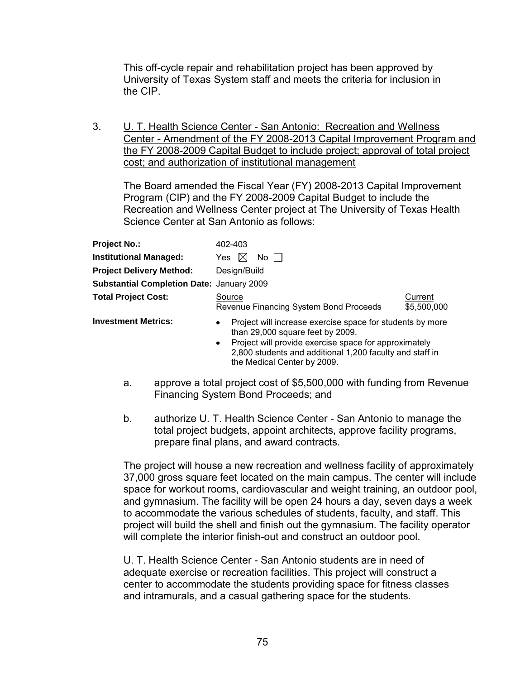This off-cycle repair and rehabilitation project has been approved by University of Texas System staff and meets the criteria for inclusion in the CIP.

3. U. T. Health Science Center - San Antonio: Recreation and Wellness Center - Amendment of the FY 2008-2013 Capital Improvement Program and the FY 2008-2009 Capital Budget to include project; approval of total project cost; and authorization of institutional management

The Board amended the Fiscal Year (FY) 2008-2013 Capital Improvement Program (CIP) and the FY 2008-2009 Capital Budget to include the Recreation and Wellness Center project at The University of Texas Health Science Center at San Antonio as follows:

| <b>Project No.:</b>                              | 402-403                                                                                                                                                                                                                                      |                        |  |
|--------------------------------------------------|----------------------------------------------------------------------------------------------------------------------------------------------------------------------------------------------------------------------------------------------|------------------------|--|
| <b>Institutional Managed:</b>                    | No II<br>Yes.<br>IXI                                                                                                                                                                                                                         |                        |  |
| <b>Project Delivery Method:</b>                  | Design/Build                                                                                                                                                                                                                                 |                        |  |
| <b>Substantial Completion Date: January 2009</b> |                                                                                                                                                                                                                                              |                        |  |
| <b>Total Project Cost:</b>                       | Source<br>Revenue Financing System Bond Proceeds                                                                                                                                                                                             | Current<br>\$5,500,000 |  |
| <b>Investment Metrics:</b>                       | Project will increase exercise space for students by more<br>$\bullet$<br>than 29,000 square feet by 2009.<br>Project will provide exercise space for approximately<br>$\bullet$<br>2,800 students and additional 1,200 faculty and staff in |                        |  |

 a. approve a total project cost of \$5,500,000 with funding from Revenue Financing System Bond Proceeds; and

the Medical Center by 2009.

 b. authorize U. T. Health Science Center - San Antonio to manage the total project budgets, appoint architects, approve facility programs, prepare final plans, and award contracts.

The project will house a new recreation and wellness facility of approximately 37,000 gross square feet located on the main campus. The center will include space for workout rooms, cardiovascular and weight training, an outdoor pool, and gymnasium. The facility will be open 24 hours a day, seven days a week to accommodate the various schedules of students, faculty, and staff. This project will build the shell and finish out the gymnasium. The facility operator will complete the interior finish-out and construct an outdoor pool.

U. T. Health Science Center - San Antonio students are in need of adequate exercise or recreation facilities. This project will construct a center to accommodate the students providing space for fitness classes and intramurals, and a casual gathering space for the students.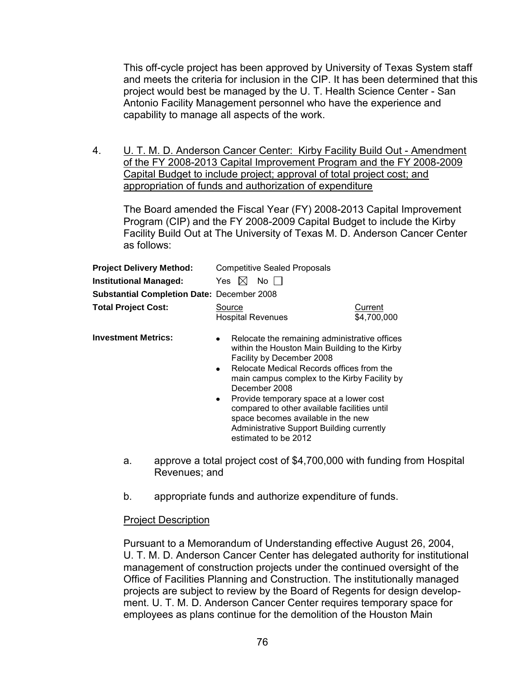This off-cycle project has been approved by University of Texas System staff and meets the criteria for inclusion in the CIP. It has been determined that this project would best be managed by the U. T. Health Science Center - San Antonio Facility Management personnel who have the experience and capability to manage all aspects of the work.

4. U. T. M. D. Anderson Cancer Center: Kirby Facility Build Out - Amendment of the FY 2008-2013 Capital Improvement Program and the FY 2008-2009 Capital Budget to include project; approval of total project cost; and appropriation of funds and authorization of expenditure

The Board amended the Fiscal Year (FY) 2008-2013 Capital Improvement Program (CIP) and the FY 2008-2009 Capital Budget to include the Kirby Facility Build Out at The University of Texas M. D. Anderson Cancer Center as follows:

| <b>Project Delivery Method:</b>            | <b>Competitive Sealed Proposals</b>                                                                                                                                                                                                                                                                                                                                                                                                                                                    |                        |
|--------------------------------------------|----------------------------------------------------------------------------------------------------------------------------------------------------------------------------------------------------------------------------------------------------------------------------------------------------------------------------------------------------------------------------------------------------------------------------------------------------------------------------------------|------------------------|
| <b>Institutional Managed:</b>              | No II<br>Yes $ \times $                                                                                                                                                                                                                                                                                                                                                                                                                                                                |                        |
| Substantial Completion Date: December 2008 |                                                                                                                                                                                                                                                                                                                                                                                                                                                                                        |                        |
| <b>Total Project Cost:</b>                 | Source<br><b>Hospital Revenues</b>                                                                                                                                                                                                                                                                                                                                                                                                                                                     | Current<br>\$4,700,000 |
| <b>Investment Metrics:</b>                 | Relocate the remaining administrative offices<br>$\bullet$<br>within the Houston Main Building to the Kirby<br>Facility by December 2008<br>Relocate Medical Records offices from the<br>$\bullet$<br>main campus complex to the Kirby Facility by<br>December 2008<br>Provide temporary space at a lower cost<br>$\bullet$<br>compared to other available facilities until<br>space becomes available in the new<br>Administrative Support Building currently<br>estimated to be 2012 |                        |

- a. approve a total project cost of \$4,700,000 with funding from Hospital Revenues; and
- b. appropriate funds and authorize expenditure of funds.

# Project Description

Pursuant to a Memorandum of Understanding effective August 26, 2004, U. T. M. D. Anderson Cancer Center has delegated authority for institutional management of construction projects under the continued oversight of the Office of Facilities Planning and Construction. The institutionally managed projects are subject to review by the Board of Regents for design development. U. T. M. D. Anderson Cancer Center requires temporary space for employees as plans continue for the demolition of the Houston Main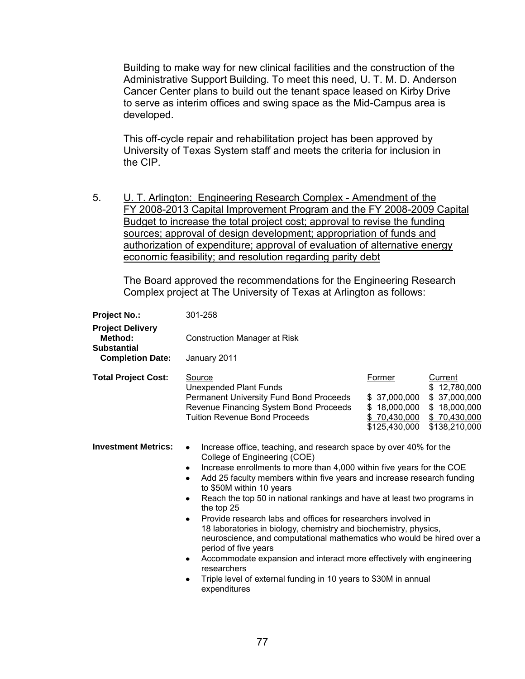Building to make way for new clinical facilities and the construction of the Administrative Support Building. To meet this need, U. T. M. D. Anderson Cancer Center plans to build out the tenant space leased on Kirby Drive to serve as interim offices and swing space as the Mid-Campus area is developed.

This off-cycle repair and rehabilitation project has been approved by University of Texas System staff and meets the criteria for inclusion in the CIP.

5. U. T. Arlington: Engineering Research Complex - Amendment of the FY 2008-2013 Capital Improvement Program and the FY 2008-2009 Capital Budget to increase the total project cost; approval to revise the funding sources; approval of design development; appropriation of funds and authorization of expenditure; approval of evaluation of alternative energy economic feasibility; and resolution regarding parity debt

The Board approved the recommendations for the Engineering Research Complex project at The University of Texas at Arlington as follows:

| <b>Project No.:</b>                                      | 301-258                                                                                                                                                                                                                                                                                                                                                                                                                                                                                                                                                                                                                                                                                                                                                                                                                              |                                                         |                                                                                                         |  |
|----------------------------------------------------------|--------------------------------------------------------------------------------------------------------------------------------------------------------------------------------------------------------------------------------------------------------------------------------------------------------------------------------------------------------------------------------------------------------------------------------------------------------------------------------------------------------------------------------------------------------------------------------------------------------------------------------------------------------------------------------------------------------------------------------------------------------------------------------------------------------------------------------------|---------------------------------------------------------|---------------------------------------------------------------------------------------------------------|--|
| <b>Project Delivery</b><br>Method:<br><b>Substantial</b> | <b>Construction Manager at Risk</b>                                                                                                                                                                                                                                                                                                                                                                                                                                                                                                                                                                                                                                                                                                                                                                                                  |                                                         |                                                                                                         |  |
| <b>Completion Date:</b>                                  | January 2011                                                                                                                                                                                                                                                                                                                                                                                                                                                                                                                                                                                                                                                                                                                                                                                                                         |                                                         |                                                                                                         |  |
| <b>Total Project Cost:</b>                               | Source<br>Unexpended Plant Funds<br>Permanent University Fund Bond Proceeds<br>Revenue Financing System Bond Proceeds<br><b>Tuition Revenue Bond Proceeds</b>                                                                                                                                                                                                                                                                                                                                                                                                                                                                                                                                                                                                                                                                        | Former<br>\$37,000,000<br>\$18,000,000<br>\$125,430,000 | Current<br>\$12,780,000<br>\$37,000,000<br>\$18,000,000<br>$$70,430,000$ $$70,430,000$<br>\$138,210,000 |  |
| <b>Investment Metrics:</b>                               | Increase office, teaching, and research space by over 40% for the<br>$\bullet$<br>College of Engineering (COE)<br>Increase enrollments to more than 4,000 within five years for the COE<br>٠<br>Add 25 faculty members within five years and increase research funding<br>$\bullet$<br>to \$50M within 10 years<br>Reach the top 50 in national rankings and have at least two programs in<br>٠<br>the top 25<br>Provide research labs and offices for researchers involved in<br>$\bullet$<br>18 laboratories in biology, chemistry and biochemistry, physics,<br>neuroscience, and computational mathematics who would be hired over a<br>period of five years<br>Accommodate expansion and interact more effectively with engineering<br>٠<br>researchers<br>Triple level of external funding in 10 years to \$30M in annual<br>٠ |                                                         |                                                                                                         |  |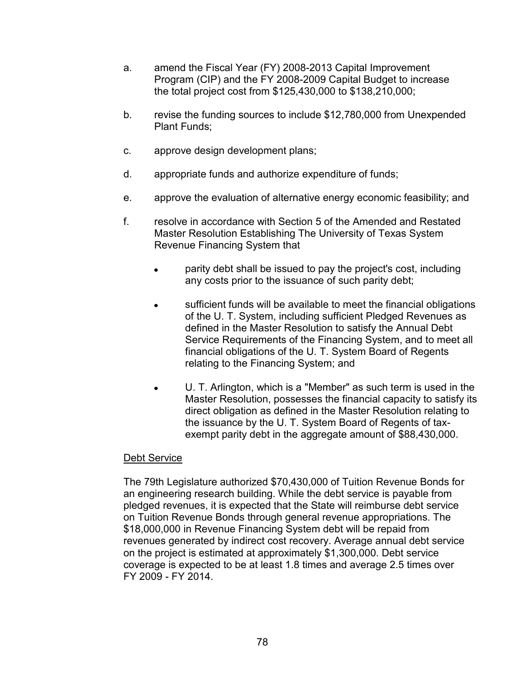- a. amend the Fiscal Year (FY) 2008-2013 Capital Improvement Program (CIP) and the FY 2008-2009 Capital Budget to increase the total project cost from \$125,430,000 to \$138,210,000;
- b. revise the funding sources to include \$12,780,000 from Unexpended Plant Funds;
- c. approve design development plans;
- d. appropriate funds and authorize expenditure of funds;
- e. approve the evaluation of alternative energy economic feasibility; and
- f. resolve in accordance with Section 5 of the Amended and Restated Master Resolution Establishing The University of Texas System Revenue Financing System that
	- parity debt shall be issued to pay the project's cost, including  $\bullet$ any costs prior to the issuance of such parity debt;
	- sufficient funds will be available to meet the financial obligations  $\bullet$ of the U. T. System, including sufficient Pledged Revenues as defined in the Master Resolution to satisfy the Annual Debt Service Requirements of the Financing System, and to meet all financial obligations of the U. T. System Board of Regents relating to the Financing System; and
	- U. T. Arlington, which is a "Member" as such term is used in the Master Resolution, possesses the financial capacity to satisfy its direct obligation as defined in the Master Resolution relating to the issuance by the U. T. System Board of Regents of taxexempt parity debt in the aggregate amount of \$88,430,000.

The 79th Legislature authorized \$70,430,000 of Tuition Revenue Bonds for an engineering research building. While the debt service is payable from pledged revenues, it is expected that the State will reimburse debt service on Tuition Revenue Bonds through general revenue appropriations. The \$18,000,000 in Revenue Financing System debt will be repaid from revenues generated by indirect cost recovery. Average annual debt service on the project is estimated at approximately \$1,300,000. Debt service coverage is expected to be at least 1.8 times and average 2.5 times over FY 2009 - FY 2014.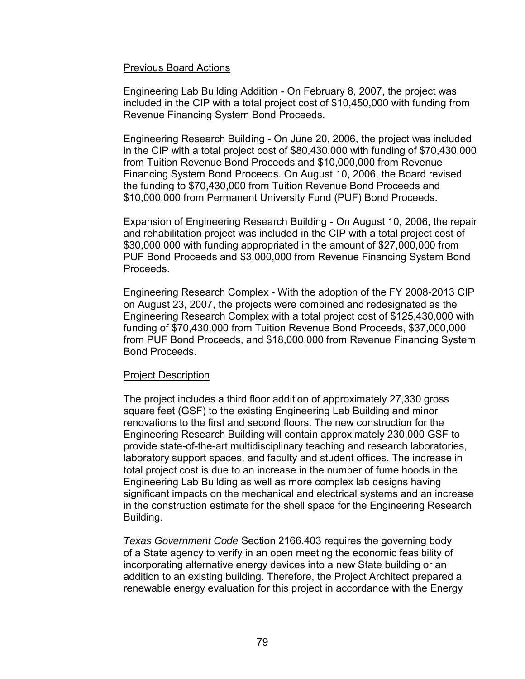#### Previous Board Actions

Engineering Lab Building Addition - On February 8, 2007, the project was included in the CIP with a total project cost of \$10,450,000 with funding from Revenue Financing System Bond Proceeds.

Engineering Research Building - On June 20, 2006, the project was included in the CIP with a total project cost of \$80,430,000 with funding of \$70,430,000 from Tuition Revenue Bond Proceeds and \$10,000,000 from Revenue Financing System Bond Proceeds. On August 10, 2006, the Board revised the funding to \$70,430,000 from Tuition Revenue Bond Proceeds and \$10,000,000 from Permanent University Fund (PUF) Bond Proceeds.

Expansion of Engineering Research Building - On August 10, 2006, the repair and rehabilitation project was included in the CIP with a total project cost of \$30,000,000 with funding appropriated in the amount of \$27,000,000 from PUF Bond Proceeds and \$3,000,000 from Revenue Financing System Bond Proceeds.

Engineering Research Complex - With the adoption of the FY 2008-2013 CIP on August 23, 2007, the projects were combined and redesignated as the Engineering Research Complex with a total project cost of \$125,430,000 with funding of \$70,430,000 from Tuition Revenue Bond Proceeds, \$37,000,000 from PUF Bond Proceeds, and \$18,000,000 from Revenue Financing System Bond Proceeds.

# Project Description

The project includes a third floor addition of approximately 27,330 gross square feet (GSF) to the existing Engineering Lab Building and minor renovations to the first and second floors. The new construction for the Engineering Research Building will contain approximately 230,000 GSF to provide state-of-the-art multidisciplinary teaching and research laboratories, laboratory support spaces, and faculty and student offices. The increase in total project cost is due to an increase in the number of fume hoods in the Engineering Lab Building as well as more complex lab designs having significant impacts on the mechanical and electrical systems and an increase in the construction estimate for the shell space for the Engineering Research Building.

*Texas Government Code* Section 2166.403 requires the governing body of a State agency to verify in an open meeting the economic feasibility of incorporating alternative energy devices into a new State building or an addition to an existing building. Therefore, the Project Architect prepared a renewable energy evaluation for this project in accordance with the Energy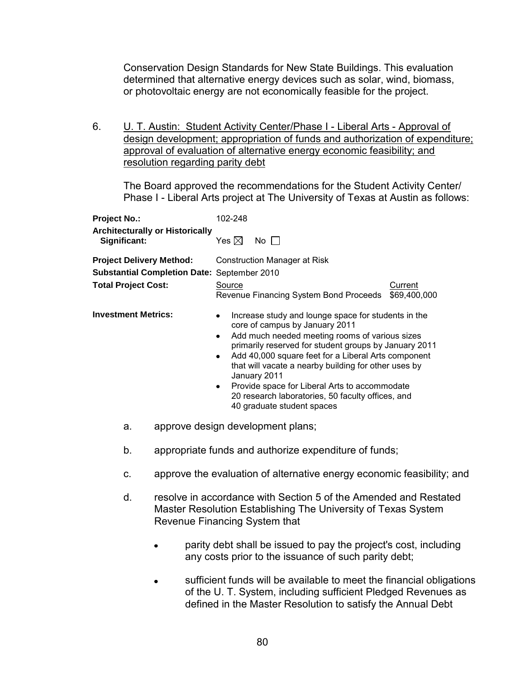Conservation Design Standards for New State Buildings. This evaluation determined that alternative energy devices such as solar, wind, biomass, or photovoltaic energy are not economically feasible for the project.

6. U. T. Austin: Student Activity Center/Phase I - Liberal Arts - Approval of design development; appropriation of funds and authorization of expenditure; approval of evaluation of alternative energy economic feasibility; and resolution regarding parity debt

The Board approved the recommendations for the Student Activity Center/ Phase I - Liberal Arts project at The University of Texas at Austin as follows:

| Project No.:                                                  |                                        | 102-248                                                                                                                                                                  |                                                                                                                                                                                                                                                                                                                                                                                                                                                     |  |
|---------------------------------------------------------------|----------------------------------------|--------------------------------------------------------------------------------------------------------------------------------------------------------------------------|-----------------------------------------------------------------------------------------------------------------------------------------------------------------------------------------------------------------------------------------------------------------------------------------------------------------------------------------------------------------------------------------------------------------------------------------------------|--|
| Significant:                                                  | <b>Architecturally or Historically</b> | Yes $\boxtimes$                                                                                                                                                          | No $\Box$                                                                                                                                                                                                                                                                                                                                                                                                                                           |  |
| <b>Project Delivery Method:</b><br><b>Total Project Cost:</b> |                                        | <b>Construction Manager at Risk</b><br>Substantial Completion Date: September 2010<br>Source<br><b>Current</b><br>Revenue Financing System Bond Proceeds<br>\$69,400,000 |                                                                                                                                                                                                                                                                                                                                                                                                                                                     |  |
| <b>Investment Metrics:</b>                                    |                                        | $\bullet$<br>$\bullet$<br>$\bullet$<br>January 2011                                                                                                                      | Increase study and lounge space for students in the<br>core of campus by January 2011<br>Add much needed meeting rooms of various sizes<br>primarily reserved for student groups by January 2011<br>Add 40,000 square feet for a Liberal Arts component<br>that will vacate a nearby building for other uses by<br>Provide space for Liberal Arts to accommodate<br>20 research laboratories, 50 faculty offices, and<br>40 graduate student spaces |  |
| a.                                                            | approve design development plans;      |                                                                                                                                                                          |                                                                                                                                                                                                                                                                                                                                                                                                                                                     |  |
| b.                                                            |                                        |                                                                                                                                                                          | appropriate funds and authorize expenditure of funds;                                                                                                                                                                                                                                                                                                                                                                                               |  |
| C.                                                            |                                        |                                                                                                                                                                          | approve the evaluation of alternative energy economic feasibility; and                                                                                                                                                                                                                                                                                                                                                                              |  |
| d.                                                            | Revenue Financing System that          |                                                                                                                                                                          | resolve in accordance with Section 5 of the Amended and Restated<br>Master Resolution Establishing The University of Texas System                                                                                                                                                                                                                                                                                                                   |  |
|                                                               |                                        |                                                                                                                                                                          | parity debt shall be issued to pay the project's cost, including<br>any costs prior to the issuance of such parity debt;                                                                                                                                                                                                                                                                                                                            |  |
|                                                               |                                        |                                                                                                                                                                          | sufficient funds will be available to meet the financial obligations<br>of the U. T. System, including sufficient Pledged Revenues as<br>defined in the Master Resolution to satisfy the Annual Debt                                                                                                                                                                                                                                                |  |
|                                                               |                                        |                                                                                                                                                                          |                                                                                                                                                                                                                                                                                                                                                                                                                                                     |  |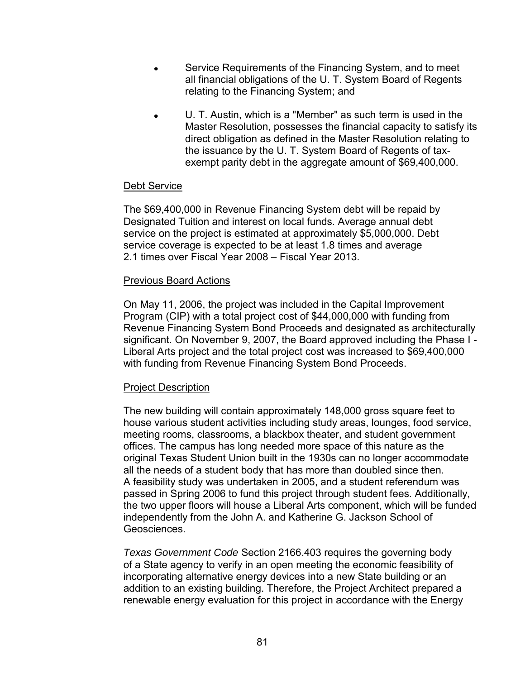- Service Requirements of the Financing System, and to meet all financial obligations of the U. T. System Board of Regents relating to the Financing System; and
- U. T. Austin, which is a "Member" as such term is used in the Master Resolution, possesses the financial capacity to satisfy its direct obligation as defined in the Master Resolution relating to the issuance by the U. T. System Board of Regents of taxexempt parity debt in the aggregate amount of \$69,400,000.

The \$69,400,000 in Revenue Financing System debt will be repaid by Designated Tuition and interest on local funds. Average annual debt service on the project is estimated at approximately \$5,000,000. Debt service coverage is expected to be at least 1.8 times and average 2.1 times over Fiscal Year 2008 – Fiscal Year 2013.

#### Previous Board Actions

On May 11, 2006, the project was included in the Capital Improvement Program (CIP) with a total project cost of \$44,000,000 with funding from Revenue Financing System Bond Proceeds and designated as architecturally significant. On November 9, 2007, the Board approved including the Phase I - Liberal Arts project and the total project cost was increased to \$69,400,000 with funding from Revenue Financing System Bond Proceeds.

# Project Description

The new building will contain approximately 148,000 gross square feet to house various student activities including study areas, lounges, food service, meeting rooms, classrooms, a blackbox theater, and student government offices. The campus has long needed more space of this nature as the original Texas Student Union built in the 1930s can no longer accommodate all the needs of a student body that has more than doubled since then. A feasibility study was undertaken in 2005, and a student referendum was passed in Spring 2006 to fund this project through student fees. Additionally, the two upper floors will house a Liberal Arts component, which will be funded independently from the John A. and Katherine G. Jackson School of Geosciences.

*Texas Government Code* Section 2166.403 requires the governing body of a State agency to verify in an open meeting the economic feasibility of incorporating alternative energy devices into a new State building or an addition to an existing building. Therefore, the Project Architect prepared a renewable energy evaluation for this project in accordance with the Energy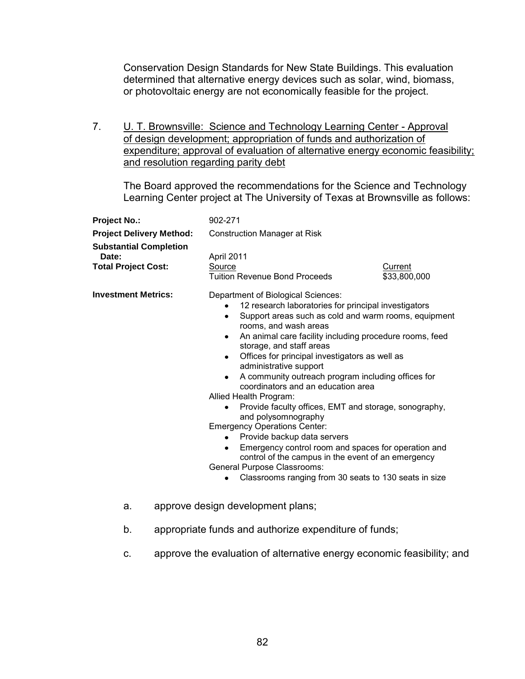Conservation Design Standards for New State Buildings. This evaluation determined that alternative energy devices such as solar, wind, biomass, or photovoltaic energy are not economically feasible for the project.

7. **U. T. Brownsville: Science and Technology Learning Center - Approval** of design development; appropriation of funds and authorization of expenditure; approval of evaluation of alternative energy economic feasibility; and resolution regarding parity debt

The Board approved the recommendations for the Science and Technology Learning Center project at The University of Texas at Brownsville as follows:

| <b>Project No.:</b>                                                  | 902-271                                                                                                                                                                                                                                                                                                                                                                                                                                                                                                                                                                                                                                                                                                                                                                                                                              |                         |
|----------------------------------------------------------------------|--------------------------------------------------------------------------------------------------------------------------------------------------------------------------------------------------------------------------------------------------------------------------------------------------------------------------------------------------------------------------------------------------------------------------------------------------------------------------------------------------------------------------------------------------------------------------------------------------------------------------------------------------------------------------------------------------------------------------------------------------------------------------------------------------------------------------------------|-------------------------|
| <b>Project Delivery Method:</b>                                      | <b>Construction Manager at Risk</b>                                                                                                                                                                                                                                                                                                                                                                                                                                                                                                                                                                                                                                                                                                                                                                                                  |                         |
| <b>Substantial Completion</b><br>Date:<br><b>Total Project Cost:</b> | April 2011<br>Source<br><b>Tuition Revenue Bond Proceeds</b>                                                                                                                                                                                                                                                                                                                                                                                                                                                                                                                                                                                                                                                                                                                                                                         | Current<br>\$33,800,000 |
| <b>Investment Metrics:</b>                                           | Department of Biological Sciences:<br>12 research laboratories for principal investigators<br>Support areas such as cold and warm rooms, equipment<br>rooms, and wash areas<br>An animal care facility including procedure rooms, feed<br>٠<br>storage, and staff areas<br>Offices for principal investigators as well as<br>administrative support<br>A community outreach program including offices for<br>coordinators and an education area<br>Allied Health Program:<br>Provide faculty offices, EMT and storage, sonography,<br>and polysomnography<br><b>Emergency Operations Center:</b><br>Provide backup data servers<br>Emergency control room and spaces for operation and<br>control of the campus in the event of an emergency<br>General Purpose Classrooms:<br>Classrooms ranging from 30 seats to 130 seats in size |                         |
| a.                                                                   | approve design development plans;                                                                                                                                                                                                                                                                                                                                                                                                                                                                                                                                                                                                                                                                                                                                                                                                    |                         |

- b. appropriate funds and authorize expenditure of funds;
- c. approve the evaluation of alternative energy economic feasibility; and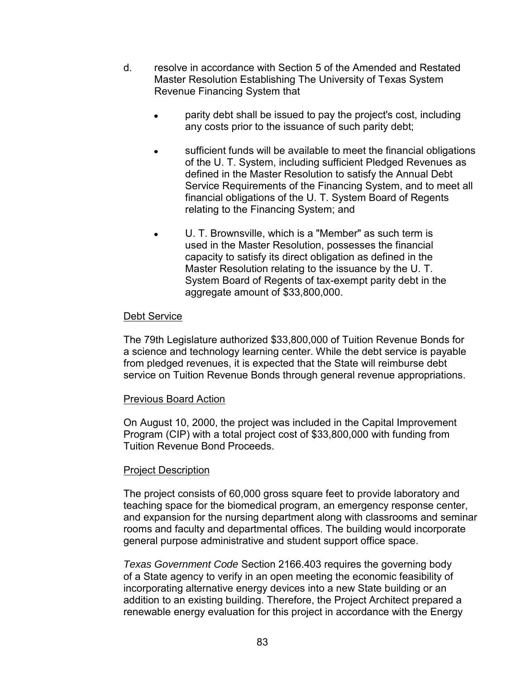- d. resolve in accordance with Section 5 of the Amended and Restated Master Resolution Establishing The University of Texas System Revenue Financing System that
	- parity debt shall be issued to pay the project's cost, including any costs prior to the issuance of such parity debt;
	- sufficient funds will be available to meet the financial obligations of the U. T. System, including sufficient Pledged Revenues as defined in the Master Resolution to satisfy the Annual Debt Service Requirements of the Financing System, and to meet all financial obligations of the U. T. System Board of Regents relating to the Financing System; and
	- U. T. Brownsville, which is a "Member" as such term is  $\bullet$ used in the Master Resolution, possesses the financial capacity to satisfy its direct obligation as defined in the Master Resolution relating to the issuance by the U. T. System Board of Regents of tax-exempt parity debt in the aggregate amount of \$33,800,000.

The 79th Legislature authorized \$33,800,000 of Tuition Revenue Bonds for a science and technology learning center. While the debt service is payable from pledged revenues, it is expected that the State will reimburse debt service on Tuition Revenue Bonds through general revenue appropriations.

# Previous Board Action

On August 10, 2000, the project was included in the Capital Improvement Program (CIP) with a total project cost of \$33,800,000 with funding from Tuition Revenue Bond Proceeds.

# Project Description

The project consists of 60,000 gross square feet to provide laboratory and teaching space for the biomedical program, an emergency response center, and expansion for the nursing department along with classrooms and seminar rooms and faculty and departmental offices. The building would incorporate general purpose administrative and student support office space.

*Texas Government Code* Section 2166.403 requires the governing body of a State agency to verify in an open meeting the economic feasibility of incorporating alternative energy devices into a new State building or an addition to an existing building. Therefore, the Project Architect prepared a renewable energy evaluation for this project in accordance with the Energy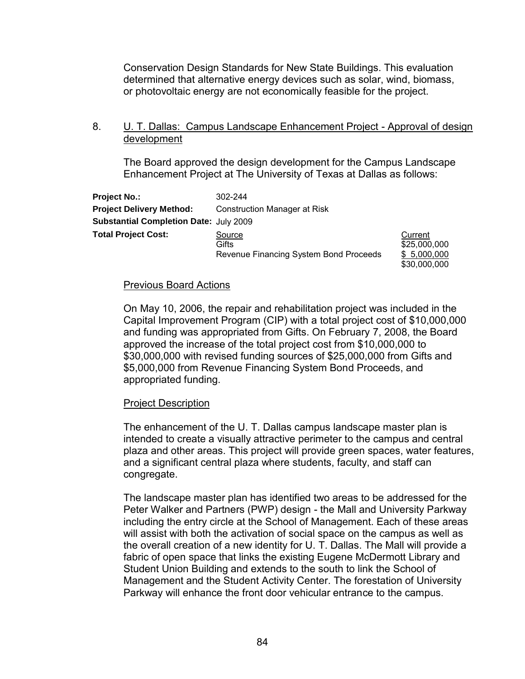Conservation Design Standards for New State Buildings. This evaluation determined that alternative energy devices such as solar, wind, biomass, or photovoltaic energy are not economically feasible for the project.

8. U. T. Dallas: Campus Landscape Enhancement Project - Approval of design development

The Board approved the design development for the Campus Landscape Enhancement Project at The University of Texas at Dallas as follows:

| <b>Project No.:</b>                           | 302-244                                |                         |
|-----------------------------------------------|----------------------------------------|-------------------------|
| <b>Project Delivery Method:</b>               | Construction Manager at Risk           |                         |
| <b>Substantial Completion Date: July 2009</b> |                                        |                         |
| <b>Total Project Cost:</b>                    | Source<br>Gifts                        | Current<br>\$25,000,000 |
|                                               | Revenue Financing System Bond Proceeds | \$5,000,000             |

#### Previous Board Actions

On May 10, 2006, the repair and rehabilitation project was included in the Capital Improvement Program (CIP) with a total project cost of \$10,000,000 and funding was appropriated from Gifts. On February 7, 2008, the Board approved the increase of the total project cost from \$10,000,000 to \$30,000,000 with revised funding sources of \$25,000,000 from Gifts and \$5,000,000 from Revenue Financing System Bond Proceeds, and appropriated funding.

\$30,000,000

# Project Description

The enhancement of the U. T. Dallas campus landscape master plan is intended to create a visually attractive perimeter to the campus and central plaza and other areas. This project will provide green spaces, water features, and a significant central plaza where students, faculty, and staff can congregate.

The landscape master plan has identified two areas to be addressed for the Peter Walker and Partners (PWP) design - the Mall and University Parkway including the entry circle at the School of Management. Each of these areas will assist with both the activation of social space on the campus as well as the overall creation of a new identity for U. T. Dallas. The Mall will provide a fabric of open space that links the existing Eugene McDermott Library and Student Union Building and extends to the south to link the School of Management and the Student Activity Center. The forestation of University Parkway will enhance the front door vehicular entrance to the campus.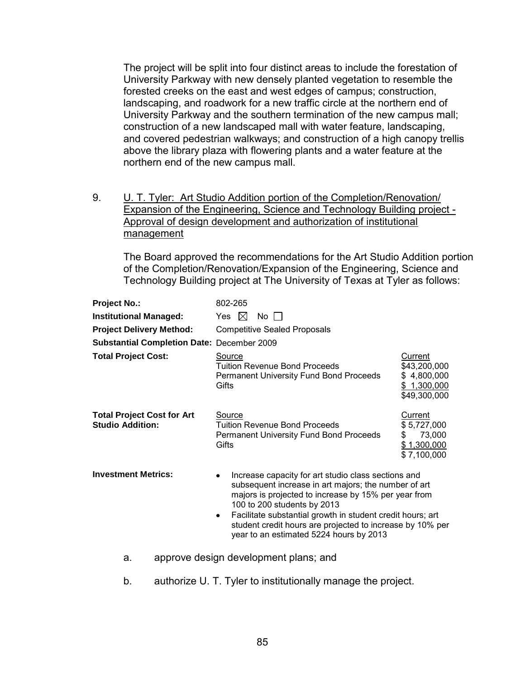The project will be split into four distinct areas to include the forestation of University Parkway with new densely planted vegetation to resemble the forested creeks on the east and west edges of campus; construction, landscaping, and roadwork for a new traffic circle at the northern end of University Parkway and the southern termination of the new campus mall; construction of a new landscaped mall with water feature, landscaping, and covered pedestrian walkways; and construction of a high canopy trellis above the library plaza with flowering plants and a water feature at the northern end of the new campus mall.

9. U. T. Tyler: Art Studio Addition portion of the Completion/Renovation/ Expansion of the Engineering, Science and Technology Building project - Approval of design development and authorization of institutional management

The Board approved the recommendations for the Art Studio Addition portion of the Completion/Renovation/Expansion of the Engineering, Science and Technology Building project at The University of Texas at Tyler as follows:

| Project No.:                                                 | 802-265                                                                                                                                                                                                                                                                                                                                                                       |                                                                       |
|--------------------------------------------------------------|-------------------------------------------------------------------------------------------------------------------------------------------------------------------------------------------------------------------------------------------------------------------------------------------------------------------------------------------------------------------------------|-----------------------------------------------------------------------|
| <b>Institutional Managed:</b>                                | $\bowtie$<br>Yes<br>No II                                                                                                                                                                                                                                                                                                                                                     |                                                                       |
| <b>Project Delivery Method:</b>                              | <b>Competitive Sealed Proposals</b>                                                                                                                                                                                                                                                                                                                                           |                                                                       |
| <b>Substantial Completion Date: December 2009</b>            |                                                                                                                                                                                                                                                                                                                                                                               |                                                                       |
| <b>Total Project Cost:</b>                                   | <b>Source</b><br><b>Tuition Revenue Bond Proceeds</b><br><b>Permanent University Fund Bond Proceeds</b><br>Gifts                                                                                                                                                                                                                                                              | Current<br>\$43,200,000<br>\$4,800,000<br>\$1,300,000<br>\$49,300,000 |
| <b>Total Project Cost for Art</b><br><b>Studio Addition:</b> | Source<br><b>Tuition Revenue Bond Proceeds</b><br>Permanent University Fund Bond Proceeds<br>Gifts                                                                                                                                                                                                                                                                            | Current<br>\$5,727,000<br>73,000<br>S.<br>\$1,300,000<br>\$7,100,000  |
| <b>Investment Metrics:</b>                                   | Increase capacity for art studio class sections and<br>subsequent increase in art majors; the number of art<br>majors is projected to increase by 15% per year from<br>100 to 200 students by 2013<br>Facilitate substantial growth in student credit hours; art<br>٠<br>student credit hours are projected to increase by 10% per<br>year to an estimated 5224 hours by 2013 |                                                                       |
| а.                                                           | approve design development plans; and                                                                                                                                                                                                                                                                                                                                         |                                                                       |

b. authorize U. T. Tyler to institutionally manage the project.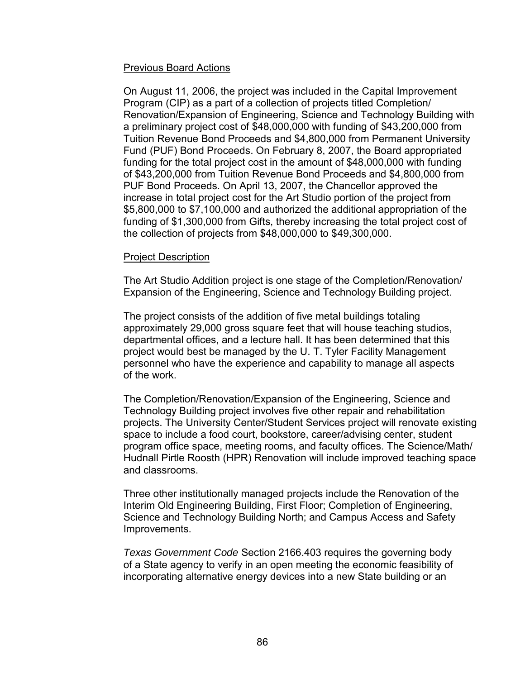# Previous Board Actions

On August 11, 2006, the project was included in the Capital Improvement Program (CIP) as a part of a collection of projects titled Completion/ Renovation/Expansion of Engineering, Science and Technology Building with a preliminary project cost of \$48,000,000 with funding of \$43,200,000 from Tuition Revenue Bond Proceeds and \$4,800,000 from Permanent University Fund (PUF) Bond Proceeds. On February 8, 2007, the Board appropriated funding for the total project cost in the amount of \$48,000,000 with funding of \$43,200,000 from Tuition Revenue Bond Proceeds and \$4,800,000 from PUF Bond Proceeds. On April 13, 2007, the Chancellor approved the increase in total project cost for the Art Studio portion of the project from \$5,800,000 to \$7,100,000 and authorized the additional appropriation of the funding of \$1,300,000 from Gifts, thereby increasing the total project cost of the collection of projects from \$48,000,000 to \$49,300,000.

# Project Description

The Art Studio Addition project is one stage of the Completion/Renovation/ Expansion of the Engineering, Science and Technology Building project.

The project consists of the addition of five metal buildings totaling approximately 29,000 gross square feet that will house teaching studios, departmental offices, and a lecture hall. It has been determined that this project would best be managed by the U. T. Tyler Facility Management personnel who have the experience and capability to manage all aspects of the work.

The Completion/Renovation/Expansion of the Engineering, Science and Technology Building project involves five other repair and rehabilitation projects. The University Center/Student Services project will renovate existing space to include a food court, bookstore, career/advising center, student program office space, meeting rooms, and faculty offices. The Science/Math/ Hudnall Pirtle Roosth (HPR) Renovation will include improved teaching space and classrooms.

Three other institutionally managed projects include the Renovation of the Interim Old Engineering Building, First Floor; Completion of Engineering, Science and Technology Building North; and Campus Access and Safety Improvements.

*Texas Government Code* Section 2166.403 requires the governing body of a State agency to verify in an open meeting the economic feasibility of incorporating alternative energy devices into a new State building or an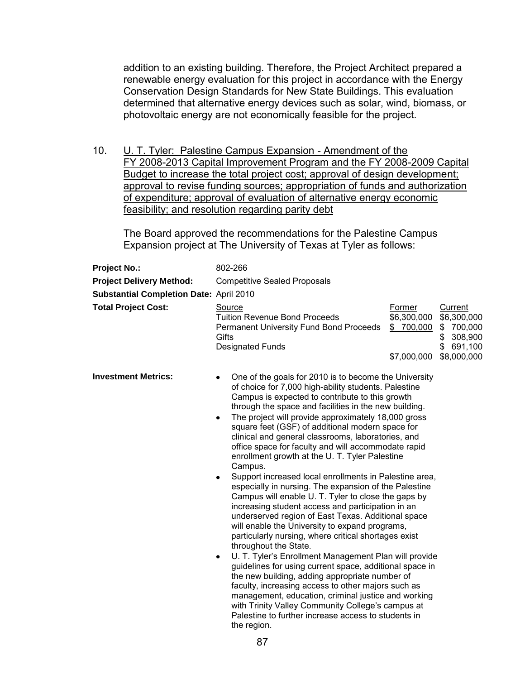addition to an existing building. Therefore, the Project Architect prepared a renewable energy evaluation for this project in accordance with the Energy Conservation Design Standards for New State Buildings. This evaluation determined that alternative energy devices such as solar, wind, biomass, or photovoltaic energy are not economically feasible for the project.

10. **U. T. Tyler: Palestine Campus Expansion - Amendment of the** FY 2008-2013 Capital Improvement Program and the FY 2008-2009 Capital Budget to increase the total project cost; approval of design development; approval to revise funding sources; appropriation of funds and authorization of expenditure; approval of evaluation of alternative energy economic feasibility; and resolution regarding parity debt

The Board approved the recommendations for the Palestine Campus Expansion project at The University of Texas at Tyler as follows:

| <b>Project No.:</b>                            | 802-266                                                                                                                                                                                                                                                                                                                                                                                                                                                                                                                                                                                                                                                                                                                                                                                                                                                                                                                                                                                                                                                                                                                                                                                                                                                                                                                                                                     |                                                    |                                                                                         |
|------------------------------------------------|-----------------------------------------------------------------------------------------------------------------------------------------------------------------------------------------------------------------------------------------------------------------------------------------------------------------------------------------------------------------------------------------------------------------------------------------------------------------------------------------------------------------------------------------------------------------------------------------------------------------------------------------------------------------------------------------------------------------------------------------------------------------------------------------------------------------------------------------------------------------------------------------------------------------------------------------------------------------------------------------------------------------------------------------------------------------------------------------------------------------------------------------------------------------------------------------------------------------------------------------------------------------------------------------------------------------------------------------------------------------------------|----------------------------------------------------|-----------------------------------------------------------------------------------------|
| <b>Project Delivery Method:</b>                | <b>Competitive Sealed Proposals</b>                                                                                                                                                                                                                                                                                                                                                                                                                                                                                                                                                                                                                                                                                                                                                                                                                                                                                                                                                                                                                                                                                                                                                                                                                                                                                                                                         |                                                    |                                                                                         |
| <b>Substantial Completion Date: April 2010</b> |                                                                                                                                                                                                                                                                                                                                                                                                                                                                                                                                                                                                                                                                                                                                                                                                                                                                                                                                                                                                                                                                                                                                                                                                                                                                                                                                                                             |                                                    |                                                                                         |
| <b>Total Project Cost:</b>                     | Source<br><b>Tuition Revenue Bond Proceeds</b><br><b>Permanent University Fund Bond Proceeds</b><br>Gifts<br><b>Designated Funds</b>                                                                                                                                                                                                                                                                                                                                                                                                                                                                                                                                                                                                                                                                                                                                                                                                                                                                                                                                                                                                                                                                                                                                                                                                                                        | Former<br>\$6,300,000<br>\$ 700,000<br>\$7,000,000 | <b>Current</b><br>\$6,300,000<br>\$700,000<br>308,900<br>\$<br>\$691,100<br>\$8,000,000 |
| <b>Investment Metrics:</b>                     | One of the goals for 2010 is to become the University<br>of choice for 7,000 high-ability students. Palestine<br>Campus is expected to contribute to this growth<br>through the space and facilities in the new building.<br>The project will provide approximately 18,000 gross<br>$\bullet$<br>square feet (GSF) of additional modern space for<br>clinical and general classrooms, laboratories, and<br>office space for faculty and will accommodate rapid<br>enrollment growth at the U. T. Tyler Palestine<br>Campus.<br>Support increased local enrollments in Palestine area,<br>٠<br>especially in nursing. The expansion of the Palestine<br>Campus will enable U. T. Tyler to close the gaps by<br>increasing student access and participation in an<br>underserved region of East Texas. Additional space<br>will enable the University to expand programs,<br>particularly nursing, where critical shortages exist<br>throughout the State.<br>U. T. Tyler's Enrollment Management Plan will provide<br>٠<br>guidelines for using current space, additional space in<br>the new building, adding appropriate number of<br>faculty, increasing access to other majors such as<br>management, education, criminal justice and working<br>with Trinity Valley Community College's campus at<br>Palestine to further increase access to students in<br>the region. |                                                    |                                                                                         |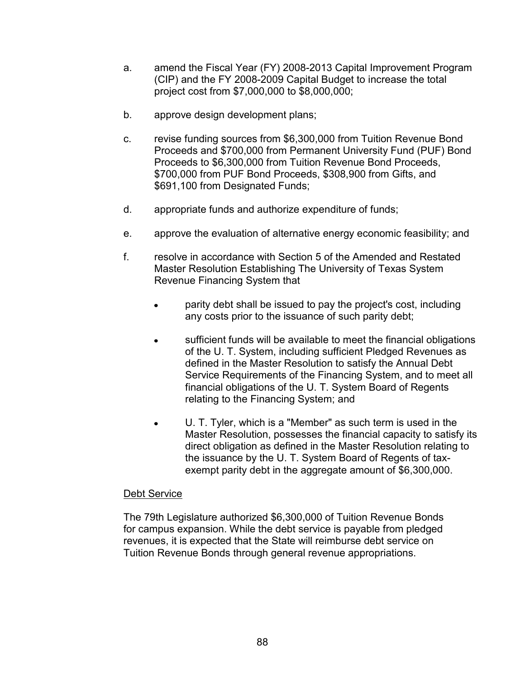- a. amend the Fiscal Year (FY) 2008-2013 Capital Improvement Program (CIP) and the FY 2008-2009 Capital Budget to increase the total project cost from \$7,000,000 to \$8,000,000;
- b. approve design development plans;
- c. revise funding sources from \$6,300,000 from Tuition Revenue Bond Proceeds and \$700,000 from Permanent University Fund (PUF) Bond Proceeds to \$6,300,000 from Tuition Revenue Bond Proceeds, \$700,000 from PUF Bond Proceeds, \$308,900 from Gifts, and \$691,100 from Designated Funds;
- d. appropriate funds and authorize expenditure of funds;
- e. approve the evaluation of alternative energy economic feasibility; and
- f. resolve in accordance with Section 5 of the Amended and Restated Master Resolution Establishing The University of Texas System Revenue Financing System that
	- parity debt shall be issued to pay the project's cost, including  $\bullet$ any costs prior to the issuance of such parity debt;
	- sufficient funds will be available to meet the financial obligations  $\bullet$ of the U. T. System, including sufficient Pledged Revenues as defined in the Master Resolution to satisfy the Annual Debt Service Requirements of the Financing System, and to meet all financial obligations of the U. T. System Board of Regents relating to the Financing System; and
	- U. T. Tyler, which is a "Member" as such term is used in the Master Resolution, possesses the financial capacity to satisfy its direct obligation as defined in the Master Resolution relating to the issuance by the U. T. System Board of Regents of taxexempt parity debt in the aggregate amount of \$6,300,000.

The 79th Legislature authorized \$6,300,000 of Tuition Revenue Bonds for campus expansion. While the debt service is payable from pledged revenues, it is expected that the State will reimburse debt service on Tuition Revenue Bonds through general revenue appropriations.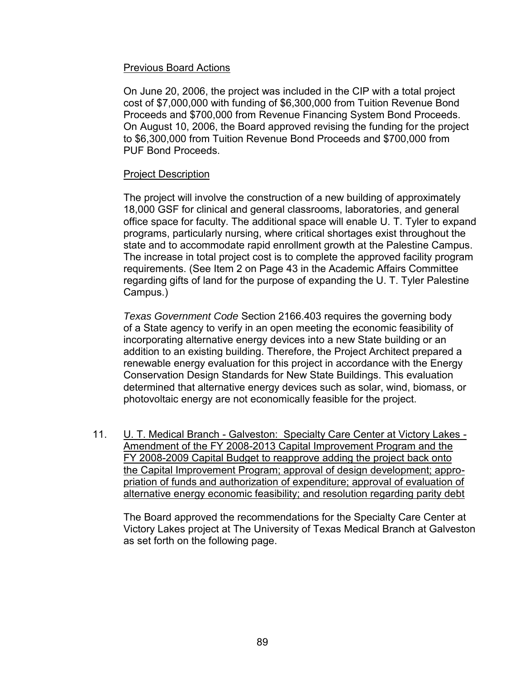# Previous Board Actions

On June 20, 2006, the project was included in the CIP with a total project cost of \$7,000,000 with funding of \$6,300,000 from Tuition Revenue Bond Proceeds and \$700,000 from Revenue Financing System Bond Proceeds. On August 10, 2006, the Board approved revising the funding for the project to \$6,300,000 from Tuition Revenue Bond Proceeds and \$700,000 from PUF Bond Proceeds.

# Project Description

The project will involve the construction of a new building of approximately 18,000 GSF for clinical and general classrooms, laboratories, and general office space for faculty. The additional space will enable U. T. Tyler to expand programs, particularly nursing, where critical shortages exist throughout the state and to accommodate rapid enrollment growth at the Palestine Campus. The increase in total project cost is to complete the approved facility program requirements. (See Item 2 on Page 43 in the Academic Affairs Committee regarding gifts of land for the purpose of expanding the U. T. Tyler Palestine Campus.)

*Texas Government Code* Section 2166.403 requires the governing body of a State agency to verify in an open meeting the economic feasibility of incorporating alternative energy devices into a new State building or an addition to an existing building. Therefore, the Project Architect prepared a renewable energy evaluation for this project in accordance with the Energy Conservation Design Standards for New State Buildings. This evaluation determined that alternative energy devices such as solar, wind, biomass, or photovoltaic energy are not economically feasible for the project.

11. U. T. Medical Branch - Galveston: Specialty Care Center at Victory Lakes - Amendment of the FY 2008-2013 Capital Improvement Program and the FY 2008-2009 Capital Budget to reapprove adding the project back onto the Capital Improvement Program; approval of design development; appropriation of funds and authorization of expenditure; approval of evaluation of alternative energy economic feasibility; and resolution regarding parity debt

The Board approved the recommendations for the Specialty Care Center at Victory Lakes project at The University of Texas Medical Branch at Galveston as set forth on the following page.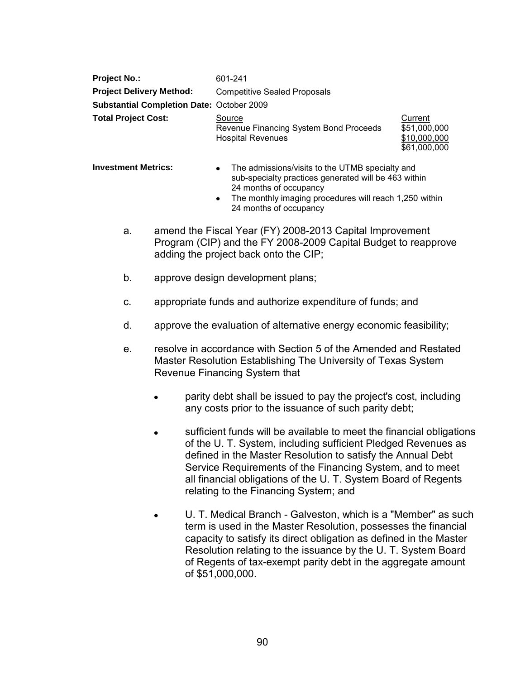| <b>Project No.:</b>                              | 601-241                                                                      |                                         |
|--------------------------------------------------|------------------------------------------------------------------------------|-----------------------------------------|
| <b>Project Delivery Method:</b>                  | <b>Competitive Sealed Proposals</b>                                          |                                         |
| <b>Substantial Completion Date: October 2009</b> |                                                                              |                                         |
| <b>Total Project Cost:</b>                       | Source<br>Revenue Financing System Bond Proceeds<br><b>Hospital Revenues</b> | Current<br>\$51,000,000<br>\$10,000,000 |

- **Investment Metrics:** The admissions/visits to the UTMB specialty and sub-specialty practices generated will be 463 within 24 months of occupancy
	- The monthly imaging procedures will reach 1,250 within 24 months of occupancy

\$61,000,000

- a. amend the Fiscal Year (FY) 2008-2013 Capital Improvement Program (CIP) and the FY 2008-2009 Capital Budget to reapprove adding the project back onto the CIP;
- b. approve design development plans;
- c. appropriate funds and authorize expenditure of funds; and
- d. approve the evaluation of alternative energy economic feasibility;
- e. resolve in accordance with Section 5 of the Amended and Restated Master Resolution Establishing The University of Texas System Revenue Financing System that
	- parity debt shall be issued to pay the project's cost, including any costs prior to the issuance of such parity debt;
	- sufficient funds will be available to meet the financial obligations of the U. T. System, including sufficient Pledged Revenues as defined in the Master Resolution to satisfy the Annual Debt Service Requirements of the Financing System, and to meet all financial obligations of the U. T. System Board of Regents relating to the Financing System; and
	- U. T. Medical Branch Galveston, which is a "Member" as such term is used in the Master Resolution, possesses the financial capacity to satisfy its direct obligation as defined in the Master Resolution relating to the issuance by the U. T. System Board of Regents of tax-exempt parity debt in the aggregate amount of \$51,000,000.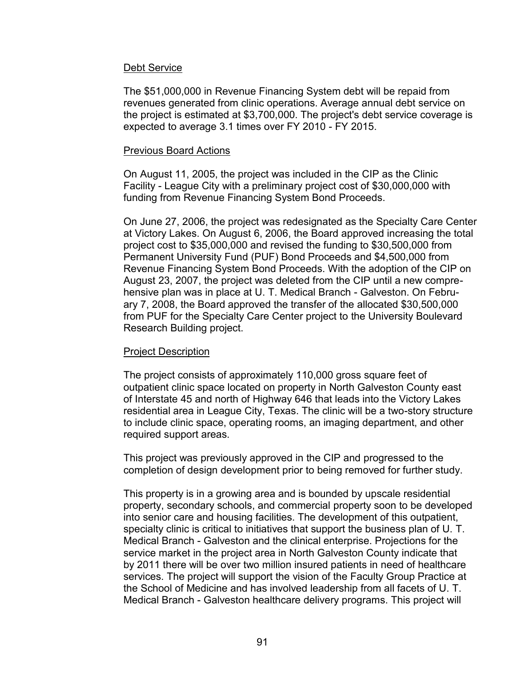The \$51,000,000 in Revenue Financing System debt will be repaid from revenues generated from clinic operations. Average annual debt service on the project is estimated at \$3,700,000. The project's debt service coverage is expected to average 3.1 times over FY 2010 - FY 2015.

#### Previous Board Actions

On August 11, 2005, the project was included in the CIP as the Clinic Facility - League City with a preliminary project cost of \$30,000,000 with funding from Revenue Financing System Bond Proceeds.

On June 27, 2006, the project was redesignated as the Specialty Care Center at Victory Lakes. On August 6, 2006, the Board approved increasing the total project cost to \$35,000,000 and revised the funding to \$30,500,000 from Permanent University Fund (PUF) Bond Proceeds and \$4,500,000 from Revenue Financing System Bond Proceeds. With the adoption of the CIP on August 23, 2007, the project was deleted from the CIP until a new comprehensive plan was in place at U. T. Medical Branch - Galveston. On February 7, 2008, the Board approved the transfer of the allocated \$30,500,000 from PUF for the Specialty Care Center project to the University Boulevard Research Building project.

# Project Description

The project consists of approximately 110,000 gross square feet of outpatient clinic space located on property in North Galveston County east of Interstate 45 and north of Highway 646 that leads into the Victory Lakes residential area in League City, Texas. The clinic will be a two-story structure to include clinic space, operating rooms, an imaging department, and other required support areas.

This project was previously approved in the CIP and progressed to the completion of design development prior to being removed for further study.

This property is in a growing area and is bounded by upscale residential property, secondary schools, and commercial property soon to be developed into senior care and housing facilities. The development of this outpatient, specialty clinic is critical to initiatives that support the business plan of U. T. Medical Branch - Galveston and the clinical enterprise. Projections for the service market in the project area in North Galveston County indicate that by 2011 there will be over two million insured patients in need of healthcare services. The project will support the vision of the Faculty Group Practice at the School of Medicine and has involved leadership from all facets of U. T. Medical Branch - Galveston healthcare delivery programs. This project will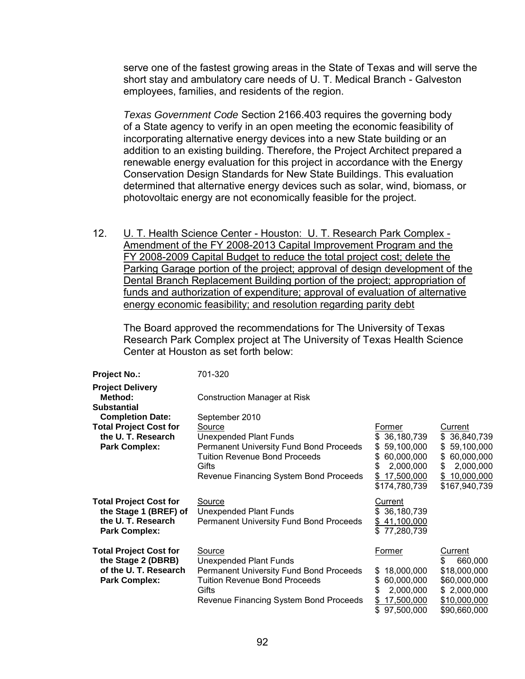serve one of the fastest growing areas in the State of Texas and will serve the short stay and ambulatory care needs of U. T. Medical Branch - Galveston employees, families, and residents of the region.

*Texas Government Code* Section 2166.403 requires the governing body of a State agency to verify in an open meeting the economic feasibility of incorporating alternative energy devices into a new State building or an addition to an existing building. Therefore, the Project Architect prepared a renewable energy evaluation for this project in accordance with the Energy Conservation Design Standards for New State Buildings. This evaluation determined that alternative energy devices such as solar, wind, biomass, or photovoltaic energy are not economically feasible for the project.

12. U. T. Health Science Center - Houston: U. T. Research Park Complex - Amendment of the FY 2008-2013 Capital Improvement Program and the FY 2008-2009 Capital Budget to reduce the total project cost; delete the Parking Garage portion of the project; approval of design development of the Dental Branch Replacement Building portion of the project; appropriation of funds and authorization of expenditure; approval of evaluation of alternative energy economic feasibility; and resolution regarding parity debt

The Board approved the recommendations for The University of Texas Research Park Complex project at The University of Texas Health Science Center at Houston as set forth below:

| <b>Project No.:</b>                                                                                 | 701-320                                                                                                                                                                       |                                                                                                                            |                                                                                                                        |
|-----------------------------------------------------------------------------------------------------|-------------------------------------------------------------------------------------------------------------------------------------------------------------------------------|----------------------------------------------------------------------------------------------------------------------------|------------------------------------------------------------------------------------------------------------------------|
| <b>Project Delivery</b><br>Method:<br><b>Substantial</b>                                            | <b>Construction Manager at Risk</b>                                                                                                                                           |                                                                                                                            |                                                                                                                        |
| <b>Completion Date:</b>                                                                             | September 2010                                                                                                                                                                |                                                                                                                            |                                                                                                                        |
| <b>Total Project Cost for</b><br>the U.T. Research<br><b>Park Complex:</b>                          | Source<br><b>Unexpended Plant Funds</b><br>Permanent University Fund Bond Proceeds<br>Tuition Revenue Bond Proceeds<br>Gifts<br>Revenue Financing System Bond Proceeds        | Former<br>36,180,739<br>\$.<br>59,100,000<br>\$<br>60,000,000<br>S.<br>2,000,000<br>S<br>17,500,000<br>\$<br>\$174,780,739 | Current<br>36,840,739<br>S<br>59,100,000<br>S<br>60,000,000<br>S<br>2,000,000<br>S<br>10,000,000<br>S<br>\$167,940,739 |
| <b>Total Project Cost for</b><br>the Stage 1 (BREF) of<br>the U.T. Research<br><b>Park Complex:</b> | Source<br><b>Unexpended Plant Funds</b><br><b>Permanent University Fund Bond Proceeds</b>                                                                                     | Current<br>\$36,180,739<br>41,100,000<br>\$<br>\$77,280,739                                                                |                                                                                                                        |
| <b>Total Project Cost for</b><br>the Stage 2 (DBRB)<br>of the U.T. Research<br><b>Park Complex:</b> | Source<br>Unexpended Plant Funds<br><b>Permanent University Fund Bond Proceeds</b><br><b>Tuition Revenue Bond Proceeds</b><br>Gifts<br>Revenue Financing System Bond Proceeds | Former<br>18,000,000<br>SS.<br>60,000,000<br>\$.<br>2,000,000<br>\$<br>17,500,000<br>\$<br>97,500,000<br>\$                | Current<br>\$<br>660,000<br>\$18,000,000<br>\$60,000,000<br>\$2,000,000<br>\$10,000,000<br>\$90,660,000                |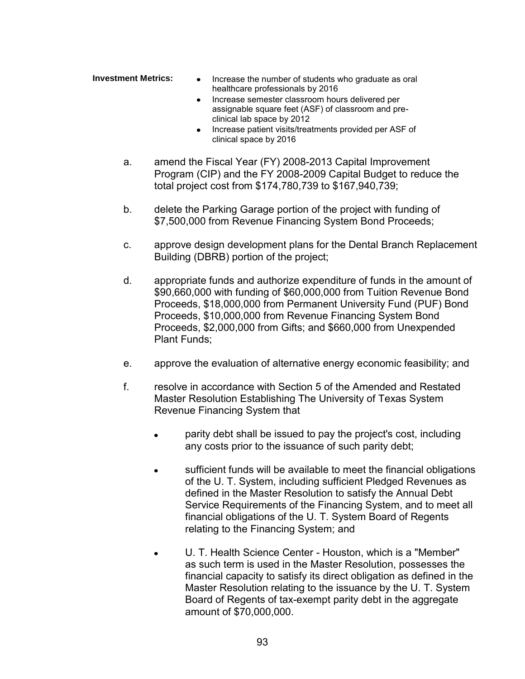- **Investment Metrics:** Increase the number of students who graduate as oral healthcare professionals by 2016
	- Increase semester classroom hours delivered per assignable square feet (ASF) of classroom and preclinical lab space by 2012
	- Increase patient visits/treatments provided per ASF of clinical space by 2016
	- a. amend the Fiscal Year (FY) 2008-2013 Capital Improvement Program (CIP) and the FY 2008-2009 Capital Budget to reduce the total project cost from \$174,780,739 to \$167,940,739;
	- b. delete the Parking Garage portion of the project with funding of \$7,500,000 from Revenue Financing System Bond Proceeds;
	- c. approve design development plans for the Dental Branch Replacement Building (DBRB) portion of the project;
	- d. appropriate funds and authorize expenditure of funds in the amount of \$90,660,000 with funding of \$60,000,000 from Tuition Revenue Bond Proceeds, \$18,000,000 from Permanent University Fund (PUF) Bond Proceeds, \$10,000,000 from Revenue Financing System Bond Proceeds, \$2,000,000 from Gifts; and \$660,000 from Unexpended Plant Funds;
	- e. approve the evaluation of alternative energy economic feasibility; and
	- f. resolve in accordance with Section 5 of the Amended and Restated Master Resolution Establishing The University of Texas System Revenue Financing System that
		- parity debt shall be issued to pay the project's cost, including  $\bullet$ any costs prior to the issuance of such parity debt;
		- sufficient funds will be available to meet the financial obligations of the U. T. System, including sufficient Pledged Revenues as defined in the Master Resolution to satisfy the Annual Debt Service Requirements of the Financing System, and to meet all financial obligations of the U. T. System Board of Regents relating to the Financing System; and
		- U. T. Health Science Center Houston, which is a "Member" as such term is used in the Master Resolution, possesses the financial capacity to satisfy its direct obligation as defined in the Master Resolution relating to the issuance by the U. T. System Board of Regents of tax-exempt parity debt in the aggregate amount of \$70,000,000.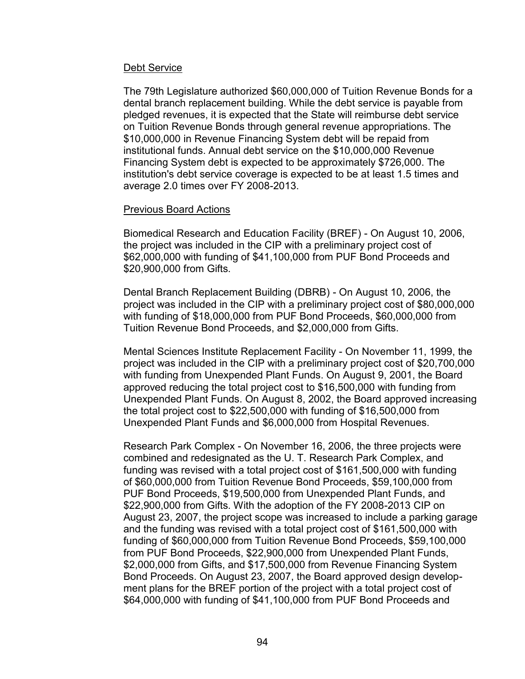The 79th Legislature authorized \$60,000,000 of Tuition Revenue Bonds for a dental branch replacement building. While the debt service is payable from pledged revenues, it is expected that the State will reimburse debt service on Tuition Revenue Bonds through general revenue appropriations. The \$10,000,000 in Revenue Financing System debt will be repaid from institutional funds. Annual debt service on the \$10,000,000 Revenue Financing System debt is expected to be approximately \$726,000. The institution's debt service coverage is expected to be at least 1.5 times and average 2.0 times over FY 2008-2013.

#### **Previous Board Actions**

Biomedical Research and Education Facility (BREF) - On August 10, 2006, the project was included in the CIP with a preliminary project cost of \$62,000,000 with funding of \$41,100,000 from PUF Bond Proceeds and \$20,900,000 from Gifts.

Dental Branch Replacement Building (DBRB) - On August 10, 2006, the project was included in the CIP with a preliminary project cost of \$80,000,000 with funding of \$18,000,000 from PUF Bond Proceeds, \$60,000,000 from Tuition Revenue Bond Proceeds, and \$2,000,000 from Gifts.

Mental Sciences Institute Replacement Facility - On November 11, 1999, the project was included in the CIP with a preliminary project cost of \$20,700,000 with funding from Unexpended Plant Funds. On August 9, 2001, the Board approved reducing the total project cost to \$16,500,000 with funding from Unexpended Plant Funds. On August 8, 2002, the Board approved increasing the total project cost to \$22,500,000 with funding of \$16,500,000 from Unexpended Plant Funds and \$6,000,000 from Hospital Revenues.

Research Park Complex - On November 16, 2006, the three projects were combined and redesignated as the U. T. Research Park Complex, and funding was revised with a total project cost of \$161,500,000 with funding of \$60,000,000 from Tuition Revenue Bond Proceeds, \$59,100,000 from PUF Bond Proceeds, \$19,500,000 from Unexpended Plant Funds, and \$22,900,000 from Gifts. With the adoption of the FY 2008-2013 CIP on August 23, 2007, the project scope was increased to include a parking garage and the funding was revised with a total project cost of \$161,500,000 with funding of \$60,000,000 from Tuition Revenue Bond Proceeds, \$59,100,000 from PUF Bond Proceeds, \$22,900,000 from Unexpended Plant Funds, \$2,000,000 from Gifts, and \$17,500,000 from Revenue Financing System Bond Proceeds. On August 23, 2007, the Board approved design development plans for the BREF portion of the project with a total project cost of \$64,000,000 with funding of \$41,100,000 from PUF Bond Proceeds and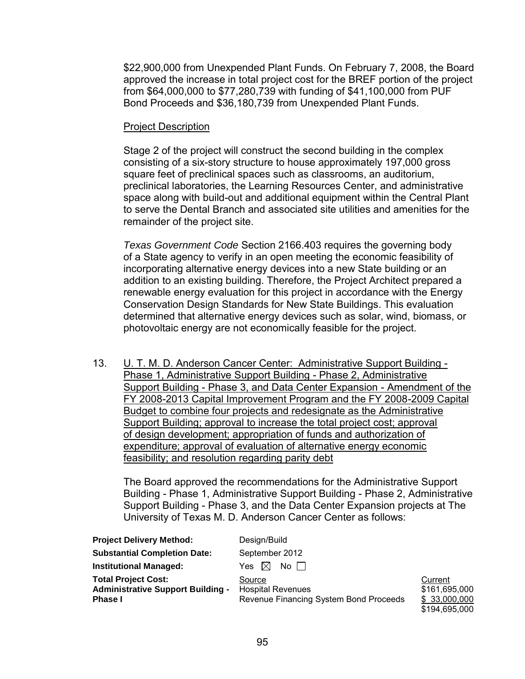\$22,900,000 from Unexpended Plant Funds. On February 7, 2008, the Board approved the increase in total project cost for the BREF portion of the project from \$64,000,000 to \$77,280,739 with funding of \$41,100,000 from PUF Bond Proceeds and \$36,180,739 from Unexpended Plant Funds.

#### Project Description

Stage 2 of the project will construct the second building in the complex consisting of a six-story structure to house approximately 197,000 gross square feet of preclinical spaces such as classrooms, an auditorium, preclinical laboratories, the Learning Resources Center, and administrative space along with build-out and additional equipment within the Central Plant to serve the Dental Branch and associated site utilities and amenities for the remainder of the project site.

*Texas Government Code* Section 2166.403 requires the governing body of a State agency to verify in an open meeting the economic feasibility of incorporating alternative energy devices into a new State building or an addition to an existing building. Therefore, the Project Architect prepared a renewable energy evaluation for this project in accordance with the Energy Conservation Design Standards for New State Buildings. This evaluation determined that alternative energy devices such as solar, wind, biomass, or photovoltaic energy are not economically feasible for the project.

13. U. T. M. D. Anderson Cancer Center: Administrative Support Building - Phase 1, Administrative Support Building - Phase 2, Administrative Support Building - Phase 3, and Data Center Expansion - Amendment of the FY 2008-2013 Capital Improvement Program and the FY 2008-2009 Capital Budget to combine four projects and redesignate as the Administrative Support Building; approval to increase the total project cost; approval of design development; appropriation of funds and authorization of expenditure; approval of evaluation of alternative energy economic feasibility; and resolution regarding parity debt

The Board approved the recommendations for the Administrative Support Building - Phase 1, Administrative Support Building - Phase 2, Administrative Support Building - Phase 3, and the Data Center Expansion projects at The University of Texas M. D. Anderson Cancer Center as follows:

| <b>Project Delivery Method:</b>                                                          | Design/Build                                                                 |                                                            |
|------------------------------------------------------------------------------------------|------------------------------------------------------------------------------|------------------------------------------------------------|
| <b>Substantial Completion Date:</b>                                                      | September 2012                                                               |                                                            |
| <b>Institutional Managed:</b>                                                            | No II<br>Yes $\bowtie$                                                       |                                                            |
| <b>Total Project Cost:</b><br><b>Administrative Support Building -</b><br><b>Phase I</b> | Source<br><b>Hospital Revenues</b><br>Revenue Financing System Bond Proceeds | Current<br>\$161,695,000<br>\$ 33,000,000<br>\$194,695,000 |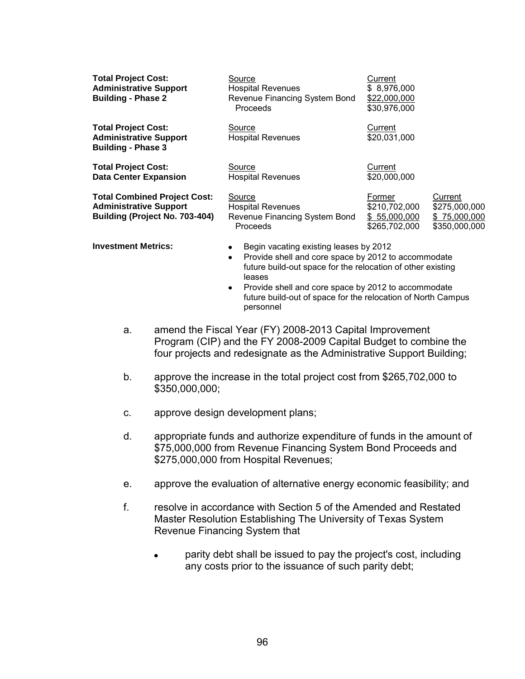| <b>Total Project Cost:</b><br><b>Administrative Support</b><br><b>Building - Phase 2</b>               | Source<br><b>Hospital Revenues</b><br>Revenue Financing System Bond<br><b>Proceeds</b> | Current<br>\$8,976,000<br>\$22,000,000<br>\$30,976,000   |                                                           |
|--------------------------------------------------------------------------------------------------------|----------------------------------------------------------------------------------------|----------------------------------------------------------|-----------------------------------------------------------|
| <b>Total Project Cost:</b><br><b>Administrative Support</b><br><b>Building - Phase 3</b>               | Source<br><b>Hospital Revenues</b>                                                     | Current<br>\$20,031,000                                  |                                                           |
| <b>Total Project Cost:</b><br><b>Data Center Expansion</b>                                             | Source<br><b>Hospital Revenues</b>                                                     | Current<br>\$20,000,000                                  |                                                           |
| <b>Total Combined Project Cost:</b><br><b>Administrative Support</b><br>Building (Project No. 703-404) | Source<br><b>Hospital Revenues</b><br>Revenue Financing System Bond<br><b>Proceeds</b> | Former<br>\$210,702,000<br>\$55,000,000<br>\$265,702,000 | Current<br>\$275,000,000<br>\$75,000,000<br>\$350,000,000 |

- **Investment Metrics:** Begin vacating existing leases by 2012
	- Provide shell and core space by 2012 to accommodate future build-out space for the relocation of other existing leases
	- Provide shell and core space by 2012 to accommodate future build-out of space for the relocation of North Campus personnel
	- a. amend the Fiscal Year (FY) 2008-2013 Capital Improvement Program (CIP) and the FY 2008-2009 Capital Budget to combine the four projects and redesignate as the Administrative Support Building;
	- b. approve the increase in the total project cost from \$265,702,000 to \$350,000,000;
	- c. approve design development plans;
	- d. appropriate funds and authorize expenditure of funds in the amount of \$75,000,000 from Revenue Financing System Bond Proceeds and \$275,000,000 from Hospital Revenues;
	- e. approve the evaluation of alternative energy economic feasibility; and
	- f. resolve in accordance with Section 5 of the Amended and Restated Master Resolution Establishing The University of Texas System Revenue Financing System that
		- parity debt shall be issued to pay the project's cost, including any costs prior to the issuance of such parity debt;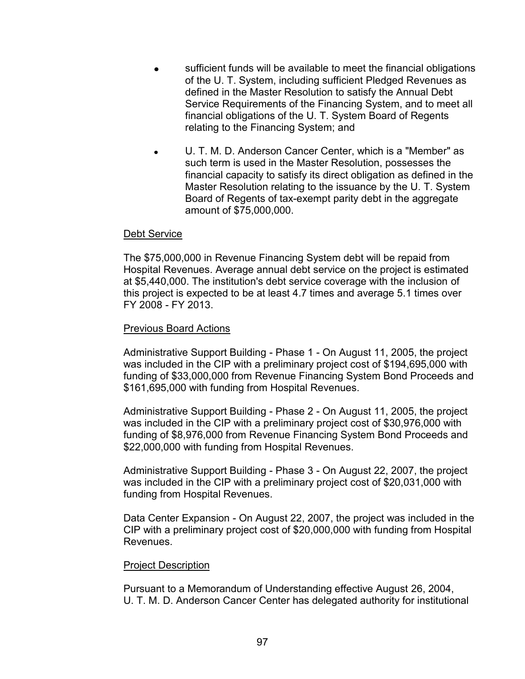- sufficient funds will be available to meet the financial obligations of the U. T. System, including sufficient Pledged Revenues as defined in the Master Resolution to satisfy the Annual Debt Service Requirements of the Financing System, and to meet all financial obligations of the U. T. System Board of Regents relating to the Financing System; and
- U. T. M. D. Anderson Cancer Center, which is a "Member" as such term is used in the Master Resolution, possesses the financial capacity to satisfy its direct obligation as defined in the Master Resolution relating to the issuance by the U. T. System Board of Regents of tax-exempt parity debt in the aggregate amount of \$75,000,000.

The \$75,000,000 in Revenue Financing System debt will be repaid from Hospital Revenues. Average annual debt service on the project is estimated at \$5,440,000. The institution's debt service coverage with the inclusion of this project is expected to be at least 4.7 times and average 5.1 times over FY 2008 - FY 2013.

#### Previous Board Actions

Administrative Support Building - Phase 1 - On August 11, 2005, the project was included in the CIP with a preliminary project cost of \$194,695,000 with funding of \$33,000,000 from Revenue Financing System Bond Proceeds and \$161,695,000 with funding from Hospital Revenues.

Administrative Support Building - Phase 2 - On August 11, 2005, the project was included in the CIP with a preliminary project cost of \$30,976,000 with funding of \$8,976,000 from Revenue Financing System Bond Proceeds and \$22,000,000 with funding from Hospital Revenues.

Administrative Support Building - Phase 3 - On August 22, 2007, the project was included in the CIP with a preliminary project cost of \$20,031,000 with funding from Hospital Revenues.

Data Center Expansion - On August 22, 2007, the project was included in the CIP with a preliminary project cost of \$20,000,000 with funding from Hospital Revenues.

#### Project Description

Pursuant to a Memorandum of Understanding effective August 26, 2004, U. T. M. D. Anderson Cancer Center has delegated authority for institutional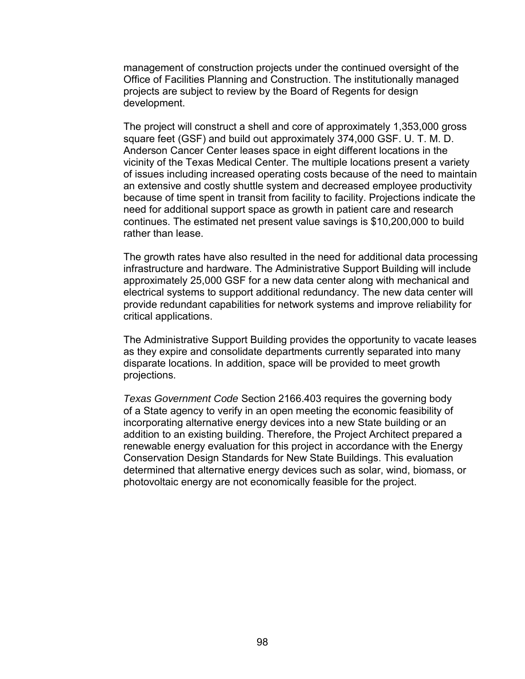management of construction projects under the continued oversight of the Office of Facilities Planning and Construction. The institutionally managed projects are subject to review by the Board of Regents for design development.

The project will construct a shell and core of approximately 1,353,000 gross square feet (GSF) and build out approximately 374,000 GSF. U. T. M. D. Anderson Cancer Center leases space in eight different locations in the vicinity of the Texas Medical Center. The multiple locations present a variety of issues including increased operating costs because of the need to maintain an extensive and costly shuttle system and decreased employee productivity because of time spent in transit from facility to facility. Projections indicate the need for additional support space as growth in patient care and research continues. The estimated net present value savings is \$10,200,000 to build rather than lease.

The growth rates have also resulted in the need for additional data processing infrastructure and hardware. The Administrative Support Building will include approximately 25,000 GSF for a new data center along with mechanical and electrical systems to support additional redundancy. The new data center will provide redundant capabilities for network systems and improve reliability for critical applications.

The Administrative Support Building provides the opportunity to vacate leases as they expire and consolidate departments currently separated into many disparate locations. In addition, space will be provided to meet growth projections.

*Texas Government Code* Section 2166.403 requires the governing body of a State agency to verify in an open meeting the economic feasibility of incorporating alternative energy devices into a new State building or an addition to an existing building. Therefore, the Project Architect prepared a renewable energy evaluation for this project in accordance with the Energy Conservation Design Standards for New State Buildings. This evaluation determined that alternative energy devices such as solar, wind, biomass, or photovoltaic energy are not economically feasible for the project.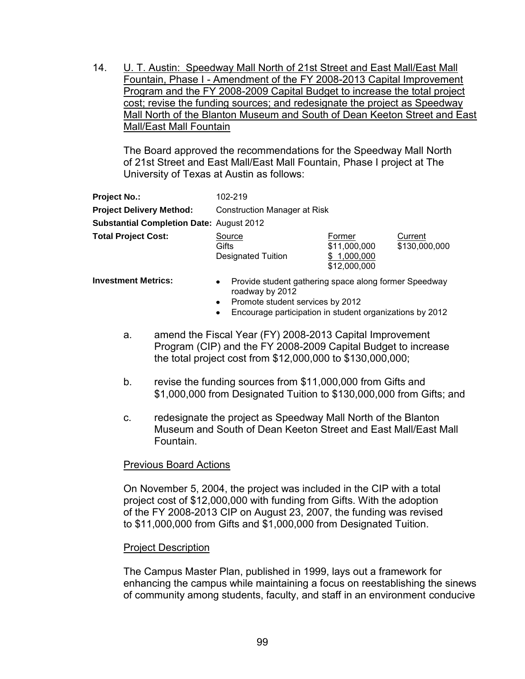14. U. T. Austin: Speedway Mall North of 21st Street and East Mall/East Mall Fountain, Phase I - Amendment of the FY 2008-2013 Capital Improvement Program and the FY 2008-2009 Capital Budget to increase the total project cost; revise the funding sources; and redesignate the project as Speedway Mall North of the Blanton Museum and South of Dean Keeton Street and East Mall/East Mall Fountain

The Board approved the recommendations for the Speedway Mall North of 21st Street and East Mall/East Mall Fountain, Phase I project at The University of Texas at Austin as follows:

| <b>Project No.:</b>                             | 102-219                                                                               |                                                       |                          |
|-------------------------------------------------|---------------------------------------------------------------------------------------|-------------------------------------------------------|--------------------------|
| <b>Project Delivery Method:</b>                 | Construction Manager at Risk                                                          |                                                       |                          |
| <b>Substantial Completion Date: August 2012</b> |                                                                                       |                                                       |                          |
| <b>Total Project Cost:</b>                      | Source<br>Gifts<br><b>Designated Tuition</b>                                          | Former<br>\$11,000,000<br>\$1,000,000<br>\$12,000,000 | Current<br>\$130,000,000 |
| <b>Investment Metrics:</b>                      | Provide student gathering space along former Speedway<br>$\bullet$<br>roadway by 2012 |                                                       |                          |

- Promote student services by 2012
- Encourage participation in student organizations by 2012
- a. amend the Fiscal Year (FY) 2008-2013 Capital Improvement Program (CIP) and the FY 2008-2009 Capital Budget to increase the total project cost from \$12,000,000 to \$130,000,000;
- b. revise the funding sources from \$11,000,000 from Gifts and \$1,000,000 from Designated Tuition to \$130,000,000 from Gifts; and
- c. redesignate the project as Speedway Mall North of the Blanton Museum and South of Dean Keeton Street and East Mall/East Mall Fountain.

# Previous Board Actions

On November 5, 2004, the project was included in the CIP with a total project cost of \$12,000,000 with funding from Gifts. With the adoption of the FY 2008-2013 CIP on August 23, 2007, the funding was revised to \$11,000,000 from Gifts and \$1,000,000 from Designated Tuition.

# Project Description

The Campus Master Plan, published in 1999, lays out a framework for enhancing the campus while maintaining a focus on reestablishing the sinews of community among students, faculty, and staff in an environment conducive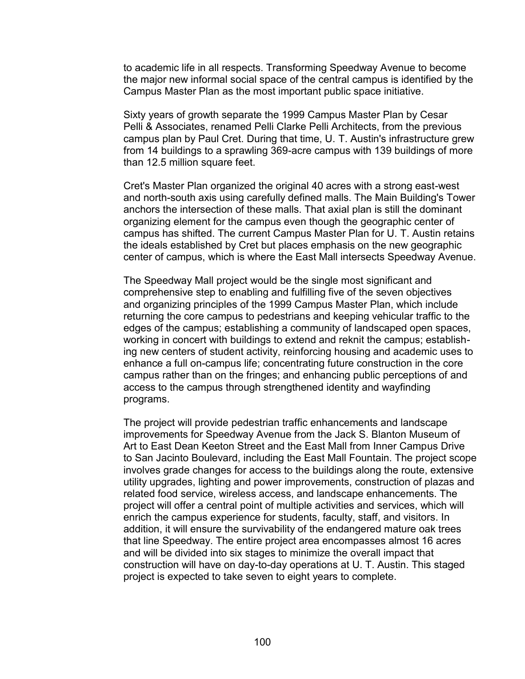to academic life in all respects. Transforming Speedway Avenue to become the major new informal social space of the central campus is identified by the Campus Master Plan as the most important public space initiative.

Sixty years of growth separate the 1999 Campus Master Plan by Cesar Pelli & Associates, renamed Pelli Clarke Pelli Architects, from the previous campus plan by Paul Cret. During that time, U. T. Austin's infrastructure grew from 14 buildings to a sprawling 369-acre campus with 139 buildings of more than 12.5 million square feet.

Cret's Master Plan organized the original 40 acres with a strong east-west and north-south axis using carefully defined malls. The Main Building's Tower anchors the intersection of these malls. That axial plan is still the dominant organizing element for the campus even though the geographic center of campus has shifted. The current Campus Master Plan for U. T. Austin retains the ideals established by Cret but places emphasis on the new geographic center of campus, which is where the East Mall intersects Speedway Avenue.

The Speedway Mall project would be the single most significant and comprehensive step to enabling and fulfilling five of the seven objectives and organizing principles of the 1999 Campus Master Plan, which include returning the core campus to pedestrians and keeping vehicular traffic to the edges of the campus; establishing a community of landscaped open spaces, working in concert with buildings to extend and reknit the campus; establishing new centers of student activity, reinforcing housing and academic uses to enhance a full on-campus life; concentrating future construction in the core campus rather than on the fringes; and enhancing public perceptions of and access to the campus through strengthened identity and wayfinding programs.

The project will provide pedestrian traffic enhancements and landscape improvements for Speedway Avenue from the Jack S. Blanton Museum of Art to East Dean Keeton Street and the East Mall from Inner Campus Drive to San Jacinto Boulevard, including the East Mall Fountain. The project scope involves grade changes for access to the buildings along the route, extensive utility upgrades, lighting and power improvements, construction of plazas and related food service, wireless access, and landscape enhancements. The project will offer a central point of multiple activities and services, which will enrich the campus experience for students, faculty, staff, and visitors. In addition, it will ensure the survivability of the endangered mature oak trees that line Speedway. The entire project area encompasses almost 16 acres and will be divided into six stages to minimize the overall impact that construction will have on day-to-day operations at U. T. Austin. This staged project is expected to take seven to eight years to complete.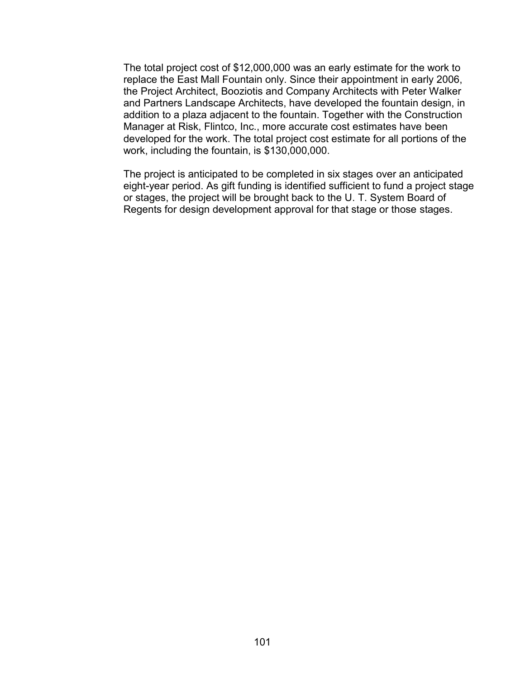The total project cost of \$12,000,000 was an early estimate for the work to replace the East Mall Fountain only. Since their appointment in early 2006, the Project Architect, Booziotis and Company Architects with Peter Walker and Partners Landscape Architects, have developed the fountain design, in addition to a plaza adjacent to the fountain. Together with the Construction Manager at Risk, Flintco, Inc., more accurate cost estimates have been developed for the work. The total project cost estimate for all portions of the work, including the fountain, is \$130,000,000.

The project is anticipated to be completed in six stages over an anticipated eight-year period. As gift funding is identified sufficient to fund a project stage or stages, the project will be brought back to the U. T. System Board of Regents for design development approval for that stage or those stages.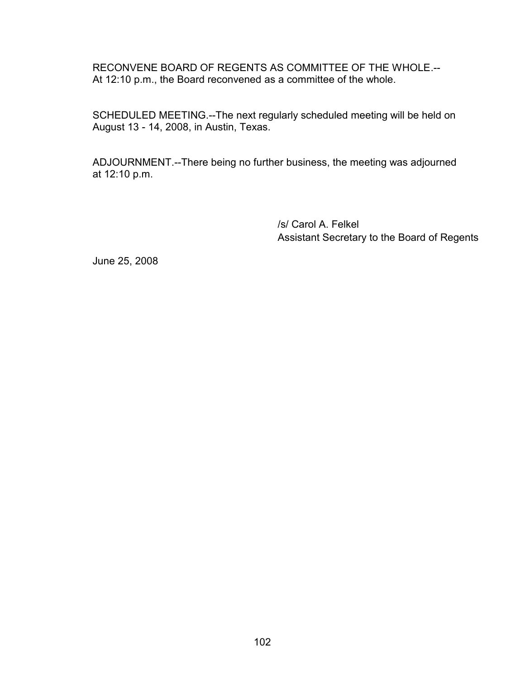RECONVENE BOARD OF REGENTS AS COMMITTEE OF THE WHOLE.-- At 12:10 p.m., the Board reconvened as a committee of the whole.

SCHEDULED MEETING.--The next regularly scheduled meeting will be held on August 13 - 14, 2008, in Austin, Texas.

ADJOURNMENT.--There being no further business, the meeting was adjourned at 12:10 p.m.

> /s/ Carol A. Felkel Assistant Secretary to the Board of Regents

June 25, 2008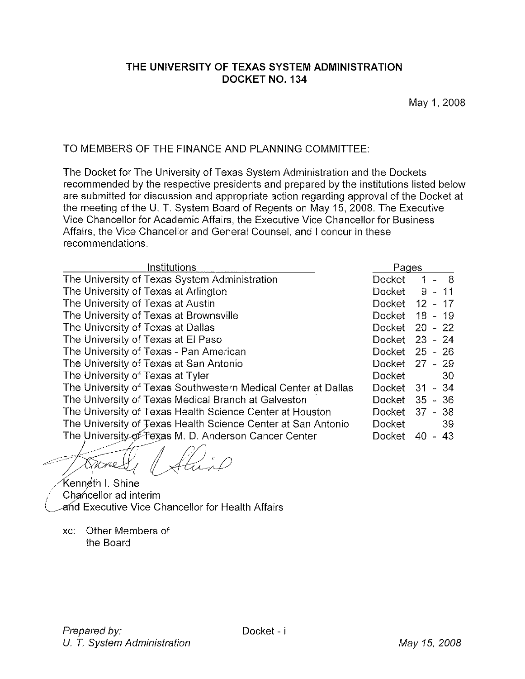### THE UNIVERSITY OF TEXAS SYSTEM ADMINISTRATION DOCKET NO. 134

# TO MEMBERS OF THE FINANCE AND PLANNING COMMITTEE:

The Docket for The University of Texas System Administration and the Dockets recommended by the respective presidents and prepared by the institutions listed below are submitted for discussion and appropriate action regarding approval of the Docket at the meeting of the U. T. System Board of Regents on May 15, 2008. The Executive Vice Chancellor for Academic Affairs, the Executive Vice Chancellor for Business Affairs, the Vice Chancellor and General Counsel, and I concur in these recommendations.

| Institutions                                                  | Pages         |                                                   |
|---------------------------------------------------------------|---------------|---------------------------------------------------|
| The University of Texas System Administration                 | Docket        | $1 - 8$                                           |
| The University of Texas at Arlington                          | Docket        | $\overline{11}$<br>9.<br>$\overline{\phantom{a}}$ |
| The University of Texas at Austin                             | Docket        | $\overline{12}$<br>17<br>$\overline{\phantom{a}}$ |
| The University of Texas at Brownsville                        | Docket        | 18 - 19                                           |
| The University of Texas at Dallas                             | Docket        | $20 - 22$                                         |
| The University of Texas at El Paso                            | <b>Docket</b> | $23 - 24$                                         |
| The University of Texas - Pan American                        | <b>Docket</b> | $25 - 26$                                         |
| The University of Texas at San Antonio                        | Docket        | $27 - 29$                                         |
| The University of Texas at Tyler                              | <b>Docket</b> | -30                                               |
| The University of Texas Southwestern Medical Center at Dallas | Docket        | $-34$<br>31                                       |
| The University of Texas Medical Branch at Galveston           | Docket        | $35 - 36$                                         |
| The University of Texas Health Science Center at Houston      | <b>Docket</b> | $37 - 38$                                         |
| The University of Texas Health Science Center at San Antonio  | <b>Docket</b> | 39                                                |
| The University of Texas M. D. Anderson Cancer Center          | Docket        | 43<br>40                                          |
|                                                               |               |                                                   |

Atuno Stare.

Kenn¢th I. Shine Chancellor ad interim and Executive Vice Chancellor for Health Affairs

xc: Other Members of the Board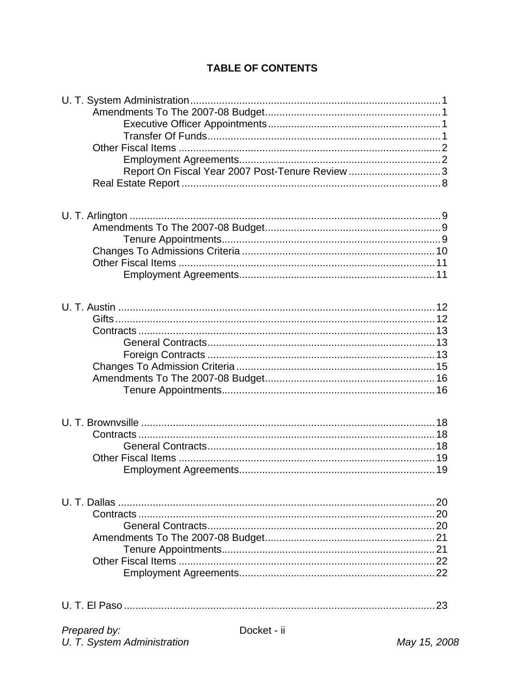# **TABLE OF CONTENTS**

| Report On Fiscal Year 2007 Post-Tenure Review 3 |
|-------------------------------------------------|
|                                                 |
|                                                 |
|                                                 |
| 20                                              |
|                                                 |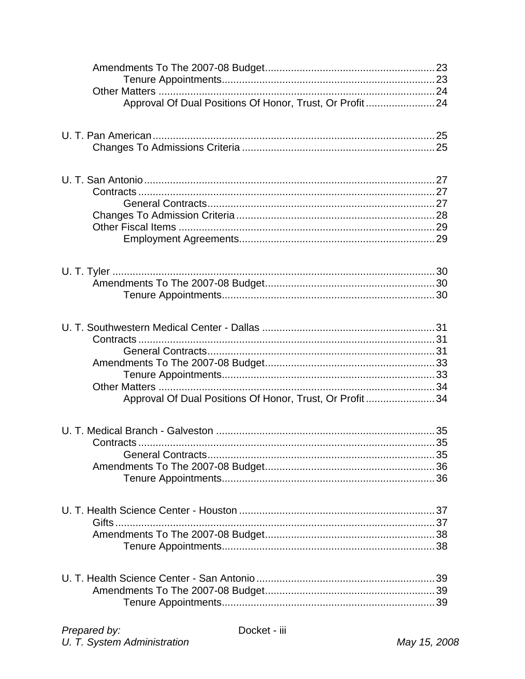| Approval Of Dual Positions Of Honor, Trust, Or Profit24              |  |
|----------------------------------------------------------------------|--|
|                                                                      |  |
|                                                                      |  |
|                                                                      |  |
| Contracts<br>Approval Of Dual Positions Of Honor, Trust, Or Profit34 |  |
| Contracts                                                            |  |
|                                                                      |  |
|                                                                      |  |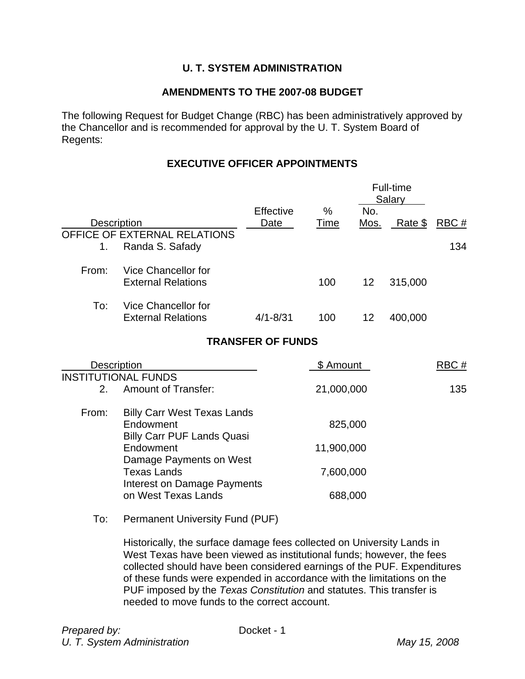# **U. T. SYSTEM ADMINISTRATION**

### **AMENDMENTS TO THE 2007-08 BUDGET**

The following Request for Budget Change (RBC) has been administratively approved by the Chancellor and is recommended for approval by the U. T. System Board of Regents:

### **EXECUTIVE OFFICER APPOINTMENTS**

|       |                                                                                                                                                                                                                            |                          |            |                 | Full-time<br>Salary |      |
|-------|----------------------------------------------------------------------------------------------------------------------------------------------------------------------------------------------------------------------------|--------------------------|------------|-----------------|---------------------|------|
|       |                                                                                                                                                                                                                            | Effective                | %          | No.             |                     |      |
|       | <b>Description</b>                                                                                                                                                                                                         | Date                     | Time       |                 | Mos. Rate $$$       | RBC# |
| 1.    | OFFICE OF EXTERNAL RELATIONS<br>Randa S. Safady                                                                                                                                                                            |                          |            |                 |                     | 134  |
| From: | Vice Chancellor for<br><b>External Relations</b>                                                                                                                                                                           |                          | 100        | 12 <sup>°</sup> | 315,000             |      |
| To:   | Vice Chancellor for<br><b>External Relations</b>                                                                                                                                                                           | $4/1 - 8/31$             | 100        | 12              | 400,000             |      |
|       |                                                                                                                                                                                                                            | <b>TRANSFER OF FUNDS</b> |            |                 |                     |      |
|       | Description                                                                                                                                                                                                                |                          | \$ Amount  |                 |                     | RBC# |
| 2.    | <b>INSTITUTIONAL FUNDS</b><br><b>Amount of Transfer:</b>                                                                                                                                                                   |                          | 21,000,000 |                 |                     | 135  |
| From: | <b>Billy Carr West Texas Lands</b><br>Endowment<br><b>Billy Carr PUF Lands Quasi</b>                                                                                                                                       |                          | 825,000    |                 |                     |      |
|       | Endowment<br>Damage Payments on West                                                                                                                                                                                       |                          | 11,900,000 |                 |                     |      |
|       | <b>Texas Lands</b><br><b>Interest on Damage Payments</b>                                                                                                                                                                   |                          | 7,600,000  |                 |                     |      |
|       | on West Texas Lands                                                                                                                                                                                                        |                          | 688,000    |                 |                     |      |
| To:   | Permanent University Fund (PUF)                                                                                                                                                                                            |                          |            |                 |                     |      |
|       | Historically, the surface damage fees collected on University Lands in<br>West Texas have been viewed as institutional funds; however, the fees<br>collected should have been considered carpings of the DUE. Expenditures |                          |            |                 |                     |      |

collected should have been considered earnings of the PUF. Expenditures of these funds were expended in accordance with the limitations on the PUF imposed by the *Texas Constitution* and statutes. This transfer is needed to move funds to the correct account.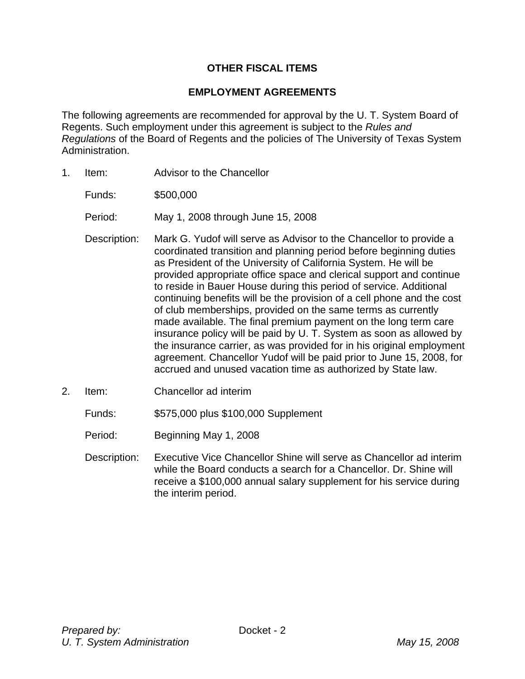# **OTHER FISCAL ITEMS**

### **EMPLOYMENT AGREEMENTS**

The following agreements are recommended for approval by the U. T. System Board of Regents. Such employment under this agreement is subject to the *Rules and Regulations* of the Board of Regents and the policies of The University of Texas System Administration.

- 1. Item: Advisor to the Chancellor
	- Funds: \$500,000
	- Period: May 1, 2008 through June 15, 2008
	- Description: Mark G. Yudof will serve as Advisor to the Chancellor to provide a coordinated transition and planning period before beginning duties as President of the University of California System. He will be provided appropriate office space and clerical support and continue to reside in Bauer House during this period of service. Additional continuing benefits will be the provision of a cell phone and the cost of club memberships, provided on the same terms as currently made available. The final premium payment on the long term care insurance policy will be paid by U. T. System as soon as allowed by the insurance carrier, as was provided for in his original employment agreement. Chancellor Yudof will be paid prior to June 15, 2008, for accrued and unused vacation time as authorized by State law.
- 2. Item: Chancellor ad interim

Funds: \$575,000 plus \$100,000 Supplement

- Period: Beginning May 1, 2008
- Description: Executive Vice Chancellor Shine will serve as Chancellor ad interim while the Board conducts a search for a Chancellor. Dr. Shine will receive a \$100,000 annual salary supplement for his service during the interim period.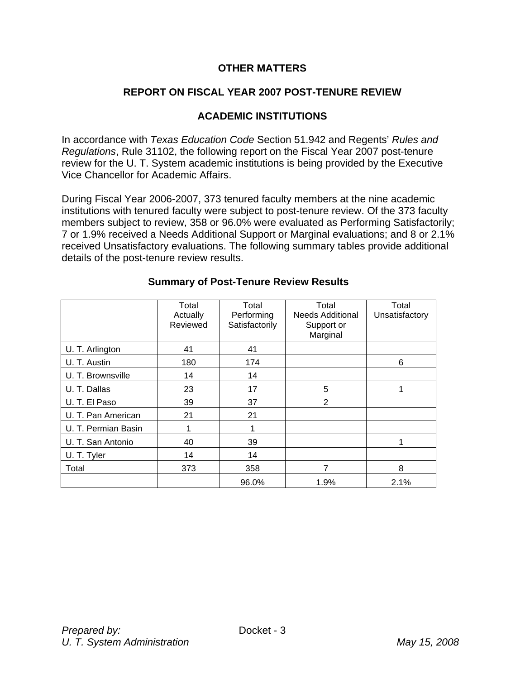### **OTHER MATTERS**

# **REPORT ON FISCAL YEAR 2007 POST-TENURE REVIEW**

### **ACADEMIC INSTITUTIONS**

In accordance with *Texas Education Code* Section 51.942 and Regents' *Rules and Regulations*, Rule 31102, the following report on the Fiscal Year 2007 post-tenure review for the U. T. System academic institutions is being provided by the Executive Vice Chancellor for Academic Affairs.

During Fiscal Year 2006-2007, 373 tenured faculty members at the nine academic institutions with tenured faculty were subject to post-tenure review. Of the 373 faculty members subject to review, 358 or 96.0% were evaluated as Performing Satisfactorily; 7 or 1.9% received a Needs Additional Support or Marginal evaluations; and 8 or 2.1% received Unsatisfactory evaluations. The following summary tables provide additional details of the post-tenure review results.

|                     | Total<br>Actually | Total<br>Performing | Total<br><b>Needs Additional</b> | Total<br>Unsatisfactory |  |
|---------------------|-------------------|---------------------|----------------------------------|-------------------------|--|
|                     | Reviewed          | Satisfactorily      | Support or<br>Marginal           |                         |  |
| U. T. Arlington     | 41                | 41                  |                                  |                         |  |
| U. T. Austin        | 180               | 174                 |                                  | 6                       |  |
| U. T. Brownsville   | 14                | 14                  |                                  |                         |  |
| U. T. Dallas        | 23                | 17                  | 5                                |                         |  |
| U. T. El Paso       | 39                | 37                  | 2                                |                         |  |
| U. T. Pan American  | 21                | 21                  |                                  |                         |  |
| U. T. Permian Basin |                   |                     |                                  |                         |  |
| U. T. San Antonio   | 40                | 39                  |                                  |                         |  |
| U. T. Tyler         | 14                | 14                  |                                  |                         |  |
| Total               | 373               | 358                 |                                  | 8                       |  |
|                     |                   | 96.0%               | 1.9%                             | 2.1%                    |  |

#### **Summary of Post-Tenure Review Results**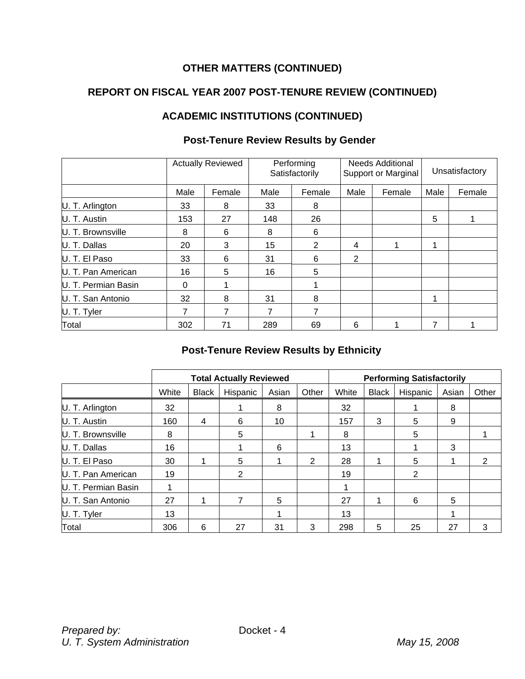# **REPORT ON FISCAL YEAR 2007 POST-TENURE REVIEW (CONTINUED)**

# **ACADEMIC INSTITUTIONS (CONTINUED)**

|                     |      | <b>Actually Reviewed</b> |      | Performing<br>Satisfactorily |                | <b>Needs Additional</b><br>Support or Marginal | Unsatisfactory |        |
|---------------------|------|--------------------------|------|------------------------------|----------------|------------------------------------------------|----------------|--------|
|                     | Male | Female                   | Male | Female                       | Male           | Female                                         | Male           | Female |
| U. T. Arlington     | 33   | 8                        | 33   | 8                            |                |                                                |                |        |
| U. T. Austin        | 153  | 27                       | 148  | 26                           |                |                                                | 5              |        |
| U. T. Brownsville   | 8    | 6                        | 8    | 6                            |                |                                                |                |        |
| U. T. Dallas        | 20   | 3                        | 15   | 2                            | 4              |                                                | 1              |        |
| U. T. El Paso       | 33   | 6                        | 31   | 6                            | $\overline{2}$ |                                                |                |        |
| U. T. Pan American  | 16   | 5                        | 16   | 5                            |                |                                                |                |        |
| U. T. Permian Basin | 0    |                          |      |                              |                |                                                |                |        |
| U. T. San Antonio   | 32   | 8                        | 31   | 8                            |                |                                                | 4              |        |
| U. T. Tyler         | 7    | 7                        | 7    | 7                            |                |                                                |                |        |
| Total               | 302  | 71                       | 289  | 69                           | 6              |                                                | 7              |        |

# **Post-Tenure Review Results by Gender**

# **Post-Tenure Review Results by Ethnicity**

|                     |       |              | <b>Total Actually Reviewed</b> |       |       | <b>Performing Satisfactorily</b> |              |                |       |       |
|---------------------|-------|--------------|--------------------------------|-------|-------|----------------------------------|--------------|----------------|-------|-------|
|                     | White | <b>Black</b> | Hispanic                       | Asian | Other | White                            | <b>Black</b> | Hispanic       | Asian | Other |
| U. T. Arlington     | 32    |              |                                | 8     |       | 32                               |              |                | 8     |       |
| U. T. Austin        | 160   | 4            | 6                              | 10    |       | 157                              | 3            | 5              | 9     |       |
| U. T. Brownsville   | 8     |              | 5                              |       |       | 8                                |              | 5              |       |       |
| U. T. Dallas        | 16    |              |                                | 6     |       | 13                               |              |                | 3     |       |
| U. T. El Paso       | 30    |              | 5                              |       | 2     | 28                               |              | 5              |       | 2     |
| U. T. Pan American  | 19    |              | 2                              |       |       | 19                               |              | $\overline{2}$ |       |       |
| U. T. Permian Basin |       |              |                                |       |       |                                  |              |                |       |       |
| U. T. San Antonio   | 27    |              |                                | 5     |       | 27                               |              | 6              | 5     |       |
| U. T. Tyler         | 13    |              |                                |       |       | 13                               |              |                |       |       |
| Total               | 306   | 6            | 27                             | 31    | 3     | 298                              | 5            | 25             | 27    | 3     |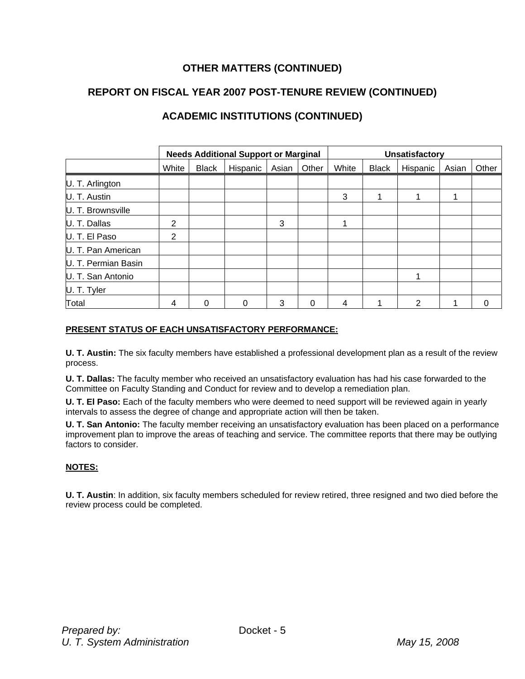# **REPORT ON FISCAL YEAR 2007 POST-TENURE REVIEW (CONTINUED)**

# **ACADEMIC INSTITUTIONS (CONTINUED)**

|                     |       |              | <b>Needs Additional Support or Marginal</b> |       |          | Unsatisfactory |              |          |       |       |
|---------------------|-------|--------------|---------------------------------------------|-------|----------|----------------|--------------|----------|-------|-------|
|                     | White | <b>Black</b> | Hispanic                                    | Asian | Other    | White          | <b>Black</b> | Hispanic | Asian | Other |
| U. T. Arlington     |       |              |                                             |       |          |                |              |          |       |       |
| U. T. Austin        |       |              |                                             |       |          | 3              |              |          |       |       |
| U. T. Brownsville   |       |              |                                             |       |          |                |              |          |       |       |
| U. T. Dallas        | 2     |              |                                             | 3     |          |                |              |          |       |       |
| U. T. El Paso       | 2     |              |                                             |       |          |                |              |          |       |       |
| U. T. Pan American  |       |              |                                             |       |          |                |              |          |       |       |
| U. T. Permian Basin |       |              |                                             |       |          |                |              |          |       |       |
| U. T. San Antonio   |       |              |                                             |       |          |                |              |          |       |       |
| U. T. Tyler         |       |              |                                             |       |          |                |              |          |       |       |
| Total               | 4     | 0            | $\Omega$                                    | 3     | $\Omega$ | 4              |              | 2        |       | 0     |

#### **PRESENT STATUS OF EACH UNSATISFACTORY PERFORMANCE:**

**U. T. Austin:** The six faculty members have established a professional development plan as a result of the review process.

**U. T. Dallas:** The faculty member who received an unsatisfactory evaluation has had his case forwarded to the Committee on Faculty Standing and Conduct for review and to develop a remediation plan.

**U. T. El Paso:** Each of the faculty members who were deemed to need support will be reviewed again in yearly intervals to assess the degree of change and appropriate action will then be taken.

**U. T. San Antonio:** The faculty member receiving an unsatisfactory evaluation has been placed on a performance improvement plan to improve the areas of teaching and service. The committee reports that there may be outlying factors to consider.

#### **NOTES:**

**U. T. Austin**: In addition, six faculty members scheduled for review retired, three resigned and two died before the review process could be completed.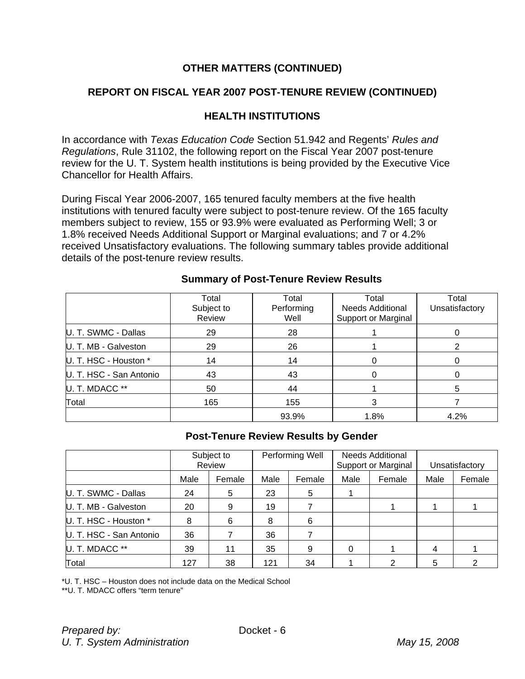### **REPORT ON FISCAL YEAR 2007 POST-TENURE REVIEW (CONTINUED)**

### **HEALTH INSTITUTIONS**

In accordance with *Texas Education Code* Section 51.942 and Regents' *Rules and Regulations*, Rule 31102, the following report on the Fiscal Year 2007 post-tenure review for the U. T. System health institutions is being provided by the Executive Vice Chancellor for Health Affairs.

During Fiscal Year 2006-2007, 165 tenured faculty members at the five health institutions with tenured faculty were subject to post-tenure review. Of the 165 faculty members subject to review, 155 or 93.9% were evaluated as Performing Well; 3 or 1.8% received Needs Additional Support or Marginal evaluations; and 7 or 4.2% received Unsatisfactory evaluations. The following summary tables provide additional details of the post-tenure review results.

|                         | Total<br>Subject to<br>Review | Total<br>Performing<br>Well | Total<br>Unsatisfactory |      |
|-------------------------|-------------------------------|-----------------------------|-------------------------|------|
| U. T. SWMC - Dallas     | 29                            | 28                          |                         |      |
| U. T. MB - Galveston    | 29                            | 26                          |                         | 2    |
| U. T. HSC - Houston *   | 14                            | 14                          |                         |      |
| U. T. HSC - San Antonio | 43                            | 43                          |                         | 0    |
| U. T. MDACC **          | 50                            | 44                          |                         | 5    |
| Total                   | 165                           | 155                         | 3                       |      |
|                         |                               | 93.9%                       | 1.8%                    | 4.2% |

#### **Summary of Post-Tenure Review Results**

# **Post-Tenure Review Results by Gender**

|                         | Subject to<br>Review |        |      | Performing Well |      | <b>Needs Additional</b><br><b>Support or Marginal</b> | Unsatisfactory |        |
|-------------------------|----------------------|--------|------|-----------------|------|-------------------------------------------------------|----------------|--------|
|                         | Male                 | Female | Male | Female          | Male | Female                                                |                | Female |
| U. T. SWMC - Dallas     | 24                   | 5      | 23   | 5               |      |                                                       |                |        |
| U. T. MB - Galveston    | 20                   | 9      | 19   |                 |      |                                                       |                |        |
| U. T. HSC - Houston *   | 8                    | 6      | 8    | 6               |      |                                                       |                |        |
| U. T. HSC - San Antonio | 36                   |        | 36   |                 |      |                                                       |                |        |
| U. T. MDACC **          | 39                   | 11     | 35   | 9               | 0    |                                                       | 4              |        |
| Total                   | 127                  | 38     | 121  | 34              |      | 2                                                     |                |        |

\*U. T. HSC – Houston does not include data on the Medical School

\*\*U. T. MDACC offers "term tenure"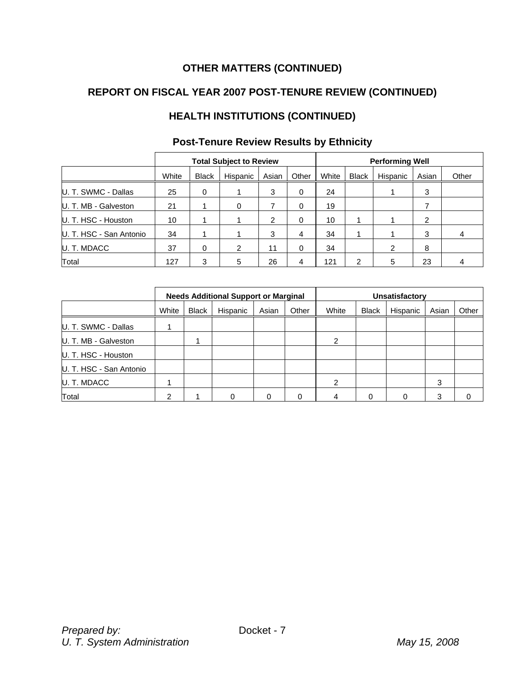# **REPORT ON FISCAL YEAR 2007 POST-TENURE REVIEW (CONTINUED)**

# **HEALTH INSTITUTIONS (CONTINUED)**

|                         |       |              | <b>Total Subject to Review</b> |       |       | <b>Performing Well</b> |       |          |       |       |
|-------------------------|-------|--------------|--------------------------------|-------|-------|------------------------|-------|----------|-------|-------|
|                         | White | <b>Black</b> | Hispanic                       | Asian | Other | White                  | Black | Hispanic | Asian | Other |
| U. T. SWMC - Dallas     | 25    | 0            |                                | 3     | 0     | 24                     |       |          | 3     |       |
| U. T. MB - Galveston    | 21    |              | 0                              |       | 0     | 19                     |       |          |       |       |
| U. T. HSC - Houston     | 10    |              |                                | 2     | 0     | 10                     |       |          | 2     |       |
| U. T. HSC - San Antonio | 34    |              |                                | 3     | 4     | 34                     |       |          | 3     | 4     |
| U. T. MDACC             | 37    | 0            | 2                              | 11    | 0     | 34                     |       | 2        | 8     |       |
| Total                   | 127   | 3            | 5                              | 26    | 4     | 121                    | っ     | 5        | 23    |       |

# **Post-Tenure Review Results by Ethnicity**

|                         |       | <b>Needs Additional Support or Marginal</b> |          |       |       |                | Unsatisfactory |          |       |       |  |
|-------------------------|-------|---------------------------------------------|----------|-------|-------|----------------|----------------|----------|-------|-------|--|
|                         | White | <b>Black</b>                                | Hispanic | Asian | Other | White          | <b>Black</b>   | Hispanic | Asian | Other |  |
| U. T. SWMC - Dallas     |       |                                             |          |       |       |                |                |          |       |       |  |
| U. T. MB - Galveston    |       |                                             |          |       |       | 2              |                |          |       |       |  |
| U. T. HSC - Houston     |       |                                             |          |       |       |                |                |          |       |       |  |
| U. T. HSC - San Antonio |       |                                             |          |       |       |                |                |          |       |       |  |
| U. T. MDACC             |       |                                             |          |       |       | $\mathfrak{p}$ |                |          | 3     |       |  |
| Total                   | າ     |                                             |          | 0     | 0     | 4              | 0              |          | З     |       |  |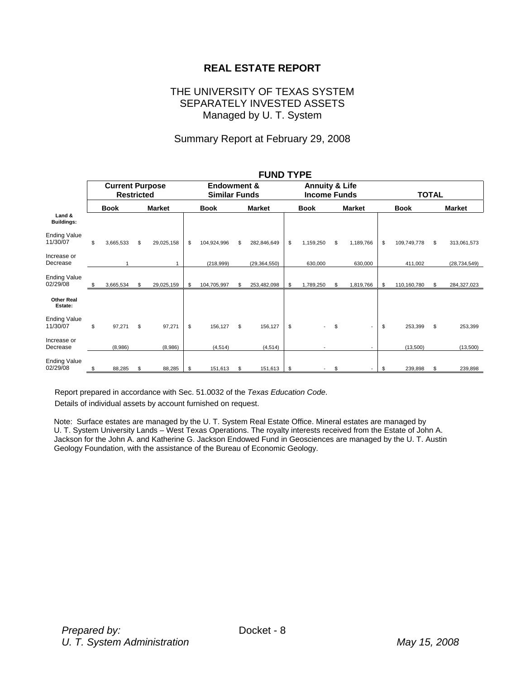### **REAL ESTATE REPORT**

#### THE UNIVERSITY OF TEXAS SYSTEM SEPARATELY INVESTED ASSETS Managed by U. T. System

#### Summary Report at February 29, 2008

|                                 |                                             |    |                                                |                   |    | FUND ITPE                                        |      |             |              |                          |    |             |    |                |
|---------------------------------|---------------------------------------------|----|------------------------------------------------|-------------------|----|--------------------------------------------------|------|-------------|--------------|--------------------------|----|-------------|----|----------------|
|                                 | <b>Current Purpose</b><br><b>Restricted</b> |    | <b>Endowment &amp;</b><br><b>Similar Funds</b> |                   |    | <b>Annuity &amp; Life</b><br><b>Income Funds</b> |      |             | <b>TOTAL</b> |                          |    |             |    |                |
|                                 | <b>Book</b>                                 |    | <b>Market</b>                                  | <b>Book</b>       |    | <b>Market</b>                                    |      | <b>Book</b> |              | <b>Market</b>            |    | <b>Book</b> |    | <b>Market</b>  |
| Land &<br><b>Buildings:</b>     |                                             |    |                                                |                   |    |                                                  |      |             |              |                          |    |             |    |                |
| <b>Ending Value</b><br>11/30/07 | \$<br>3,665,533                             | \$ | 29,025,158                                     | \$<br>104,924,996 | \$ | 282,846,649                                      | \$   | 1,159,250   | \$           | 1,189,766                | \$ | 109,749,778 | \$ | 313,061,573    |
| Increase or<br>Decrease         |                                             |    |                                                | (218,999)         |    | (29, 364, 550)                                   |      | 630,000     |              | 630,000                  |    | 411,002     |    | (28, 734, 549) |
| <b>Ending Value</b><br>02/29/08 | \$<br>3,665,534                             | \$ | 29,025,159                                     | \$<br>104,705,997 | S  | 253,482,098                                      | - \$ | 1,789,250   | \$           | 1,819,766                | \$ | 110,160,780 | \$ | 284,327,023    |
| <b>Other Real</b><br>Estate:    |                                             |    |                                                |                   |    |                                                  |      |             |              |                          |    |             |    |                |
| <b>Ending Value</b><br>11/30/07 | \$<br>97,271                                | \$ | 97,271                                         | \$<br>156,127     | \$ | 156,127                                          | \$   |             | \$           | $\overline{\phantom{a}}$ | \$ | 253,399     | \$ | 253,399        |
| Increase or<br>Decrease         | (8,986)                                     |    | (8,986)                                        | (4, 514)          |    | (4, 514)                                         |      |             |              |                          |    | (13,500)    |    | (13,500)       |
| <b>Ending Value</b><br>02/29/08 | \$<br>88,285                                | \$ | 88,285                                         | \$<br>151,613     | \$ | 151,613                                          | -\$  |             | \$           | $\overline{\phantom{a}}$ | S  | 239,898     | \$ | 239,898        |

#### **FUND TYPE**

Report prepared in accordance with Sec. 51.0032 of the *Texas Education Code*.

Details of individual assets by account furnished on request.

Note: Surface estates are managed by the U. T. System Real Estate Office. Mineral estates are managed by U. T. System University Lands – West Texas Operations. The royalty interests received from the Estate of John A. Jackson for the John A. and Katherine G. Jackson Endowed Fund in Geosciences are managed by the U. T. Austin Geology Foundation, with the assistance of the Bureau of Economic Geology.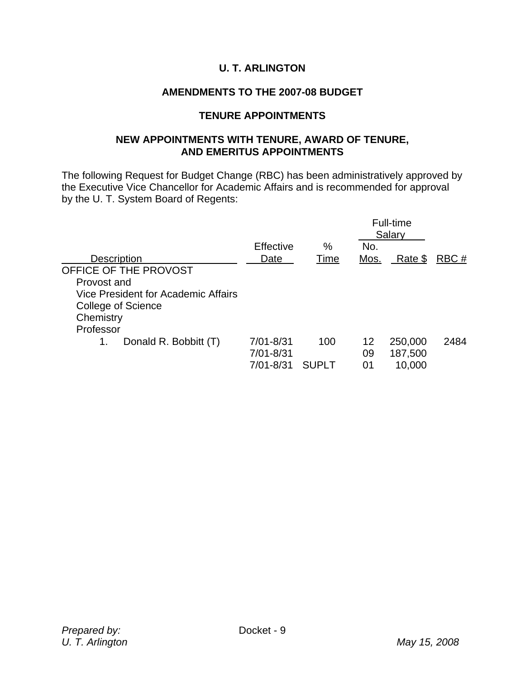# **U. T. ARLINGTON**

# **AMENDMENTS TO THE 2007-08 BUDGET**

### **TENURE APPOINTMENTS**

### **NEW APPOINTMENTS WITH TENURE, AWARD OF TENURE, AND EMERITUS APPOINTMENTS**

The following Request for Budget Change (RBC) has been administratively approved by the Executive Vice Chancellor for Academic Affairs and is recommended for approval by the U. T. System Board of Regents:

|                                     |               |       |      | <b>Full-time</b><br>Salary |      |
|-------------------------------------|---------------|-------|------|----------------------------|------|
|                                     | Effective     | %     | No.  |                            |      |
| <b>Description</b>                  | Date          | Time  | Mos. | Rate \$                    | RBC# |
| OFFICE OF THE PROVOST               |               |       |      |                            |      |
| Provost and                         |               |       |      |                            |      |
| Vice President for Academic Affairs |               |       |      |                            |      |
| <b>College of Science</b>           |               |       |      |                            |      |
| Chemistry                           |               |       |      |                            |      |
| Professor                           |               |       |      |                            |      |
| Donald R. Bobbitt (T)<br>1.         | 7/01-8/31     | 100   | 12   | 250,000                    | 2484 |
|                                     | $7/01 - 8/31$ |       | 09   | 187,500                    |      |
|                                     | 7/01-8/31     | SUPLT | 01   | 10,000                     |      |
|                                     |               |       |      |                            |      |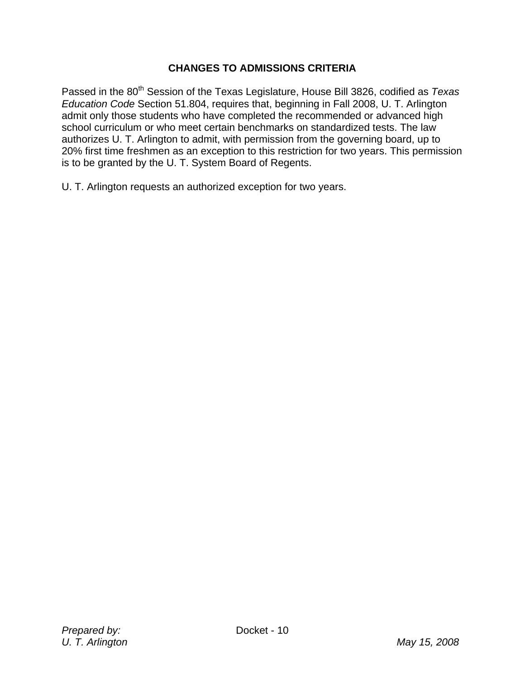# **CHANGES TO ADMISSIONS CRITERIA**

Passed in the 80<sup>th</sup> Session of the Texas Legislature, House Bill 3826, codified as *Texas Education Code* Section 51.804, requires that, beginning in Fall 2008, U. T. Arlington admit only those students who have completed the recommended or advanced high school curriculum or who meet certain benchmarks on standardized tests. The law authorizes U. T. Arlington to admit, with permission from the governing board, up to 20% first time freshmen as an exception to this restriction for two years. This permission is to be granted by the U. T. System Board of Regents.

U. T. Arlington requests an authorized exception for two years.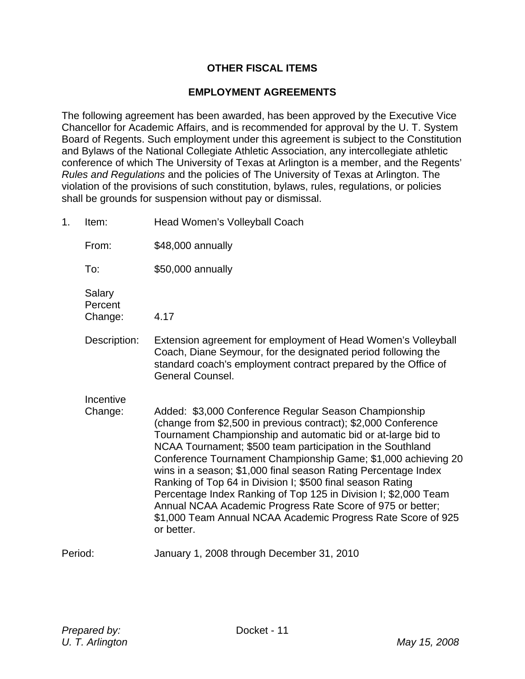### **OTHER FISCAL ITEMS**

#### **EMPLOYMENT AGREEMENTS**

The following agreement has been awarded, has been approved by the Executive Vice Chancellor for Academic Affairs, and is recommended for approval by the U. T. System Board of Regents. Such employment under this agreement is subject to the Constitution and Bylaws of the National Collegiate Athletic Association, any intercollegiate athletic conference of which The University of Texas at Arlington is a member, and the Regents' *Rules and Regulations* and the policies of The University of Texas at Arlington. The violation of the provisions of such constitution, bylaws, rules, regulations, or policies shall be grounds for suspension without pay or dismissal.

1. Item: Head Women's Volleyball Coach From: \$48,000 annually To: \$50,000 annually Salary **Percent** Change: 4.17 Description: Extension agreement for employment of Head Women's Volleyball Coach, Diane Seymour, for the designated period following the standard coach's employment contract prepared by the Office of General Counsel. **Incentive**  Change: Added: \$3,000 Conference Regular Season Championship (change from \$2,500 in previous contract); \$2,000 Conference Tournament Championship and automatic bid or at-large bid to NCAA Tournament; \$500 team participation in the Southland Conference Tournament Championship Game; \$1,000 achieving 20 wins in a season; \$1,000 final season Rating Percentage Index Ranking of Top 64 in Division I; \$500 final season Rating Percentage Index Ranking of Top 125 in Division I; \$2,000 Team Annual NCAA Academic Progress Rate Score of 975 or better; \$1,000 Team Annual NCAA Academic Progress Rate Score of 925 or better. Period: January 1, 2008 through December 31, 2010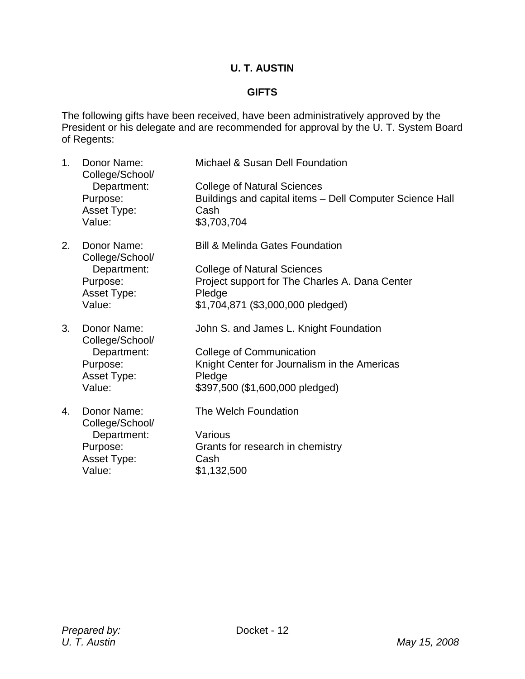# **U. T. AUSTIN**

### **GIFTS**

The following gifts have been received, have been administratively approved by the President or his delegate and are recommended for approval by the U. T. System Board of Regents:

| 1 <sub>1</sub> | Donor Name:<br>College/School/ | Michael & Susan Dell Foundation                                  |
|----------------|--------------------------------|------------------------------------------------------------------|
|                | Department:                    | <b>College of Natural Sciences</b>                               |
|                | Purpose:<br>Asset Type:        | Buildings and capital items - Dell Computer Science Hall<br>Cash |
|                | Value:                         | \$3,703,704                                                      |
| 2.             | Donor Name:<br>College/School/ | <b>Bill &amp; Melinda Gates Foundation</b>                       |
|                | Department:                    | <b>College of Natural Sciences</b>                               |
|                | Purpose:                       | Project support for The Charles A. Dana Center                   |
|                | <b>Asset Type:</b>             | Pledge                                                           |
|                | Value:                         | \$1,704,871 (\$3,000,000 pledged)                                |
| 3.             | Donor Name:<br>College/School/ | John S. and James L. Knight Foundation                           |
|                | Department:                    | <b>College of Communication</b>                                  |
|                | Purpose:                       | Knight Center for Journalism in the Americas                     |
|                | <b>Asset Type:</b>             | Pledge                                                           |
|                | Value:                         | \$397,500 (\$1,600,000 pledged)                                  |
| 4.             | Donor Name:<br>College/School/ | The Welch Foundation                                             |
|                | Department:                    | Various                                                          |
|                | Purpose:                       | Grants for research in chemistry                                 |
|                | Asset Type:                    | Cash                                                             |
|                | Value:                         | \$1,132,500                                                      |
|                |                                |                                                                  |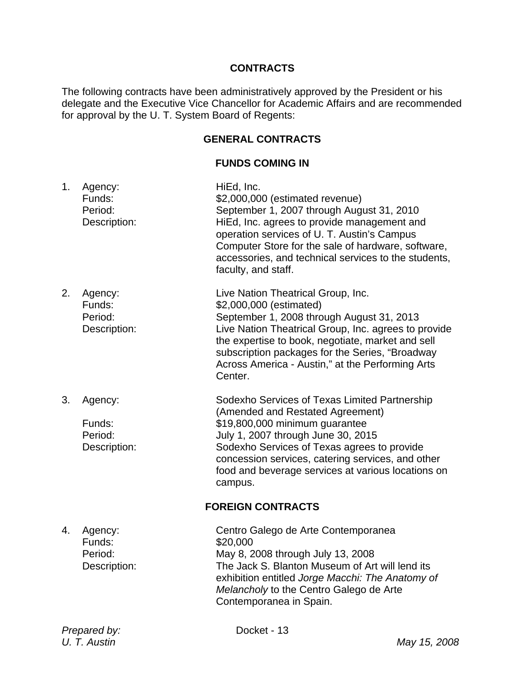### **CONTRACTS**

The following contracts have been administratively approved by the President or his delegate and the Executive Vice Chancellor for Academic Affairs and are recommended for approval by the U. T. System Board of Regents:

### **GENERAL CONTRACTS**

### **FUNDS COMING IN**

1. Agency: HiEd, Inc. Funds:  $$2,000,000$  (estimated revenue) Period: September 1, 2007 through August 31, 2010 Description: HiEd, Inc. agrees to provide management and operation services of U. T. Austin's Campus Computer Store for the sale of hardware, software, accessories, and technical services to the students, faculty, and staff. 2. Agency: Live Nation Theatrical Group, Inc. Funds: \$2,000,000 (estimated) Period: September 1, 2008 through August 31, 2013 Description: Live Nation Theatrical Group, Inc. agrees to provide the expertise to book, negotiate, market and sell subscription packages for the Series, "Broadway Across America - Austin," at the Performing Arts Center. 3. Agency: Sodexho Services of Texas Limited Partnership (Amended and Restated Agreement) Funds: \$19,800,000 minimum guarantee Period: July 1, 2007 through June 30, 2015 Description: Sodexho Services of Texas agrees to provide concession services, catering services, and other food and beverage services at various locations on campus. **FOREIGN CONTRACTS**  4. Agency: Centro Galego de Arte Contemporanea Funds: \$20,000 Period: May 8, 2008 through July 13, 2008 Description: The Jack S. Blanton Museum of Art will lend its exhibition entitled *Jorge Macchi: The Anatomy of Melancholy* to the Centro Galego de Arte Contemporanea in Spain.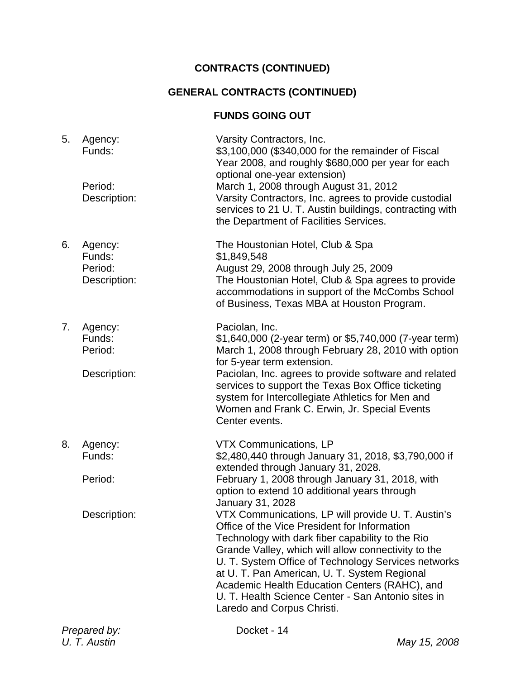# **CONTRACTS (CONTINUED)**

# **GENERAL CONTRACTS (CONTINUED)**

# **FUNDS GOING OUT**

| 5.<br>Agency:<br>Funds:<br>Period:<br>Description: | Varsity Contractors, Inc.<br>\$3,100,000 (\$340,000 for the remainder of Fiscal<br>Year 2008, and roughly \$680,000 per year for each<br>optional one-year extension)<br>March 1, 2008 through August 31, 2012<br>Varsity Contractors, Inc. agrees to provide custodial<br>services to 21 U. T. Austin buildings, contracting with<br>the Department of Facilities Services.                                                                                                  |
|----------------------------------------------------|-------------------------------------------------------------------------------------------------------------------------------------------------------------------------------------------------------------------------------------------------------------------------------------------------------------------------------------------------------------------------------------------------------------------------------------------------------------------------------|
| Agency:<br>6.<br>Funds:<br>Period:<br>Description: | The Houstonian Hotel, Club & Spa<br>\$1,849,548<br>August 29, 2008 through July 25, 2009<br>The Houstonian Hotel, Club & Spa agrees to provide<br>accommodations in support of the McCombs School<br>of Business, Texas MBA at Houston Program.                                                                                                                                                                                                                               |
| Agency:<br>7.<br>Funds:<br>Period:                 | Paciolan, Inc.<br>\$1,640,000 (2-year term) or \$5,740,000 (7-year term)<br>March 1, 2008 through February 28, 2010 with option<br>for 5-year term extension.                                                                                                                                                                                                                                                                                                                 |
| Description:                                       | Paciolan, Inc. agrees to provide software and related<br>services to support the Texas Box Office ticketing<br>system for Intercollegiate Athletics for Men and<br>Women and Frank C. Erwin, Jr. Special Events<br>Center events.                                                                                                                                                                                                                                             |
| 8.<br>Agency:<br>Funds:                            | <b>VTX Communications, LP</b><br>\$2,480,440 through January 31, 2018, \$3,790,000 if                                                                                                                                                                                                                                                                                                                                                                                         |
| Period:                                            | extended through January 31, 2028.<br>February 1, 2008 through January 31, 2018, with<br>option to extend 10 additional years through                                                                                                                                                                                                                                                                                                                                         |
| Description:                                       | January 31, 2028<br>VTX Communications, LP will provide U. T. Austin's<br>Office of the Vice President for Information<br>Technology with dark fiber capability to the Rio<br>Grande Valley, which will allow connectivity to the<br>U. T. System Office of Technology Services networks<br>at U. T. Pan American, U. T. System Regional<br>Academic Health Education Centers (RAHC), and<br>U. T. Health Science Center - San Antonio sites in<br>Laredo and Corpus Christi. |
| Prepared by:<br>U. T. Austin                       | Docket - 14<br>May 15, 2008                                                                                                                                                                                                                                                                                                                                                                                                                                                   |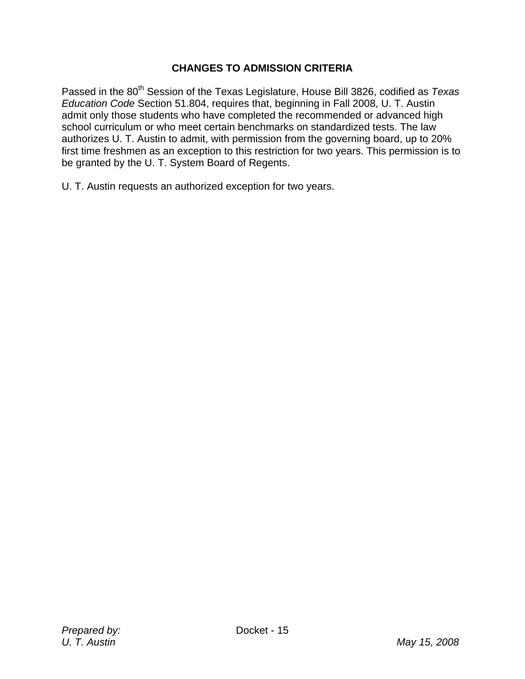# **CHANGES TO ADMISSION CRITERIA**

Passed in the 80<sup>th</sup> Session of the Texas Legislature, House Bill 3826, codified as *Texas Education Code* Section 51.804, requires that, beginning in Fall 2008, U. T. Austin admit only those students who have completed the recommended or advanced high school curriculum or who meet certain benchmarks on standardized tests. The law authorizes U. T. Austin to admit, with permission from the governing board, up to 20% first time freshmen as an exception to this restriction for two years. This permission is to be granted by the U. T. System Board of Regents.

U. T. Austin requests an authorized exception for two years.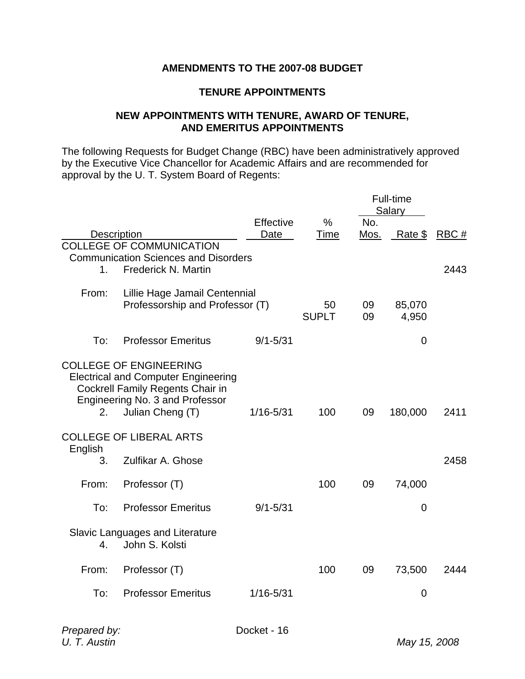### **AMENDMENTS TO THE 2007-08 BUDGET**

### **TENURE APPOINTMENTS**

### **NEW APPOINTMENTS WITH TENURE, AWARD OF TENURE, AND EMERITUS APPOINTMENTS**

The following Requests for Budget Change (RBC) have been administratively approved by the Executive Vice Chancellor for Academic Affairs and are recommended for approval by the U. T. System Board of Regents:

|                    |                                             |               |              |      | Full-time      |      |
|--------------------|---------------------------------------------|---------------|--------------|------|----------------|------|
|                    |                                             |               |              |      | Salary         |      |
|                    |                                             | Effective     | $\%$         | No.  |                |      |
| <b>Description</b> |                                             | Date          | Time         | Mos. | Rate \$        | RBC# |
|                    | <b>COLLEGE OF COMMUNICATION</b>             |               |              |      |                |      |
|                    | <b>Communication Sciences and Disorders</b> |               |              |      |                |      |
| 1.                 | Frederick N. Martin                         |               |              |      |                | 2443 |
|                    |                                             |               |              |      |                |      |
| From:              | Lillie Hage Jamail Centennial               |               |              |      |                |      |
|                    | Professorship and Professor (T)             |               | 50           | 09   | 85,070         |      |
|                    |                                             |               | <b>SUPLT</b> | 09   | 4,950          |      |
|                    |                                             |               |              |      |                |      |
| To:                | <b>Professor Emeritus</b>                   | $9/1 - 5/31$  |              |      | $\mathbf 0$    |      |
|                    |                                             |               |              |      |                |      |
|                    | <b>COLLEGE OF ENGINEERING</b>               |               |              |      |                |      |
|                    | <b>Electrical and Computer Engineering</b>  |               |              |      |                |      |
|                    | <b>Cockrell Family Regents Chair in</b>     |               |              |      |                |      |
|                    | Engineering No. 3 and Professor             |               |              |      |                |      |
| 2.                 | Julian Cheng (T)                            | $1/16 - 5/31$ | 100          | 09   | 180,000        | 2411 |
|                    |                                             |               |              |      |                |      |
|                    | <b>COLLEGE OF LIBERAL ARTS</b>              |               |              |      |                |      |
| English            | Zulfikar A. Ghose                           |               |              |      |                |      |
| 3.                 |                                             |               |              |      |                | 2458 |
| From:              | Professor (T)                               |               | 100          | 09   | 74,000         |      |
|                    |                                             |               |              |      |                |      |
| To:                | <b>Professor Emeritus</b>                   | $9/1 - 5/31$  |              |      | $\mathbf 0$    |      |
|                    |                                             |               |              |      |                |      |
|                    | Slavic Languages and Literature             |               |              |      |                |      |
| 4.                 | John S. Kolsti                              |               |              |      |                |      |
|                    |                                             |               |              |      |                |      |
| From:              | Professor (T)                               |               | 100          | 09   | 73,500         | 2444 |
|                    |                                             |               |              |      |                |      |
| To:                | <b>Professor Emeritus</b>                   | $1/16 - 5/31$ |              |      | $\overline{0}$ |      |
|                    |                                             |               |              |      |                |      |
|                    |                                             |               |              |      |                |      |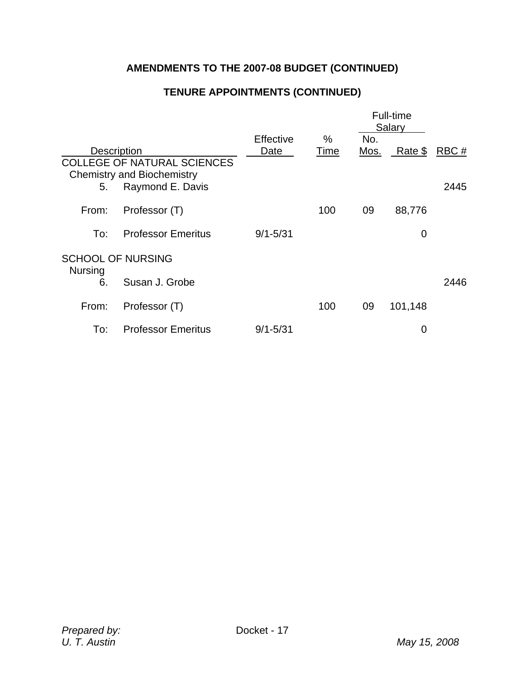# **AMENDMENTS TO THE 2007-08 BUDGET (CONTINUED)**

# **TENURE APPOINTMENTS (CONTINUED)**

|                    |                                                                         |              |      |      | Full-time<br>Salary |      |
|--------------------|-------------------------------------------------------------------------|--------------|------|------|---------------------|------|
|                    |                                                                         | Effective    | $\%$ | No.  |                     |      |
| <b>Description</b> |                                                                         | Date         | Time | Mos. | Rate \$             | RBC# |
|                    | <b>COLLEGE OF NATURAL SCIENCES</b><br><b>Chemistry and Biochemistry</b> |              |      |      |                     |      |
| 5.                 | Raymond E. Davis                                                        |              |      |      |                     | 2445 |
| From:              | Professor (T)                                                           |              | 100  | 09   | 88,776              |      |
| To:                | <b>Professor Emeritus</b>                                               | $9/1 - 5/31$ |      |      | 0                   |      |
| <b>Nursing</b>     | <b>SCHOOL OF NURSING</b>                                                |              |      |      |                     |      |
| 6.                 | Susan J. Grobe                                                          |              |      |      |                     | 2446 |
| From:              | Professor (T)                                                           |              | 100  | 09   | 101,148             |      |
| To:                | <b>Professor Emeritus</b>                                               | $9/1 - 5/31$ |      |      | $\mathbf 0$         |      |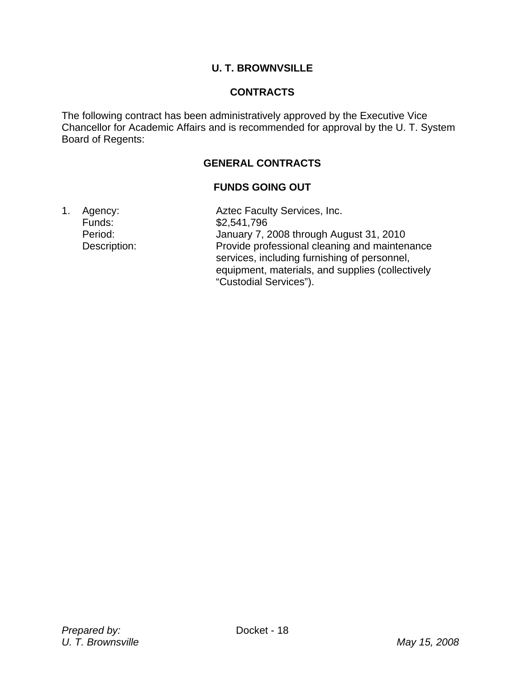# **U. T. BROWNVSILLE**

### **CONTRACTS**

The following contract has been administratively approved by the Executive Vice Chancellor for Academic Affairs and is recommended for approval by the U. T. System Board of Regents:

# **GENERAL CONTRACTS**

### **FUNDS GOING OUT**

1. Agency: **Aztec Faculty Services, Inc.**  Funds: \$2,541,796 Period: January 7, 2008 through August 31, 2010 Description: Provide professional cleaning and maintenance services, including furnishing of personnel, equipment, materials, and supplies (collectively "Custodial Services").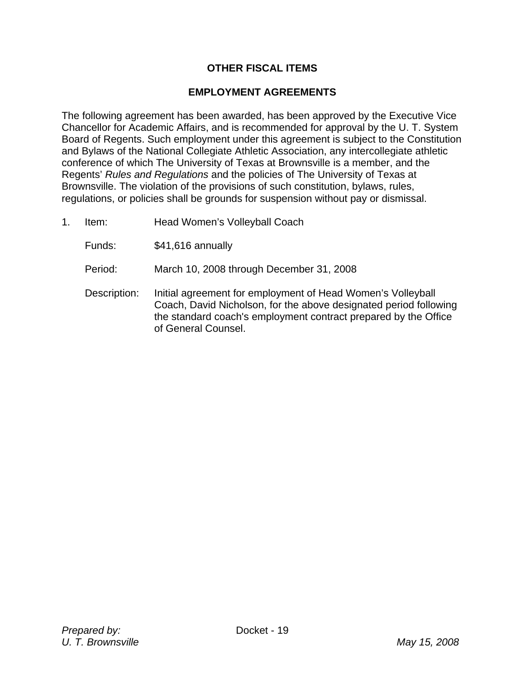# **OTHER FISCAL ITEMS**

### **EMPLOYMENT AGREEMENTS**

The following agreement has been awarded, has been approved by the Executive Vice Chancellor for Academic Affairs, and is recommended for approval by the U. T. System Board of Regents. Such employment under this agreement is subject to the Constitution and Bylaws of the National Collegiate Athletic Association, any intercollegiate athletic conference of which The University of Texas at Brownsville is a member, and the Regents' *Rules and Regulations* and the policies of The University of Texas at Brownsville. The violation of the provisions of such constitution, bylaws, rules, regulations, or policies shall be grounds for suspension without pay or dismissal.

- 1. Item: Head Women's Volleyball Coach
	- Funds: \$41,616 annually
	- Period: March 10, 2008 through December 31, 2008
	- Description: Initial agreement for employment of Head Women's Volleyball Coach, David Nicholson, for the above designated period following the standard coach's employment contract prepared by the Office of General Counsel.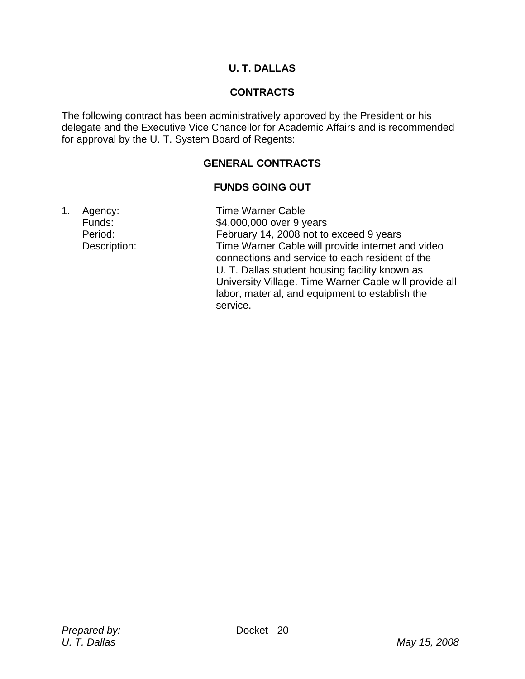# **U. T. DALLAS**

# **CONTRACTS**

The following contract has been administratively approved by the President or his delegate and the Executive Vice Chancellor for Academic Affairs and is recommended for approval by the U. T. System Board of Regents:

# **GENERAL CONTRACTS**

# **FUNDS GOING OUT**

1. Agency: Time Warner Cable Funds: \$4,000,000 over 9 years Period: February 14, 2008 not to exceed 9 years Description: Time Warner Cable will provide internet and video connections and service to each resident of the U. T. Dallas student housing facility known as University Village. Time Warner Cable will provide all labor, material, and equipment to establish the service.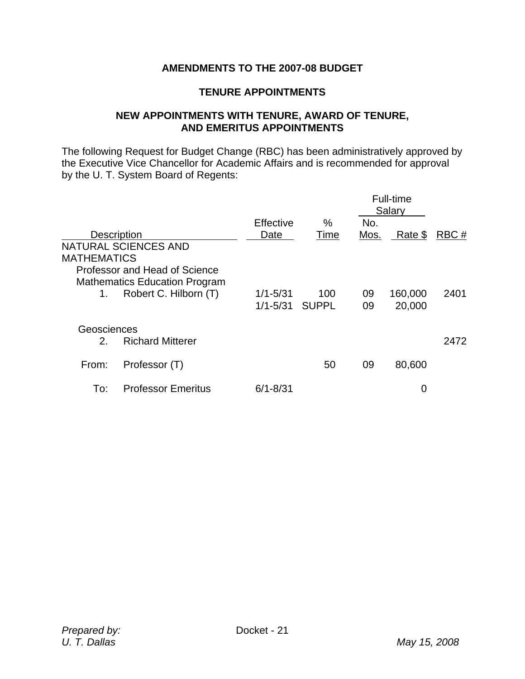# **AMENDMENTS TO THE 2007-08 BUDGET**

### **TENURE APPOINTMENTS**

#### **NEW APPOINTMENTS WITH TENURE, AWARD OF TENURE, AND EMERITUS APPOINTMENTS**

The following Request for Budget Change (RBC) has been administratively approved by the Executive Vice Chancellor for Academic Affairs and is recommended for approval by the U. T. System Board of Regents:

|                                                                                             |                              |              |             | Full-time<br>Salary |      |
|---------------------------------------------------------------------------------------------|------------------------------|--------------|-------------|---------------------|------|
| <b>Description</b><br>NATURAL SCIENCES AND                                                  | Effective<br>Date            | $\%$<br>Time | No.<br>Mos. | Rate \$             | RBC# |
| <b>MATHEMATICS</b><br>Professor and Head of Science<br><b>Mathematics Education Program</b> |                              |              |             |                     |      |
| Robert C. Hilborn (T)<br>1.                                                                 | $1/1 - 5/31$<br>$1/1 - 5/31$ | 100<br>SUPPL | 09<br>09    | 160,000<br>20,000   | 2401 |
| Geosciences<br><b>Richard Mitterer</b><br>2.                                                |                              |              |             |                     | 2472 |
| Professor (T)<br>From:                                                                      |                              | 50           | 09          | 80,600              |      |
| <b>Professor Emeritus</b><br>To:                                                            | $6/1 - 8/31$                 |              |             | 0                   |      |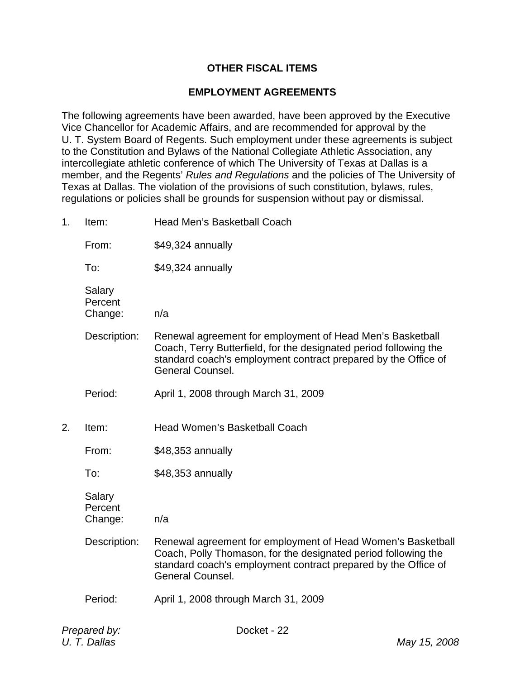### **OTHER FISCAL ITEMS**

#### **EMPLOYMENT AGREEMENTS**

The following agreements have been awarded, have been approved by the Executive Vice Chancellor for Academic Affairs, and are recommended for approval by the U. T. System Board of Regents. Such employment under these agreements is subject to the Constitution and Bylaws of the National Collegiate Athletic Association, any intercollegiate athletic conference of which The University of Texas at Dallas is a member, and the Regents' *Rules and Regulations* and the policies of The University of Texas at Dallas. The violation of the provisions of such constitution, bylaws, rules, regulations or policies shall be grounds for suspension without pay or dismissal.

1. Item: Head Men's Basketball Coach

From: \$49,324 annually

To: \$49,324 annually

 Salary **Percent** Change: n/a

- Description: Renewal agreement for employment of Head Men's Basketball Coach, Terry Butterfield, for the designated period following the standard coach's employment contract prepared by the Office of General Counsel.
- Period: April 1, 2008 through March 31, 2009
- 2. Item: Head Women's Basketball Coach
	- From: \$48,353 annually

To: \$48,353 annually

 Salary **Percent** Change: n/a

- Description: Renewal agreement for employment of Head Women's Basketball Coach, Polly Thomason, for the designated period following the standard coach's employment contract prepared by the Office of General Counsel.
- Period: April 1, 2008 through March 31, 2009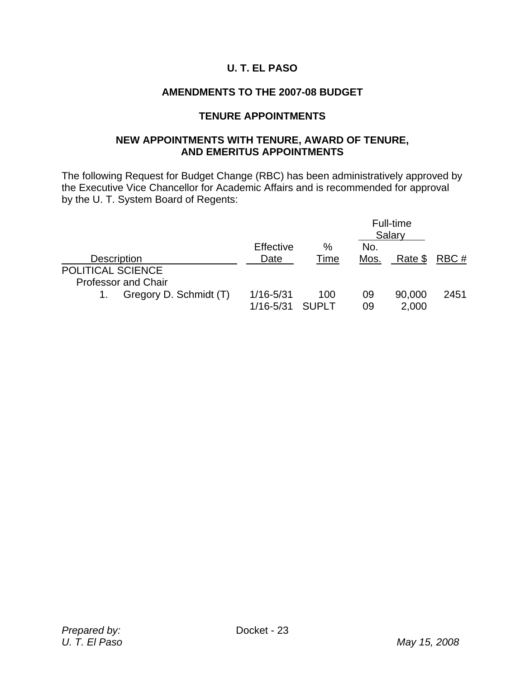# **U. T. EL PASO**

### **AMENDMENTS TO THE 2007-08 BUDGET**

#### **TENURE APPOINTMENTS**

### **NEW APPOINTMENTS WITH TENURE, AWARD OF TENURE, AND EMERITUS APPOINTMENTS**

The following Request for Budget Change (RBC) has been administratively approved by the Executive Vice Chancellor for Academic Affairs and is recommended for approval by the U. T. System Board of Regents:

|                            |                        |               |       |      | Full-time<br>Salary |      |
|----------------------------|------------------------|---------------|-------|------|---------------------|------|
|                            |                        | Effective     | %     | No.  |                     |      |
| <b>Description</b>         |                        | Date          | Time  | Mos. | Rate \$             | RBC# |
| POLITICAL SCIENCE          |                        |               |       |      |                     |      |
| <b>Professor and Chair</b> |                        |               |       |      |                     |      |
|                            | Gregory D. Schmidt (T) | $1/16 - 5/31$ | 100   | 09   | 90,000              | 2451 |
|                            |                        | $1/16 - 5/31$ | SUPLT | 09   | 2,000               |      |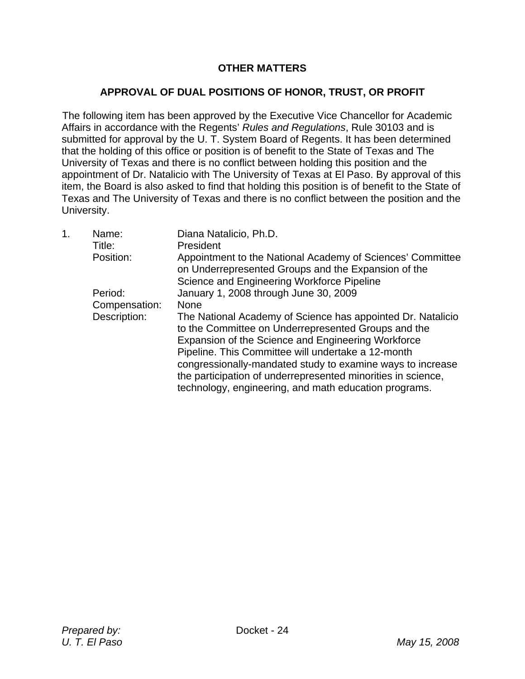# **OTHER MATTERS**

### **APPROVAL OF DUAL POSITIONS OF HONOR, TRUST, OR PROFIT**

The following item has been approved by the Executive Vice Chancellor for Academic Affairs in accordance with the Regents' *Rules and Regulations*, Rule 30103 and is submitted for approval by the U. T. System Board of Regents. It has been determined that the holding of this office or position is of benefit to the State of Texas and The University of Texas and there is no conflict between holding this position and the appointment of Dr. Natalicio with The University of Texas at El Paso. By approval of this item, the Board is also asked to find that holding this position is of benefit to the State of Texas and The University of Texas and there is no conflict between the position and the University.

| 1 <sub>1</sub> | Name:<br>Title:<br>Position: | Diana Natalicio, Ph.D.<br>President<br>Appointment to the National Academy of Sciences' Committee                                                                                                                              |
|----------------|------------------------------|--------------------------------------------------------------------------------------------------------------------------------------------------------------------------------------------------------------------------------|
|                |                              | on Underrepresented Groups and the Expansion of the<br>Science and Engineering Workforce Pipeline                                                                                                                              |
|                | Period:                      | January 1, 2008 through June 30, 2009                                                                                                                                                                                          |
|                | Compensation:                | <b>None</b>                                                                                                                                                                                                                    |
|                | Description:                 | The National Academy of Science has appointed Dr. Natalicio<br>to the Committee on Underrepresented Groups and the<br>Expansion of the Science and Engineering Workforce<br>Pipeline. This Committee will undertake a 12-month |
|                |                              | congressionally-mandated study to examine ways to increase<br>the participation of underrepresented minorities in science,<br>technology, engineering, and math education programs.                                            |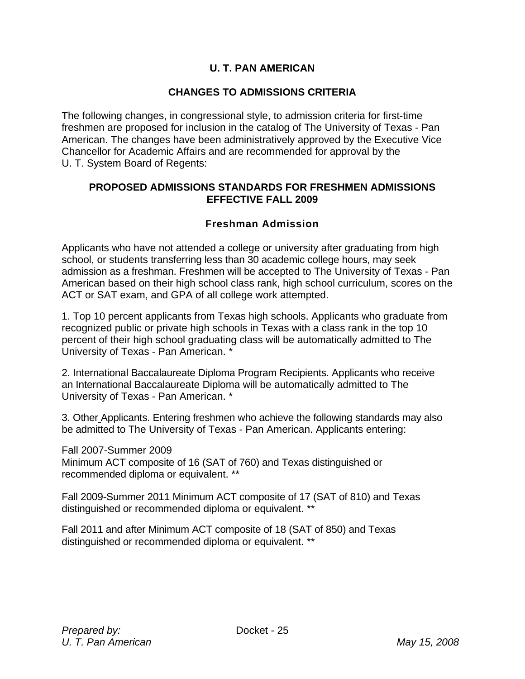# **U. T. PAN AMERICAN**

### **CHANGES TO ADMISSIONS CRITERIA**

The following changes, in congressional style, to admission criteria for first-time freshmen are proposed for inclusion in the catalog of The University of Texas - Pan American. The changes have been administratively approved by the Executive Vice Chancellor for Academic Affairs and are recommended for approval by the U. T. System Board of Regents:

### **PROPOSED ADMISSIONS STANDARDS FOR FRESHMEN ADMISSIONS EFFECTIVE FALL 2009**

### **Freshman Admission**

Applicants who have not attended a college or university after graduating from high school, or students transferring less than 30 academic college hours, may seek admission as a freshman. Freshmen will be accepted to The University of Texas - Pan American based on their high school class rank, high school curriculum, scores on the ACT or SAT exam, and GPA of all college work attempted.

1. Top 10 percent applicants from Texas high schools. Applicants who graduate from recognized public or private high schools in Texas with a class rank in the top 10 percent of their high school graduating class will be automatically admitted to The University of Texas - Pan American. \*

2. International Baccalaureate Diploma Program Recipients. Applicants who receive an International Baccalaureate Diploma will be automatically admitted to The University of Texas - Pan American. \*

3. Other Applicants. Entering freshmen who achieve the following standards may also be admitted to The University of Texas - Pan American. Applicants entering:

Fall 2007-Summer 2009 Minimum ACT composite of 16 (SAT of 760) and Texas distinguished or recommended diploma or equivalent. \*\*

Fall 2009-Summer 2011 Minimum ACT composite of 17 (SAT of 810) and Texas distinguished or recommended diploma or equivalent. \*\*

Fall 2011 and after Minimum ACT composite of 18 (SAT of 850) and Texas distinguished or recommended diploma or equivalent. \*\*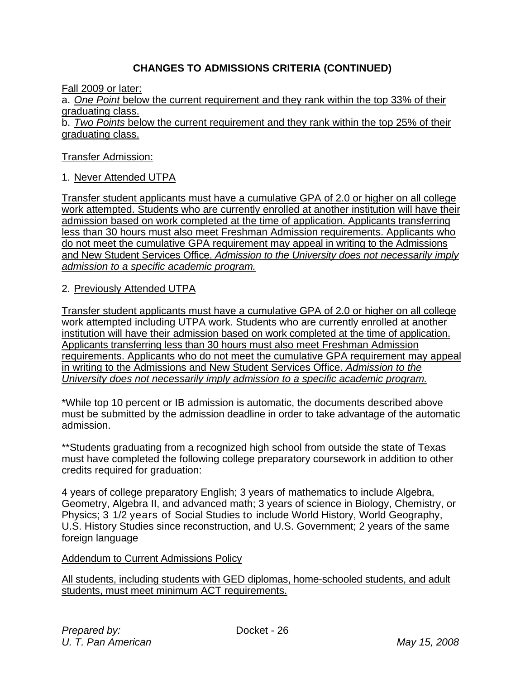# **CHANGES TO ADMISSIONS CRITERIA (CONTINUED)**

Fall 2009 or later:

a. *One Point* below the current requirement and they rank within the top 33% of their graduating class.

b. *Two Points* below the current requirement and they rank within the top 25% of their graduating class.

#### Transfer Admission:

#### 1. Never Attended UTPA

Transfer student applicants must have a cumulative GPA of 2.0 or higher on all college work attempted. Students who are currently enrolled at another institution will have their admission based on work completed at the time of application. Applicants transferring less than 30 hours must also meet Freshman Admission requirements. Applicants who do not meet the cumulative GPA requirement may appeal in writing to the Admissions and New Student Services Office. *Admission to the University does not necessarily imply admission to a specific academic program.*

2. Previously Attended UTPA

Transfer student applicants must have a cumulative GPA of 2.0 or higher on all college work attempted including UTPA work. Students who are currently enrolled at another institution will have their admission based on work completed at the time of application. Applicants transferring less than 30 hours must also meet Freshman Admission requirements. Applicants who do not meet the cumulative GPA requirement may appeal in writing to the Admissions and New Student Services Office. *Admission to the University does not necessarily imply admission to a specific academic program.*

\*While top 10 percent or IB admission is automatic, the documents described above must be submitted by the admission deadline in order to take advantage of the automatic admission.

\*\*Students graduating from a recognized high school from outside the state of Texas must have completed the following college preparatory coursework in addition to other credits required for graduation:

4 years of college preparatory English; 3 years of mathematics to include Algebra, Geometry, Algebra II, and advanced math; 3 years of science in Biology, Chemistry, or Physics; 3 1/2 years of Social Studies to include World History, World Geography, U.S. History Studies since reconstruction, and U.S. Government; 2 years of the same foreign language

#### Addendum to Current Admissions Policy

All students, including students with GED diplomas, home-schooled students, and adult students, must meet minimum ACT requirements.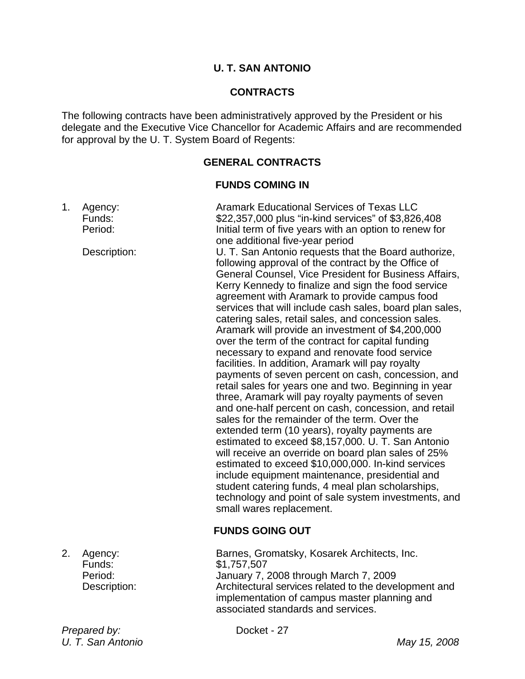### **U. T. SAN ANTONIO**

### **CONTRACTS**

The following contracts have been administratively approved by the President or his delegate and the Executive Vice Chancellor for Academic Affairs and are recommended for approval by the U. T. System Board of Regents:

### **GENERAL CONTRACTS**

#### **FUNDS COMING IN**

| 1. | Agency:<br>Funds:<br>Period:<br>Description: | <b>Aramark Educational Services of Texas LLC</b><br>\$22,357,000 plus "in-kind services" of \$3,826,408<br>Initial term of five years with an option to renew for<br>one additional five-year period<br>U. T. San Antonio requests that the Board authorize,<br>following approval of the contract by the Office of<br>General Counsel, Vice President for Business Affairs,<br>Kerry Kennedy to finalize and sign the food service<br>agreement with Aramark to provide campus food<br>services that will include cash sales, board plan sales,<br>catering sales, retail sales, and concession sales.<br>Aramark will provide an investment of \$4,200,000<br>over the term of the contract for capital funding<br>necessary to expand and renovate food service<br>facilities. In addition, Aramark will pay royalty<br>payments of seven percent on cash, concession, and<br>retail sales for years one and two. Beginning in year<br>three, Aramark will pay royalty payments of seven<br>and one-half percent on cash, concession, and retail<br>sales for the remainder of the term. Over the<br>extended term (10 years), royalty payments are<br>estimated to exceed \$8,157,000. U. T. San Antonio<br>will receive an override on board plan sales of 25%<br>estimated to exceed \$10,000,000. In-kind services<br>include equipment maintenance, presidential and<br>student catering funds, 4 meal plan scholarships,<br>technology and point of sale system investments, and<br>small wares replacement.<br><b>FUNDS GOING OUT</b> |
|----|----------------------------------------------|-------------------------------------------------------------------------------------------------------------------------------------------------------------------------------------------------------------------------------------------------------------------------------------------------------------------------------------------------------------------------------------------------------------------------------------------------------------------------------------------------------------------------------------------------------------------------------------------------------------------------------------------------------------------------------------------------------------------------------------------------------------------------------------------------------------------------------------------------------------------------------------------------------------------------------------------------------------------------------------------------------------------------------------------------------------------------------------------------------------------------------------------------------------------------------------------------------------------------------------------------------------------------------------------------------------------------------------------------------------------------------------------------------------------------------------------------------------------------------------------------------------------------------------------------|
| 2. | Agency:<br>Funds:                            | Barnes, Gromatsky, Kosarek Architects, Inc.<br>\$1,757,507                                                                                                                                                                                                                                                                                                                                                                                                                                                                                                                                                                                                                                                                                                                                                                                                                                                                                                                                                                                                                                                                                                                                                                                                                                                                                                                                                                                                                                                                                      |

 Period: January 7, 2008 through March 7, 2009 Description: Architectural services related to the development and implementation of campus master planning and associated standards and services.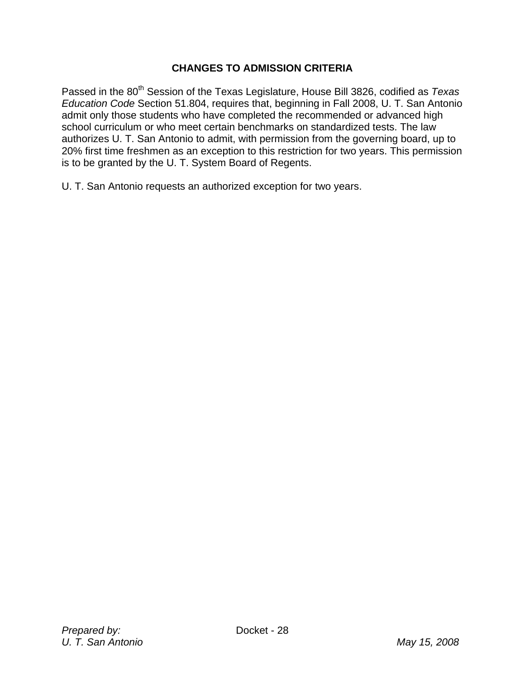# **CHANGES TO ADMISSION CRITERIA**

Passed in the 80<sup>th</sup> Session of the Texas Legislature, House Bill 3826, codified as *Texas Education Code* Section 51.804, requires that, beginning in Fall 2008, U. T. San Antonio admit only those students who have completed the recommended or advanced high school curriculum or who meet certain benchmarks on standardized tests. The law authorizes U. T. San Antonio to admit, with permission from the governing board, up to 20% first time freshmen as an exception to this restriction for two years. This permission is to be granted by the U. T. System Board of Regents.

U. T. San Antonio requests an authorized exception for two years.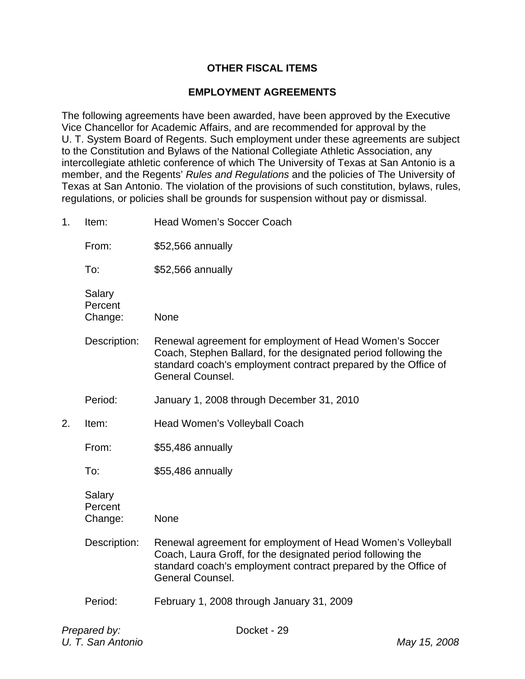# **OTHER FISCAL ITEMS**

#### **EMPLOYMENT AGREEMENTS**

The following agreements have been awarded, have been approved by the Executive Vice Chancellor for Academic Affairs, and are recommended for approval by the U. T. System Board of Regents. Such employment under these agreements are subject to the Constitution and Bylaws of the National Collegiate Athletic Association, any intercollegiate athletic conference of which The University of Texas at San Antonio is a member, and the Regents' *Rules and Regulations* and the policies of The University of Texas at San Antonio. The violation of the provisions of such constitution, bylaws, rules, regulations, or policies shall be grounds for suspension without pay or dismissal.

1. Item: Head Women's Soccer Coach From: \$52,566 annually To: \$52,566 annually **Salarv Percent**  Change: None Description: Renewal agreement for employment of Head Women's Soccer Coach, Stephen Ballard, for the designated period following the standard coach's employment contract prepared by the Office of General Counsel. Period: January 1, 2008 through December 31, 2010 2. Item: Head Women's Volleyball Coach From: \$55,486 annually To: \$55,486 annually Salary **Percent**  Change: None Description: Renewal agreement for employment of Head Women's Volleyball Coach, Laura Groff, for the designated period following the standard coach's employment contract prepared by the Office of General Counsel. Period: February 1, 2008 through January 31, 2009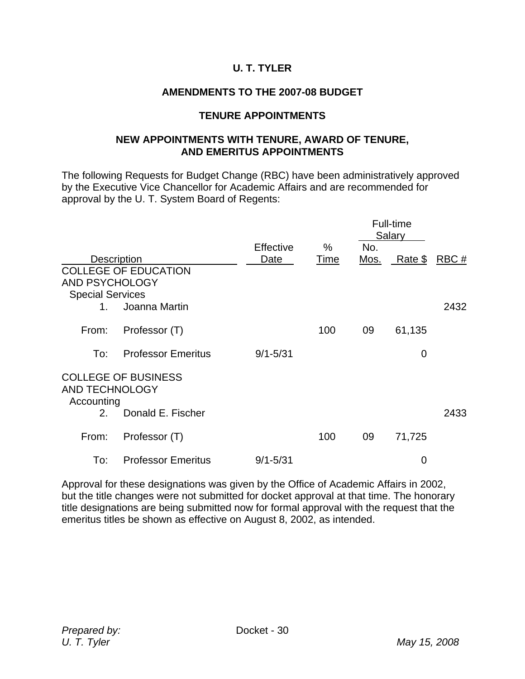# **U. T. TYLER**

# **AMENDMENTS TO THE 2007-08 BUDGET**

#### **TENURE APPOINTMENTS**

#### **NEW APPOINTMENTS WITH TENURE, AWARD OF TENURE, AND EMERITUS APPOINTMENTS**

The following Requests for Budget Change (RBC) have been administratively approved by the Executive Vice Chancellor for Academic Affairs and are recommended for approval by the U. T. System Board of Regents:

|                                                                 |                             |              |      |             | Full-time<br>Salary |      |
|-----------------------------------------------------------------|-----------------------------|--------------|------|-------------|---------------------|------|
|                                                                 |                             | Effective    | %    | No.         |                     |      |
| <b>Description</b><br>AND PSYCHOLOGY<br><b>Special Services</b> | <b>COLLEGE OF EDUCATION</b> | Date         | Time | <u>Mos.</u> | Rate \$             | RBC# |
| $1_{-}$                                                         | Joanna Martin               |              |      |             |                     | 2432 |
| From:                                                           | Professor (T)               |              | 100  | 09          | 61,135              |      |
| To:                                                             | <b>Professor Emeritus</b>   | $9/1 - 5/31$ |      |             | $\mathbf 0$         |      |
| <b>AND TECHNOLOGY</b><br>Accounting                             | <b>COLLEGE OF BUSINESS</b>  |              |      |             |                     |      |
| 2.                                                              | Donald E. Fischer           |              |      |             |                     | 2433 |
| From:                                                           | Professor (T)               |              | 100  | 09          | 71,725              |      |
| To:                                                             | <b>Professor Emeritus</b>   | $9/1 - 5/31$ |      |             | $\mathbf 0$         |      |

Approval for these designations was given by the Office of Academic Affairs in 2002, but the title changes were not submitted for docket approval at that time. The honorary title designations are being submitted now for formal approval with the request that the emeritus titles be shown as effective on August 8, 2002, as intended.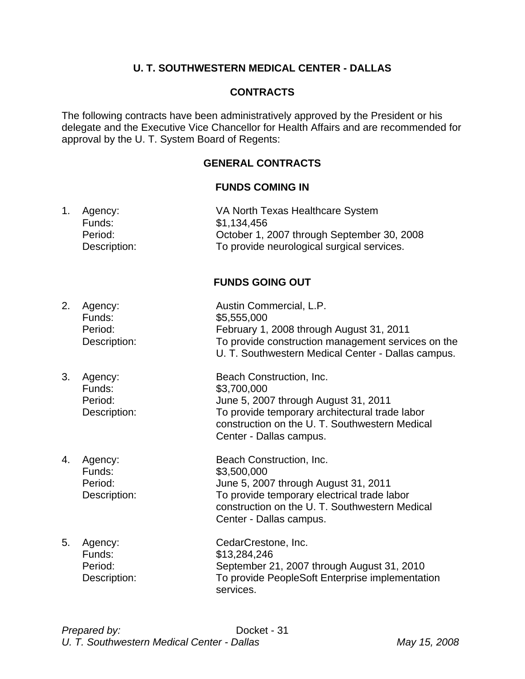# **U. T. SOUTHWESTERN MEDICAL CENTER - DALLAS**

# **CONTRACTS**

The following contracts have been administratively approved by the President or his delegate and the Executive Vice Chancellor for Health Affairs and are recommended for approval by the U. T. System Board of Regents:

# **GENERAL CONTRACTS**

#### **FUNDS COMING IN**

| Agency:      | VA North Texas Healthcare System           |
|--------------|--------------------------------------------|
| Funds:       | \$1,134,456                                |
| Period:      | October 1, 2007 through September 30, 2008 |
| Description: | To provide neurological surgical services. |
|              | <b>FUNDS GOING OUT</b>                     |

| 2. | Agency:<br>Funds:<br>Period:<br>Description: | Austin Commercial, L.P.<br>\$5,555,000<br>February 1, 2008 through August 31, 2011<br>To provide construction management services on the<br>U. T. Southwestern Medical Center - Dallas campus.                 |
|----|----------------------------------------------|----------------------------------------------------------------------------------------------------------------------------------------------------------------------------------------------------------------|
| 3. | Agency:<br>Funds:<br>Period:<br>Description: | Beach Construction, Inc.<br>\$3,700,000<br>June 5, 2007 through August 31, 2011<br>To provide temporary architectural trade labor<br>construction on the U. T. Southwestern Medical<br>Center - Dallas campus. |
| 4. | Agency:<br>Funds:<br>Period:<br>Description: | Beach Construction, Inc.<br>\$3,500,000<br>June 5, 2007 through August 31, 2011<br>To provide temporary electrical trade labor<br>construction on the U.T. Southwestern Medical<br>Center - Dallas campus.     |
| 5. | Agency:<br>Funds:<br>Period:<br>Description: | CedarCrestone, Inc.<br>\$13,284,246<br>September 21, 2007 through August 31, 2010<br>To provide PeopleSoft Enterprise implementation<br>services.                                                              |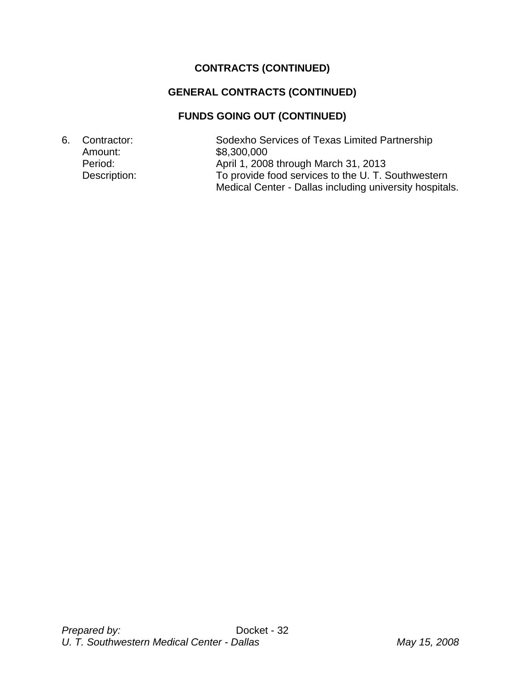# **CONTRACTS (CONTINUED)**

# **GENERAL CONTRACTS (CONTINUED)**

# **FUNDS GOING OUT (CONTINUED)**

6. Contractor: Sodexho Services of Texas Limited Partnership Amount: \$8,300,000 Period: Period: April 1, 2008 through March 31, 2013 Description: To provide food services to the U. T. Southwestern Medical Center - Dallas including university hospitals.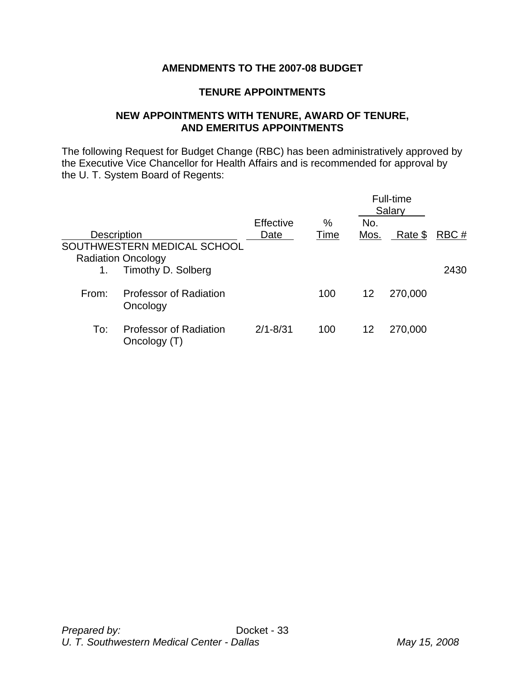# **AMENDMENTS TO THE 2007-08 BUDGET**

### **TENURE APPOINTMENTS**

### **NEW APPOINTMENTS WITH TENURE, AWARD OF TENURE, AND EMERITUS APPOINTMENTS**

The following Request for Budget Change (RBC) has been administratively approved by the Executive Vice Chancellor for Health Affairs and is recommended for approval by the U. T. System Board of Regents:

|                    |                                                          |              |      |      | Full-time<br>Salary |      |
|--------------------|----------------------------------------------------------|--------------|------|------|---------------------|------|
|                    |                                                          | Effective    | $\%$ | No.  |                     |      |
| <b>Description</b> |                                                          | Date         | Time | Mos. | Rate \$             | RBC# |
|                    | SOUTHWESTERN MEDICAL SCHOOL<br><b>Radiation Oncology</b> |              |      |      |                     |      |
|                    | Timothy D. Solberg                                       |              |      |      |                     | 2430 |
| From:              | <b>Professor of Radiation</b><br>Oncology                |              | 100  | 12   | 270,000             |      |
| To:                | <b>Professor of Radiation</b><br>Oncology (T)            | $2/1 - 8/31$ | 100  | 12   | 270,000             |      |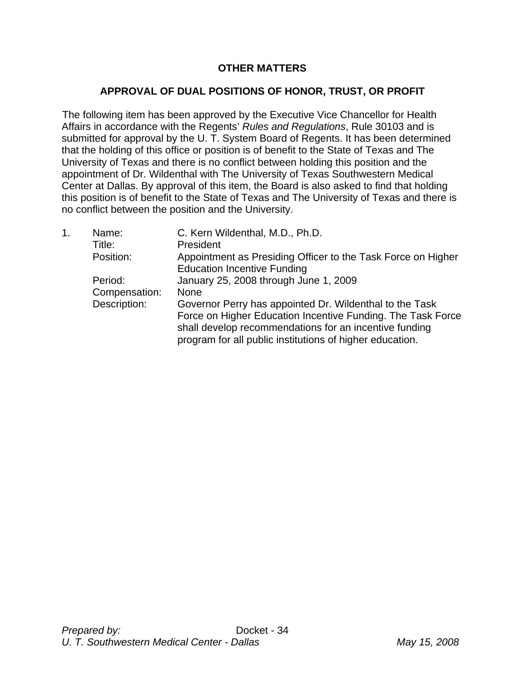# **OTHER MATTERS**

# **APPROVAL OF DUAL POSITIONS OF HONOR, TRUST, OR PROFIT**

The following item has been approved by the Executive Vice Chancellor for Health Affairs in accordance with the Regents' *Rules and Regulations*, Rule 30103 and is submitted for approval by the U. T. System Board of Regents. It has been determined that the holding of this office or position is of benefit to the State of Texas and The University of Texas and there is no conflict between holding this position and the appointment of Dr. Wildenthal with The University of Texas Southwestern Medical Center at Dallas. By approval of this item, the Board is also asked to find that holding this position is of benefit to the State of Texas and The University of Texas and there is no conflict between the position and the University.

| 1. | Name:<br>Title:<br>Position:             | C. Kern Wildenthal, M.D., Ph.D.<br>President<br>Appointment as Presiding Officer to the Task Force on Higher<br><b>Education Incentive Funding</b>                                                                                                                                                   |
|----|------------------------------------------|------------------------------------------------------------------------------------------------------------------------------------------------------------------------------------------------------------------------------------------------------------------------------------------------------|
|    | Period:<br>Compensation:<br>Description: | January 25, 2008 through June 1, 2009<br><b>None</b><br>Governor Perry has appointed Dr. Wildenthal to the Task<br>Force on Higher Education Incentive Funding. The Task Force<br>shall develop recommendations for an incentive funding<br>program for all public institutions of higher education. |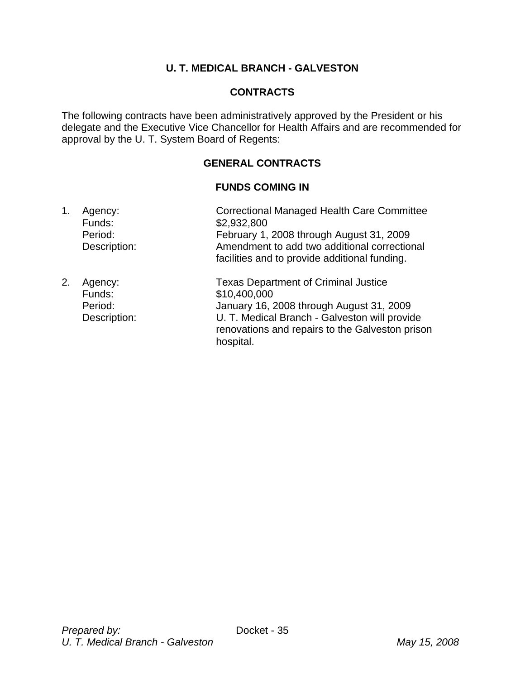# **U. T. MEDICAL BRANCH - GALVESTON**

# **CONTRACTS**

The following contracts have been administratively approved by the President or his delegate and the Executive Vice Chancellor for Health Affairs and are recommended for approval by the U. T. System Board of Regents:

# **GENERAL CONTRACTS**

### **FUNDS COMING IN**

- 1. Agency: Correctional Managed Health Care Committee Funds: \$2,932,800 Period: February 1, 2008 through August 31, 2009 Description: Amendment to add two additional correctional facilities and to provide additional funding.
- 2. Agency: Texas Department of Criminal Justice Funds: \$10,400,000 Period: January 16, 2008 through August 31, 2009 Description: U. T. Medical Branch - Galveston will provide renovations and repairs to the Galveston prison hospital.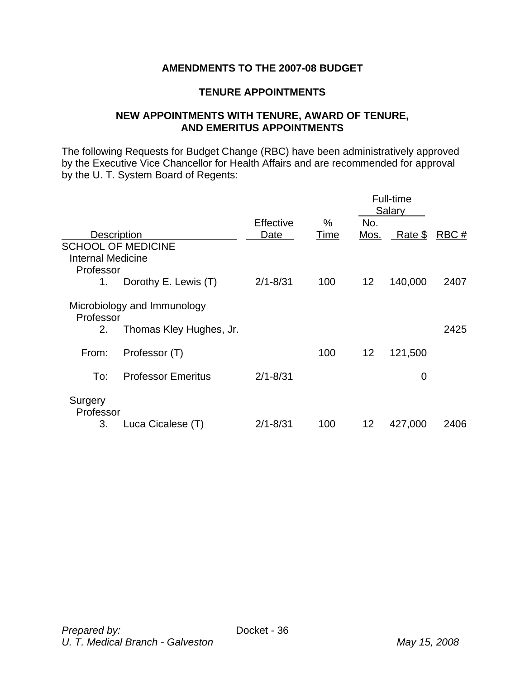## **AMENDMENTS TO THE 2007-08 BUDGET**

### **TENURE APPOINTMENTS**

### **NEW APPOINTMENTS WITH TENURE, AWARD OF TENURE, AND EMERITUS APPOINTMENTS**

The following Requests for Budget Change (RBC) have been administratively approved by the Executive Vice Chancellor for Health Affairs and are recommended for approval by the U. T. System Board of Regents:

|                          |                             |              |      |                   | Full-time<br>Salary |      |
|--------------------------|-----------------------------|--------------|------|-------------------|---------------------|------|
|                          |                             | Effective    | $\%$ | No.               |                     |      |
| Description              |                             | Date         | Time | Mos.              | <u>Rate \$</u>      | RBC# |
| <b>Internal Medicine</b> | <b>SCHOOL OF MEDICINE</b>   |              |      |                   |                     |      |
| Professor                |                             |              |      |                   |                     |      |
| 1.                       | Dorothy E. Lewis (T)        | $2/1 - 8/31$ | 100  | $12 \overline{ }$ | 140,000             | 2407 |
| Professor                | Microbiology and Immunology |              |      |                   |                     |      |
| 2.                       | Thomas Kley Hughes, Jr.     |              |      |                   |                     | 2425 |
| From:                    | Professor (T)               |              | 100  | 12                | 121,500             |      |
| To:                      | <b>Professor Emeritus</b>   | $2/1 - 8/31$ |      |                   | $\mathbf 0$         |      |
| Surgery<br>Professor     |                             |              |      |                   |                     |      |
| 3.                       | Luca Cicalese (T)           | $2/1 - 8/31$ | 100  | 12                | 427,000             | 2406 |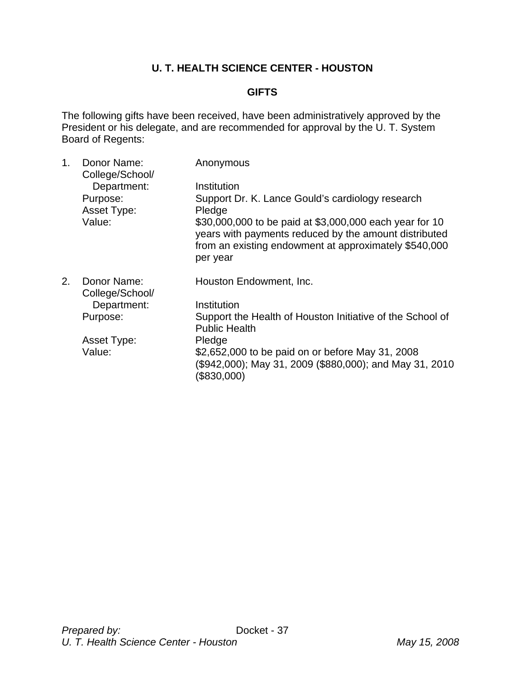# **U. T. HEALTH SCIENCE CENTER - HOUSTON**

### **GIFTS**

The following gifts have been received, have been administratively approved by the President or his delegate, and are recommended for approval by the U. T. System Board of Regents:

| $\mathbf{1}$ . | Donor Name:<br>College/School/ | Anonymous                                                                                                                                                                             |
|----------------|--------------------------------|---------------------------------------------------------------------------------------------------------------------------------------------------------------------------------------|
|                | Department:                    | Institution                                                                                                                                                                           |
|                | Purpose:                       | Support Dr. K. Lance Gould's cardiology research                                                                                                                                      |
|                | Asset Type:                    | Pledge                                                                                                                                                                                |
|                | Value:                         | \$30,000,000 to be paid at \$3,000,000 each year for 10<br>years with payments reduced by the amount distributed<br>from an existing endowment at approximately \$540,000<br>per year |
| 2.             | Donor Name:<br>College/School/ | Houston Endowment, Inc.                                                                                                                                                               |
|                | Department:                    | Institution                                                                                                                                                                           |
|                | Purpose:                       | Support the Health of Houston Initiative of the School of<br><b>Public Health</b>                                                                                                     |
|                | Asset Type:                    | Pledge                                                                                                                                                                                |
|                | Value:                         | \$2,652,000 to be paid on or before May 31, 2008<br>(\$942,000); May 31, 2009 (\$880,000); and May 31, 2010<br>(\$830,000)                                                            |
|                |                                |                                                                                                                                                                                       |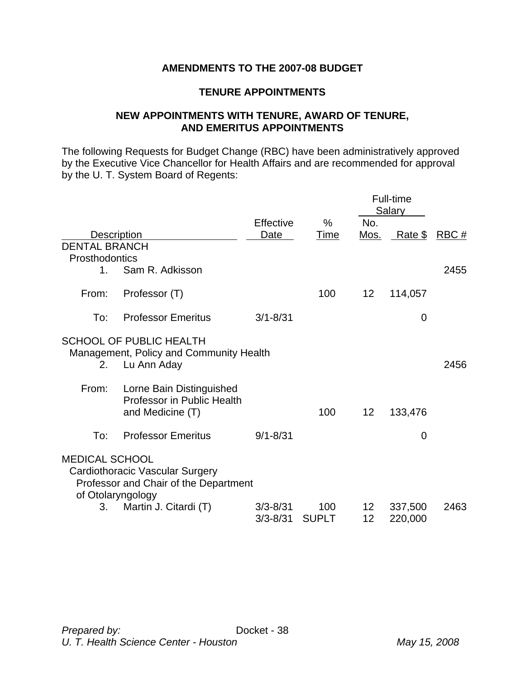## **AMENDMENTS TO THE 2007-08 BUDGET**

### **TENURE APPOINTMENTS**

### **NEW APPOINTMENTS WITH TENURE, AWARD OF TENURE, AND EMERITUS APPOINTMENTS**

The following Requests for Budget Change (RBC) have been administratively approved by the Executive Vice Chancellor for Health Affairs and are recommended for approval by the U. T. System Board of Regents:

|                                        |                                                                                               |                              |                     |                    | Full-time<br>Salary |              |
|----------------------------------------|-----------------------------------------------------------------------------------------------|------------------------------|---------------------|--------------------|---------------------|--------------|
|                                        | Description                                                                                   | Effective<br>Date            | %<br>Time           | No.<br><u>Mos.</u> | <u>__Rate \$_</u>   | <u>RBC #</u> |
| <b>DENTAL BRANCH</b><br>Prosthodontics |                                                                                               |                              |                     |                    |                     |              |
| $1_{-}$                                | Sam R. Adkisson                                                                               |                              |                     |                    |                     | 2455         |
| From:                                  | Professor (T)                                                                                 |                              | 100                 | 12                 | 114,057             |              |
| To:                                    | <b>Professor Emeritus</b>                                                                     | $3/1 - 8/31$                 |                     |                    | $\mathbf 0$         |              |
|                                        | <b>SCHOOL OF PUBLIC HEALTH</b><br>Management, Policy and Community Health                     |                              |                     |                    |                     |              |
| 2.                                     | Lu Ann Aday                                                                                   |                              |                     |                    |                     | 2456         |
| From:                                  | Lorne Bain Distinguished<br><b>Professor in Public Health</b><br>and Medicine (T)             |                              | 100                 | 12                 | 133,476             |              |
| To:                                    | <b>Professor Emeritus</b>                                                                     | $9/1 - 8/31$                 |                     |                    | $\mathbf 0$         |              |
| <b>MEDICAL SCHOOL</b>                  | Cardiothoracic Vascular Surgery<br>Professor and Chair of the Department<br>of Otolaryngology |                              |                     |                    |                     |              |
| 3.                                     | Martin J. Citardi (T)                                                                         | $3/3 - 8/31$<br>$3/3 - 8/31$ | 100<br><b>SUPLT</b> | 12<br>12           | 337,500<br>220,000  | 2463         |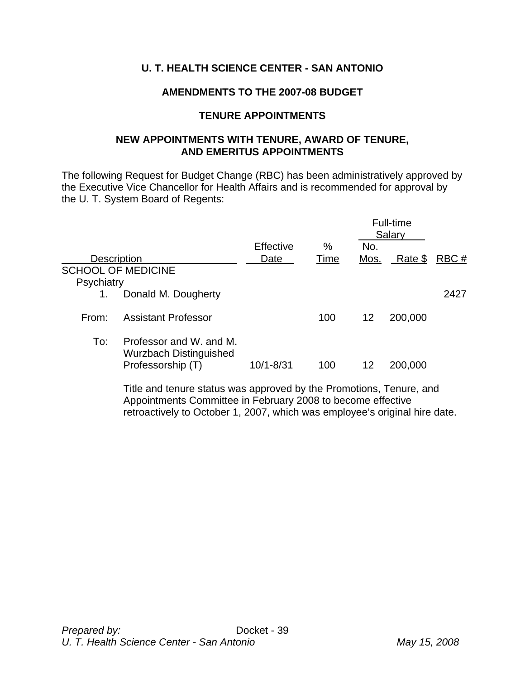# **U. T. HEALTH SCIENCE CENTER - SAN ANTONIO**

### **AMENDMENTS TO THE 2007-08 BUDGET**

#### **TENURE APPOINTMENTS**

#### **NEW APPOINTMENTS WITH TENURE, AWARD OF TENURE, AND EMERITUS APPOINTMENTS**

The following Request for Budget Change (RBC) has been administratively approved by the Executive Vice Chancellor for Health Affairs and is recommended for approval by the U. T. System Board of Regents:

|                    |                                                                               | Effective | %    | No.  | Full-time<br>Salary |      |
|--------------------|-------------------------------------------------------------------------------|-----------|------|------|---------------------|------|
| <b>Description</b> |                                                                               | Date      | Time | Mos. | Rate \$             | RBC# |
| Psychiatry         | <b>SCHOOL OF MEDICINE</b>                                                     |           |      |      |                     |      |
| 1.                 | Donald M. Dougherty                                                           |           |      |      |                     | 2427 |
| From:              | <b>Assistant Professor</b>                                                    |           | 100  | 12   | 200,000             |      |
| To:                | Professor and W. and M.<br><b>Wurzbach Distinguished</b><br>Professorship (T) | 10/1-8/31 | 100  | 12   | 200,000             |      |

 Title and tenure status was approved by the Promotions, Tenure, and Appointments Committee in February 2008 to become effective retroactively to October 1, 2007, which was employee's original hire date.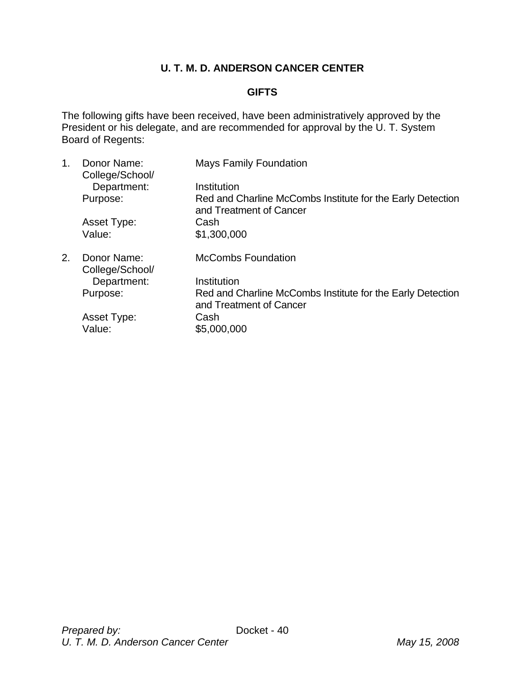# **U. T. M. D. ANDERSON CANCER CENTER**

# **GIFTS**

The following gifts have been received, have been administratively approved by the President or his delegate, and are recommended for approval by the U. T. System Board of Regents:

| 1. | Donor Name:<br>College/School/ | <b>Mays Family Foundation</b>                                                         |
|----|--------------------------------|---------------------------------------------------------------------------------------|
|    | Department:                    | Institution                                                                           |
|    | Purpose:                       | Red and Charline McCombs Institute for the Early Detection<br>and Treatment of Cancer |
|    | Asset Type:                    | Cash                                                                                  |
|    | Value:                         | \$1,300,000                                                                           |
| 2. | Donor Name:<br>College/School/ | <b>McCombs Foundation</b>                                                             |
|    | Department:                    | Institution                                                                           |
|    | Purpose:                       | Red and Charline McCombs Institute for the Early Detection<br>and Treatment of Cancer |
|    | Asset Type:                    | Cash                                                                                  |
|    | Value:                         | \$5,000,000                                                                           |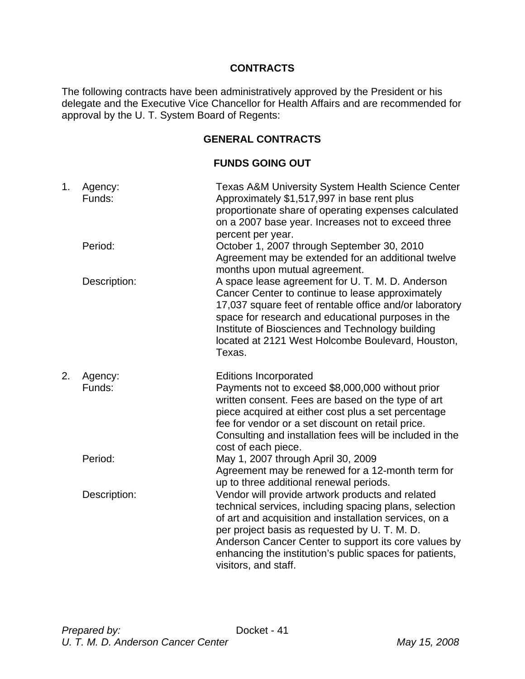## **CONTRACTS**

The following contracts have been administratively approved by the President or his delegate and the Executive Vice Chancellor for Health Affairs and are recommended for approval by the U. T. System Board of Regents:

# **GENERAL CONTRACTS**

### **FUNDS GOING OUT**

| 1. | Agency:<br>Funds: | <b>Texas A&amp;M University System Health Science Center</b><br>Approximately \$1,517,997 in base rent plus<br>proportionate share of operating expenses calculated<br>on a 2007 base year. Increases not to exceed three<br>percent per year.                                                                                                                   |
|----|-------------------|------------------------------------------------------------------------------------------------------------------------------------------------------------------------------------------------------------------------------------------------------------------------------------------------------------------------------------------------------------------|
|    | Period:           | October 1, 2007 through September 30, 2010<br>Agreement may be extended for an additional twelve<br>months upon mutual agreement.                                                                                                                                                                                                                                |
|    | Description:      | A space lease agreement for U. T. M. D. Anderson<br>Cancer Center to continue to lease approximately<br>17,037 square feet of rentable office and/or laboratory<br>space for research and educational purposes in the<br>Institute of Biosciences and Technology building<br>located at 2121 West Holcombe Boulevard, Houston,<br>Texas.                         |
| 2. | Agency:<br>Funds: | <b>Editions Incorporated</b><br>Payments not to exceed \$8,000,000 without prior<br>written consent. Fees are based on the type of art<br>piece acquired at either cost plus a set percentage<br>fee for vendor or a set discount on retail price.<br>Consulting and installation fees will be included in the<br>cost of each piece.                            |
|    | Period:           | May 1, 2007 through April 30, 2009<br>Agreement may be renewed for a 12-month term for<br>up to three additional renewal periods.                                                                                                                                                                                                                                |
|    | Description:      | Vendor will provide artwork products and related<br>technical services, including spacing plans, selection<br>of art and acquisition and installation services, on a<br>per project basis as requested by U. T. M. D.<br>Anderson Cancer Center to support its core values by<br>enhancing the institution's public spaces for patients,<br>visitors, and staff. |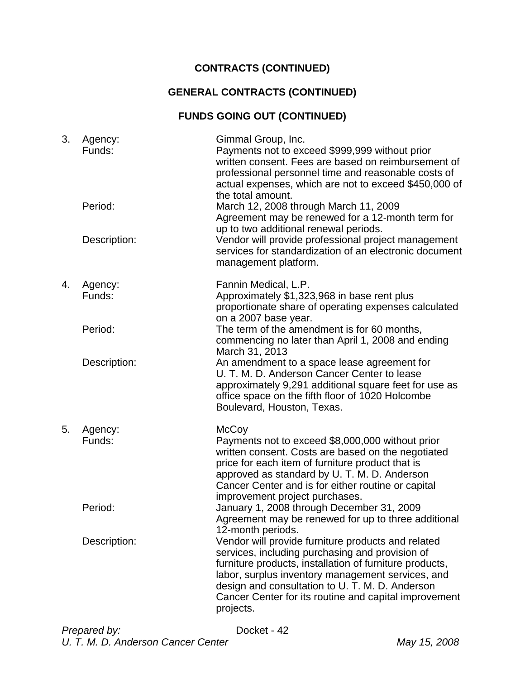# **CONTRACTS (CONTINUED)**

# **GENERAL CONTRACTS (CONTINUED)**

# **FUNDS GOING OUT (CONTINUED)**

| 3. | Agency:<br>Funds: | Gimmal Group, Inc.<br>Payments not to exceed \$999,999 without prior<br>written consent. Fees are based on reimbursement of<br>professional personnel time and reasonable costs of<br>actual expenses, which are not to exceed \$450,000 of<br>the total amount.                                                                               |
|----|-------------------|------------------------------------------------------------------------------------------------------------------------------------------------------------------------------------------------------------------------------------------------------------------------------------------------------------------------------------------------|
|    | Period:           | March 12, 2008 through March 11, 2009<br>Agreement may be renewed for a 12-month term for<br>up to two additional renewal periods.                                                                                                                                                                                                             |
|    | Description:      | Vendor will provide professional project management<br>services for standardization of an electronic document<br>management platform.                                                                                                                                                                                                          |
| 4. | Agency:<br>Funds: | Fannin Medical, L.P.<br>Approximately \$1,323,968 in base rent plus<br>proportionate share of operating expenses calculated<br>on a 2007 base year.                                                                                                                                                                                            |
|    | Period:           | The term of the amendment is for 60 months,<br>commencing no later than April 1, 2008 and ending<br>March 31, 2013                                                                                                                                                                                                                             |
|    | Description:      | An amendment to a space lease agreement for<br>U. T. M. D. Anderson Cancer Center to lease<br>approximately 9,291 additional square feet for use as<br>office space on the fifth floor of 1020 Holcombe<br>Boulevard, Houston, Texas.                                                                                                          |
| 5. | Agency:<br>Funds: | McCoy<br>Payments not to exceed \$8,000,000 without prior<br>written consent. Costs are based on the negotiated<br>price for each item of furniture product that is<br>approved as standard by U. T. M. D. Anderson<br>Cancer Center and is for either routine or capital<br>improvement project purchases.                                    |
|    | Period:           | January 1, 2008 through December 31, 2009<br>Agreement may be renewed for up to three additional<br>12-month periods.                                                                                                                                                                                                                          |
|    | Description:      | Vendor will provide furniture products and related<br>services, including purchasing and provision of<br>furniture products, installation of furniture products,<br>labor, surplus inventory management services, and<br>design and consultation to U. T. M. D. Anderson<br>Cancer Center for its routine and capital improvement<br>projects. |